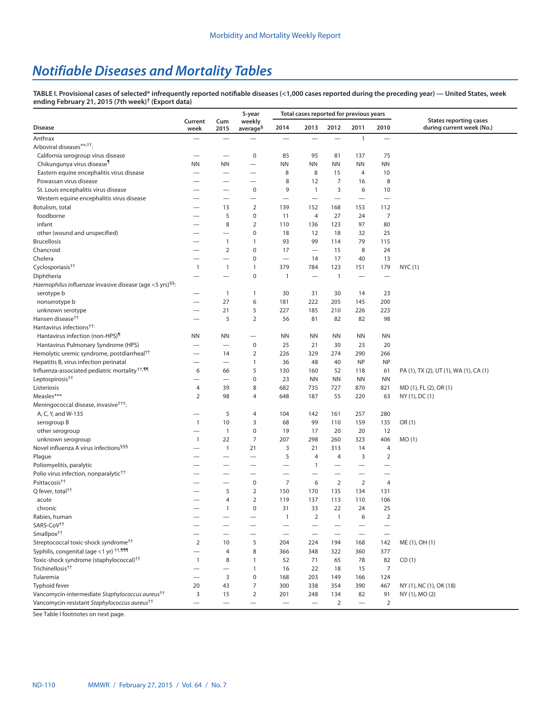## *Notifiable Diseases and Mortality Tables*

**TABLE I. Provisional cases of selected\* infrequently reported notifiable diseases (<1,000 cases reported during the preceding year) — United States, week ending February 21, 2015 (7th week)† ([Export data\)](https://data.cdc.gov/NNDSS/NNDSS-Table-I-infrequently-reported-notifiable-dis/pb4z-432k)**

|                                                                      | Current                  | Cum                      | 5-year<br>weekly         |                          | Total cases reported for previous years |                          |                          |                          | <b>States reporting cases</b>          |  |
|----------------------------------------------------------------------|--------------------------|--------------------------|--------------------------|--------------------------|-----------------------------------------|--------------------------|--------------------------|--------------------------|----------------------------------------|--|
| <b>Disease</b>                                                       | week                     | 2015                     | average <sup>§</sup>     | 2014                     | 2013                                    | 2012                     | 2011                     | 2010                     | during current week (No.)              |  |
| Anthrax                                                              | $\overline{\phantom{0}}$ |                          |                          |                          |                                         |                          | $\mathbf{1}$             | $\equiv$                 |                                        |  |
| Arboviral diseases**, <sup>††</sup> :                                |                          |                          |                          |                          |                                         |                          |                          |                          |                                        |  |
| California serogroup virus disease                                   |                          |                          | $\pmb{0}$                | 85                       | 95                                      | 81                       | 137                      | 75                       |                                        |  |
| Chikungunya virus disease <sup>1</sup>                               | <b>NN</b>                | <b>NN</b>                |                          | <b>NN</b>                | <b>NN</b>                               | <b>NN</b>                | <b>NN</b>                | <b>NN</b>                |                                        |  |
| Eastern equine encephalitis virus disease                            |                          |                          | $\overline{\phantom{0}}$ | 8                        | 8                                       | 15                       | 4                        | 10                       |                                        |  |
| Powassan virus disease                                               |                          |                          |                          | 8                        | 12                                      | $\overline{7}$           | 16                       | 8                        |                                        |  |
| St. Louis encephalitis virus disease                                 |                          |                          | $\bf 0$                  | 9                        | $\mathbf{1}$                            | 3                        | 6                        | 10                       |                                        |  |
| Western equine encephalitis virus disease                            |                          |                          |                          |                          |                                         |                          | $\overline{\phantom{0}}$ | $\overline{\phantom{0}}$ |                                        |  |
| Botulism, total                                                      |                          | 13                       | 2                        | 139                      | 152                                     | 168                      | 153                      | 112                      |                                        |  |
| foodborne                                                            |                          | 5                        | $\bf 0$                  | 11                       | $\overline{4}$                          | 27                       | 24                       | 7                        |                                        |  |
| infant                                                               |                          | 8                        | $\overline{2}$           | 110                      | 136                                     | 123                      | 97                       | 80                       |                                        |  |
| other (wound and unspecified)                                        |                          |                          | $\pmb{0}$                | 18                       | 12                                      | 18                       | 32                       | 25                       |                                        |  |
| <b>Brucellosis</b>                                                   |                          | 1                        | $\mathbf{1}$             | 93                       | 99                                      | 114                      | 79                       | 115                      |                                        |  |
| Chancroid                                                            | -                        | $\overline{2}$           | 0                        | 17                       |                                         | 15                       | 8                        | 24                       |                                        |  |
| Cholera                                                              |                          | -                        | 0                        | $\overline{\phantom{0}}$ | 14                                      | 17                       | 40                       | 13                       |                                        |  |
| Cyclosporiasis <sup>††</sup>                                         | $\mathbf{1}$             | $\mathbf{1}$             | $\mathbf{1}$             | 379                      | 784                                     | 123                      | 151                      | 179                      | NYC(1)                                 |  |
| Diphtheria                                                           |                          |                          | $\pmb{0}$                | $\mathbf{1}$             | $\overline{\phantom{0}}$                | $\mathbf{1}$             | $\overline{\phantom{0}}$ |                          |                                        |  |
| Haemophilus influenzae invasive disease (age <5 yrs) <sup>§§</sup> : |                          |                          |                          |                          |                                         |                          |                          |                          |                                        |  |
| serotype b                                                           | -                        | $\mathbf{1}$             | $\mathbf{1}$             | 30                       | 31                                      | 30                       | 14                       | 23                       |                                        |  |
| nonserotype b                                                        |                          | 27                       | 6                        | 181                      | 222                                     | 205                      | 145                      | 200                      |                                        |  |
| unknown serotype                                                     |                          | 21                       | 5                        | 227                      | 185                                     | 210                      | 226                      | 223                      |                                        |  |
| Hansen disease <sup>††</sup>                                         |                          | 5                        | $\overline{2}$           | 56                       | 81                                      | 82                       | 82                       | 98                       |                                        |  |
| Hantavirus infections <sup>††:</sup>                                 |                          |                          |                          |                          |                                         |                          |                          |                          |                                        |  |
| Hantavirus infection (non-HPS)                                       | <b>NN</b>                | ΝN                       | $\overline{\phantom{0}}$ | ΝN                       | <b>NN</b>                               | ΝN                       | ΝN                       | <b>NN</b>                |                                        |  |
| Hantavirus Pulmonary Syndrome (HPS)                                  |                          | $\overline{\phantom{0}}$ | $\pmb{0}$                | 25                       | 21                                      | 30                       | 23                       | 20                       |                                        |  |
| Hemolytic uremic syndrome, postdiarrheal <sup>††</sup>               | —                        | 14                       | $\overline{2}$           | 226                      | 329                                     | 274                      | 290                      | 266                      |                                        |  |
| Hepatitis B, virus infection perinatal                               |                          | $\overline{\phantom{0}}$ | $\mathbf{1}$             | 36                       | 48                                      | 40                       | <b>NP</b>                | <b>NP</b>                |                                        |  |
| Influenza-associated pediatric mortality <sup>††,¶¶</sup>            | 6                        | 66                       | 5                        | 130                      | 160                                     | 52                       | 118                      | 61                       | PA (1), TX (2), UT (1), WA (1), CA (1) |  |
| Leptospirosis <sup>††</sup>                                          | <u>—</u>                 |                          | 0                        | 23                       | <b>NN</b>                               | <b>NN</b>                | ΝN                       | <b>NN</b>                |                                        |  |
| Listeriosis                                                          | 4                        | 39                       | 8                        | 682                      | 735                                     | 727                      | 870                      | 821                      | MD (1), FL (2), OR (1)                 |  |
| Measles***                                                           | 2                        | 98                       | 4                        | 648                      | 187                                     | 55                       | 220                      | 63                       | NY (1), DC (1)                         |  |
| Meningococcal disease, invasive <sup>†††</sup> :                     |                          |                          | $\overline{4}$           | 104                      |                                         |                          |                          | 280                      |                                        |  |
| A, C, Y, and W-135                                                   | $\mathbf{1}$             | 5<br>10                  | 3                        | 68                       | 142<br>99                               | 161<br>110               | 257<br>159               | 135                      | OR(1)                                  |  |
| serogroup B<br>other serogroup                                       |                          | $\mathbf{1}$             | $\mathbf 0$              | 19                       | 17                                      | 20                       | 20                       | 12                       |                                        |  |
| unknown serogroup                                                    | $\overline{1}$           | 22                       | 7                        | 207                      | 298                                     | 260                      | 323                      | 406                      | MO(1)                                  |  |
| Novel influenza A virus infections <sup>999</sup>                    |                          | $\mathbf{1}$             | 21                       | 3                        | 21                                      | 313                      | 14                       | 4                        |                                        |  |
| Plague                                                               |                          |                          | $\overline{\phantom{0}}$ | 5                        | $\overline{4}$                          | $\overline{4}$           | 3                        | $\overline{2}$           |                                        |  |
| Poliomyelitis, paralytic                                             | —<br>—                   |                          |                          |                          | $\mathbf{1}$                            |                          |                          |                          |                                        |  |
| Polio virus infection, nonparalytic <sup>††</sup>                    |                          |                          |                          |                          |                                         |                          | -                        |                          |                                        |  |
| Psittacosis <sup>††</sup>                                            |                          | $\overline{\phantom{0}}$ | $\pmb{0}$                | 7                        | 6                                       | $\overline{2}$           | $\overline{2}$           | 4                        |                                        |  |
| Q fever, total <sup>††</sup>                                         |                          | 5                        | $\overline{2}$           | 150                      | 170                                     | 135                      | 134                      | 131                      |                                        |  |
| acute                                                                |                          | 4                        | $\overline{2}$           | 119                      | 137                                     | 113                      | 110                      | 106                      |                                        |  |
| chronic                                                              |                          | $\mathbf{1}$             | 0                        | 31                       | 33                                      | 22                       | 24                       | 25                       |                                        |  |
| Rabies, human                                                        |                          |                          |                          | $\mathbf{1}$             | $\overline{2}$                          | $\mathbf{1}$             | 6                        | $\overline{2}$           |                                        |  |
| SARS-CoV <sup>++</sup>                                               |                          |                          |                          | $\overline{\phantom{0}}$ |                                         |                          |                          |                          |                                        |  |
| Smallpox <sup>††</sup>                                               |                          |                          |                          |                          | $\qquad \qquad$                         | $\overline{\phantom{0}}$ |                          |                          |                                        |  |
| Streptococcal toxic-shock syndrome <sup>tt</sup>                     | $\overline{2}$           | 10                       | 5                        | 204                      | 224                                     | 194                      | 168                      | 142                      | ME (1), OH (1)                         |  |
| Syphilis, congenital (age <1 yr) $^{\dagger\dagger,\P\P\P\P}$        |                          | 4                        | 8                        | 366                      | 348                                     | 322                      | 360                      | 377                      |                                        |  |
| Toxic-shock syndrome (staphylococcal) <sup>++</sup>                  | $\mathbf{1}$             | 8                        | $\mathbf{1}$             | 52                       | 71                                      | 65                       | 78                       | 82                       | CO(1)                                  |  |
| Trichinellosis <sup>††</sup>                                         | —                        | $\qquad \qquad$          | $\mathbf{1}$             | 16                       | 22                                      | 18                       | 15                       | $\overline{7}$           |                                        |  |
| Tularemia                                                            | $\overline{\phantom{0}}$ | 3                        | $\pmb{0}$                | 168                      | 203                                     | 149                      | 166                      | 124                      |                                        |  |
| Typhoid fever                                                        | 20                       | 43                       | $\boldsymbol{7}$         | 300                      | 338                                     | 354                      | 390                      | 467                      | NY (1), NC (1), OK (18)                |  |
| Vancomycin-intermediate Staphylococcus aureus <sup>††</sup>          | 3                        | 15                       | $\overline{2}$           | 201                      | 248                                     | 134                      | 82                       | 91                       | NY (1), MO (2)                         |  |
| Vancomycin-resistant Staphylococcus aureus <sup>††</sup>             |                          |                          | —                        |                          |                                         | $\overline{2}$           |                          | $\overline{2}$           |                                        |  |

See Table I footnotes on next page.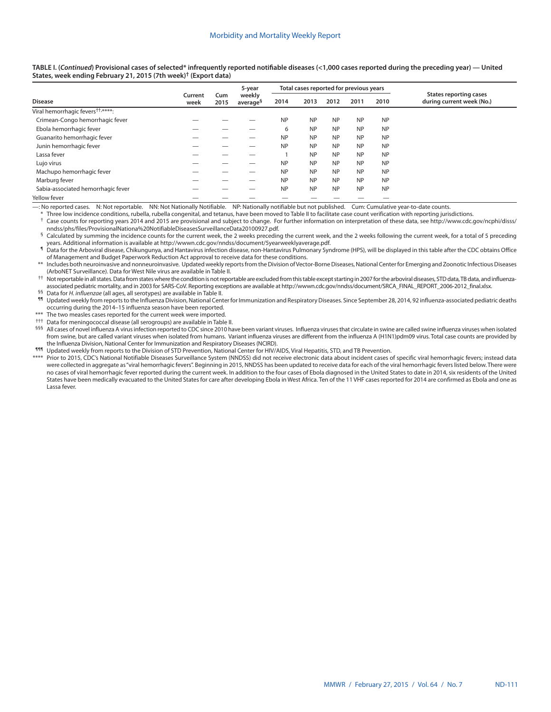**TABLE I. (***Continued***) Provisional cases of selected\* infrequently reported notifiable diseases (<1,000 cases reported during the preceding year) — United States, week ending February 21, 2015 (7th week)† [\(Export data](https://data.cdc.gov/NNDSS/NNDSS-Table-I-infrequently-reported-notifiable-dis/pb4z-432k))**

|                                               |                 |             | 5-year                         |           | Total cases reported for previous years |           |           |           |                                                            |
|-----------------------------------------------|-----------------|-------------|--------------------------------|-----------|-----------------------------------------|-----------|-----------|-----------|------------------------------------------------------------|
| <b>Disease</b>                                | Current<br>week | Cum<br>2015 | weekly<br>average <sup>§</sup> | 2014      | 2013                                    | 2012      | 2011      | 2010      | <b>States reporting cases</b><br>during current week (No.) |
| Viral hemorrhagic fevers <sup>††,****</sup> : |                 |             |                                |           |                                         |           |           |           |                                                            |
| Crimean-Congo hemorrhagic fever               |                 |             |                                | <b>NP</b> | <b>NP</b>                               | <b>NP</b> | <b>NP</b> | <b>NP</b> |                                                            |
| Ebola hemorrhagic fever                       |                 |             |                                | 6         | <b>NP</b>                               | <b>NP</b> | <b>NP</b> | <b>NP</b> |                                                            |
| Guanarito hemorrhagic fever                   |                 |             |                                | <b>NP</b> | <b>NP</b>                               | <b>NP</b> | <b>NP</b> | <b>NP</b> |                                                            |
| Junin hemorrhagic fever                       |                 |             |                                | <b>NP</b> | <b>NP</b>                               | <b>NP</b> | <b>NP</b> | <b>NP</b> |                                                            |
| Lassa fever                                   |                 |             |                                |           | <b>NP</b>                               | <b>NP</b> | <b>NP</b> | <b>NP</b> |                                                            |
| Lujo virus                                    |                 |             |                                | <b>NP</b> | <b>NP</b>                               | <b>NP</b> | <b>NP</b> | <b>NP</b> |                                                            |
| Machupo hemorrhagic fever                     |                 |             |                                | <b>NP</b> | <b>NP</b>                               | <b>NP</b> | <b>NP</b> | <b>NP</b> |                                                            |
| Marburg fever                                 |                 |             |                                | <b>NP</b> | <b>NP</b>                               | <b>NP</b> | <b>NP</b> | <b>NP</b> |                                                            |
| Sabia-associated hemorrhagic fever            |                 |             |                                | <b>NP</b> | <b>NP</b>                               | <b>NP</b> | <b>NP</b> | <b>NP</b> |                                                            |
| Yellow fever                                  |                 |             |                                |           |                                         |           |           |           |                                                            |

—: No reported cases. N: Not reportable. NN: Not Nationally Notifiable. NP: Nationally notifiable but not published. Cum: Cumulative year-to-date counts.

Three low incidence conditions, rubella, rubella congenital, and tetanus, have been moved to Table II to facilitate case count verification with reporting jurisdictions.

Case counts for reporting years 2014 and 2015 are provisional and subject to change. For further information on interpretation of these data, see [http://www.cdc.gov/ncphi/disss/](http://www.cdc.gov/ncphi/disss/nndss/phs/files/ProvisionalNationa%20NotifiableDiseasesSurveillanceData20100927.pdf)<br>nndss/phs/files/ProvisionalNationa%20Notifia

Calculated by summing the incidence counts for the current week, the 2 weeks preceding the current week, and the 2 weeks following the current week, for a total of 5 preceding ears. Additional information is available at<http://wwwn.cdc.gov/nndss/document/5yearweeklyaverage.pdf>.<br>In Data for the Arboviral disease, Chikungunya, and Hantavirus infection disease, non-Hantavirus Pulmonary Syndrome (H

of Management and Budget Paperwork Reduction Act approval to receive data for these conditions.

\*\* Includes both neuroinvasive and nonneuroinvasive. Updated weekly reports from the Division of Vector-Borne Diseases, National Center for Emerging and Zoonotic Infectious Diseases (ArboNET Surveillance). Data for West Nile virus are available in Table II.

†† Not reportable in all states. Data from states where the condition is not reportable are excluded from this table except starting in 2007 for the arboviral diseases, STD data, TB data, and influenzaassociated pediatric mortality, and in 2003 for SARS-CoV. Reporting exceptions are available at [http://wwwn.cdc.gov/nndss/document/SRCA\\_FINAL\\_REPORT\\_2006-2012\\_final.xlsx.](http://wwwn.cdc.gov/nndss/document/SRCA_FINAL_REPORT_2006-2012_final.xlsx)

§§ Data for *H. influenzae* (all ages, all serotypes) are available in Table II.

¶¶ Updated weekly from reports to the Influenza Division, National Center for Immunization and Respiratory Diseases. Since September 28, 2014, 92 influenza-associated pediatric deaths occurring during the 2014–15 influenza season have been reported.

The two measles cases reported for the current week were imported.

††† Data for meningococcal disease (all serogroups) are available in Table II.

§§§ All cases of novel influenza A virus infection reported to CDC since 2010 have been variant viruses. Influenza viruses that circulate in swine are called swine influenza viruses when isolated from swine, but are called variant viruses when isolated from humans. Variant influenza viruses are different from the influenza A (H1N1)pdm09 virus. Total case counts are provided by the Influenza Division, National Center for Immunization and Respiratory Diseases (NCIRD).

¶¶¶ Updated weekly from reports to the Division of STD Prevention, National Center for HIV/AIDS, Viral Hepatitis, STD, and TB Prevention.

\*\*\*\* Prior to 2015, CDC's National Notifiable Diseases Surveillance System (NNDSS) did not receive electronic data about incident cases of specific viral hemorrhagic fevers; instead data were collected in aggregate as "viral hemorrhagic fevers". Beginning in 2015, NNDSS has been updated to receive data for each of the viral hemorrhagic fevers listed below. There were no cases of viral hemorrhagic fever reported during the current week. In addition to the four cases of Ebola diagnosed in the United States to date in 2014, six residents of the United States have been medically evacuated to the United States for care after developing Ebola in West Africa. Ten of the 11 VHF cases reported for 2014 are confirmed as Ebola and one as Lassa fever.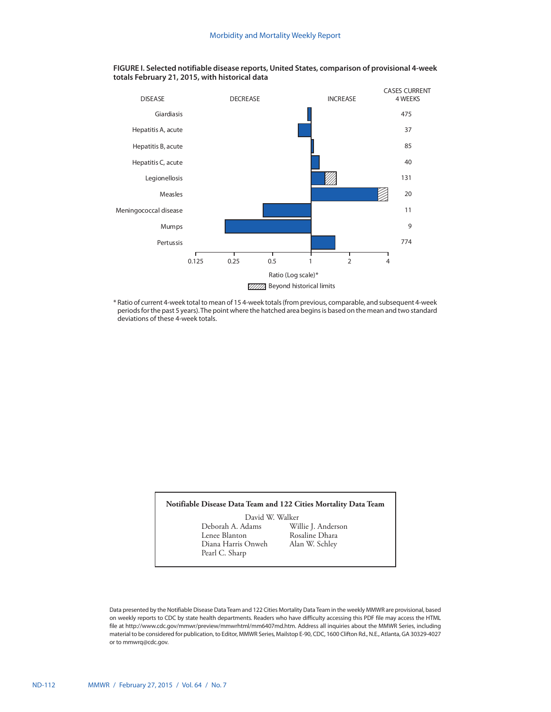

**FIGURE I. Selected notifiable disease reports, United States, comparison of provisional 4-week totals February 21, 2015, with historical data**

\* Ratio of current 4-week total to mean of 15 4-week totals (from previous, comparable, and subsequent 4-week periods for the past 5 years). The point where the hatched area begins is based on the mean and two standard deviations of these 4-week totals.

## **Notifiable Disease Data Team and 122 Cities Mortality Data Team**

David W. Walker<br>Deborah A. Adams Wi Deborah A. Adams Willie J. Anderson Diana Harris Onweh Pearl C. Sharp

Rosaline Dhara<br>Alan W. Schley

Data presented by the Notifiable Disease Data Team and 122 Cities Mortality Data Team in the weekly MMWR are provisional, based on weekly reports to CDC by state health departments. Readers who have difficulty accessing this PDF file may access the HTML file at http://www.cdc.gov/mmwr/preview/mmwrhtml/mm6407md.htm. Address all inquiries about the MMWR Series, including material to be considered for publication, to Editor, MMWR Series, Mailstop E-90, CDC, 1600 Clifton Rd., N.E., Atlanta, GA 30329-4027 or to [mmwrq@cdc.gov](mailto:mmwrq@cdc.gov).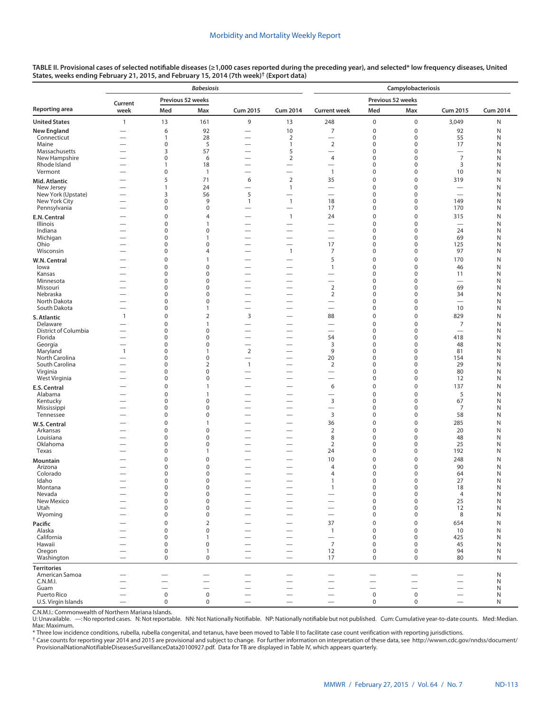|                                     |                                                      |                                      | <b>Babesiosis</b>           |                                                      |                                                               | Campylobacteriosis                                   |                                      |                            |                                 |                 |  |  |  |
|-------------------------------------|------------------------------------------------------|--------------------------------------|-----------------------------|------------------------------------------------------|---------------------------------------------------------------|------------------------------------------------------|--------------------------------------|----------------------------|---------------------------------|-----------------|--|--|--|
|                                     | Current                                              | Previous 52 weeks                    |                             |                                                      |                                                               |                                                      | Previous 52 weeks                    |                            |                                 |                 |  |  |  |
| Reporting area                      | week                                                 | Med                                  | Max                         | <b>Cum 2015</b>                                      | <b>Cum 2014</b>                                               | <b>Current week</b>                                  | Med                                  | Max                        | <b>Cum 2015</b>                 | <b>Cum 2014</b> |  |  |  |
| <b>United States</b>                | $\mathbf{1}$                                         | 13                                   | 161                         | 9                                                    | 13                                                            | 248                                                  | $\pmb{0}$                            | $\pmb{0}$                  | 3,049                           | N               |  |  |  |
| New England                         | $\overline{\phantom{0}}$                             | 6                                    | 92                          |                                                      | 10                                                            | 7                                                    | $\bf 0$                              | $\mathbf 0$                | 92                              | N               |  |  |  |
| Connecticut<br>Maine                | $\overline{\phantom{0}}$<br>$\overline{\phantom{0}}$ | $\mathbf{1}$<br>$\pmb{0}$            | 28<br>5                     | $\overline{\phantom{0}}$                             | $\overline{2}$<br>1                                           | $\overline{2}$                                       | $\bf 0$<br>$\bf 0$                   | $\mathbf 0$<br>0           | 55<br>17                        | N<br>N          |  |  |  |
| Massachusetts                       |                                                      | 3                                    | 57                          | $\overline{\phantom{0}}$                             | 5                                                             | $\overline{\phantom{0}}$                             | $\bf 0$                              | $\mathbf 0$                | $\overline{\phantom{0}}$        | N               |  |  |  |
| New Hampshire<br>Rhode Island       | $\overline{\phantom{0}}$                             | $\pmb{0}$                            | 6                           | $\overline{\phantom{0}}$                             | $\overline{2}$                                                | 4                                                    | $\bf 0$<br>$\mathbf 0$               | $\mathbf 0$<br>$\mathbf 0$ | $\overline{7}$                  | N               |  |  |  |
| Vermont                             | $\overline{\phantom{0}}$                             | $\mathbf{1}$<br>$\pmb{0}$            | 18<br>$\mathbf{1}$          | $\overline{\phantom{0}}$                             | $\overline{\phantom{0}}$<br>$\overline{\phantom{0}}$          | —<br>$\mathbf{1}$                                    | $\bf 0$                              | $\mathbf 0$                | 3<br>10                         | N<br>N          |  |  |  |
| Mid. Atlantic                       |                                                      | 5                                    | 71                          | 6                                                    | $\overline{2}$                                                | 35                                                   | $\bf 0$                              | $\mathbf 0$                | 319                             | N               |  |  |  |
| New Jersey                          |                                                      | $\mathbf{1}$                         | 24                          | $\overline{\phantom{0}}$                             | $\mathbf{1}$                                                  | $\overline{\phantom{0}}$                             | $\mathbf 0$                          | $\mathbf 0$                | $\overline{\phantom{0}}$        | N               |  |  |  |
| New York (Upstate)<br>New York City | $\overline{\phantom{0}}$                             | 3<br>$\mathbf 0$                     | 56<br>9                     | 5<br>$\mathbf{1}$                                    | $\overline{\phantom{0}}$<br>$\overline{1}$                    | $\overline{\phantom{0}}$<br>18                       | $\mathbf 0$<br>0                     | $\mathbf 0$<br>$\mathbf 0$ | $\overline{\phantom{0}}$<br>149 | N<br>N          |  |  |  |
| Pennsylvania                        |                                                      | 0                                    | $\mathbf 0$                 |                                                      |                                                               | 17                                                   | $\mathbf 0$                          | 0                          | 170                             | N               |  |  |  |
| E.N. Central                        |                                                      | $\boldsymbol{0}$                     | $\overline{4}$              | $\overline{\phantom{0}}$                             | $\mathbf{1}$                                                  | 24                                                   | $\bf 0$                              | $\bf 0$                    | 315                             | N               |  |  |  |
| Illinois                            |                                                      | $\mathbf 0$                          | $\mathbf{1}$                |                                                      | $\hspace{0.1mm}-\hspace{0.1mm}$                               | $\overline{\phantom{0}}$                             | $\bf 0$                              | $\mathbf 0$                | $\overline{\phantom{0}}$        | N               |  |  |  |
| Indiana<br>Michigan                 |                                                      | $\boldsymbol{0}$<br>0                | $\pmb{0}$<br>$\mathbf{1}$   | $\overline{\phantom{0}}$<br>$\overline{\phantom{0}}$ | $\overline{\phantom{0}}$<br>$\overline{\phantom{0}}$          | $\overline{\phantom{0}}$<br>$\overline{\phantom{0}}$ | $\bf 0$<br>$\bf 0$                   | 0<br>$\mathbf 0$           | 24<br>69                        | N<br>N          |  |  |  |
| Ohio                                |                                                      | $\boldsymbol{0}$                     | 0                           | $\overline{\phantom{0}}$                             | $\overline{\phantom{0}}$                                      | 17                                                   | $\bf 0$                              | $\mathbf 0$                | 125                             | N               |  |  |  |
| Wisconsin                           | $\overline{\phantom{0}}$                             | $\boldsymbol{0}$                     | $\overline{4}$              |                                                      | $\overline{1}$                                                | 7                                                    | $\boldsymbol{0}$                     | $\pmb{0}$                  | 97                              | N               |  |  |  |
| W.N. Central                        |                                                      | $\boldsymbol{0}$                     | $\mathbf{1}$                | $\overline{\phantom{0}}$                             |                                                               | 5                                                    | $\boldsymbol{0}$                     | $\pmb{0}$                  | 170                             | N               |  |  |  |
| lowa<br>Kansas                      |                                                      | $\mathbf 0$<br>$\boldsymbol{0}$      | $\mathbf 0$<br>$\pmb{0}$    |                                                      | $\overline{\phantom{0}}$<br>$\overline{\phantom{0}}$          | $\mathbf{1}$<br>$\overline{\phantom{0}}$             | $\boldsymbol{0}$<br>$\boldsymbol{0}$ | $\mathbf 0$<br>$\mathbf 0$ | 46<br>11                        | N<br>N          |  |  |  |
| Minnesota                           |                                                      | 0                                    | $\mathbf 0$                 | $\overline{\phantom{0}}$                             | $\overline{\phantom{0}}$                                      | $\overline{\phantom{0}}$                             | $\mathbf 0$                          | $\mathbf 0$                | $\overline{\phantom{0}}$        | N               |  |  |  |
| Missouri                            | $\overline{\phantom{0}}$                             | $\pmb{0}$                            | $\mathbf 0$                 | $\overline{\phantom{0}}$                             | $\overline{\phantom{0}}$                                      | $\overline{2}$                                       | $\mathbf 0$                          | $\pmb{0}$                  | 69                              | Ν               |  |  |  |
| Nebraska<br>North Dakota            | $\overline{\phantom{0}}$                             | 0<br>$\boldsymbol{0}$                | $\mathbf 0$<br>$\pmb{0}$    | $\overline{\phantom{0}}$<br>$\overline{\phantom{0}}$ | $\overline{\phantom{0}}$<br>$\overline{\phantom{0}}$          | $\overline{2}$                                       | $\boldsymbol{0}$<br>$\bf 0$          | $\pmb{0}$<br>$\mathbf 0$   | 34<br>$\overline{\phantom{0}}$  | N<br>N          |  |  |  |
| South Dakota                        | $\overline{\phantom{0}}$                             | $\boldsymbol{0}$                     | $\mathbf{1}$                | $\overline{\phantom{0}}$                             | $\overline{\phantom{0}}$                                      |                                                      | $\bf 0$                              | $\pmb{0}$                  | 10                              | N               |  |  |  |
| S. Atlantic                         | $\mathbf{1}$                                         | $\boldsymbol{0}$                     | $\overline{2}$              | 3                                                    |                                                               | 88                                                   | $\bf 0$                              | $\pmb{0}$                  | 829                             | N               |  |  |  |
| Delaware                            |                                                      | $\boldsymbol{0}$                     | $\mathbf{1}$                | $\overline{\phantom{0}}$                             | $\overline{\phantom{0}}$                                      | —                                                    | $\bf 0$                              | $\mathbf 0$                | $\boldsymbol{7}$                | N               |  |  |  |
| District of Columbia                | $\overline{\phantom{0}}$<br>$\overline{\phantom{0}}$ | $\boldsymbol{0}$                     | $\mathbf 0$<br>$\mathbf 0$  | $\overline{\phantom{0}}$                             | $\overline{\phantom{0}}$<br>$\overline{\phantom{0}}$          |                                                      | $\bf 0$                              | $\mathbf 0$                | $\overbrace{\phantom{1232211}}$ | N               |  |  |  |
| Florida<br>Georgia                  | $\overline{\phantom{0}}$                             | $\boldsymbol{0}$<br>$\boldsymbol{0}$ | $\pmb{0}$                   | $\overline{\phantom{0}}$<br>—                        | $\overline{\phantom{0}}$                                      | 54<br>3                                              | $\bf 0$<br>$\bf 0$                   | $\mathbf 0$<br>$\mathbf 0$ | 418<br>48                       | N<br>N          |  |  |  |
| Maryland                            | $\mathbf{1}$                                         | $\boldsymbol{0}$                     | $\mathbf{1}$                | $\mathbf 2$                                          | $\overline{\phantom{0}}$                                      | 9                                                    | $\mathbf 0$                          | $\mathbf 0$                | 81                              | N               |  |  |  |
| North Carolina                      |                                                      | $\pmb{0}$                            | $\mathbf 0$                 | $\overline{\phantom{0}}$                             |                                                               | 20                                                   | $\mathbf 0$                          | $\mathbf 0$                | 154                             | N               |  |  |  |
| South Carolina<br>Virginia          | $\overline{\phantom{0}}$<br>$\overline{\phantom{0}}$ | $\pmb{0}$<br>$\mathbf 0$             | $\overline{2}$<br>$\pmb{0}$ | $\mathbf{1}$<br>$\overline{\phantom{0}}$             | $\overline{\phantom{0}}$<br>$\overline{\phantom{0}}$          | $\overline{2}$<br>$\overline{\phantom{0}}$           | $\mathbf 0$<br>$\mathbf 0$           | $\pmb{0}$<br>$\mathbf 0$   | 29<br>80                        | N<br>N          |  |  |  |
| West Virginia                       | $\overline{\phantom{0}}$                             | $\bf 0$                              | $\pmb{0}$                   | $\overline{\phantom{0}}$                             | $\overline{\phantom{0}}$                                      | $\overline{\phantom{0}}$                             | $\bf 0$                              | $\pmb{0}$                  | 12                              | N               |  |  |  |
| E.S. Central                        |                                                      | $\pmb{0}$                            | $\mathbf{1}$                |                                                      | $\overline{\phantom{0}}$                                      | 6                                                    | $\boldsymbol{0}$                     | $\mathbf 0$                | 137                             | N               |  |  |  |
| Alabama                             |                                                      | $\boldsymbol{0}$                     | $\mathbf{1}$                | $\overline{\phantom{0}}$                             | $\overline{\phantom{0}}$                                      |                                                      | $\boldsymbol{0}$                     | $\mathbf 0$                | 5                               | N               |  |  |  |
| Kentucky<br>Mississippi             | $\overline{\phantom{0}}$                             | $\boldsymbol{0}$<br>$\boldsymbol{0}$ | $\pmb{0}$<br>$\mathbf 0$    | $\overline{\phantom{0}}$                             | $\overline{\phantom{0}}$<br>$\overline{\phantom{0}}$          | 3<br>$\qquad \qquad$                                 | $\boldsymbol{0}$<br>$\boldsymbol{0}$ | $\mathbf 0$<br>$\mathbf 0$ | 67<br>7                         | N<br>N          |  |  |  |
| Tennessee                           |                                                      | $\boldsymbol{0}$                     | $\pmb{0}$                   |                                                      | $\overline{\phantom{0}}$                                      | $\overline{3}$                                       | $\boldsymbol{0}$                     | $\mathbf 0$                | 58                              | N               |  |  |  |
| W.S. Central                        |                                                      | $\boldsymbol{0}$                     | $\mathbf{1}$                |                                                      | $\overline{\phantom{0}}$                                      | 36                                                   | $\boldsymbol{0}$                     | $\mathbf 0$                | 285                             | N               |  |  |  |
| Arkansas                            |                                                      | $\boldsymbol{0}$                     | $\mathbf 0$                 |                                                      |                                                               | $\overline{2}$                                       | $\mathbf 0$                          | $\mathbf 0$                | 20                              | N               |  |  |  |
| Louisiana<br>Oklahoma               | $\overline{\phantom{0}}$                             | $\boldsymbol{0}$<br>$\mathbf 0$      | $\pmb{0}$<br>$\pmb{0}$      | $\overline{\phantom{0}}$                             | $\overline{\phantom{0}}$<br>$\overbrace{\phantom{123221111}}$ | 8<br>$\overline{2}$                                  | $\mathbf 0$<br>$\mathbf 0$           | $\mathbf 0$<br>$\mathbf 0$ | 48<br>25                        | N<br>N          |  |  |  |
| Texas                               |                                                      | $\mathbf 0$                          | 1                           |                                                      | -                                                             | 24                                                   | $\mathbf 0$                          | 0                          | 192                             | N               |  |  |  |
| Mountain                            |                                                      | $\mathbf 0$                          | $\mathbf 0$                 |                                                      |                                                               | 10                                                   | $\mathbf 0$                          | $\bf 0$                    | 248                             | N               |  |  |  |
| Arizona                             |                                                      | 0                                    | $\mathbf 0$                 |                                                      | —                                                             | $\overline{4}$                                       | $\bf 0$                              | 0                          | 90                              | N               |  |  |  |
| Colorado<br>Idaho                   |                                                      | $\boldsymbol{0}$<br>$\mathbf 0$      | $\pmb{0}$<br>$\mathbf 0$    |                                                      |                                                               | 4<br>$\overline{1}$                                  | $\bf 0$<br>$\mathbf 0$               | $\mathbf 0$<br>$\mathbf 0$ | 64<br>27                        | N<br>N          |  |  |  |
| Montana                             | —                                                    | 0                                    | 0                           |                                                      |                                                               | $\mathbf{1}$                                         | 0                                    | 0                          | 18                              | N               |  |  |  |
| Nevada                              | $\overline{\phantom{0}}$                             | $\mathsf 0$                          | $\pmb{0}$                   |                                                      |                                                               |                                                      | $\pmb{0}$                            | $\mathbf 0$                | $\overline{4}$                  | N               |  |  |  |
| New Mexico<br>Utah                  |                                                      | $\mathsf 0$<br>$\mathbf 0$           | 0<br>$\pmb{0}$              | $\overline{\phantom{0}}$                             | $\overline{\phantom{0}}$<br>$\overline{\phantom{0}}$          | $\overline{\phantom{0}}$                             | $\mathsf{O}\xspace$<br>$\mathbf 0$   | $\pmb{0}$<br>$\pmb{0}$     | 25<br>12                        | N<br>N          |  |  |  |
| Wyoming                             |                                                      | $\mathbf 0$                          | $\pmb{0}$                   | $\overline{\phantom{0}}$                             |                                                               |                                                      | $\mathbf 0$                          | 0                          | 8                               | N               |  |  |  |
| Pacific                             |                                                      | $\pmb{0}$                            | $\mathbf 2$                 |                                                      | $\overline{\phantom{0}}$                                      | 37                                                   | $\pmb{0}$                            | $\pmb{0}$                  | 654                             | N               |  |  |  |
| Alaska                              |                                                      | $\mathbf 0$                          | $\mathbf 0$                 |                                                      |                                                               | $\mathbf{1}$                                         | $\boldsymbol{0}$                     | $\pmb{0}$                  | 10                              | N               |  |  |  |
| California<br>Hawaii                |                                                      | $\mathbf 0$<br>$\mathbf 0$           | $\mathbf{1}$<br>$\mathbf 0$ |                                                      | $\overline{\phantom{0}}$                                      | $\overline{\phantom{m}}$<br>$\overline{7}$           | $\mathbf 0$<br>$\mathbf 0$           | 0<br>$\pmb{0}$             | 425<br>45                       | N<br>N          |  |  |  |
| Oregon                              |                                                      | $\mathbf 0$                          | $\mathbf{1}$                |                                                      |                                                               | 12                                                   | $\mathbf 0$                          | $\boldsymbol{0}$           | 94                              | Ν               |  |  |  |
| Washington                          |                                                      | $\mathsf 0$                          | 0                           |                                                      |                                                               | 17                                                   | $\mathbf 0$                          | 0                          | 80                              | N               |  |  |  |
| <b>Territories</b>                  |                                                      |                                      |                             |                                                      |                                                               |                                                      |                                      |                            |                                 |                 |  |  |  |
| American Samoa                      |                                                      | -<br>$\overline{\phantom{0}}$        |                             |                                                      | $\overline{\phantom{0}}$                                      |                                                      | $\overline{\phantom{0}}$             | $\overline{\phantom{0}}$   | $\overline{\phantom{0}}$        | N               |  |  |  |
| C.N.M.I.<br>Guam                    |                                                      | $\overline{\phantom{0}}$             | -                           | $\overline{\phantom{0}}$                             | $\overline{\phantom{0}}$                                      | $\overline{\phantom{0}}$<br>$\overline{\phantom{0}}$ | $\overline{\phantom{0}}$             | $\overline{\phantom{0}}$   | $\overline{\phantom{0}}$<br>-   | N<br>N          |  |  |  |
| Puerto Rico                         |                                                      | $\mathsf 0$                          | $\mathsf{O}\xspace$         | $\overline{\phantom{0}}$                             | $\overline{\phantom{0}}$                                      | $\overline{\phantom{0}}$                             | $\mathbf 0$                          | $\mathbf 0$                | $\equiv$                        | N               |  |  |  |
| U.S. Virgin Islands                 | $\overline{\phantom{0}}$                             | $\mathbf 0$                          | 0                           | $\overline{\phantom{0}}$                             | $\overline{\phantom{0}}$                                      |                                                      | $\mathbf 0$                          | $\mathbf 0$                | $\overbrace{\phantom{1232211}}$ | N               |  |  |  |

C.N.M.I.: Commonwealth of Northern Mariana Islands.

U: Unavailable. —: No reported cases. N: Not reportable. NN: Not Nationally Notifiable. NP: Nationally notifiable but not published. Cum: Cumulative year-to-date counts. Med: Median. Max: Maximum.

\* Three low incidence conditions, rubella, rubella congenital, and tetanus, have been moved to Table II to facilitate case count verification with reporting jurisdictions.

† Case counts for reporting year 2014 and 2015 are provisional and subject to change. For further information on interpretation of these data, see [http://wwwn.cdc.gov/nndss/document/](http://wwwn.cdc.gov/nndss/document/ProvisionalNationaNotifiableDiseasesSurveillanceData20100927.pdf) [ProvisionalNationaNotifiableDiseasesSurveillanceData20100927.pdf](http://wwwn.cdc.gov/nndss/document/ProvisionalNationaNotifiableDiseasesSurveillanceData20100927.pdf). Data for TB are displayed in Table IV, which appears quarterly.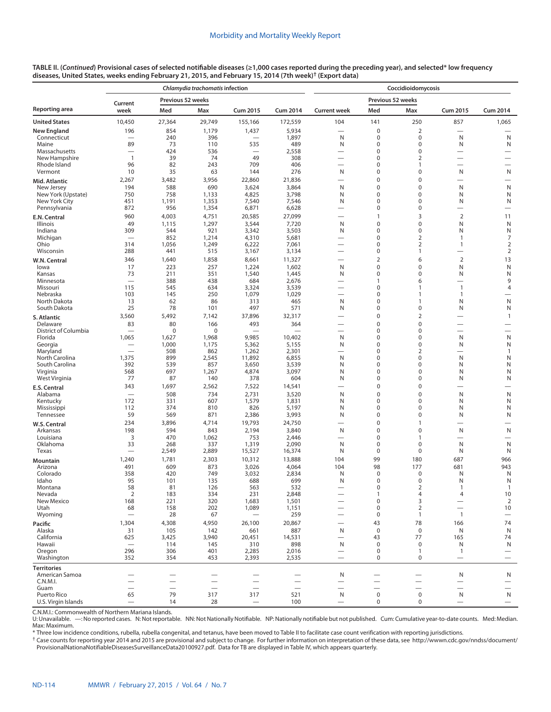| TABLE II. (Continued) Provisional cases of selected notifiable diseases (≥1,000 cases reported during the preceding year), and selected* low frequency |  |
|--------------------------------------------------------------------------------------------------------------------------------------------------------|--|
| diseases, United States, weeks ending February 21, 2015, and February 15, 2014 (7th week) <sup>†</sup> (Export data)                                   |  |

|                                     |                                         |                   | Chlamydia trachomatis infection |                                 |                          | Coccidioidomycosis                                   |                                                      |                                    |                               |                                                              |  |  |
|-------------------------------------|-----------------------------------------|-------------------|---------------------------------|---------------------------------|--------------------------|------------------------------------------------------|------------------------------------------------------|------------------------------------|-------------------------------|--------------------------------------------------------------|--|--|
|                                     | Current                                 | Previous 52 weeks |                                 |                                 |                          |                                                      | Previous 52 weeks                                    |                                    |                               |                                                              |  |  |
| Reporting area                      | week                                    | Med               | Max                             | <b>Cum 2015</b>                 | <b>Cum 2014</b>          | <b>Current week</b>                                  | Med                                                  | Max                                | <b>Cum 2015</b>               | Cum 2014                                                     |  |  |
| <b>United States</b>                | 10,450                                  | 27,364            | 29,749                          | 155,166                         | 172,559                  | 104                                                  | 141                                                  | 250                                | 857                           | 1,065                                                        |  |  |
| <b>New England</b>                  | 196                                     | 854               | 1,179                           | 1,437                           | 5,934                    |                                                      | $\pmb{0}$                                            | $\overline{2}$                     | $\overline{\phantom{0}}$      |                                                              |  |  |
| Connecticut<br>Maine                | 89                                      | 240<br>73         | 396<br>110                      | 535                             | 1,897<br>489             | N<br>N                                               | 0<br>0                                               | $\mathbf 0$<br>$\boldsymbol{0}$    | N<br>N                        | $\mathsf{N}$<br>N                                            |  |  |
| Massachusetts                       | $\overline{\phantom{0}}$                | 424               | 536                             |                                 | 2,558                    | $\overline{\phantom{0}}$                             | 0                                                    | $\mathbf 0$                        |                               |                                                              |  |  |
| New Hampshire<br>Rhode Island       | $\overline{1}$<br>96                    | 39<br>82          | 74<br>243                       | 49<br>709                       | 308<br>406               | $\overline{\phantom{0}}$<br>$\overline{\phantom{0}}$ | 0<br>0                                               | 2<br>$\mathbf{1}$                  | $\overline{\phantom{0}}$      | $\overbrace{\phantom{12322111}}$<br>$\overline{\phantom{0}}$ |  |  |
| Vermont                             | 10                                      | 35                | 63                              | 144                             | 276                      | N                                                    | 0                                                    | 0                                  | N                             | $\mathsf{N}$                                                 |  |  |
| Mid. Atlantic                       | 2,267                                   | 3,482             | 3,956                           | 22,860                          | 21,836                   | $\overline{\phantom{0}}$                             | 0                                                    | $\pmb{0}$                          | $\overline{\phantom{0}}$      | $\overline{\phantom{0}}$                                     |  |  |
| New Jersey                          | 194                                     | 588               | 690                             | 3,624                           | 3,864                    | N<br>N                                               | 0<br>$\mathbf 0$                                     | $\mathbf 0$<br>$\mathbf 0$         | N                             | ${\sf N}$                                                    |  |  |
| New York (Upstate)<br>New York City | 750<br>451                              | 758<br>1,191      | 1,133<br>1,353                  | 4,825<br>7,540                  | 3,798<br>7,546           | N                                                    | 0                                                    | 0                                  | N<br>N                        | N<br>N                                                       |  |  |
| Pennsylvania                        | 872                                     | 956               | 1,354                           | 6,871                           | 6,628                    | $\overline{\phantom{0}}$                             | 0                                                    | 0                                  | $\overline{\phantom{0}}$      | $\overline{\phantom{0}}$                                     |  |  |
| E.N. Central                        | 960                                     | 4,003             | 4,751                           | 20,585                          | 27,099                   |                                                      | 1                                                    | 3                                  | $\overline{2}$                | 11                                                           |  |  |
| Illinois<br>Indiana                 | 49<br>309                               | 1,115<br>544      | 1,297<br>921                    | 3,544<br>3,342                  | 7,720<br>3,503           | N<br>N                                               | 0<br>0                                               | $\mathbf 0$<br>0                   | N<br>N                        | N<br>N                                                       |  |  |
| Michigan                            | $\overline{\phantom{0}}$                | 852               | 1,214                           | 4,310                           | 5,681                    | $\overline{\phantom{0}}$                             | 0                                                    | 2                                  | 1                             | $\overline{7}$                                               |  |  |
| Ohio                                | 314                                     | 1,056             | 1,249                           | 6,222                           | 7,061                    | $\overline{\phantom{0}}$<br>$\overline{\phantom{0}}$ | 0                                                    | $\overline{2}$                     | 1                             | $\overline{2}$                                               |  |  |
| Wisconsin                           | 288<br>346                              | 441<br>1,640      | 515<br>1,858                    | 3,167<br>8,661                  | 3,134<br>11,327          |                                                      | 0<br>2                                               | $\mathbf{1}$<br>6                  | $\overline{2}$                | $\overline{2}$<br>13                                         |  |  |
| W.N. Central<br>lowa                | 17                                      | 223               | 257                             | 1,224                           | 1,602                    | N                                                    | 0                                                    | $\Omega$                           | N                             | N                                                            |  |  |
| Kansas                              | 73                                      | 211               | 351                             | 1,540                           | 1,445                    | N                                                    | 0                                                    | $\mathbf 0$                        | N                             | N                                                            |  |  |
| Minnesota<br>Missouri               | $\overbrace{\phantom{12322111}}$<br>115 | 388<br>545        | 438<br>634                      | 684<br>3,324                    | 2,676<br>3,539           | —<br>$\overline{\phantom{0}}$                        | 1<br>0                                               | 6<br>$\mathbf{1}$                  | 1                             | 9<br>4                                                       |  |  |
| Nebraska                            | 103                                     | 145               | 250                             | 1,079                           | 1,029                    |                                                      | 0                                                    | $\mathbf{1}$                       | 1                             |                                                              |  |  |
| North Dakota                        | 13                                      | 62                | 86                              | 313                             | 465                      | N                                                    | 0                                                    | $\mathbf{1}$                       | N                             | N                                                            |  |  |
| South Dakota                        | 25<br>3,560                             | 78<br>5,492       | 101<br>7,142                    | 497<br>37,896                   | 571<br>32,317            | N<br>$\overline{\phantom{0}}$                        | 0<br>0                                               | $\boldsymbol{0}$<br>$\overline{2}$ | N                             | N<br>$\mathbf{1}$                                            |  |  |
| S. Atlantic<br>Delaware             | 83                                      | 80                | 166                             | 493                             | 364                      | $\overline{\phantom{0}}$                             | 0                                                    | $\mathbf 0$                        |                               | $\overline{\phantom{0}}$                                     |  |  |
| District of Columbia                | $\overline{\phantom{0}}$                | 0                 | 0                               |                                 |                          | $\overline{\phantom{0}}$                             | 0                                                    | $\pmb{0}$                          | $\overline{\phantom{0}}$      | $\overline{\phantom{0}}$                                     |  |  |
| Florida<br>Georgia                  | 1,065                                   | 1,627<br>1,000    | 1,968<br>1,175                  | 9,985<br>5,362                  | 10,402<br>5,155          | N<br>N                                               | 0<br>0                                               | $\mathbf 0$<br>0                   | N<br>N                        | N<br>N                                                       |  |  |
| Maryland                            |                                         | 508               | 862                             | 1,262                           | 2,301                    |                                                      | 0                                                    | $\overline{2}$                     |                               | $\overline{1}$                                               |  |  |
| North Carolina                      | 1,375<br>392                            | 899<br>539        | 2,545                           | 11,892                          | 6,855                    | N<br>N                                               | 0<br>$\mathbf 0$                                     | 0<br>$\mathbf 0$                   | N                             | N<br>Ν                                                       |  |  |
| South Carolina<br>Virginia          | 568                                     | 697               | 857<br>1,267                    | 3,650<br>4,874                  | 3,539<br>3,097           | N                                                    | 0                                                    | 0                                  | N<br>N                        | N                                                            |  |  |
| West Virginia                       | 77                                      | 87                | 140                             | 378                             | 604                      | N                                                    | 0                                                    | $\mathbf 0$                        | N                             | N                                                            |  |  |
| E.S. Central                        | 343                                     | 1,697             | 2,562                           | 7,522                           | 14,541                   | $\overline{\phantom{0}}$                             | 0                                                    | $\mathbf 0$                        | —                             | $\overline{\phantom{0}}$                                     |  |  |
| Alabama<br>Kentucky                 | 172                                     | 508<br>331        | 734<br>607                      | 2,731<br>1,579                  | 3,520<br>1,831           | N<br>N                                               | 0<br>0                                               | $\mathbf 0$<br>0                   | N<br>N                        | $\mathsf{N}$<br>N                                            |  |  |
| Mississippi                         | 112                                     | 374               | 810                             | 826                             | 5,197                    | N                                                    | 0                                                    | $\mathbf 0$                        | N                             | N                                                            |  |  |
| Tennessee                           | 59                                      | 569               | 871                             | 2,386                           | 3,993                    | N                                                    | 0                                                    | $\pmb{0}$                          | N                             | N                                                            |  |  |
| W.S. Central<br>Arkansas            | 234<br>198                              | 3,896<br>594      | 4,714<br>843                    | 19,793<br>2,194                 | 24,750<br>3,840          | N                                                    | 0<br>0                                               | $\mathbf{1}$<br>$\pmb{0}$          | N                             | <u>.</u><br>N                                                |  |  |
| Louisiana                           | 3                                       | 470               | 1,062                           | 753                             | 2,446                    | $\overline{\phantom{0}}$                             | 0                                                    | $\mathbf{1}$                       | $\overline{\phantom{0}}$      | $\overline{\phantom{0}}$                                     |  |  |
| Oklahoma                            | 33                                      | 268               | 337                             | 1,319                           | 2,090                    | N                                                    | $\pmb{0}$                                            | 0                                  | N                             | N                                                            |  |  |
| Texas                               | 1,240                                   | 2,549<br>1,781    | 2,889<br>2,303                  | 15,527<br>10,312                | 16,374<br>13,888         | N<br>104                                             | $\mathbf 0$<br>99                                    | $\mathbf 0$<br>180                 | N<br>687                      | N<br>966                                                     |  |  |
| <b>Mountain</b><br>Arizona          | 491                                     | 609               | 873                             | 3,026                           | 4,064                    | 104                                                  | 98                                                   | 177                                | 681                           | 943                                                          |  |  |
| Colorado                            | 358                                     | 420               | 749                             | 3,032                           | 2,834                    | N                                                    | $\mathbf 0$                                          | 0                                  | N                             | N                                                            |  |  |
| Idaho<br>Montana                    | 95<br>58                                | 101<br>81         | 135<br>126                      | 688<br>563                      | 699<br>532               | N<br>$\overline{\phantom{0}}$                        | $\mathbf 0$<br>0                                     | $\mathbf 0$<br>2                   | N<br>1                        | N<br>$\overline{1}$                                          |  |  |
| Nevada                              | $\overline{2}$                          | 183               | 334                             | 231                             | 2,848                    | $\overline{\phantom{0}}$                             | $\mathbf{1}$                                         | 4                                  | 4                             | 10                                                           |  |  |
| New Mexico                          | 168                                     | 221               | 320                             | 1,683                           | 1,501                    | $\overline{\phantom{0}}$                             | $\mathbf 0$                                          | 3                                  |                               | 2                                                            |  |  |
| Utah<br>Wyoming                     | 68<br>$\overline{\phantom{0}}$          | 158<br>28         | 202<br>67                       | 1,089                           | 1,151<br>259             | $\overline{\phantom{0}}$<br>$\overline{\phantom{0}}$ | $\mathbf 0$<br>$\mathbf 0$                           | 2<br>$\mathbf{1}$                  | $\mathbf{1}$                  | 10<br>$\overline{\phantom{m}}$                               |  |  |
| Pacific                             | 1,304                                   | 4,308             | 4,950                           | 26,100                          | 20,867                   | $\overline{\phantom{0}}$                             | 43                                                   | 78                                 | 166                           | 74                                                           |  |  |
| Alaska                              | 31                                      | 105               | 142                             | 661                             | 887                      | N                                                    | $\mathbf 0$                                          | $\mathbf 0$                        | N                             | N                                                            |  |  |
| California<br>Hawaii                | 625                                     | 3,425<br>114      | 3,940<br>145                    | 20,451<br>310                   | 14,531<br>898            | $\qquad \qquad$<br>N                                 | 43<br>$\mathbf 0$                                    | 77<br>$\mathbf 0$                  | 165<br>N                      | 74<br>N                                                      |  |  |
| Oregon                              | 296                                     | 306               | 401                             | 2,285                           | 2,016                    | $\overline{\phantom{0}}$                             | $\mathbf 0$                                          | $\mathbf{1}$                       | $\mathbf{1}$                  | $\overline{\phantom{m}}$                                     |  |  |
| Washington                          | 352                                     | 354               | 453                             | 2,393                           | 2,535                    | $\overline{\phantom{0}}$                             | $\mathbf 0$                                          | $\mathbf 0$                        |                               | $\qquad \qquad -$                                            |  |  |
| <b>Territories</b>                  |                                         |                   |                                 |                                 |                          |                                                      |                                                      |                                    |                               |                                                              |  |  |
| American Samoa<br>C.N.M.I.          |                                         |                   | $\overline{\phantom{0}}$        |                                 |                          | N<br>$\overline{\phantom{0}}$                        | $\overline{\phantom{0}}$<br>$\overline{\phantom{0}}$ |                                    | N<br>$\overline{\phantom{0}}$ | N<br>$\overline{\phantom{0}}$                                |  |  |
| Guam                                |                                         |                   |                                 |                                 | $\overline{\phantom{0}}$ | —                                                    |                                                      | -                                  |                               |                                                              |  |  |
| Puerto Rico<br>U.S. Virgin Islands  | 65<br>$\overbrace{\phantom{12322111}}$  | 79<br>14          | 317<br>28                       | 317<br>$\overline{\phantom{m}}$ | 521<br>100               | N<br>$\overline{\phantom{m}}$                        | $\boldsymbol{0}$<br>$\mathbf 0$                      | $\mathbf 0$<br>0                   | N                             | N<br>$\overbrace{\phantom{12333}}$                           |  |  |
|                                     |                                         |                   |                                 |                                 |                          |                                                      |                                                      |                                    |                               |                                                              |  |  |

C.N.M.I.: Commonwealth of Northern Mariana Islands.

U: Unavailable. —: No reported cases. N: Not reportable. NN: Not Nationally Notifiable. NP: Nationally notifiable but not published. Cum: Cumulative year-to-date counts. Med: Median. Max: Maximum.

\* Three low incidence conditions, rubella, rubella congenital, and tetanus, have been moved to Table II to facilitate case count verification with reporting jurisdictions.

† Case counts for reporting year 2014 and 2015 are provisional and subject to change. For further information on interpretation of these data, see [http://wwwn.cdc.gov/nndss/document/](http://wwwn.cdc.gov/nndss/document/ProvisionalNationaNotifiableDiseasesSurveillanceData20100927.pdf) [ProvisionalNationaNotifiableDiseasesSurveillanceData20100927.pdf](http://wwwn.cdc.gov/nndss/document/ProvisionalNationaNotifiableDiseasesSurveillanceData20100927.pdf). Data for TB are displayed in Table IV, which appears quarterly.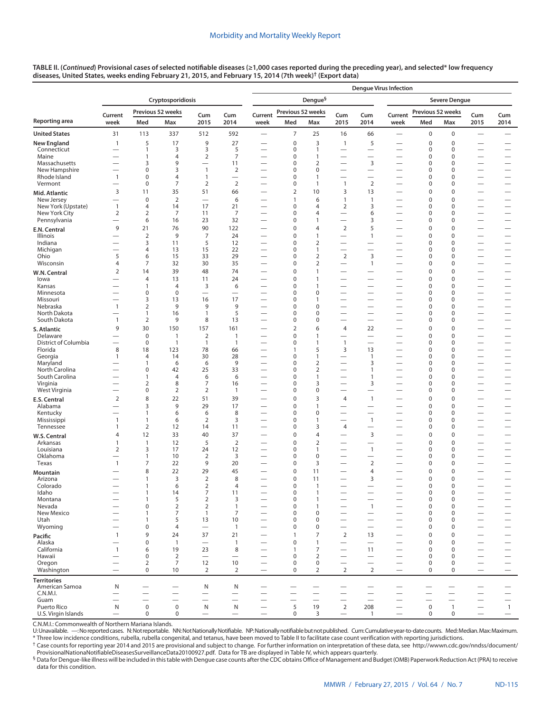| TABLE II. (Continued) Provisional cases of selected notifiable diseases (≥1,000 cases reported during the preceding year), and selected* low frequency |
|--------------------------------------------------------------------------------------------------------------------------------------------------------|
| diseases, United States, weeks ending February 21, 2015, and February 15, 2014 (7th week)† (Export data)                                               |

|                                     |                                            |                                  |                          |                                  |                                                    | <b>Denque Virus Infection</b>                               |                                 |                                      |                                                               |                                                      |                                                      |                            |                            |                                                              |                                                      |  |
|-------------------------------------|--------------------------------------------|----------------------------------|--------------------------|----------------------------------|----------------------------------------------------|-------------------------------------------------------------|---------------------------------|--------------------------------------|---------------------------------------------------------------|------------------------------------------------------|------------------------------------------------------|----------------------------|----------------------------|--------------------------------------------------------------|------------------------------------------------------|--|
|                                     |                                            |                                  | Cryptosporidiosis        |                                  |                                                    | Dengue <sup>§</sup><br><b>Severe Dengue</b>                 |                                 |                                      |                                                               |                                                      |                                                      |                            |                            |                                                              |                                                      |  |
|                                     |                                            |                                  | Previous 52 weeks        |                                  |                                                    |                                                             | Previous 52 weeks               |                                      |                                                               |                                                      |                                                      | Previous 52 weeks          |                            |                                                              |                                                      |  |
| <b>Reporting area</b>               | Current<br>week                            | Med                              | Max                      | Cum<br>2015                      | Cum<br>2014                                        | Current<br>week                                             | Med                             | Max                                  | Cum<br>2015                                                   | Cum<br>2014                                          | Current<br>week                                      | Med                        | Max                        | Cum<br>2015                                                  | Cum<br>2014                                          |  |
| <b>United States</b>                | 31                                         | 113                              | 337                      | 512                              | 592                                                | $\overbrace{\phantom{123221111}}$                           | $\overline{7}$                  | 25                                   | 16                                                            | 66                                                   | $\overline{\phantom{0}}$                             | $\mathbf 0$                | 0                          | $\overline{\phantom{0}}$                                     |                                                      |  |
| <b>New England</b>                  | $\mathbf{1}$                               | 5                                | 17                       | 9                                | 27                                                 |                                                             | $\mathbf 0$                     | 3                                    | $\mathbf{1}$                                                  | 5                                                    | $\overline{\phantom{0}}$                             | $\mathbf 0$                | $\mathbf 0$                | $\overline{\phantom{0}}$                                     |                                                      |  |
| Connecticut<br>Maine                |                                            | $\mathbf{1}$<br>$\mathbf{1}$     | 3<br>4                   | 3<br>$\overline{2}$              | 5<br>$\overline{7}$                                | $\overline{\phantom{0}}$                                    | $\mathbf 0$<br>$\pmb{0}$        | $\mathbf{1}$<br>$\mathbf{1}$         | $\overline{\phantom{0}}$                                      | $\overline{\phantom{0}}$                             | $\overline{\phantom{0}}$<br>$\overline{\phantom{0}}$ | 0<br>$\mathbf 0$           | $\mathbf 0$<br>$\mathbf 0$ | $\overline{\phantom{0}}$                                     | $\overline{\phantom{0}}$                             |  |
| Massachusetts                       |                                            | 3                                | 9                        | $\overline{\phantom{0}}$         | 11                                                 |                                                             | $\mathbf 0$                     | $\overline{2}$                       |                                                               | 3                                                    | $\overline{\phantom{0}}$                             | 0                          | $\mathbf 0$                | $\overline{\phantom{0}}$                                     |                                                      |  |
| New Hampshire                       |                                            | $\mathbf 0$                      | 3                        | $\mathbf{1}$                     | 2                                                  |                                                             | $\mathbf 0$                     | $\boldsymbol{0}$                     | $\overline{\phantom{0}}$                                      | $\overline{\phantom{0}}$                             | $\overline{\phantom{0}}$                             | $\mathbf 0$                | 0                          | $\overline{\phantom{0}}$                                     | $\overline{\phantom{0}}$                             |  |
| Rhode Island<br>Vermont             | $\mathbf{1}$<br>$\overline{\phantom{0}}$   | $\mathbf 0$<br>0                 | 4<br>7                   | $\mathbf{1}$<br>$\overline{2}$   | $\overbrace{\phantom{12322111}}$<br>$\overline{2}$ | $\overline{\phantom{0}}$                                    | $\mathbf 0$<br>$\pmb{0}$        | $\mathbf{1}$<br>$\mathbf{1}$         | $\mathbf{1}$                                                  | $\overline{2}$                                       | $\overline{\phantom{0}}$                             | $\mathbf 0$<br>0           | $\mathbf 0$<br>0           | $\overline{\phantom{0}}$<br>$\overline{\phantom{0}}$         | $\overline{\phantom{0}}$<br>$\overline{\phantom{0}}$ |  |
| Mid. Atlantic                       | 3                                          | 11                               | 35                       | 51                               | 66                                                 |                                                             | $\overline{2}$                  | 10                                   | 3                                                             | 13                                                   |                                                      | $\mathbf 0$                | $\mathbf 0$                |                                                              | $\overline{\phantom{0}}$                             |  |
| New Jersey                          | $\overline{\phantom{0}}$                   | $\pmb{0}$                        | $\overline{2}$           | $\overbrace{\phantom{12322111}}$ | 6                                                  | $\overline{\phantom{0}}$                                    | $\mathbf{1}$                    | 6                                    | $\mathbf{1}$                                                  | $\mathbf{1}$                                         | $\overline{\phantom{0}}$                             | $\mathbf 0$                | $\mathbf 0$                | $\overline{\phantom{0}}$                                     | $\overline{\phantom{0}}$                             |  |
| New York (Upstate)<br>New York City | $\mathbf{1}$<br>$\overline{2}$             | 4<br>$\overline{2}$              | 14<br>7                  | 17<br>11                         | 21<br>$\overline{7}$                               |                                                             | $\mathbf 0$<br>$\mathbf 0$      | $\overline{4}$<br>4                  | 2<br>$\overline{\phantom{0}}$                                 | 3<br>6                                               | $\overline{\phantom{0}}$<br>$\overline{\phantom{0}}$ | 0<br>0                     | $\mathbf 0$<br>$\mathbf 0$ | $\overline{\phantom{0}}$<br>$\overline{\phantom{0}}$         | $\overline{\phantom{0}}$                             |  |
| Pennsylvania                        | $\overline{\phantom{0}}$                   | 6                                | 16                       | 23                               | 32                                                 | $\overline{\phantom{0}}$                                    | $\mathbf 0$                     | $\mathbf{1}$                         | $\overline{\phantom{0}}$                                      | 3                                                    | $\overline{\phantom{0}}$                             | 0                          | 0                          | $\overline{\phantom{0}}$                                     | $\qquad \qquad -$                                    |  |
| E.N. Central                        | 9                                          | 21                               | 76                       | 90                               | 122                                                |                                                             | $\mathbf 0$                     | $\overline{4}$                       | 2                                                             | 5                                                    | $\overline{\phantom{0}}$                             | $\mathbf 0$                | $\mathbf 0$                | $\overline{\phantom{0}}$                                     |                                                      |  |
| Illinois                            | $\overline{\phantom{0}}$                   | $\mathbf 2$                      | 9                        | $\overline{7}$                   | 24                                                 |                                                             | $\mathbf 0$                     | $\mathbf{1}$                         | $\overline{\phantom{0}}$                                      | $\mathbf{1}$                                         |                                                      | $\mathbf 0$                | $\mathbf 0$                | $\overline{\phantom{0}}$                                     | $\overline{\phantom{0}}$                             |  |
| Indiana<br>Michigan                 | $\overline{\phantom{0}}$<br>-              | 3<br>4                           | 11<br>13                 | 5<br>15                          | 12<br>22                                           | $\overline{\phantom{0}}$                                    | $\mathbf 0$<br>$\mathbf 0$      | 2<br>$\mathbf{1}$                    | $\overbrace{\phantom{123221111}}$<br>$\overline{\phantom{0}}$ | $\overline{\phantom{0}}$<br>$\overline{\phantom{0}}$ | $\overline{\phantom{0}}$<br>$\overline{\phantom{0}}$ | $\mathbf 0$<br>0           | 0<br>$\mathbf 0$           | $\overline{\phantom{0}}$<br>$\overline{\phantom{0}}$         | $\qquad \qquad -$                                    |  |
| Ohio                                | 5                                          | 6                                | 15                       | 33                               | 29                                                 |                                                             | $\boldsymbol{0}$                | $\overline{2}$                       | $\overline{2}$                                                | 3                                                    | $\overline{\phantom{0}}$                             | 0                          | $\mathbf 0$                | $\overline{\phantom{0}}$                                     | $\overline{\phantom{0}}$                             |  |
| Wisconsin                           | $\overline{4}$                             | 7                                | 32                       | 30                               | 35                                                 | $\overline{\phantom{0}}$                                    | $\boldsymbol{0}$                | 2                                    |                                                               | $\mathbf{1}$                                         | $\overline{\phantom{0}}$                             | 0                          | $\mathbf 0$                | $\overline{\phantom{0}}$                                     | $\qquad \qquad -$                                    |  |
| W.N. Central                        | 2                                          | 14                               | 39                       | 48                               | 74                                                 |                                                             | $\mathbf 0$                     | $\mathbf{1}$                         |                                                               | $\overline{\phantom{0}}$                             | $\overline{\phantom{0}}$                             | $\mathbf 0$                | $\mathbf 0$                | $\overline{\phantom{0}}$                                     |                                                      |  |
| lowa<br>Kansas                      | -<br>$\overline{\phantom{0}}$              | $\overline{4}$<br>1              | 13<br>4                  | 11<br>3                          | 24<br>6                                            |                                                             | $\mathbf 0$<br>$\mathbf 0$      | $\mathbf{1}$<br>$\mathbf{1}$         |                                                               | $\overline{\phantom{0}}$<br>$\overline{\phantom{0}}$ | $\overline{\phantom{0}}$                             | $\mathbf 0$<br>$\mathbf 0$ | $\mathbf 0$<br>0           | $\overline{\phantom{0}}$<br>$\overline{\phantom{0}}$         | $\overline{\phantom{0}}$                             |  |
| Minnesota                           | $\overline{\phantom{0}}$                   | $\mathbf 0$                      | $\mathbf 0$              | $\overbrace{\phantom{12322111}}$ | $\overbrace{\phantom{12322111}}$                   |                                                             | $\mathbf 0$                     | 0                                    |                                                               | $\overline{\phantom{0}}$                             | $\overline{\phantom{0}}$                             | $\mathbf 0$                | $\mathbf 0$                | $\overline{\phantom{0}}$                                     | $\qquad \qquad$                                      |  |
| Missouri                            |                                            | 3                                | 13                       | 16<br>9                          | 17<br>9                                            | $\overline{\phantom{0}}$                                    | $\mathbf 0$                     | $\mathbf{1}$                         |                                                               |                                                      | $\overline{\phantom{0}}$                             | $\mathbf 0$                | 0                          | $\overline{\phantom{0}}$                                     | $\overline{\phantom{0}}$                             |  |
| Nebraska<br>North Dakota            | $\mathbf{1}$<br>$\overline{\phantom{0}}$   | $\overline{2}$<br>1              | 9<br>16                  | $\mathbf{1}$                     | 5                                                  | $\overline{\phantom{0}}$                                    | $\boldsymbol{0}$<br>$\pmb{0}$   | $\mathbf 0$<br>$\mathbf 0$           | $\overline{\phantom{0}}$                                      | $\overline{\phantom{0}}$                             | $\overline{\phantom{0}}$<br>$\overline{\phantom{0}}$ | 0<br>0                     | $\mathbf 0$<br>0           | $\overline{\phantom{0}}$<br>$\overline{\phantom{0}}$         | $\overline{\phantom{0}}$                             |  |
| South Dakota                        | $\mathbf{1}$                               | $\overline{2}$                   | 9                        | 8                                | 13                                                 |                                                             | $\boldsymbol{0}$                | $\bf 0$                              |                                                               |                                                      |                                                      | 0                          | 0                          |                                                              | $\overline{\phantom{0}}$                             |  |
| S. Atlantic                         | 9                                          | 30                               | 150                      | 157                              | 161                                                |                                                             | $\overline{2}$                  | 6                                    | $\overline{4}$                                                | 22                                                   |                                                      | $\mathbf 0$                | $\mathbf 0$                | $\overline{\phantom{0}}$                                     |                                                      |  |
| Delaware<br>District of Columbia    | -                                          | $\mathbf 0$<br>0                 | 1<br>$\overline{1}$      | $\overline{2}$<br>$\mathbf{1}$   | $\mathbf{1}$<br>$\overline{1}$                     | $\overline{\phantom{0}}$<br>$\overline{\phantom{0}}$        | $\mathbf 0$<br>$\mathbf 0$      | $\mathbf{1}$<br>$\mathbf{1}$         | $\mathbf{1}$                                                  | $\overline{\phantom{0}}$                             | $\overline{\phantom{0}}$<br>$\overline{\phantom{0}}$ | $\mathbf 0$<br>$\mathbf 0$ | $\mathbf 0$<br>0           | $\overline{\phantom{0}}$<br>$\overline{\phantom{0}}$         | $\overline{\phantom{0}}$<br>$\overline{\phantom{0}}$ |  |
| Florida                             | 8                                          | 18                               | 123                      | 78                               | 66                                                 |                                                             | $\mathbf{1}$                    | 5                                    | 3                                                             | 13                                                   | $\overline{\phantom{0}}$                             | $\mathbf 0$                | $\mathbf 0$                | $\overline{\phantom{0}}$                                     |                                                      |  |
| Georgia                             | $\mathbf{1}$                               | 4                                | 14                       | 30                               | 28                                                 | $\overbrace{\phantom{12322111}}$                            | $\mathbf 0$                     | $\mathbf{1}$                         | $\overbrace{\phantom{123221111}}$                             | 1                                                    | $\overline{\phantom{0}}$                             | 0                          | 0                          | $\overline{\phantom{0}}$                                     | $\overbrace{\phantom{12322111}}$                     |  |
| Maryland<br>North Carolina          |                                            | $\mathbf{1}$<br>$\boldsymbol{0}$ | 6<br>42                  | 6<br>25                          | 9<br>33                                            |                                                             | $\mathbf 0$<br>$\boldsymbol{0}$ | $\overline{2}$<br>$\overline{2}$     |                                                               | 3<br>$\mathbf{1}$                                    | $\overline{\phantom{0}}$                             | $\mathbf 0$<br>0           | $\mathbf 0$<br>0           | $\overline{\phantom{0}}$                                     | $\overline{\phantom{0}}$                             |  |
| South Carolina                      | $\overline{\phantom{0}}$                   | 1                                | 4                        | 6                                | 6                                                  |                                                             | $\boldsymbol{0}$                | $\mathbf{1}$                         |                                                               | $\mathbf{1}$                                         |                                                      | 0                          | $\mathbf 0$                |                                                              | $\overline{\phantom{0}}$                             |  |
| Virginia                            |                                            | $\overline{2}$                   | 8                        | 7                                | 16                                                 | $\overline{\phantom{0}}$                                    | $\mathbf 0$                     | 3                                    | $\overline{\phantom{m}}$                                      | 3                                                    | $\overline{\phantom{0}}$                             | 0                          | 0                          | $\overline{\phantom{0}}$                                     | $\overline{\phantom{0}}$                             |  |
| West Virginia                       | $\overline{\phantom{0}}$<br>$\overline{2}$ | 0<br>8                           | $\overline{2}$<br>22     | $\overline{2}$<br>51             | $\overline{1}$<br>39                               | $\overline{\phantom{0}}$                                    | $\mathbf 0$<br>$\pmb{0}$        | $\bf 0$<br>3                         | 4                                                             | $\overline{\phantom{0}}$<br>$\mathbf{1}$             | $\overline{\phantom{0}}$<br>$\overline{\phantom{0}}$ | $\mathbf 0$<br>$\mathbf 0$ | 0<br>$\pmb{0}$             | $\overline{\phantom{0}}$<br>$\overline{\phantom{0}}$         |                                                      |  |
| E.S. Central<br>Alabama             | $\overline{\phantom{0}}$                   | 3                                | 9                        | 29                               | 17                                                 |                                                             | $\mathbf 0$                     | $\mathbf{1}$                         |                                                               |                                                      | $\overline{\phantom{0}}$                             | $\mathbf 0$                | $\mathbf 0$                | $\overline{\phantom{0}}$                                     |                                                      |  |
| Kentucky                            |                                            | 1                                | 6                        | 6                                | 8                                                  |                                                             | $\mathbf 0$                     | $\boldsymbol{0}$                     |                                                               |                                                      | $\overline{\phantom{0}}$                             | $\mathbf 0$                | 0                          |                                                              | $\overline{\phantom{0}}$                             |  |
| Mississippi                         | $\mathbf{1}$<br>$\mathbf{1}$               | $\mathbf{1}$<br>$\overline{2}$   | 6<br>12                  | $\overline{2}$<br>14             | 3<br>11                                            | $\overline{\phantom{0}}$                                    | $\mathbf 0$<br>$\mathbf 0$      | $\mathbf{1}$<br>3                    | 4                                                             | $\mathbf{1}$<br>$\overline{\phantom{0}}$             | $\overline{\phantom{0}}$<br>$\overline{\phantom{0}}$ | $\mathbf 0$<br>0           | $\mathbf 0$<br>0           | $\overline{\phantom{0}}$                                     | $\overline{\phantom{0}}$<br>$\overline{\phantom{0}}$ |  |
| Tennessee<br>W.S. Central           | $\overline{4}$                             | 12                               | 33                       | 40                               | 37                                                 |                                                             | $\mathbf 0$                     | $\overline{4}$                       |                                                               | 3                                                    |                                                      | $\mathbf 0$                | $\mathbf 0$                |                                                              |                                                      |  |
| Arkansas                            | $\mathbf{1}$                               | $\mathbf{1}$                     | 12                       | 5                                | $\overline{2}$                                     |                                                             | $\mathbf 0$                     | 2                                    |                                                               | $\overline{\phantom{0}}$                             | $\overline{\phantom{0}}$                             | $\mathbf 0$                | 0                          | $\overline{\phantom{0}}$                                     | $\overline{\phantom{0}}$                             |  |
| Louisiana                           | 2                                          | 3                                | 17                       | 24                               | 12                                                 |                                                             | $\mathbf 0$                     | $\mathbf{1}$                         |                                                               | $\mathbf{1}$                                         | $\overline{\phantom{0}}$                             | 0                          | 0                          | $\overline{\phantom{0}}$                                     | $\overline{\phantom{0}}$                             |  |
| Oklahoma<br>Texas                   | $\overline{\phantom{0}}$<br>$\mathbf{1}$   | $\mathbf{1}$<br>7                | 10<br>22                 | $\overline{2}$<br>9              | 3<br>20                                            |                                                             | $\mathbf 0$<br>$\mathbf 0$      | $\boldsymbol{0}$<br>3                |                                                               | $\overline{2}$                                       |                                                      | $\mathbf 0$<br>$\mathbf 0$ | 0<br>0                     | $\overline{\phantom{0}}$                                     | $\overline{\phantom{0}}$                             |  |
| Mountain                            |                                            | 8                                | 22                       | 29                               | 45                                                 |                                                             | $\pmb{0}$                       | 11                                   | $\overline{\phantom{0}}$                                      | $\overline{4}$                                       | $\overline{\phantom{0}}$                             | $\mathbf 0$                | $\mathbf 0$                | $\overline{\phantom{0}}$                                     |                                                      |  |
| Arizona                             |                                            | $\mathbf{1}$                     | 3                        | 2                                | 8                                                  |                                                             | $\mathbf 0$                     | 11                                   |                                                               | 3                                                    |                                                      | $\mathbf 0$                | $\Omega$                   |                                                              |                                                      |  |
| Colorado                            |                                            | $\mathbf{1}$                     | 6                        | 2                                | 4                                                  | $\overline{\phantom{m}}$                                    | 0                               | 1                                    | $\overline{\phantom{0}}$                                      | $\overline{\phantom{0}}$                             |                                                      | 0                          | 0                          | $\qquad \qquad$                                              | $\qquad \qquad -$                                    |  |
| Idaho<br>Montana                    |                                            | $\mathbf{1}$<br>$\mathbf{1}$     | 14<br>5                  | $\overline{7}$<br>$\overline{2}$ | 11<br>3                                            |                                                             | $\mathbf 0$<br>$\mathbf 0$      | $\mathbf{1}$<br>$\mathbf{1}$         |                                                               |                                                      | $\overline{\phantom{0}}$<br>$\overline{\phantom{0}}$ | $\mathbf 0$<br>$\mathbf 0$ | 0<br>0                     | $\overline{\phantom{0}}$                                     | $\qquad \qquad -$<br>$\overline{\phantom{0}}$        |  |
| Nevada                              | $\overline{\phantom{0}}$                   | $\boldsymbol{0}$                 | $\overline{2}$           | $\overline{2}$                   | $\mathbf{1}$                                       | $\overline{\phantom{0}}$                                    | $\mathbf 0$                     | $\mathbf{1}$                         |                                                               | $\mathbf{1}$                                         | $\overline{\phantom{0}}$                             | $\mathbf 0$                | 0                          | $\qquad \qquad$                                              |                                                      |  |
| New Mexico<br>Utah                  |                                            | 1<br>$\mathbf{1}$                | 7<br>5                   | $\mathbf{1}$<br>13               | 7<br>10                                            | $\overline{\phantom{0}}$<br>$\overline{\phantom{0}}$        | $\mathbf 0$<br>$\mathbf 0$      | $\boldsymbol{0}$<br>$\boldsymbol{0}$ |                                                               |                                                      |                                                      | 0<br>$\mathbf 0$           | 0<br>$\mathbf 0$           | $\qquad \qquad$<br>$\overline{\phantom{0}}$                  | $\qquad \qquad -$<br>$\qquad \qquad -$               |  |
| Wyoming                             | $\overline{\phantom{0}}$                   | $\mathbf 0$                      | 4                        | $\qquad \qquad$                  | $\overline{1}$                                     | $\overline{\phantom{0}}$                                    | $\mathbf 0$                     | $\mathbf 0$                          | $\overline{\phantom{0}}$                                      | $\overline{\phantom{0}}$                             |                                                      | 0                          | $\mathbf 0$                | $\overline{\phantom{0}}$                                     | $\overline{\phantom{0}}$                             |  |
| Pacific                             | $\mathbf{1}$                               | 9                                | 24                       | 37                               | 21                                                 |                                                             | $\mathbf{1}$                    | $\overline{7}$                       | 2                                                             | 13                                                   | $\overline{\phantom{0}}$                             | $\mathbf 0$                | $\pmb{0}$                  |                                                              | $\qquad \qquad -$                                    |  |
| Alaska                              |                                            | $\pmb{0}$                        | $\overline{1}$           | $\overline{\phantom{0}}$         | $\overline{1}$                                     |                                                             | $\pmb{0}$                       | $\mathbf{1}$                         |                                                               |                                                      |                                                      | $\mathbf 0$                | 0                          |                                                              |                                                      |  |
| California<br>Hawaii                | $\mathbf{1}$                               | 6<br>0                           | 19<br>$\overline{2}$     | 23<br>$\overline{\phantom{0}}$   | 8<br>$\overline{\phantom{0}}$                      | $\overline{\phantom{0}}$                                    | $\mathbf{1}$<br>$\mathbf 0$     | 7<br>$\overline{2}$                  | $\overline{\phantom{0}}$<br>$\overline{\phantom{m}}$          | 11<br>$\overline{\phantom{0}}$                       | $\overline{\phantom{0}}$                             | $\mathbf 0$<br>$\mathbf 0$ | 0<br>0                     | $\overline{\phantom{0}}$<br>$\overline{\phantom{m}}$         | $\qquad \qquad -$<br>$\qquad \qquad -$               |  |
| Oregon                              | $\overline{\phantom{0}}$                   | $\overline{2}$                   | $\overline{7}$           | 12                               | 10                                                 | $\overline{\phantom{0}}$                                    | $\pmb{0}$                       | $\mathsf{O}\xspace$                  | $\overline{\phantom{0}}$                                      | $\overline{\phantom{0}}$                             | $\overline{\phantom{0}}$                             | 0                          | 0                          | $\overline{\phantom{0}}$                                     |                                                      |  |
| Washington                          |                                            | $\mathbf 0$                      | 10                       | 2                                | 2                                                  |                                                             | $\mathbf 0$                     | 2                                    | $\overline{2}$                                                | $\overline{2}$                                       |                                                      | 0                          | $\mathbf 0$                | $\overbrace{\phantom{13333}}$                                | $\qquad \qquad -$                                    |  |
| <b>Territories</b>                  |                                            |                                  |                          |                                  |                                                    |                                                             |                                 |                                      |                                                               |                                                      |                                                      |                            |                            |                                                              |                                                      |  |
| American Samoa<br>C.N.M.I.          | N                                          | $\overline{\phantom{0}}$         | $\overline{\phantom{0}}$ | N<br>$\overline{\phantom{0}}$    | N                                                  | $\overline{\phantom{0}}$                                    |                                 | -                                    | $\overline{\phantom{0}}$<br>$\overline{\phantom{0}}$          |                                                      |                                                      | $\overline{\phantom{0}}$   |                            | $\overline{\phantom{0}}$                                     | $\qquad \qquad -$                                    |  |
| Guam                                |                                            | $\overline{\phantom{0}}$         |                          | $\qquad \qquad$                  | $\overline{\phantom{0}}$                           |                                                             |                                 | $\overline{\phantom{0}}$             |                                                               | $\overbrace{\phantom{12322111}}$                     |                                                      | $\overline{\phantom{0}}$   |                            | $\overline{\phantom{0}}$                                     | $\overline{\phantom{0}}$                             |  |
| Puerto Rico<br>U.S. Virgin Islands  | $\mathsf{N}$<br>$\overline{\phantom{m}}$   | $\mathsf 0$<br>0                 | $\mathsf 0$<br>0         | N<br>$\overline{\phantom{0}}$    | N<br>$\overline{\phantom{0}}$                      | $\overbrace{\phantom{1232211}}$<br>$\overline{\phantom{m}}$ | 5<br>$\mathbf 0$                | 19<br>3                              | $\overline{2}$<br>$\overline{\phantom{m}}$                    | 208<br>$\mathbf{1}$                                  | $\qquad \qquad$<br>$\overline{\phantom{0}}$          | $\mathsf 0$<br>$\mathbf 0$ | $\mathbf{1}$<br>0          | $\overbrace{\phantom{12322111}}$<br>$\overline{\phantom{0}}$ | $\overline{1}$<br>$\qquad \qquad -$                  |  |

C.N.M.I.: Commonwealth of Northern Mariana Islands.<br>U:Unavailable. —:No reported cases. N:Not reportable. NN:Not Nationally Notifiable. NP:Nationally notifiable but not published. Cum:Cumulative year-to-date counts. \* Three low incidence conditions, rubella, rubella congenital, and tetanus, have been moved to Table II to facilitate case count verification with reporting jurisdictions.

† Case counts for reporting year 2014 and 2015 are provisional and subject to change. For further information on interpretation of these data, see [http://wwwn.cdc.gov/nndss/document/](http://wwwn.cdc.gov/nndss/document/ProvisionalNationaNotifiableDiseasesSurveillanceData20100927.pdf)

§ Data for Dengue-like illness will be included in this table with Dengue case counts after the CDC obtains Office of Management and Budget (OMB) Paperwork Reduction Act (PRA) to receive data for this condition.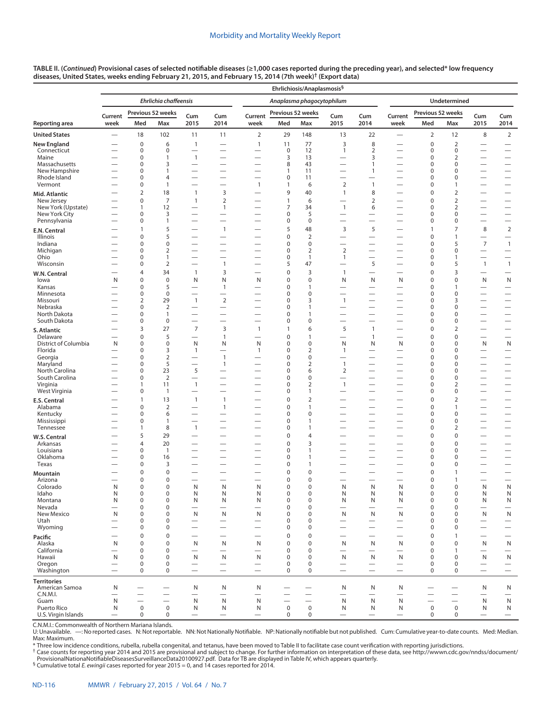| TABLE II. (Continued) Provisional cases of selected notifiable diseases (≥1,000 cases reported during the preceding year), and selected* low frequency |
|--------------------------------------------------------------------------------------------------------------------------------------------------------|
| diseases, United States, weeks ending February 21, 2015, and February 15, 2014 (7th week) <sup>†</sup> (Export data)                                   |

| Ehrlichia chaffeensis<br><b>Undetermined</b><br>Anaplasma phagocytophilum<br>Previous 52 weeks<br>Previous 52 weeks<br>Previous 52 weeks<br>Current<br>Cum<br>Cum<br>Current<br>Cum<br>Current<br>Cum<br>Cum<br>Cum<br>Med<br>2015<br>2014<br>2014<br>Med<br>2015<br>2014<br>week<br>Max<br>week<br>Med<br>Max<br>2015<br>week<br>Max<br>8<br>18<br>102<br>11<br>11<br>2<br>29<br>148<br>13<br>22<br>$\overline{2}$<br>12<br>$\overline{2}$<br>$\overline{\phantom{0}}$<br>$\overline{\phantom{0}}$<br>8<br>$\overline{2}$<br><b>New England</b><br>$\mathbf 0$<br>6<br>$\mathbf{1}$<br>$\mathbf{1}$<br>11<br>77<br>3<br>$\pmb{0}$<br>$\overline{\phantom{0}}$<br>12<br>$\overline{2}$<br>0<br>Connecticut<br>0<br>0<br>0<br>1<br>0<br>$\overline{\phantom{0}}$<br>$\overline{\phantom{0}}$<br>$\overbrace{\phantom{12322111}}$<br>$\overline{\phantom{0}}$<br>Maine<br>$\mathbf{1}$<br>3<br>3<br>2<br>$\Omega$<br>13<br>$\mathbf 0$<br>1<br>$\overline{\phantom{0}}$<br>—<br>—<br>—<br>Massachusetts<br>$\mathbf 0$<br>8<br>43<br>3<br>$\mathbf{1}$<br>0<br>0<br>$\overbrace{\phantom{12322111}}$<br>$\overline{\phantom{0}}$<br>$\overline{\phantom{0}}$<br>$\overline{\phantom{0}}$<br>—<br>—<br>New Hampshire<br>$\Omega$<br>$\mathbf{1}$<br>11<br>$\mathbf{1}$<br>$\mathbf 0$<br>0<br>$\mathbf{1}$<br>$\overbrace{\qquad \qquad }$<br>$\overline{\phantom{0}}$<br>$\overline{\phantom{0}}$<br>—<br>Rhode Island<br>0<br>11<br>$\mathbf 0$<br>$\overline{4}$<br>0<br>0<br>$\overline{\phantom{0}}$<br>$\overline{\phantom{m}}$<br>$\overline{\phantom{0}}$<br>$\overline{\phantom{0}}$<br>$\overline{\phantom{0}}$<br>-<br>$\overline{\phantom{0}}$<br>$\overline{\phantom{0}}$<br>$\mathbf 2$<br>Vermont<br>$\mathbf{1}$<br>$\mathbf 0$<br>$\mathbf{1}$<br>$\mathbf{1}$<br>$\mathbf{1}$<br>6<br>$\mathbf 0$<br>1<br>$\overline{\phantom{0}}$<br>$\overline{\phantom{0}}$<br>$\overline{\phantom{0}}$<br>—<br>8<br>$\overline{2}$<br>18<br>$\overline{\phantom{a}}$<br>3<br>9<br>40<br>$\mathbf{1}$<br>$\pmb{0}$<br>2<br>$\overline{\phantom{0}}$<br>—<br>$\overbrace{\phantom{1232211}}$<br>$\mathbf 0$<br>$\overline{7}$<br>$\mathbf 2$<br>$\mathbf{1}$<br>6<br>$\overline{2}$<br>2<br>New Jersey<br>$\mathbf{1}$<br>$\mathbf 0$<br>—<br>$\overline{\phantom{0}}$<br>$\mathbf{1}$<br>New York (Upstate)<br>12<br>7<br>6<br>2<br>$\mathbf{1}$<br>1<br>34<br>0<br>$\overbrace{\phantom{12322111}}$<br>New York City<br>$\mathbf 0$<br>3<br>0<br>5<br>0<br>0<br>—<br>$\overline{\phantom{0}}$<br>$\overline{\phantom{0}}$<br>$\overline{\phantom{0}}$<br>$\overline{\phantom{0}}$<br>$\overline{\phantom{0}}$<br>$\overline{\phantom{0}}$<br>$\overbrace{\phantom{1232211}}$<br>Pennsylvania<br>$\pmb{0}$<br>$\mathbf 0$<br>1<br>0<br>0<br>0<br>$\overline{\phantom{0}}$<br>$\overline{\phantom{0}}$<br>$\overline{\phantom{0}}$<br>$\qquad \qquad$<br>$\overline{\phantom{m}}$<br>$\overline{\phantom{0}}$<br>$\overline{\phantom{0}}$<br>$\overline{\phantom{0}}$<br>5<br>5<br>3<br>5<br>$\overline{2}$<br>$\mathbf{1}$<br>48<br>$\mathbf{1}$<br>7<br>8<br>$\mathbf{1}$<br>$\overline{\phantom{0}}$<br>E.N. Central<br>5<br>$\mathbf 2$<br>$\mathbf 0$<br>0<br>$\mathbf 0$<br>Illinois<br>$\mathbf{1}$<br>$\overline{\phantom{0}}$<br>—<br>$\overline{\phantom{0}}$<br>$\overline{\phantom{0}}$<br>$\overline{\phantom{0}}$<br>$\overline{\phantom{0}}$<br>—<br>$\overline{7}$<br>$\mathbf{1}$<br>Indiana<br>$\mathbf 0$<br>0<br>$\mathbf 0$<br>$\Omega$<br>$\mathbf 0$<br>5<br>$\overline{\phantom{0}}$<br>$\overline{\phantom{0}}$<br>$\overline{\phantom{0}}$<br>$\overline{\phantom{0}}$<br>—<br>Michigan<br>$\overline{2}$<br>0<br>$\overline{2}$<br>$\overline{2}$<br>$\mathbf 0$<br>0<br>0<br>$\overline{\phantom{0}}$<br>$\overline{\phantom{0}}$<br>$\overline{\phantom{0}}$<br>$\overline{\phantom{0}}$<br>$\overline{\phantom{0}}$<br>Ohio<br>0<br>$\Omega$<br>1<br>$\mathbf{1}$<br>1<br>$\mathbf 0$<br>$\mathbf{1}$<br>$\overline{\phantom{0}}$<br>$\overline{\phantom{0}}$<br>$\overline{\phantom{0}}$<br>$\overline{\phantom{0}}$<br>$\overline{\phantom{0}}$<br>$\overbrace{\phantom{12322111}}$<br>5<br>Wisconsin<br>$\overline{2}$<br>$\mathbf{1}$<br>5<br>47<br>5<br>$\mathbf{1}$<br>$\mathbf 0$<br>0<br>$\mathbf{1}$<br>$\overline{\phantom{0}}$<br>$\overline{\phantom{0}}$<br>$\overline{\phantom{0}}$<br>3<br>34<br>$\overline{1}$<br>3<br>0<br>$\mathbf{1}$<br>$\pmb{0}$<br>3<br>$\overline{4}$<br>$\overline{\phantom{0}}$<br>$\overline{\phantom{0}}$<br>W.N. Central<br>N<br>$\mathbf 0$<br>${\sf N}$<br>$\mathbf 0$<br>$\mathbf 0$<br>N<br>0<br>N<br>N<br>$\mathbf 0$<br>0<br>N<br>lowa<br>N<br>N<br>N<br>$\mathbf 0$<br>5<br>0<br>Kansas<br>$\mathbf{1}$<br>1<br>0<br>1<br>$\overline{\phantom{0}}$<br>$\overline{\phantom{0}}$<br>$\overline{\phantom{0}}$<br>$\overbrace{\phantom{12322111}}$<br>$\bf 0$<br>$\boldsymbol{0}$<br>$\mathbf 0$<br>Minnesota<br>0<br>0<br>0<br>$\overline{\phantom{0}}$<br>$\overline{\phantom{0}}$<br>$\overline{\phantom{0}}$<br>$\overline{\phantom{0}}$<br>$\overline{\phantom{0}}$<br>$\overline{\phantom{0}}$<br>$\overline{\phantom{0}}$<br>—<br>$\overline{2}$<br>$\overline{2}$<br>29<br>$\mathbf{1}$<br>0<br>3<br>3<br>Missouri<br>$\mathbf{1}$<br>0<br>$\overline{\phantom{0}}$<br>$\overline{\phantom{0}}$<br>Nebraska<br>$\overline{2}$<br>$\mathbf 0$<br>0<br>1<br>0<br>0<br>$\overbrace{\phantom{1232211}}$<br>$\overline{\phantom{0}}$<br>$\overline{\phantom{0}}$<br>$\overline{\phantom{0}}$<br>$\overline{\phantom{0}}$<br>$\overline{\phantom{0}}$<br>$\qquad \qquad$<br>$\overline{\phantom{0}}$<br>$\overline{\phantom{0}}$<br>North Dakota<br>$\mathbf 0$<br>1<br>0<br>1<br>$\mathbf 0$<br>0<br>$\overline{\phantom{0}}$<br>$\overline{\phantom{0}}$<br>$\overline{\phantom{0}}$<br>$\overline{\phantom{0}}$<br>—<br>South Dakota<br>$\mathbf 0$<br>0<br>0<br>0<br>0<br>0<br>$\overline{\phantom{0}}$<br>$\overline{\phantom{0}}$<br>$\overline{\phantom{0}}$<br>$\overline{\phantom{0}}$<br>$\overline{\phantom{0}}$<br>$\overline{7}$<br>3<br>5<br>3<br>27<br>$\mathbf{1}$<br>$\mathbf{1}$<br>6<br>$\mathbf{1}$<br>$\mathbf 0$<br>2<br>S. Atlantic<br>$\overline{\phantom{0}}$<br>$\mathbf 0$<br>5<br>$\mathbf{1}$<br>0<br>$\mathbf{1}$<br>$\pmb{0}$<br>0<br>Delaware<br>$\mathbf{1}$<br>$\overline{\phantom{0}}$<br>$\overline{\phantom{0}}$<br>$\overline{\phantom{0}}$<br>District of Columbia<br>N<br>$\Omega$<br>$\mathbf 0$<br>N<br>N<br>N<br>0<br>$\mathbf 0$<br>N<br>N<br>N<br>0<br>N<br>N<br>0<br>Florida<br>3<br>$\mathbf{1}$<br>$\overline{2}$<br>$\mathbf 0$<br>$\mathbf{1}$<br>0<br>$\mathbf{1}$<br>0<br>0<br>$\overline{\phantom{0}}$<br>$\overbrace{\phantom{123221111}}$<br>$\overline{\phantom{0}}$<br>$\overline{\phantom{0}}$<br>$\overline{\phantom{0}}$<br>Georgia<br>$\overline{2}$<br>$\mathbf{1}$<br>0<br>$\mathbf 0$<br>$\Omega$<br>0<br>0<br>$\overline{\phantom{0}}$<br>$\overline{\phantom{0}}$<br>$\overline{\phantom{0}}$<br>$\overline{\phantom{0}}$<br>$\overline{\phantom{0}}$<br>—<br>Maryland<br>$\mathbf 0$<br>5<br>0<br>$\overline{2}$<br>$\mathbf{1}$<br>$\overline{\phantom{0}}$<br>$\mathbf{1}$<br>0<br>0<br>$\overline{\phantom{0}}$<br>-<br>5<br>North Carolina<br>23<br>6<br>$\overline{2}$<br>$\mathbf 0$<br>0<br>0<br>0<br>$\overline{\phantom{m}}$<br>$\overline{\phantom{0}}$<br>$\overline{\phantom{0}}$<br>$\overline{\phantom{0}}$<br>$\overline{\phantom{0}}$<br>—<br>South Carolina<br>$\mathbf 0$<br>$\overline{2}$<br>0<br>0<br>$\mathbf 0$<br>0<br>$\overline{\phantom{0}}$<br>$\overline{\phantom{0}}$<br>$\overline{\phantom{0}}$<br>$\overline{\phantom{m}}$<br>$\overline{\phantom{0}}$<br>$\mathbf{1}$<br>11<br>0<br>$\overline{2}$<br>$\mathbf{1}$<br>$\mathbf 0$<br>2<br>Virginia<br>$\mathbf{1}$<br>$\overline{\phantom{0}}$<br>$\overline{\phantom{0}}$<br>$\overline{\phantom{0}}$<br>$\overline{\phantom{0}}$<br>$\overline{\phantom{0}}$<br>West Virginia<br>$\mathbf 0$<br>$\mathbf{1}$<br>0<br>$\pmb{0}$<br>0<br>1<br>$\overline{\phantom{0}}$<br>$\overline{2}$<br>13<br>$\mathbf{1}$<br>$\mathbf{1}$<br>0<br>$\mathbf 0$<br>2<br>$\mathbf{1}$<br>E.S. Central<br>$\mathbf 0$<br>$\overline{2}$<br>$\mathbf{1}$<br>0<br>$\mathbf{1}$<br>$\pmb{0}$<br>Alabama<br>$\mathbf{1}$<br>$\overline{\phantom{0}}$<br>$\overline{\phantom{0}}$<br>$\overline{\phantom{0}}$<br>$\mathbf 0$<br>6<br>0<br>0<br>$\mathbf 0$<br>0<br>Kentucky<br>$\overline{\phantom{0}}$<br>$\overline{\phantom{0}}$<br>—<br>-<br>-<br>Mississippi<br>$\mathbf 0$<br>0<br>0<br>1<br>$\equiv$<br>1<br>0<br>$\overline{\phantom{0}}$<br>$\overline{\phantom{0}}$<br>$\overline{\phantom{0}}$<br>$\overline{\phantom{0}}$<br>Tennessee<br>8<br>$\mathbf{1}$<br>0<br>$\mathbf 0$<br>$\overline{2}$<br>$\mathbf{1}$<br>1<br>$\overline{\phantom{0}}$<br>$\overline{\phantom{0}}$<br>$\overline{\phantom{0}}$<br>29<br>5<br>0<br>4<br>$\mathbf 0$<br>0<br>W.S. Central<br>$\overline{\phantom{0}}$<br>—<br>-<br>$\overline{\phantom{0}}$<br>Arkansas<br>20<br>0<br>3<br>0<br>$\overline{4}$<br>$\mathbf 0$<br>$\overline{\phantom{0}}$<br>$\overline{\phantom{0}}$<br>$\overline{\phantom{0}}$<br>$\overline{\phantom{0}}$<br>$\overline{\phantom{0}}$<br>0<br>Louisiana<br>$\mathbf 0$<br>$\mathbf{1}$<br>1<br>0<br>0<br>$\overline{\phantom{0}}$<br>$\overline{\phantom{0}}$<br>—<br>Oklahoma<br>$\mathbf 0$<br>16<br>0<br>$\mathbf{1}$<br>$\mathbf 0$<br>0<br>$\overline{\phantom{0}}$<br>$\overline{\phantom{0}}$<br>$\overline{\phantom{0}}$<br>$\overline{\phantom{0}}$<br>$\overline{\phantom{0}}$<br>$\overline{\phantom{0}}$<br>Texas<br>$\mathbf 0$<br>3<br>0<br>$\mathbf{1}$<br>0<br>0<br>$\overline{\phantom{0}}$<br>$\overline{\phantom{0}}$<br>$\overline{\phantom{0}}$<br>$\overline{\phantom{0}}$<br>$\overline{\phantom{0}}$<br>$\overline{\phantom{0}}$<br>—<br>$\mathbf 0$<br>$\mathbf 0$<br>0<br>$\mathbf 0$<br>$\mathbf 0$<br>1<br>Mountain<br>$\mathbf 0$<br>$\mathbf 0$<br>0<br>$\mathbf 0$<br>$\mathbf 0$<br>Arizona<br>$\mathbf{1}$<br>$\overline{\phantom{0}}$<br>$\overline{\phantom{0}}$<br>$\overline{\phantom{0}}$<br>$\overline{\phantom{0}}$<br>N<br>N<br>N<br>Ν<br>N<br>Colorado<br>N<br>$\Omega$<br>$\Omega$<br>Ν<br>0<br>$\Omega$<br>N<br>$\Omega$<br>0<br>N<br>Idaho<br>$\mathbf 0$<br>N<br>$\boldsymbol{0}$<br>$\boldsymbol{0}$<br>N<br>N<br>N<br>$\pmb{0}$<br>$\mathbf 0$<br>N<br>N<br>N<br>$\mathbf 0$<br>N<br>N<br>$\mathsf{N}$<br>$\mathsf 0$<br>$\mathsf{N}$<br>${\sf N}$<br>Montana<br>N<br>$\boldsymbol{0}$<br>$\boldsymbol{0}$<br>N<br>N<br>0<br>N<br>N<br>$\mathbf 0$<br>$\mathbf 0$<br>N<br>Nevada<br>$\boldsymbol{0}$<br>$\mathbf 0$<br>0<br>$\mathbf 0$<br>$\mathbf 0$<br>$\mathbf 0$<br>$\overline{\phantom{0}}$<br>$\overline{\phantom{0}}$<br>—<br>$\mathsf{N}$<br>New Mexico<br>N<br>$\mathbf 0$<br>$\mathbf 0$<br>N<br>N<br>N<br>0<br>$\mathbf 0$<br>N<br>N<br>N<br>$\mathbf 0$<br>$\mathbf 0$<br>N<br>Utah<br>$\bf 0$<br>$\mathbf 0$<br>0<br>$\pmb{0}$<br>$\mathbf 0$<br>$\mathbf 0$<br>$\overline{\phantom{0}}$<br>$\overline{\phantom{0}}$<br>$\overline{\phantom{m}}$<br>$\overline{\phantom{0}}$<br>—<br>Wyoming<br>$\pmb{0}$<br>$\mathbf 0$<br>0<br>$\mathbf 0$<br>$\mathbf 0$<br>$\mathbf 0$<br>$\overbrace{\phantom{123221111}}$<br>$\overline{\phantom{0}}$<br>-<br>—<br>$\mathbf 0$<br>$\mathbf 0$<br>$\mathbf 0$<br>$\mathbf 0$<br>$\mathbf 0$<br>$\mathbf{1}$<br>Pacific<br>$\overline{\phantom{0}}$<br>$\overline{\phantom{0}}$<br>$\qquad \qquad$<br>$\overline{\phantom{m}}$<br>$\overline{\phantom{0}}$<br>$\mathbf 0$<br>$\mathsf{N}$<br>Alaska<br>N<br>$\mathbf 0$<br>$\mathbf 0$<br>N<br>N<br>N<br>$\mathbf 0$<br>N<br>N<br>N<br>$\mathbf 0$<br>$\mathbf 0$<br>N<br>California<br>$\mathbf 0$<br>$\mathbf 0$<br>0<br>$\mathbf 0$<br>$\mathbf 0$<br>$\mathbf{1}$<br>$\overline{\phantom{m}}$<br>$\overline{\phantom{m}}$<br>Hawaii<br>N<br>$\mathbf 0$<br>$\mathbf 0$<br>N<br>N<br>0<br>$\mathbf 0$<br>N<br>N<br>N<br>$\mathbf 0$<br>$\mathbf 0$<br>N<br>N<br>N<br>Oregon<br>$\mathbf 0$<br>$\mathbf 0$<br>0<br>0<br>$\mathbf 0$<br>$\mathbf 0$<br>$\overline{\phantom{0}}$<br>$\overline{\phantom{m}}$<br>$\overline{\phantom{0}}$<br>Washington<br>$\mathbf 0$<br>$\mathbf 0$<br>0<br>0<br>$\mathbf 0$<br>$\mathbf 0$<br>$\overline{\phantom{0}}$<br>$\overline{\phantom{0}}$<br>$\overline{\phantom{0}}$<br>$\overline{\phantom{0}}$<br>$\overline{\phantom{0}}$<br>$\overline{\phantom{0}}$<br>$\qquad \qquad -$<br><b>Territories</b><br>American Samoa<br>N<br>N<br>N<br>N<br>N<br>N<br>N<br>N<br>N<br>$\overline{\phantom{0}}$<br>$\overline{\phantom{0}}$<br>C.N.M.I.<br>$\overline{\phantom{0}}$<br>$\overline{\phantom{0}}$<br>$\overline{\phantom{0}}$<br>$\overline{\phantom{0}}$<br>$\overline{\phantom{0}}$<br>$\overline{\phantom{0}}$<br>$\overline{\phantom{0}}$<br>$\overline{\phantom{0}}$<br>$\overline{\phantom{0}}$<br>$\overline{\phantom{0}}$<br>$\overline{\phantom{0}}$<br>$\overline{\phantom{m}}$<br>N<br>$\mathsf{N}$<br>$\mathsf{N}$<br>${\sf N}$<br>${\sf N}$<br>Guam<br>N<br>N<br>N<br>N<br>$\overline{\phantom{0}}$<br>$\overline{\phantom{0}}$<br>$\overline{\phantom{0}}$<br>$\overline{\phantom{0}}$<br>$\overline{\phantom{0}}$<br>$\overline{\phantom{0}}$<br>Puerto Rico<br>$\pmb{0}$<br>$\pmb{0}$<br>$\pmb{0}$<br>$\mathsf 0$<br>$\mathsf 0$<br>N<br>N<br>$\mathbf 0$<br>N<br>N<br>N<br>N<br>N<br>N<br>N<br>U.S. Virgin Islands<br>$\mathbf 0$<br>$\mathbf 0$<br>$\mathbf 0$<br>$\mathbf 0$<br>$\mathbf 0$<br>$\Omega$<br>$\qquad \qquad -$<br>$\overbrace{\phantom{123221111}}$<br>$\overline{\phantom{0}}$<br>$\overline{\phantom{0}}$<br>$\overline{\phantom{0}}$<br>$\overline{\phantom{0}}$<br>$\overbrace{\phantom{123221111}}$ |                      |  |  |  | Ehrlichiosis/Anaplasmosis <sup>§</sup> |  |  |  |  |  |  |  |
|---------------------------------------------------------------------------------------------------------------------------------------------------------------------------------------------------------------------------------------------------------------------------------------------------------------------------------------------------------------------------------------------------------------------------------------------------------------------------------------------------------------------------------------------------------------------------------------------------------------------------------------------------------------------------------------------------------------------------------------------------------------------------------------------------------------------------------------------------------------------------------------------------------------------------------------------------------------------------------------------------------------------------------------------------------------------------------------------------------------------------------------------------------------------------------------------------------------------------------------------------------------------------------------------------------------------------------------------------------------------------------------------------------------------------------------------------------------------------------------------------------------------------------------------------------------------------------------------------------------------------------------------------------------------------------------------------------------------------------------------------------------------------------------------------------------------------------------------------------------------------------------------------------------------------------------------------------------------------------------------------------------------------------------------------------------------------------------------------------------------------------------------------------------------------------------------------------------------------------------------------------------------------------------------------------------------------------------------------------------------------------------------------------------------------------------------------------------------------------------------------------------------------------------------------------------------------------------------------------------------------------------------------------------------------------------------------------------------------------------------------------------------------------------------------------------------------------------------------------------------------------------------------------------------------------------------------------------------------------------------------------------------------------------------------------------------------------------------------------------------------------------------------------------------------------------------------------------------------------------------------------------------------------------------------------------------------------------------------------------------------------------------------------------------------------------------------------------------------------------------------------------------------------------------------------------------------------------------------------------------------------------------------------------------------------------------------------------------------------------------------------------------------------------------------------------------------------------------------------------------------------------------------------------------------------------------------------------------------------------------------------------------------------------------------------------------------------------------------------------------------------------------------------------------------------------------------------------------------------------------------------------------------------------------------------------------------------------------------------------------------------------------------------------------------------------------------------------------------------------------------------------------------------------------------------------------------------------------------------------------------------------------------------------------------------------------------------------------------------------------------------------------------------------------------------------------------------------------------------------------------------------------------------------------------------------------------------------------------------------------------------------------------------------------------------------------------------------------------------------------------------------------------------------------------------------------------------------------------------------------------------------------------------------------------------------------------------------------------------------------------------------------------------------------------------------------------------------------------------------------------------------------------------------------------------------------------------------------------------------------------------------------------------------------------------------------------------------------------------------------------------------------------------------------------------------------------------------------------------------------------------------------------------------------------------------------------------------------------------------------------------------------------------------------------------------------------------------------------------------------------------------------------------------------------------------------------------------------------------------------------------------------------------------------------------------------------------------------------------------------------------------------------------------------------------------------------------------------------------------------------------------------------------------------------------------------------------------------------------------------------------------------------------------------------------------------------------------------------------------------------------------------------------------------------------------------------------------------------------------------------------------------------------------------------------------------------------------------------------------------------------------------------------------------------------------------------------------------------------------------------------------------------------------------------------------------------------------------------------------------------------------------------------------------------------------------------------------------------------------------------------------------------------------------------------------------------------------------------------------------------------------------------------------------------------------------------------------------------------------------------------------------------------------------------------------------------------------------------------------------------------------------------------------------------------------------------------------------------------------------------------------------------------------------------------------------------------------------------------------------------------------------------------------------------------------------------------------------------------------------------------------------------------------------------------------------------------------------------------------------------------------------------------------------------------------------------------------------------------------------------------------------------------------------------------------------------------------------------------------------------------------------------------------------------------------------------------------------------------------------------------------------------------------------------------------------------------------------------------------------------------------------------------------------------------------------------------------------------------------------------------------------------------------------------------------------------------------------------------------------------------------------------------------------------------------------------------------------------------------------------------------------------------------------------------------------------------------------------------------------------------------------------------------------------------------------------------------------------------------------------------------------------------------------------------------------------------------------------------------------------------------------------------------------------------------------------------------------------------------------------------------------------------------------------------------------------------------------------------------------------------------------------------------------------------------------------------------------------------------------------------------------------------------------------------------------------------------------------------------------------------------------------------------------------------------------------------------------------------------------------------------------------------------------------------------------------------------------------------------------------------------------------------------------------------------------------------------------------------------------------------------------------------------------------------------------------------------------------------------------------------------------------------------------------------------------------------------------------------------------------------------------------------------------------------------------------------------------------------------------------------------------------------------------------------------------------------------------------------------------------------------------------------------------------------------------------------------------------------------------------------------------------------------------------------------------------------------------------------------------------------------------------------------------------------------------------------------------------------------------------------------------------------------------------------------------------------------------------------------------------------------------------------------------------------------------------------------------------------------------------------------------------------------------------------------------------------------------------------------------------------------------------------------------------------------------------------------------------------------------------------------------------------------------------------------------------------------------------------------------------------------------------------------------------------------------------------------------------------------------------------------------------------------------------------------------------------------------------------------------------------------------------------------------------------------------------------------------------------------------------------------------------------------------------------------------------------------------------------------------------------------------------------------------------------------------------------------------------------------------------------------------------------------------------------------------------------------------------------------------------------------------------------------------------------------------------------------------------------------------------------------------------------------------------------------------------------------------------------------------------------------------------------------------------------------------------------------------------------------------------------------------------------------------------------------------------------------------------------------------------------------------------------------------------------------------------------------------------------------------------------------------------------------------------------------------------------------------------------------------------------------------------------------------------------------------------------------------------------------------------------------------------------------------------------------------------------------------------------------------------------------------------------------------------------|----------------------|--|--|--|----------------------------------------|--|--|--|--|--|--|--|
|                                                                                                                                                                                                                                                                                                                                                                                                                                                                                                                                                                                                                                                                                                                                                                                                                                                                                                                                                                                                                                                                                                                                                                                                                                                                                                                                                                                                                                                                                                                                                                                                                                                                                                                                                                                                                                                                                                                                                                                                                                                                                                                                                                                                                                                                                                                                                                                                                                                                                                                                                                                                                                                                                                                                                                                                                                                                                                                                                                                                                                                                                                                                                                                                                                                                                                                                                                                                                                                                                                                                                                                                                                                                                                                                                                                                                                                                                                                                                                                                                                                                                                                                                                                                                                                                                                                                                                                                                                                                                                                                                                                                                                                                                                                                                                                                                                                                                                                                                                                                                                                                                                                                                                                                                                                                                                                                                                                                                                                                                                                                                                                                                                                                                                                                                                                                                                                                                                                                                                                                                                                                                                                                                                                                                                                                                                                                                                                                                                                                                                                                                                                                                                                                                                                                                                                                                                                                                                                                                                                                                                                                                                                                                                                                                                                                                                                                                                                                                                                                                                                                                                                                                                                                                                                                                                                                                                                                                                                                                                                                                                                                                                                                                                                                                                                                                                                                                                                                                                                                                                                                                                                                                                                                                                                                                                                                                                                                                                                                                                                                                                                                                                                                                                                                                                                                                                                                                                                                                                                                                                                                                                                                                                                                                                                                                                                                                                                                                                                                                                                                                                                                                                                                                                                                                                                                                                                                                                                                                                                                                                                                                                                                                                                                                                                                                                                                                                                                                                                                                                                                                                                                                                                                                                                                                                                                                                                                                                                                                                                                                                                                                                                                                                                                                                                                                                                                                                                                                                                                                                                                                                                                                                                                                                                                                                                                                                                                                                                                                                                                                                                                                                                                                                                                                                                                                                                                                                                                                                                                                                                                                                                                                                                                                                                                                                                                                                                                                                                                                                                                                                                                                                                                                                                                                 |                      |  |  |  |                                        |  |  |  |  |  |  |  |
|                                                                                                                                                                                                                                                                                                                                                                                                                                                                                                                                                                                                                                                                                                                                                                                                                                                                                                                                                                                                                                                                                                                                                                                                                                                                                                                                                                                                                                                                                                                                                                                                                                                                                                                                                                                                                                                                                                                                                                                                                                                                                                                                                                                                                                                                                                                                                                                                                                                                                                                                                                                                                                                                                                                                                                                                                                                                                                                                                                                                                                                                                                                                                                                                                                                                                                                                                                                                                                                                                                                                                                                                                                                                                                                                                                                                                                                                                                                                                                                                                                                                                                                                                                                                                                                                                                                                                                                                                                                                                                                                                                                                                                                                                                                                                                                                                                                                                                                                                                                                                                                                                                                                                                                                                                                                                                                                                                                                                                                                                                                                                                                                                                                                                                                                                                                                                                                                                                                                                                                                                                                                                                                                                                                                                                                                                                                                                                                                                                                                                                                                                                                                                                                                                                                                                                                                                                                                                                                                                                                                                                                                                                                                                                                                                                                                                                                                                                                                                                                                                                                                                                                                                                                                                                                                                                                                                                                                                                                                                                                                                                                                                                                                                                                                                                                                                                                                                                                                                                                                                                                                                                                                                                                                                                                                                                                                                                                                                                                                                                                                                                                                                                                                                                                                                                                                                                                                                                                                                                                                                                                                                                                                                                                                                                                                                                                                                                                                                                                                                                                                                                                                                                                                                                                                                                                                                                                                                                                                                                                                                                                                                                                                                                                                                                                                                                                                                                                                                                                                                                                                                                                                                                                                                                                                                                                                                                                                                                                                                                                                                                                                                                                                                                                                                                                                                                                                                                                                                                                                                                                                                                                                                                                                                                                                                                                                                                                                                                                                                                                                                                                                                                                                                                                                                                                                                                                                                                                                                                                                                                                                                                                                                                                                                                                                                                                                                                                                                                                                                                                                                                                                                                                                                                                                                 |                      |  |  |  |                                        |  |  |  |  |  |  |  |
|                                                                                                                                                                                                                                                                                                                                                                                                                                                                                                                                                                                                                                                                                                                                                                                                                                                                                                                                                                                                                                                                                                                                                                                                                                                                                                                                                                                                                                                                                                                                                                                                                                                                                                                                                                                                                                                                                                                                                                                                                                                                                                                                                                                                                                                                                                                                                                                                                                                                                                                                                                                                                                                                                                                                                                                                                                                                                                                                                                                                                                                                                                                                                                                                                                                                                                                                                                                                                                                                                                                                                                                                                                                                                                                                                                                                                                                                                                                                                                                                                                                                                                                                                                                                                                                                                                                                                                                                                                                                                                                                                                                                                                                                                                                                                                                                                                                                                                                                                                                                                                                                                                                                                                                                                                                                                                                                                                                                                                                                                                                                                                                                                                                                                                                                                                                                                                                                                                                                                                                                                                                                                                                                                                                                                                                                                                                                                                                                                                                                                                                                                                                                                                                                                                                                                                                                                                                                                                                                                                                                                                                                                                                                                                                                                                                                                                                                                                                                                                                                                                                                                                                                                                                                                                                                                                                                                                                                                                                                                                                                                                                                                                                                                                                                                                                                                                                                                                                                                                                                                                                                                                                                                                                                                                                                                                                                                                                                                                                                                                                                                                                                                                                                                                                                                                                                                                                                                                                                                                                                                                                                                                                                                                                                                                                                                                                                                                                                                                                                                                                                                                                                                                                                                                                                                                                                                                                                                                                                                                                                                                                                                                                                                                                                                                                                                                                                                                                                                                                                                                                                                                                                                                                                                                                                                                                                                                                                                                                                                                                                                                                                                                                                                                                                                                                                                                                                                                                                                                                                                                                                                                                                                                                                                                                                                                                                                                                                                                                                                                                                                                                                                                                                                                                                                                                                                                                                                                                                                                                                                                                                                                                                                                                                                                                                                                                                                                                                                                                                                                                                                                                                                                                                                                                                                 | Reporting area       |  |  |  |                                        |  |  |  |  |  |  |  |
|                                                                                                                                                                                                                                                                                                                                                                                                                                                                                                                                                                                                                                                                                                                                                                                                                                                                                                                                                                                                                                                                                                                                                                                                                                                                                                                                                                                                                                                                                                                                                                                                                                                                                                                                                                                                                                                                                                                                                                                                                                                                                                                                                                                                                                                                                                                                                                                                                                                                                                                                                                                                                                                                                                                                                                                                                                                                                                                                                                                                                                                                                                                                                                                                                                                                                                                                                                                                                                                                                                                                                                                                                                                                                                                                                                                                                                                                                                                                                                                                                                                                                                                                                                                                                                                                                                                                                                                                                                                                                                                                                                                                                                                                                                                                                                                                                                                                                                                                                                                                                                                                                                                                                                                                                                                                                                                                                                                                                                                                                                                                                                                                                                                                                                                                                                                                                                                                                                                                                                                                                                                                                                                                                                                                                                                                                                                                                                                                                                                                                                                                                                                                                                                                                                                                                                                                                                                                                                                                                                                                                                                                                                                                                                                                                                                                                                                                                                                                                                                                                                                                                                                                                                                                                                                                                                                                                                                                                                                                                                                                                                                                                                                                                                                                                                                                                                                                                                                                                                                                                                                                                                                                                                                                                                                                                                                                                                                                                                                                                                                                                                                                                                                                                                                                                                                                                                                                                                                                                                                                                                                                                                                                                                                                                                                                                                                                                                                                                                                                                                                                                                                                                                                                                                                                                                                                                                                                                                                                                                                                                                                                                                                                                                                                                                                                                                                                                                                                                                                                                                                                                                                                                                                                                                                                                                                                                                                                                                                                                                                                                                                                                                                                                                                                                                                                                                                                                                                                                                                                                                                                                                                                                                                                                                                                                                                                                                                                                                                                                                                                                                                                                                                                                                                                                                                                                                                                                                                                                                                                                                                                                                                                                                                                                                                                                                                                                                                                                                                                                                                                                                                                                                                                                                                                                 | <b>United States</b> |  |  |  |                                        |  |  |  |  |  |  |  |
|                                                                                                                                                                                                                                                                                                                                                                                                                                                                                                                                                                                                                                                                                                                                                                                                                                                                                                                                                                                                                                                                                                                                                                                                                                                                                                                                                                                                                                                                                                                                                                                                                                                                                                                                                                                                                                                                                                                                                                                                                                                                                                                                                                                                                                                                                                                                                                                                                                                                                                                                                                                                                                                                                                                                                                                                                                                                                                                                                                                                                                                                                                                                                                                                                                                                                                                                                                                                                                                                                                                                                                                                                                                                                                                                                                                                                                                                                                                                                                                                                                                                                                                                                                                                                                                                                                                                                                                                                                                                                                                                                                                                                                                                                                                                                                                                                                                                                                                                                                                                                                                                                                                                                                                                                                                                                                                                                                                                                                                                                                                                                                                                                                                                                                                                                                                                                                                                                                                                                                                                                                                                                                                                                                                                                                                                                                                                                                                                                                                                                                                                                                                                                                                                                                                                                                                                                                                                                                                                                                                                                                                                                                                                                                                                                                                                                                                                                                                                                                                                                                                                                                                                                                                                                                                                                                                                                                                                                                                                                                                                                                                                                                                                                                                                                                                                                                                                                                                                                                                                                                                                                                                                                                                                                                                                                                                                                                                                                                                                                                                                                                                                                                                                                                                                                                                                                                                                                                                                                                                                                                                                                                                                                                                                                                                                                                                                                                                                                                                                                                                                                                                                                                                                                                                                                                                                                                                                                                                                                                                                                                                                                                                                                                                                                                                                                                                                                                                                                                                                                                                                                                                                                                                                                                                                                                                                                                                                                                                                                                                                                                                                                                                                                                                                                                                                                                                                                                                                                                                                                                                                                                                                                                                                                                                                                                                                                                                                                                                                                                                                                                                                                                                                                                                                                                                                                                                                                                                                                                                                                                                                                                                                                                                                                                                                                                                                                                                                                                                                                                                                                                                                                                                                                                                                                 |                      |  |  |  |                                        |  |  |  |  |  |  |  |
|                                                                                                                                                                                                                                                                                                                                                                                                                                                                                                                                                                                                                                                                                                                                                                                                                                                                                                                                                                                                                                                                                                                                                                                                                                                                                                                                                                                                                                                                                                                                                                                                                                                                                                                                                                                                                                                                                                                                                                                                                                                                                                                                                                                                                                                                                                                                                                                                                                                                                                                                                                                                                                                                                                                                                                                                                                                                                                                                                                                                                                                                                                                                                                                                                                                                                                                                                                                                                                                                                                                                                                                                                                                                                                                                                                                                                                                                                                                                                                                                                                                                                                                                                                                                                                                                                                                                                                                                                                                                                                                                                                                                                                                                                                                                                                                                                                                                                                                                                                                                                                                                                                                                                                                                                                                                                                                                                                                                                                                                                                                                                                                                                                                                                                                                                                                                                                                                                                                                                                                                                                                                                                                                                                                                                                                                                                                                                                                                                                                                                                                                                                                                                                                                                                                                                                                                                                                                                                                                                                                                                                                                                                                                                                                                                                                                                                                                                                                                                                                                                                                                                                                                                                                                                                                                                                                                                                                                                                                                                                                                                                                                                                                                                                                                                                                                                                                                                                                                                                                                                                                                                                                                                                                                                                                                                                                                                                                                                                                                                                                                                                                                                                                                                                                                                                                                                                                                                                                                                                                                                                                                                                                                                                                                                                                                                                                                                                                                                                                                                                                                                                                                                                                                                                                                                                                                                                                                                                                                                                                                                                                                                                                                                                                                                                                                                                                                                                                                                                                                                                                                                                                                                                                                                                                                                                                                                                                                                                                                                                                                                                                                                                                                                                                                                                                                                                                                                                                                                                                                                                                                                                                                                                                                                                                                                                                                                                                                                                                                                                                                                                                                                                                                                                                                                                                                                                                                                                                                                                                                                                                                                                                                                                                                                                                                                                                                                                                                                                                                                                                                                                                                                                                                                                                                                 |                      |  |  |  |                                        |  |  |  |  |  |  |  |
|                                                                                                                                                                                                                                                                                                                                                                                                                                                                                                                                                                                                                                                                                                                                                                                                                                                                                                                                                                                                                                                                                                                                                                                                                                                                                                                                                                                                                                                                                                                                                                                                                                                                                                                                                                                                                                                                                                                                                                                                                                                                                                                                                                                                                                                                                                                                                                                                                                                                                                                                                                                                                                                                                                                                                                                                                                                                                                                                                                                                                                                                                                                                                                                                                                                                                                                                                                                                                                                                                                                                                                                                                                                                                                                                                                                                                                                                                                                                                                                                                                                                                                                                                                                                                                                                                                                                                                                                                                                                                                                                                                                                                                                                                                                                                                                                                                                                                                                                                                                                                                                                                                                                                                                                                                                                                                                                                                                                                                                                                                                                                                                                                                                                                                                                                                                                                                                                                                                                                                                                                                                                                                                                                                                                                                                                                                                                                                                                                                                                                                                                                                                                                                                                                                                                                                                                                                                                                                                                                                                                                                                                                                                                                                                                                                                                                                                                                                                                                                                                                                                                                                                                                                                                                                                                                                                                                                                                                                                                                                                                                                                                                                                                                                                                                                                                                                                                                                                                                                                                                                                                                                                                                                                                                                                                                                                                                                                                                                                                                                                                                                                                                                                                                                                                                                                                                                                                                                                                                                                                                                                                                                                                                                                                                                                                                                                                                                                                                                                                                                                                                                                                                                                                                                                                                                                                                                                                                                                                                                                                                                                                                                                                                                                                                                                                                                                                                                                                                                                                                                                                                                                                                                                                                                                                                                                                                                                                                                                                                                                                                                                                                                                                                                                                                                                                                                                                                                                                                                                                                                                                                                                                                                                                                                                                                                                                                                                                                                                                                                                                                                                                                                                                                                                                                                                                                                                                                                                                                                                                                                                                                                                                                                                                                                                                                                                                                                                                                                                                                                                                                                                                                                                                                                                                                 |                      |  |  |  |                                        |  |  |  |  |  |  |  |
|                                                                                                                                                                                                                                                                                                                                                                                                                                                                                                                                                                                                                                                                                                                                                                                                                                                                                                                                                                                                                                                                                                                                                                                                                                                                                                                                                                                                                                                                                                                                                                                                                                                                                                                                                                                                                                                                                                                                                                                                                                                                                                                                                                                                                                                                                                                                                                                                                                                                                                                                                                                                                                                                                                                                                                                                                                                                                                                                                                                                                                                                                                                                                                                                                                                                                                                                                                                                                                                                                                                                                                                                                                                                                                                                                                                                                                                                                                                                                                                                                                                                                                                                                                                                                                                                                                                                                                                                                                                                                                                                                                                                                                                                                                                                                                                                                                                                                                                                                                                                                                                                                                                                                                                                                                                                                                                                                                                                                                                                                                                                                                                                                                                                                                                                                                                                                                                                                                                                                                                                                                                                                                                                                                                                                                                                                                                                                                                                                                                                                                                                                                                                                                                                                                                                                                                                                                                                                                                                                                                                                                                                                                                                                                                                                                                                                                                                                                                                                                                                                                                                                                                                                                                                                                                                                                                                                                                                                                                                                                                                                                                                                                                                                                                                                                                                                                                                                                                                                                                                                                                                                                                                                                                                                                                                                                                                                                                                                                                                                                                                                                                                                                                                                                                                                                                                                                                                                                                                                                                                                                                                                                                                                                                                                                                                                                                                                                                                                                                                                                                                                                                                                                                                                                                                                                                                                                                                                                                                                                                                                                                                                                                                                                                                                                                                                                                                                                                                                                                                                                                                                                                                                                                                                                                                                                                                                                                                                                                                                                                                                                                                                                                                                                                                                                                                                                                                                                                                                                                                                                                                                                                                                                                                                                                                                                                                                                                                                                                                                                                                                                                                                                                                                                                                                                                                                                                                                                                                                                                                                                                                                                                                                                                                                                                                                                                                                                                                                                                                                                                                                                                                                                                                                                                                                 |                      |  |  |  |                                        |  |  |  |  |  |  |  |
|                                                                                                                                                                                                                                                                                                                                                                                                                                                                                                                                                                                                                                                                                                                                                                                                                                                                                                                                                                                                                                                                                                                                                                                                                                                                                                                                                                                                                                                                                                                                                                                                                                                                                                                                                                                                                                                                                                                                                                                                                                                                                                                                                                                                                                                                                                                                                                                                                                                                                                                                                                                                                                                                                                                                                                                                                                                                                                                                                                                                                                                                                                                                                                                                                                                                                                                                                                                                                                                                                                                                                                                                                                                                                                                                                                                                                                                                                                                                                                                                                                                                                                                                                                                                                                                                                                                                                                                                                                                                                                                                                                                                                                                                                                                                                                                                                                                                                                                                                                                                                                                                                                                                                                                                                                                                                                                                                                                                                                                                                                                                                                                                                                                                                                                                                                                                                                                                                                                                                                                                                                                                                                                                                                                                                                                                                                                                                                                                                                                                                                                                                                                                                                                                                                                                                                                                                                                                                                                                                                                                                                                                                                                                                                                                                                                                                                                                                                                                                                                                                                                                                                                                                                                                                                                                                                                                                                                                                                                                                                                                                                                                                                                                                                                                                                                                                                                                                                                                                                                                                                                                                                                                                                                                                                                                                                                                                                                                                                                                                                                                                                                                                                                                                                                                                                                                                                                                                                                                                                                                                                                                                                                                                                                                                                                                                                                                                                                                                                                                                                                                                                                                                                                                                                                                                                                                                                                                                                                                                                                                                                                                                                                                                                                                                                                                                                                                                                                                                                                                                                                                                                                                                                                                                                                                                                                                                                                                                                                                                                                                                                                                                                                                                                                                                                                                                                                                                                                                                                                                                                                                                                                                                                                                                                                                                                                                                                                                                                                                                                                                                                                                                                                                                                                                                                                                                                                                                                                                                                                                                                                                                                                                                                                                                                                                                                                                                                                                                                                                                                                                                                                                                                                                                                                                                 |                      |  |  |  |                                        |  |  |  |  |  |  |  |
|                                                                                                                                                                                                                                                                                                                                                                                                                                                                                                                                                                                                                                                                                                                                                                                                                                                                                                                                                                                                                                                                                                                                                                                                                                                                                                                                                                                                                                                                                                                                                                                                                                                                                                                                                                                                                                                                                                                                                                                                                                                                                                                                                                                                                                                                                                                                                                                                                                                                                                                                                                                                                                                                                                                                                                                                                                                                                                                                                                                                                                                                                                                                                                                                                                                                                                                                                                                                                                                                                                                                                                                                                                                                                                                                                                                                                                                                                                                                                                                                                                                                                                                                                                                                                                                                                                                                                                                                                                                                                                                                                                                                                                                                                                                                                                                                                                                                                                                                                                                                                                                                                                                                                                                                                                                                                                                                                                                                                                                                                                                                                                                                                                                                                                                                                                                                                                                                                                                                                                                                                                                                                                                                                                                                                                                                                                                                                                                                                                                                                                                                                                                                                                                                                                                                                                                                                                                                                                                                                                                                                                                                                                                                                                                                                                                                                                                                                                                                                                                                                                                                                                                                                                                                                                                                                                                                                                                                                                                                                                                                                                                                                                                                                                                                                                                                                                                                                                                                                                                                                                                                                                                                                                                                                                                                                                                                                                                                                                                                                                                                                                                                                                                                                                                                                                                                                                                                                                                                                                                                                                                                                                                                                                                                                                                                                                                                                                                                                                                                                                                                                                                                                                                                                                                                                                                                                                                                                                                                                                                                                                                                                                                                                                                                                                                                                                                                                                                                                                                                                                                                                                                                                                                                                                                                                                                                                                                                                                                                                                                                                                                                                                                                                                                                                                                                                                                                                                                                                                                                                                                                                                                                                                                                                                                                                                                                                                                                                                                                                                                                                                                                                                                                                                                                                                                                                                                                                                                                                                                                                                                                                                                                                                                                                                                                                                                                                                                                                                                                                                                                                                                                                                                                                                                                                 | Mid. Atlantic        |  |  |  |                                        |  |  |  |  |  |  |  |
|                                                                                                                                                                                                                                                                                                                                                                                                                                                                                                                                                                                                                                                                                                                                                                                                                                                                                                                                                                                                                                                                                                                                                                                                                                                                                                                                                                                                                                                                                                                                                                                                                                                                                                                                                                                                                                                                                                                                                                                                                                                                                                                                                                                                                                                                                                                                                                                                                                                                                                                                                                                                                                                                                                                                                                                                                                                                                                                                                                                                                                                                                                                                                                                                                                                                                                                                                                                                                                                                                                                                                                                                                                                                                                                                                                                                                                                                                                                                                                                                                                                                                                                                                                                                                                                                                                                                                                                                                                                                                                                                                                                                                                                                                                                                                                                                                                                                                                                                                                                                                                                                                                                                                                                                                                                                                                                                                                                                                                                                                                                                                                                                                                                                                                                                                                                                                                                                                                                                                                                                                                                                                                                                                                                                                                                                                                                                                                                                                                                                                                                                                                                                                                                                                                                                                                                                                                                                                                                                                                                                                                                                                                                                                                                                                                                                                                                                                                                                                                                                                                                                                                                                                                                                                                                                                                                                                                                                                                                                                                                                                                                                                                                                                                                                                                                                                                                                                                                                                                                                                                                                                                                                                                                                                                                                                                                                                                                                                                                                                                                                                                                                                                                                                                                                                                                                                                                                                                                                                                                                                                                                                                                                                                                                                                                                                                                                                                                                                                                                                                                                                                                                                                                                                                                                                                                                                                                                                                                                                                                                                                                                                                                                                                                                                                                                                                                                                                                                                                                                                                                                                                                                                                                                                                                                                                                                                                                                                                                                                                                                                                                                                                                                                                                                                                                                                                                                                                                                                                                                                                                                                                                                                                                                                                                                                                                                                                                                                                                                                                                                                                                                                                                                                                                                                                                                                                                                                                                                                                                                                                                                                                                                                                                                                                                                                                                                                                                                                                                                                                                                                                                                                                                                                                                                                 |                      |  |  |  |                                        |  |  |  |  |  |  |  |
|                                                                                                                                                                                                                                                                                                                                                                                                                                                                                                                                                                                                                                                                                                                                                                                                                                                                                                                                                                                                                                                                                                                                                                                                                                                                                                                                                                                                                                                                                                                                                                                                                                                                                                                                                                                                                                                                                                                                                                                                                                                                                                                                                                                                                                                                                                                                                                                                                                                                                                                                                                                                                                                                                                                                                                                                                                                                                                                                                                                                                                                                                                                                                                                                                                                                                                                                                                                                                                                                                                                                                                                                                                                                                                                                                                                                                                                                                                                                                                                                                                                                                                                                                                                                                                                                                                                                                                                                                                                                                                                                                                                                                                                                                                                                                                                                                                                                                                                                                                                                                                                                                                                                                                                                                                                                                                                                                                                                                                                                                                                                                                                                                                                                                                                                                                                                                                                                                                                                                                                                                                                                                                                                                                                                                                                                                                                                                                                                                                                                                                                                                                                                                                                                                                                                                                                                                                                                                                                                                                                                                                                                                                                                                                                                                                                                                                                                                                                                                                                                                                                                                                                                                                                                                                                                                                                                                                                                                                                                                                                                                                                                                                                                                                                                                                                                                                                                                                                                                                                                                                                                                                                                                                                                                                                                                                                                                                                                                                                                                                                                                                                                                                                                                                                                                                                                                                                                                                                                                                                                                                                                                                                                                                                                                                                                                                                                                                                                                                                                                                                                                                                                                                                                                                                                                                                                                                                                                                                                                                                                                                                                                                                                                                                                                                                                                                                                                                                                                                                                                                                                                                                                                                                                                                                                                                                                                                                                                                                                                                                                                                                                                                                                                                                                                                                                                                                                                                                                                                                                                                                                                                                                                                                                                                                                                                                                                                                                                                                                                                                                                                                                                                                                                                                                                                                                                                                                                                                                                                                                                                                                                                                                                                                                                                                                                                                                                                                                                                                                                                                                                                                                                                                                                                                                                 |                      |  |  |  |                                        |  |  |  |  |  |  |  |
|                                                                                                                                                                                                                                                                                                                                                                                                                                                                                                                                                                                                                                                                                                                                                                                                                                                                                                                                                                                                                                                                                                                                                                                                                                                                                                                                                                                                                                                                                                                                                                                                                                                                                                                                                                                                                                                                                                                                                                                                                                                                                                                                                                                                                                                                                                                                                                                                                                                                                                                                                                                                                                                                                                                                                                                                                                                                                                                                                                                                                                                                                                                                                                                                                                                                                                                                                                                                                                                                                                                                                                                                                                                                                                                                                                                                                                                                                                                                                                                                                                                                                                                                                                                                                                                                                                                                                                                                                                                                                                                                                                                                                                                                                                                                                                                                                                                                                                                                                                                                                                                                                                                                                                                                                                                                                                                                                                                                                                                                                                                                                                                                                                                                                                                                                                                                                                                                                                                                                                                                                                                                                                                                                                                                                                                                                                                                                                                                                                                                                                                                                                                                                                                                                                                                                                                                                                                                                                                                                                                                                                                                                                                                                                                                                                                                                                                                                                                                                                                                                                                                                                                                                                                                                                                                                                                                                                                                                                                                                                                                                                                                                                                                                                                                                                                                                                                                                                                                                                                                                                                                                                                                                                                                                                                                                                                                                                                                                                                                                                                                                                                                                                                                                                                                                                                                                                                                                                                                                                                                                                                                                                                                                                                                                                                                                                                                                                                                                                                                                                                                                                                                                                                                                                                                                                                                                                                                                                                                                                                                                                                                                                                                                                                                                                                                                                                                                                                                                                                                                                                                                                                                                                                                                                                                                                                                                                                                                                                                                                                                                                                                                                                                                                                                                                                                                                                                                                                                                                                                                                                                                                                                                                                                                                                                                                                                                                                                                                                                                                                                                                                                                                                                                                                                                                                                                                                                                                                                                                                                                                                                                                                                                                                                                                                                                                                                                                                                                                                                                                                                                                                                                                                                                                                                                 |                      |  |  |  |                                        |  |  |  |  |  |  |  |
|                                                                                                                                                                                                                                                                                                                                                                                                                                                                                                                                                                                                                                                                                                                                                                                                                                                                                                                                                                                                                                                                                                                                                                                                                                                                                                                                                                                                                                                                                                                                                                                                                                                                                                                                                                                                                                                                                                                                                                                                                                                                                                                                                                                                                                                                                                                                                                                                                                                                                                                                                                                                                                                                                                                                                                                                                                                                                                                                                                                                                                                                                                                                                                                                                                                                                                                                                                                                                                                                                                                                                                                                                                                                                                                                                                                                                                                                                                                                                                                                                                                                                                                                                                                                                                                                                                                                                                                                                                                                                                                                                                                                                                                                                                                                                                                                                                                                                                                                                                                                                                                                                                                                                                                                                                                                                                                                                                                                                                                                                                                                                                                                                                                                                                                                                                                                                                                                                                                                                                                                                                                                                                                                                                                                                                                                                                                                                                                                                                                                                                                                                                                                                                                                                                                                                                                                                                                                                                                                                                                                                                                                                                                                                                                                                                                                                                                                                                                                                                                                                                                                                                                                                                                                                                                                                                                                                                                                                                                                                                                                                                                                                                                                                                                                                                                                                                                                                                                                                                                                                                                                                                                                                                                                                                                                                                                                                                                                                                                                                                                                                                                                                                                                                                                                                                                                                                                                                                                                                                                                                                                                                                                                                                                                                                                                                                                                                                                                                                                                                                                                                                                                                                                                                                                                                                                                                                                                                                                                                                                                                                                                                                                                                                                                                                                                                                                                                                                                                                                                                                                                                                                                                                                                                                                                                                                                                                                                                                                                                                                                                                                                                                                                                                                                                                                                                                                                                                                                                                                                                                                                                                                                                                                                                                                                                                                                                                                                                                                                                                                                                                                                                                                                                                                                                                                                                                                                                                                                                                                                                                                                                                                                                                                                                                                                                                                                                                                                                                                                                                                                                                                                                                                                                                                                                 |                      |  |  |  |                                        |  |  |  |  |  |  |  |
|                                                                                                                                                                                                                                                                                                                                                                                                                                                                                                                                                                                                                                                                                                                                                                                                                                                                                                                                                                                                                                                                                                                                                                                                                                                                                                                                                                                                                                                                                                                                                                                                                                                                                                                                                                                                                                                                                                                                                                                                                                                                                                                                                                                                                                                                                                                                                                                                                                                                                                                                                                                                                                                                                                                                                                                                                                                                                                                                                                                                                                                                                                                                                                                                                                                                                                                                                                                                                                                                                                                                                                                                                                                                                                                                                                                                                                                                                                                                                                                                                                                                                                                                                                                                                                                                                                                                                                                                                                                                                                                                                                                                                                                                                                                                                                                                                                                                                                                                                                                                                                                                                                                                                                                                                                                                                                                                                                                                                                                                                                                                                                                                                                                                                                                                                                                                                                                                                                                                                                                                                                                                                                                                                                                                                                                                                                                                                                                                                                                                                                                                                                                                                                                                                                                                                                                                                                                                                                                                                                                                                                                                                                                                                                                                                                                                                                                                                                                                                                                                                                                                                                                                                                                                                                                                                                                                                                                                                                                                                                                                                                                                                                                                                                                                                                                                                                                                                                                                                                                                                                                                                                                                                                                                                                                                                                                                                                                                                                                                                                                                                                                                                                                                                                                                                                                                                                                                                                                                                                                                                                                                                                                                                                                                                                                                                                                                                                                                                                                                                                                                                                                                                                                                                                                                                                                                                                                                                                                                                                                                                                                                                                                                                                                                                                                                                                                                                                                                                                                                                                                                                                                                                                                                                                                                                                                                                                                                                                                                                                                                                                                                                                                                                                                                                                                                                                                                                                                                                                                                                                                                                                                                                                                                                                                                                                                                                                                                                                                                                                                                                                                                                                                                                                                                                                                                                                                                                                                                                                                                                                                                                                                                                                                                                                                                                                                                                                                                                                                                                                                                                                                                                                                                                                                                                 |                      |  |  |  |                                        |  |  |  |  |  |  |  |
|                                                                                                                                                                                                                                                                                                                                                                                                                                                                                                                                                                                                                                                                                                                                                                                                                                                                                                                                                                                                                                                                                                                                                                                                                                                                                                                                                                                                                                                                                                                                                                                                                                                                                                                                                                                                                                                                                                                                                                                                                                                                                                                                                                                                                                                                                                                                                                                                                                                                                                                                                                                                                                                                                                                                                                                                                                                                                                                                                                                                                                                                                                                                                                                                                                                                                                                                                                                                                                                                                                                                                                                                                                                                                                                                                                                                                                                                                                                                                                                                                                                                                                                                                                                                                                                                                                                                                                                                                                                                                                                                                                                                                                                                                                                                                                                                                                                                                                                                                                                                                                                                                                                                                                                                                                                                                                                                                                                                                                                                                                                                                                                                                                                                                                                                                                                                                                                                                                                                                                                                                                                                                                                                                                                                                                                                                                                                                                                                                                                                                                                                                                                                                                                                                                                                                                                                                                                                                                                                                                                                                                                                                                                                                                                                                                                                                                                                                                                                                                                                                                                                                                                                                                                                                                                                                                                                                                                                                                                                                                                                                                                                                                                                                                                                                                                                                                                                                                                                                                                                                                                                                                                                                                                                                                                                                                                                                                                                                                                                                                                                                                                                                                                                                                                                                                                                                                                                                                                                                                                                                                                                                                                                                                                                                                                                                                                                                                                                                                                                                                                                                                                                                                                                                                                                                                                                                                                                                                                                                                                                                                                                                                                                                                                                                                                                                                                                                                                                                                                                                                                                                                                                                                                                                                                                                                                                                                                                                                                                                                                                                                                                                                                                                                                                                                                                                                                                                                                                                                                                                                                                                                                                                                                                                                                                                                                                                                                                                                                                                                                                                                                                                                                                                                                                                                                                                                                                                                                                                                                                                                                                                                                                                                                                                                                                                                                                                                                                                                                                                                                                                                                                                                                                                                                                                 |                      |  |  |  |                                        |  |  |  |  |  |  |  |
|                                                                                                                                                                                                                                                                                                                                                                                                                                                                                                                                                                                                                                                                                                                                                                                                                                                                                                                                                                                                                                                                                                                                                                                                                                                                                                                                                                                                                                                                                                                                                                                                                                                                                                                                                                                                                                                                                                                                                                                                                                                                                                                                                                                                                                                                                                                                                                                                                                                                                                                                                                                                                                                                                                                                                                                                                                                                                                                                                                                                                                                                                                                                                                                                                                                                                                                                                                                                                                                                                                                                                                                                                                                                                                                                                                                                                                                                                                                                                                                                                                                                                                                                                                                                                                                                                                                                                                                                                                                                                                                                                                                                                                                                                                                                                                                                                                                                                                                                                                                                                                                                                                                                                                                                                                                                                                                                                                                                                                                                                                                                                                                                                                                                                                                                                                                                                                                                                                                                                                                                                                                                                                                                                                                                                                                                                                                                                                                                                                                                                                                                                                                                                                                                                                                                                                                                                                                                                                                                                                                                                                                                                                                                                                                                                                                                                                                                                                                                                                                                                                                                                                                                                                                                                                                                                                                                                                                                                                                                                                                                                                                                                                                                                                                                                                                                                                                                                                                                                                                                                                                                                                                                                                                                                                                                                                                                                                                                                                                                                                                                                                                                                                                                                                                                                                                                                                                                                                                                                                                                                                                                                                                                                                                                                                                                                                                                                                                                                                                                                                                                                                                                                                                                                                                                                                                                                                                                                                                                                                                                                                                                                                                                                                                                                                                                                                                                                                                                                                                                                                                                                                                                                                                                                                                                                                                                                                                                                                                                                                                                                                                                                                                                                                                                                                                                                                                                                                                                                                                                                                                                                                                                                                                                                                                                                                                                                                                                                                                                                                                                                                                                                                                                                                                                                                                                                                                                                                                                                                                                                                                                                                                                                                                                                                                                                                                                                                                                                                                                                                                                                                                                                                                                                                                                                 |                      |  |  |  |                                        |  |  |  |  |  |  |  |
|                                                                                                                                                                                                                                                                                                                                                                                                                                                                                                                                                                                                                                                                                                                                                                                                                                                                                                                                                                                                                                                                                                                                                                                                                                                                                                                                                                                                                                                                                                                                                                                                                                                                                                                                                                                                                                                                                                                                                                                                                                                                                                                                                                                                                                                                                                                                                                                                                                                                                                                                                                                                                                                                                                                                                                                                                                                                                                                                                                                                                                                                                                                                                                                                                                                                                                                                                                                                                                                                                                                                                                                                                                                                                                                                                                                                                                                                                                                                                                                                                                                                                                                                                                                                                                                                                                                                                                                                                                                                                                                                                                                                                                                                                                                                                                                                                                                                                                                                                                                                                                                                                                                                                                                                                                                                                                                                                                                                                                                                                                                                                                                                                                                                                                                                                                                                                                                                                                                                                                                                                                                                                                                                                                                                                                                                                                                                                                                                                                                                                                                                                                                                                                                                                                                                                                                                                                                                                                                                                                                                                                                                                                                                                                                                                                                                                                                                                                                                                                                                                                                                                                                                                                                                                                                                                                                                                                                                                                                                                                                                                                                                                                                                                                                                                                                                                                                                                                                                                                                                                                                                                                                                                                                                                                                                                                                                                                                                                                                                                                                                                                                                                                                                                                                                                                                                                                                                                                                                                                                                                                                                                                                                                                                                                                                                                                                                                                                                                                                                                                                                                                                                                                                                                                                                                                                                                                                                                                                                                                                                                                                                                                                                                                                                                                                                                                                                                                                                                                                                                                                                                                                                                                                                                                                                                                                                                                                                                                                                                                                                                                                                                                                                                                                                                                                                                                                                                                                                                                                                                                                                                                                                                                                                                                                                                                                                                                                                                                                                                                                                                                                                                                                                                                                                                                                                                                                                                                                                                                                                                                                                                                                                                                                                                                                                                                                                                                                                                                                                                                                                                                                                                                                                                                                                                 |                      |  |  |  |                                        |  |  |  |  |  |  |  |
|                                                                                                                                                                                                                                                                                                                                                                                                                                                                                                                                                                                                                                                                                                                                                                                                                                                                                                                                                                                                                                                                                                                                                                                                                                                                                                                                                                                                                                                                                                                                                                                                                                                                                                                                                                                                                                                                                                                                                                                                                                                                                                                                                                                                                                                                                                                                                                                                                                                                                                                                                                                                                                                                                                                                                                                                                                                                                                                                                                                                                                                                                                                                                                                                                                                                                                                                                                                                                                                                                                                                                                                                                                                                                                                                                                                                                                                                                                                                                                                                                                                                                                                                                                                                                                                                                                                                                                                                                                                                                                                                                                                                                                                                                                                                                                                                                                                                                                                                                                                                                                                                                                                                                                                                                                                                                                                                                                                                                                                                                                                                                                                                                                                                                                                                                                                                                                                                                                                                                                                                                                                                                                                                                                                                                                                                                                                                                                                                                                                                                                                                                                                                                                                                                                                                                                                                                                                                                                                                                                                                                                                                                                                                                                                                                                                                                                                                                                                                                                                                                                                                                                                                                                                                                                                                                                                                                                                                                                                                                                                                                                                                                                                                                                                                                                                                                                                                                                                                                                                                                                                                                                                                                                                                                                                                                                                                                                                                                                                                                                                                                                                                                                                                                                                                                                                                                                                                                                                                                                                                                                                                                                                                                                                                                                                                                                                                                                                                                                                                                                                                                                                                                                                                                                                                                                                                                                                                                                                                                                                                                                                                                                                                                                                                                                                                                                                                                                                                                                                                                                                                                                                                                                                                                                                                                                                                                                                                                                                                                                                                                                                                                                                                                                                                                                                                                                                                                                                                                                                                                                                                                                                                                                                                                                                                                                                                                                                                                                                                                                                                                                                                                                                                                                                                                                                                                                                                                                                                                                                                                                                                                                                                                                                                                                                                                                                                                                                                                                                                                                                                                                                                                                                                                                                                                 |                      |  |  |  |                                        |  |  |  |  |  |  |  |
|                                                                                                                                                                                                                                                                                                                                                                                                                                                                                                                                                                                                                                                                                                                                                                                                                                                                                                                                                                                                                                                                                                                                                                                                                                                                                                                                                                                                                                                                                                                                                                                                                                                                                                                                                                                                                                                                                                                                                                                                                                                                                                                                                                                                                                                                                                                                                                                                                                                                                                                                                                                                                                                                                                                                                                                                                                                                                                                                                                                                                                                                                                                                                                                                                                                                                                                                                                                                                                                                                                                                                                                                                                                                                                                                                                                                                                                                                                                                                                                                                                                                                                                                                                                                                                                                                                                                                                                                                                                                                                                                                                                                                                                                                                                                                                                                                                                                                                                                                                                                                                                                                                                                                                                                                                                                                                                                                                                                                                                                                                                                                                                                                                                                                                                                                                                                                                                                                                                                                                                                                                                                                                                                                                                                                                                                                                                                                                                                                                                                                                                                                                                                                                                                                                                                                                                                                                                                                                                                                                                                                                                                                                                                                                                                                                                                                                                                                                                                                                                                                                                                                                                                                                                                                                                                                                                                                                                                                                                                                                                                                                                                                                                                                                                                                                                                                                                                                                                                                                                                                                                                                                                                                                                                                                                                                                                                                                                                                                                                                                                                                                                                                                                                                                                                                                                                                                                                                                                                                                                                                                                                                                                                                                                                                                                                                                                                                                                                                                                                                                                                                                                                                                                                                                                                                                                                                                                                                                                                                                                                                                                                                                                                                                                                                                                                                                                                                                                                                                                                                                                                                                                                                                                                                                                                                                                                                                                                                                                                                                                                                                                                                                                                                                                                                                                                                                                                                                                                                                                                                                                                                                                                                                                                                                                                                                                                                                                                                                                                                                                                                                                                                                                                                                                                                                                                                                                                                                                                                                                                                                                                                                                                                                                                                                                                                                                                                                                                                                                                                                                                                                                                                                                                                                                                                 |                      |  |  |  |                                        |  |  |  |  |  |  |  |
|                                                                                                                                                                                                                                                                                                                                                                                                                                                                                                                                                                                                                                                                                                                                                                                                                                                                                                                                                                                                                                                                                                                                                                                                                                                                                                                                                                                                                                                                                                                                                                                                                                                                                                                                                                                                                                                                                                                                                                                                                                                                                                                                                                                                                                                                                                                                                                                                                                                                                                                                                                                                                                                                                                                                                                                                                                                                                                                                                                                                                                                                                                                                                                                                                                                                                                                                                                                                                                                                                                                                                                                                                                                                                                                                                                                                                                                                                                                                                                                                                                                                                                                                                                                                                                                                                                                                                                                                                                                                                                                                                                                                                                                                                                                                                                                                                                                                                                                                                                                                                                                                                                                                                                                                                                                                                                                                                                                                                                                                                                                                                                                                                                                                                                                                                                                                                                                                                                                                                                                                                                                                                                                                                                                                                                                                                                                                                                                                                                                                                                                                                                                                                                                                                                                                                                                                                                                                                                                                                                                                                                                                                                                                                                                                                                                                                                                                                                                                                                                                                                                                                                                                                                                                                                                                                                                                                                                                                                                                                                                                                                                                                                                                                                                                                                                                                                                                                                                                                                                                                                                                                                                                                                                                                                                                                                                                                                                                                                                                                                                                                                                                                                                                                                                                                                                                                                                                                                                                                                                                                                                                                                                                                                                                                                                                                                                                                                                                                                                                                                                                                                                                                                                                                                                                                                                                                                                                                                                                                                                                                                                                                                                                                                                                                                                                                                                                                                                                                                                                                                                                                                                                                                                                                                                                                                                                                                                                                                                                                                                                                                                                                                                                                                                                                                                                                                                                                                                                                                                                                                                                                                                                                                                                                                                                                                                                                                                                                                                                                                                                                                                                                                                                                                                                                                                                                                                                                                                                                                                                                                                                                                                                                                                                                                                                                                                                                                                                                                                                                                                                                                                                                                                                                                                                                 |                      |  |  |  |                                        |  |  |  |  |  |  |  |
|                                                                                                                                                                                                                                                                                                                                                                                                                                                                                                                                                                                                                                                                                                                                                                                                                                                                                                                                                                                                                                                                                                                                                                                                                                                                                                                                                                                                                                                                                                                                                                                                                                                                                                                                                                                                                                                                                                                                                                                                                                                                                                                                                                                                                                                                                                                                                                                                                                                                                                                                                                                                                                                                                                                                                                                                                                                                                                                                                                                                                                                                                                                                                                                                                                                                                                                                                                                                                                                                                                                                                                                                                                                                                                                                                                                                                                                                                                                                                                                                                                                                                                                                                                                                                                                                                                                                                                                                                                                                                                                                                                                                                                                                                                                                                                                                                                                                                                                                                                                                                                                                                                                                                                                                                                                                                                                                                                                                                                                                                                                                                                                                                                                                                                                                                                                                                                                                                                                                                                                                                                                                                                                                                                                                                                                                                                                                                                                                                                                                                                                                                                                                                                                                                                                                                                                                                                                                                                                                                                                                                                                                                                                                                                                                                                                                                                                                                                                                                                                                                                                                                                                                                                                                                                                                                                                                                                                                                                                                                                                                                                                                                                                                                                                                                                                                                                                                                                                                                                                                                                                                                                                                                                                                                                                                                                                                                                                                                                                                                                                                                                                                                                                                                                                                                                                                                                                                                                                                                                                                                                                                                                                                                                                                                                                                                                                                                                                                                                                                                                                                                                                                                                                                                                                                                                                                                                                                                                                                                                                                                                                                                                                                                                                                                                                                                                                                                                                                                                                                                                                                                                                                                                                                                                                                                                                                                                                                                                                                                                                                                                                                                                                                                                                                                                                                                                                                                                                                                                                                                                                                                                                                                                                                                                                                                                                                                                                                                                                                                                                                                                                                                                                                                                                                                                                                                                                                                                                                                                                                                                                                                                                                                                                                                                                                                                                                                                                                                                                                                                                                                                                                                                                                                                                                                 |                      |  |  |  |                                        |  |  |  |  |  |  |  |
|                                                                                                                                                                                                                                                                                                                                                                                                                                                                                                                                                                                                                                                                                                                                                                                                                                                                                                                                                                                                                                                                                                                                                                                                                                                                                                                                                                                                                                                                                                                                                                                                                                                                                                                                                                                                                                                                                                                                                                                                                                                                                                                                                                                                                                                                                                                                                                                                                                                                                                                                                                                                                                                                                                                                                                                                                                                                                                                                                                                                                                                                                                                                                                                                                                                                                                                                                                                                                                                                                                                                                                                                                                                                                                                                                                                                                                                                                                                                                                                                                                                                                                                                                                                                                                                                                                                                                                                                                                                                                                                                                                                                                                                                                                                                                                                                                                                                                                                                                                                                                                                                                                                                                                                                                                                                                                                                                                                                                                                                                                                                                                                                                                                                                                                                                                                                                                                                                                                                                                                                                                                                                                                                                                                                                                                                                                                                                                                                                                                                                                                                                                                                                                                                                                                                                                                                                                                                                                                                                                                                                                                                                                                                                                                                                                                                                                                                                                                                                                                                                                                                                                                                                                                                                                                                                                                                                                                                                                                                                                                                                                                                                                                                                                                                                                                                                                                                                                                                                                                                                                                                                                                                                                                                                                                                                                                                                                                                                                                                                                                                                                                                                                                                                                                                                                                                                                                                                                                                                                                                                                                                                                                                                                                                                                                                                                                                                                                                                                                                                                                                                                                                                                                                                                                                                                                                                                                                                                                                                                                                                                                                                                                                                                                                                                                                                                                                                                                                                                                                                                                                                                                                                                                                                                                                                                                                                                                                                                                                                                                                                                                                                                                                                                                                                                                                                                                                                                                                                                                                                                                                                                                                                                                                                                                                                                                                                                                                                                                                                                                                                                                                                                                                                                                                                                                                                                                                                                                                                                                                                                                                                                                                                                                                                                                                                                                                                                                                                                                                                                                                                                                                                                                                                                                                                 |                      |  |  |  |                                        |  |  |  |  |  |  |  |
|                                                                                                                                                                                                                                                                                                                                                                                                                                                                                                                                                                                                                                                                                                                                                                                                                                                                                                                                                                                                                                                                                                                                                                                                                                                                                                                                                                                                                                                                                                                                                                                                                                                                                                                                                                                                                                                                                                                                                                                                                                                                                                                                                                                                                                                                                                                                                                                                                                                                                                                                                                                                                                                                                                                                                                                                                                                                                                                                                                                                                                                                                                                                                                                                                                                                                                                                                                                                                                                                                                                                                                                                                                                                                                                                                                                                                                                                                                                                                                                                                                                                                                                                                                                                                                                                                                                                                                                                                                                                                                                                                                                                                                                                                                                                                                                                                                                                                                                                                                                                                                                                                                                                                                                                                                                                                                                                                                                                                                                                                                                                                                                                                                                                                                                                                                                                                                                                                                                                                                                                                                                                                                                                                                                                                                                                                                                                                                                                                                                                                                                                                                                                                                                                                                                                                                                                                                                                                                                                                                                                                                                                                                                                                                                                                                                                                                                                                                                                                                                                                                                                                                                                                                                                                                                                                                                                                                                                                                                                                                                                                                                                                                                                                                                                                                                                                                                                                                                                                                                                                                                                                                                                                                                                                                                                                                                                                                                                                                                                                                                                                                                                                                                                                                                                                                                                                                                                                                                                                                                                                                                                                                                                                                                                                                                                                                                                                                                                                                                                                                                                                                                                                                                                                                                                                                                                                                                                                                                                                                                                                                                                                                                                                                                                                                                                                                                                                                                                                                                                                                                                                                                                                                                                                                                                                                                                                                                                                                                                                                                                                                                                                                                                                                                                                                                                                                                                                                                                                                                                                                                                                                                                                                                                                                                                                                                                                                                                                                                                                                                                                                                                                                                                                                                                                                                                                                                                                                                                                                                                                                                                                                                                                                                                                                                                                                                                                                                                                                                                                                                                                                                                                                                                                                                                                 |                      |  |  |  |                                        |  |  |  |  |  |  |  |
|                                                                                                                                                                                                                                                                                                                                                                                                                                                                                                                                                                                                                                                                                                                                                                                                                                                                                                                                                                                                                                                                                                                                                                                                                                                                                                                                                                                                                                                                                                                                                                                                                                                                                                                                                                                                                                                                                                                                                                                                                                                                                                                                                                                                                                                                                                                                                                                                                                                                                                                                                                                                                                                                                                                                                                                                                                                                                                                                                                                                                                                                                                                                                                                                                                                                                                                                                                                                                                                                                                                                                                                                                                                                                                                                                                                                                                                                                                                                                                                                                                                                                                                                                                                                                                                                                                                                                                                                                                                                                                                                                                                                                                                                                                                                                                                                                                                                                                                                                                                                                                                                                                                                                                                                                                                                                                                                                                                                                                                                                                                                                                                                                                                                                                                                                                                                                                                                                                                                                                                                                                                                                                                                                                                                                                                                                                                                                                                                                                                                                                                                                                                                                                                                                                                                                                                                                                                                                                                                                                                                                                                                                                                                                                                                                                                                                                                                                                                                                                                                                                                                                                                                                                                                                                                                                                                                                                                                                                                                                                                                                                                                                                                                                                                                                                                                                                                                                                                                                                                                                                                                                                                                                                                                                                                                                                                                                                                                                                                                                                                                                                                                                                                                                                                                                                                                                                                                                                                                                                                                                                                                                                                                                                                                                                                                                                                                                                                                                                                                                                                                                                                                                                                                                                                                                                                                                                                                                                                                                                                                                                                                                                                                                                                                                                                                                                                                                                                                                                                                                                                                                                                                                                                                                                                                                                                                                                                                                                                                                                                                                                                                                                                                                                                                                                                                                                                                                                                                                                                                                                                                                                                                                                                                                                                                                                                                                                                                                                                                                                                                                                                                                                                                                                                                                                                                                                                                                                                                                                                                                                                                                                                                                                                                                                                                                                                                                                                                                                                                                                                                                                                                                                                                                                                                                 |                      |  |  |  |                                        |  |  |  |  |  |  |  |
|                                                                                                                                                                                                                                                                                                                                                                                                                                                                                                                                                                                                                                                                                                                                                                                                                                                                                                                                                                                                                                                                                                                                                                                                                                                                                                                                                                                                                                                                                                                                                                                                                                                                                                                                                                                                                                                                                                                                                                                                                                                                                                                                                                                                                                                                                                                                                                                                                                                                                                                                                                                                                                                                                                                                                                                                                                                                                                                                                                                                                                                                                                                                                                                                                                                                                                                                                                                                                                                                                                                                                                                                                                                                                                                                                                                                                                                                                                                                                                                                                                                                                                                                                                                                                                                                                                                                                                                                                                                                                                                                                                                                                                                                                                                                                                                                                                                                                                                                                                                                                                                                                                                                                                                                                                                                                                                                                                                                                                                                                                                                                                                                                                                                                                                                                                                                                                                                                                                                                                                                                                                                                                                                                                                                                                                                                                                                                                                                                                                                                                                                                                                                                                                                                                                                                                                                                                                                                                                                                                                                                                                                                                                                                                                                                                                                                                                                                                                                                                                                                                                                                                                                                                                                                                                                                                                                                                                                                                                                                                                                                                                                                                                                                                                                                                                                                                                                                                                                                                                                                                                                                                                                                                                                                                                                                                                                                                                                                                                                                                                                                                                                                                                                                                                                                                                                                                                                                                                                                                                                                                                                                                                                                                                                                                                                                                                                                                                                                                                                                                                                                                                                                                                                                                                                                                                                                                                                                                                                                                                                                                                                                                                                                                                                                                                                                                                                                                                                                                                                                                                                                                                                                                                                                                                                                                                                                                                                                                                                                                                                                                                                                                                                                                                                                                                                                                                                                                                                                                                                                                                                                                                                                                                                                                                                                                                                                                                                                                                                                                                                                                                                                                                                                                                                                                                                                                                                                                                                                                                                                                                                                                                                                                                                                                                                                                                                                                                                                                                                                                                                                                                                                                                                                                                                                 |                      |  |  |  |                                        |  |  |  |  |  |  |  |
|                                                                                                                                                                                                                                                                                                                                                                                                                                                                                                                                                                                                                                                                                                                                                                                                                                                                                                                                                                                                                                                                                                                                                                                                                                                                                                                                                                                                                                                                                                                                                                                                                                                                                                                                                                                                                                                                                                                                                                                                                                                                                                                                                                                                                                                                                                                                                                                                                                                                                                                                                                                                                                                                                                                                                                                                                                                                                                                                                                                                                                                                                                                                                                                                                                                                                                                                                                                                                                                                                                                                                                                                                                                                                                                                                                                                                                                                                                                                                                                                                                                                                                                                                                                                                                                                                                                                                                                                                                                                                                                                                                                                                                                                                                                                                                                                                                                                                                                                                                                                                                                                                                                                                                                                                                                                                                                                                                                                                                                                                                                                                                                                                                                                                                                                                                                                                                                                                                                                                                                                                                                                                                                                                                                                                                                                                                                                                                                                                                                                                                                                                                                                                                                                                                                                                                                                                                                                                                                                                                                                                                                                                                                                                                                                                                                                                                                                                                                                                                                                                                                                                                                                                                                                                                                                                                                                                                                                                                                                                                                                                                                                                                                                                                                                                                                                                                                                                                                                                                                                                                                                                                                                                                                                                                                                                                                                                                                                                                                                                                                                                                                                                                                                                                                                                                                                                                                                                                                                                                                                                                                                                                                                                                                                                                                                                                                                                                                                                                                                                                                                                                                                                                                                                                                                                                                                                                                                                                                                                                                                                                                                                                                                                                                                                                                                                                                                                                                                                                                                                                                                                                                                                                                                                                                                                                                                                                                                                                                                                                                                                                                                                                                                                                                                                                                                                                                                                                                                                                                                                                                                                                                                                                                                                                                                                                                                                                                                                                                                                                                                                                                                                                                                                                                                                                                                                                                                                                                                                                                                                                                                                                                                                                                                                                                                                                                                                                                                                                                                                                                                                                                                                                                                                                                                                 |                      |  |  |  |                                        |  |  |  |  |  |  |  |
|                                                                                                                                                                                                                                                                                                                                                                                                                                                                                                                                                                                                                                                                                                                                                                                                                                                                                                                                                                                                                                                                                                                                                                                                                                                                                                                                                                                                                                                                                                                                                                                                                                                                                                                                                                                                                                                                                                                                                                                                                                                                                                                                                                                                                                                                                                                                                                                                                                                                                                                                                                                                                                                                                                                                                                                                                                                                                                                                                                                                                                                                                                                                                                                                                                                                                                                                                                                                                                                                                                                                                                                                                                                                                                                                                                                                                                                                                                                                                                                                                                                                                                                                                                                                                                                                                                                                                                                                                                                                                                                                                                                                                                                                                                                                                                                                                                                                                                                                                                                                                                                                                                                                                                                                                                                                                                                                                                                                                                                                                                                                                                                                                                                                                                                                                                                                                                                                                                                                                                                                                                                                                                                                                                                                                                                                                                                                                                                                                                                                                                                                                                                                                                                                                                                                                                                                                                                                                                                                                                                                                                                                                                                                                                                                                                                                                                                                                                                                                                                                                                                                                                                                                                                                                                                                                                                                                                                                                                                                                                                                                                                                                                                                                                                                                                                                                                                                                                                                                                                                                                                                                                                                                                                                                                                                                                                                                                                                                                                                                                                                                                                                                                                                                                                                                                                                                                                                                                                                                                                                                                                                                                                                                                                                                                                                                                                                                                                                                                                                                                                                                                                                                                                                                                                                                                                                                                                                                                                                                                                                                                                                                                                                                                                                                                                                                                                                                                                                                                                                                                                                                                                                                                                                                                                                                                                                                                                                                                                                                                                                                                                                                                                                                                                                                                                                                                                                                                                                                                                                                                                                                                                                                                                                                                                                                                                                                                                                                                                                                                                                                                                                                                                                                                                                                                                                                                                                                                                                                                                                                                                                                                                                                                                                                                                                                                                                                                                                                                                                                                                                                                                                                                                                                                                                                 |                      |  |  |  |                                        |  |  |  |  |  |  |  |
|                                                                                                                                                                                                                                                                                                                                                                                                                                                                                                                                                                                                                                                                                                                                                                                                                                                                                                                                                                                                                                                                                                                                                                                                                                                                                                                                                                                                                                                                                                                                                                                                                                                                                                                                                                                                                                                                                                                                                                                                                                                                                                                                                                                                                                                                                                                                                                                                                                                                                                                                                                                                                                                                                                                                                                                                                                                                                                                                                                                                                                                                                                                                                                                                                                                                                                                                                                                                                                                                                                                                                                                                                                                                                                                                                                                                                                                                                                                                                                                                                                                                                                                                                                                                                                                                                                                                                                                                                                                                                                                                                                                                                                                                                                                                                                                                                                                                                                                                                                                                                                                                                                                                                                                                                                                                                                                                                                                                                                                                                                                                                                                                                                                                                                                                                                                                                                                                                                                                                                                                                                                                                                                                                                                                                                                                                                                                                                                                                                                                                                                                                                                                                                                                                                                                                                                                                                                                                                                                                                                                                                                                                                                                                                                                                                                                                                                                                                                                                                                                                                                                                                                                                                                                                                                                                                                                                                                                                                                                                                                                                                                                                                                                                                                                                                                                                                                                                                                                                                                                                                                                                                                                                                                                                                                                                                                                                                                                                                                                                                                                                                                                                                                                                                                                                                                                                                                                                                                                                                                                                                                                                                                                                                                                                                                                                                                                                                                                                                                                                                                                                                                                                                                                                                                                                                                                                                                                                                                                                                                                                                                                                                                                                                                                                                                                                                                                                                                                                                                                                                                                                                                                                                                                                                                                                                                                                                                                                                                                                                                                                                                                                                                                                                                                                                                                                                                                                                                                                                                                                                                                                                                                                                                                                                                                                                                                                                                                                                                                                                                                                                                                                                                                                                                                                                                                                                                                                                                                                                                                                                                                                                                                                                                                                                                                                                                                                                                                                                                                                                                                                                                                                                                                                                                                                 |                      |  |  |  |                                        |  |  |  |  |  |  |  |
|                                                                                                                                                                                                                                                                                                                                                                                                                                                                                                                                                                                                                                                                                                                                                                                                                                                                                                                                                                                                                                                                                                                                                                                                                                                                                                                                                                                                                                                                                                                                                                                                                                                                                                                                                                                                                                                                                                                                                                                                                                                                                                                                                                                                                                                                                                                                                                                                                                                                                                                                                                                                                                                                                                                                                                                                                                                                                                                                                                                                                                                                                                                                                                                                                                                                                                                                                                                                                                                                                                                                                                                                                                                                                                                                                                                                                                                                                                                                                                                                                                                                                                                                                                                                                                                                                                                                                                                                                                                                                                                                                                                                                                                                                                                                                                                                                                                                                                                                                                                                                                                                                                                                                                                                                                                                                                                                                                                                                                                                                                                                                                                                                                                                                                                                                                                                                                                                                                                                                                                                                                                                                                                                                                                                                                                                                                                                                                                                                                                                                                                                                                                                                                                                                                                                                                                                                                                                                                                                                                                                                                                                                                                                                                                                                                                                                                                                                                                                                                                                                                                                                                                                                                                                                                                                                                                                                                                                                                                                                                                                                                                                                                                                                                                                                                                                                                                                                                                                                                                                                                                                                                                                                                                                                                                                                                                                                                                                                                                                                                                                                                                                                                                                                                                                                                                                                                                                                                                                                                                                                                                                                                                                                                                                                                                                                                                                                                                                                                                                                                                                                                                                                                                                                                                                                                                                                                                                                                                                                                                                                                                                                                                                                                                                                                                                                                                                                                                                                                                                                                                                                                                                                                                                                                                                                                                                                                                                                                                                                                                                                                                                                                                                                                                                                                                                                                                                                                                                                                                                                                                                                                                                                                                                                                                                                                                                                                                                                                                                                                                                                                                                                                                                                                                                                                                                                                                                                                                                                                                                                                                                                                                                                                                                                                                                                                                                                                                                                                                                                                                                                                                                                                                                                                                                                 |                      |  |  |  |                                        |  |  |  |  |  |  |  |
|                                                                                                                                                                                                                                                                                                                                                                                                                                                                                                                                                                                                                                                                                                                                                                                                                                                                                                                                                                                                                                                                                                                                                                                                                                                                                                                                                                                                                                                                                                                                                                                                                                                                                                                                                                                                                                                                                                                                                                                                                                                                                                                                                                                                                                                                                                                                                                                                                                                                                                                                                                                                                                                                                                                                                                                                                                                                                                                                                                                                                                                                                                                                                                                                                                                                                                                                                                                                                                                                                                                                                                                                                                                                                                                                                                                                                                                                                                                                                                                                                                                                                                                                                                                                                                                                                                                                                                                                                                                                                                                                                                                                                                                                                                                                                                                                                                                                                                                                                                                                                                                                                                                                                                                                                                                                                                                                                                                                                                                                                                                                                                                                                                                                                                                                                                                                                                                                                                                                                                                                                                                                                                                                                                                                                                                                                                                                                                                                                                                                                                                                                                                                                                                                                                                                                                                                                                                                                                                                                                                                                                                                                                                                                                                                                                                                                                                                                                                                                                                                                                                                                                                                                                                                                                                                                                                                                                                                                                                                                                                                                                                                                                                                                                                                                                                                                                                                                                                                                                                                                                                                                                                                                                                                                                                                                                                                                                                                                                                                                                                                                                                                                                                                                                                                                                                                                                                                                                                                                                                                                                                                                                                                                                                                                                                                                                                                                                                                                                                                                                                                                                                                                                                                                                                                                                                                                                                                                                                                                                                                                                                                                                                                                                                                                                                                                                                                                                                                                                                                                                                                                                                                                                                                                                                                                                                                                                                                                                                                                                                                                                                                                                                                                                                                                                                                                                                                                                                                                                                                                                                                                                                                                                                                                                                                                                                                                                                                                                                                                                                                                                                                                                                                                                                                                                                                                                                                                                                                                                                                                                                                                                                                                                                                                                                                                                                                                                                                                                                                                                                                                                                                                                                                                                                                                 |                      |  |  |  |                                        |  |  |  |  |  |  |  |
|                                                                                                                                                                                                                                                                                                                                                                                                                                                                                                                                                                                                                                                                                                                                                                                                                                                                                                                                                                                                                                                                                                                                                                                                                                                                                                                                                                                                                                                                                                                                                                                                                                                                                                                                                                                                                                                                                                                                                                                                                                                                                                                                                                                                                                                                                                                                                                                                                                                                                                                                                                                                                                                                                                                                                                                                                                                                                                                                                                                                                                                                                                                                                                                                                                                                                                                                                                                                                                                                                                                                                                                                                                                                                                                                                                                                                                                                                                                                                                                                                                                                                                                                                                                                                                                                                                                                                                                                                                                                                                                                                                                                                                                                                                                                                                                                                                                                                                                                                                                                                                                                                                                                                                                                                                                                                                                                                                                                                                                                                                                                                                                                                                                                                                                                                                                                                                                                                                                                                                                                                                                                                                                                                                                                                                                                                                                                                                                                                                                                                                                                                                                                                                                                                                                                                                                                                                                                                                                                                                                                                                                                                                                                                                                                                                                                                                                                                                                                                                                                                                                                                                                                                                                                                                                                                                                                                                                                                                                                                                                                                                                                                                                                                                                                                                                                                                                                                                                                                                                                                                                                                                                                                                                                                                                                                                                                                                                                                                                                                                                                                                                                                                                                                                                                                                                                                                                                                                                                                                                                                                                                                                                                                                                                                                                                                                                                                                                                                                                                                                                                                                                                                                                                                                                                                                                                                                                                                                                                                                                                                                                                                                                                                                                                                                                                                                                                                                                                                                                                                                                                                                                                                                                                                                                                                                                                                                                                                                                                                                                                                                                                                                                                                                                                                                                                                                                                                                                                                                                                                                                                                                                                                                                                                                                                                                                                                                                                                                                                                                                                                                                                                                                                                                                                                                                                                                                                                                                                                                                                                                                                                                                                                                                                                                                                                                                                                                                                                                                                                                                                                                                                                                                                                                                                                 |                      |  |  |  |                                        |  |  |  |  |  |  |  |
|                                                                                                                                                                                                                                                                                                                                                                                                                                                                                                                                                                                                                                                                                                                                                                                                                                                                                                                                                                                                                                                                                                                                                                                                                                                                                                                                                                                                                                                                                                                                                                                                                                                                                                                                                                                                                                                                                                                                                                                                                                                                                                                                                                                                                                                                                                                                                                                                                                                                                                                                                                                                                                                                                                                                                                                                                                                                                                                                                                                                                                                                                                                                                                                                                                                                                                                                                                                                                                                                                                                                                                                                                                                                                                                                                                                                                                                                                                                                                                                                                                                                                                                                                                                                                                                                                                                                                                                                                                                                                                                                                                                                                                                                                                                                                                                                                                                                                                                                                                                                                                                                                                                                                                                                                                                                                                                                                                                                                                                                                                                                                                                                                                                                                                                                                                                                                                                                                                                                                                                                                                                                                                                                                                                                                                                                                                                                                                                                                                                                                                                                                                                                                                                                                                                                                                                                                                                                                                                                                                                                                                                                                                                                                                                                                                                                                                                                                                                                                                                                                                                                                                                                                                                                                                                                                                                                                                                                                                                                                                                                                                                                                                                                                                                                                                                                                                                                                                                                                                                                                                                                                                                                                                                                                                                                                                                                                                                                                                                                                                                                                                                                                                                                                                                                                                                                                                                                                                                                                                                                                                                                                                                                                                                                                                                                                                                                                                                                                                                                                                                                                                                                                                                                                                                                                                                                                                                                                                                                                                                                                                                                                                                                                                                                                                                                                                                                                                                                                                                                                                                                                                                                                                                                                                                                                                                                                                                                                                                                                                                                                                                                                                                                                                                                                                                                                                                                                                                                                                                                                                                                                                                                                                                                                                                                                                                                                                                                                                                                                                                                                                                                                                                                                                                                                                                                                                                                                                                                                                                                                                                                                                                                                                                                                                                                                                                                                                                                                                                                                                                                                                                                                                                                                                                                                 |                      |  |  |  |                                        |  |  |  |  |  |  |  |
|                                                                                                                                                                                                                                                                                                                                                                                                                                                                                                                                                                                                                                                                                                                                                                                                                                                                                                                                                                                                                                                                                                                                                                                                                                                                                                                                                                                                                                                                                                                                                                                                                                                                                                                                                                                                                                                                                                                                                                                                                                                                                                                                                                                                                                                                                                                                                                                                                                                                                                                                                                                                                                                                                                                                                                                                                                                                                                                                                                                                                                                                                                                                                                                                                                                                                                                                                                                                                                                                                                                                                                                                                                                                                                                                                                                                                                                                                                                                                                                                                                                                                                                                                                                                                                                                                                                                                                                                                                                                                                                                                                                                                                                                                                                                                                                                                                                                                                                                                                                                                                                                                                                                                                                                                                                                                                                                                                                                                                                                                                                                                                                                                                                                                                                                                                                                                                                                                                                                                                                                                                                                                                                                                                                                                                                                                                                                                                                                                                                                                                                                                                                                                                                                                                                                                                                                                                                                                                                                                                                                                                                                                                                                                                                                                                                                                                                                                                                                                                                                                                                                                                                                                                                                                                                                                                                                                                                                                                                                                                                                                                                                                                                                                                                                                                                                                                                                                                                                                                                                                                                                                                                                                                                                                                                                                                                                                                                                                                                                                                                                                                                                                                                                                                                                                                                                                                                                                                                                                                                                                                                                                                                                                                                                                                                                                                                                                                                                                                                                                                                                                                                                                                                                                                                                                                                                                                                                                                                                                                                                                                                                                                                                                                                                                                                                                                                                                                                                                                                                                                                                                                                                                                                                                                                                                                                                                                                                                                                                                                                                                                                                                                                                                                                                                                                                                                                                                                                                                                                                                                                                                                                                                                                                                                                                                                                                                                                                                                                                                                                                                                                                                                                                                                                                                                                                                                                                                                                                                                                                                                                                                                                                                                                                                                                                                                                                                                                                                                                                                                                                                                                                                                                                                                                                                 |                      |  |  |  |                                        |  |  |  |  |  |  |  |
|                                                                                                                                                                                                                                                                                                                                                                                                                                                                                                                                                                                                                                                                                                                                                                                                                                                                                                                                                                                                                                                                                                                                                                                                                                                                                                                                                                                                                                                                                                                                                                                                                                                                                                                                                                                                                                                                                                                                                                                                                                                                                                                                                                                                                                                                                                                                                                                                                                                                                                                                                                                                                                                                                                                                                                                                                                                                                                                                                                                                                                                                                                                                                                                                                                                                                                                                                                                                                                                                                                                                                                                                                                                                                                                                                                                                                                                                                                                                                                                                                                                                                                                                                                                                                                                                                                                                                                                                                                                                                                                                                                                                                                                                                                                                                                                                                                                                                                                                                                                                                                                                                                                                                                                                                                                                                                                                                                                                                                                                                                                                                                                                                                                                                                                                                                                                                                                                                                                                                                                                                                                                                                                                                                                                                                                                                                                                                                                                                                                                                                                                                                                                                                                                                                                                                                                                                                                                                                                                                                                                                                                                                                                                                                                                                                                                                                                                                                                                                                                                                                                                                                                                                                                                                                                                                                                                                                                                                                                                                                                                                                                                                                                                                                                                                                                                                                                                                                                                                                                                                                                                                                                                                                                                                                                                                                                                                                                                                                                                                                                                                                                                                                                                                                                                                                                                                                                                                                                                                                                                                                                                                                                                                                                                                                                                                                                                                                                                                                                                                                                                                                                                                                                                                                                                                                                                                                                                                                                                                                                                                                                                                                                                                                                                                                                                                                                                                                                                                                                                                                                                                                                                                                                                                                                                                                                                                                                                                                                                                                                                                                                                                                                                                                                                                                                                                                                                                                                                                                                                                                                                                                                                                                                                                                                                                                                                                                                                                                                                                                                                                                                                                                                                                                                                                                                                                                                                                                                                                                                                                                                                                                                                                                                                                                                                                                                                                                                                                                                                                                                                                                                                                                                                                                                                                 |                      |  |  |  |                                        |  |  |  |  |  |  |  |
|                                                                                                                                                                                                                                                                                                                                                                                                                                                                                                                                                                                                                                                                                                                                                                                                                                                                                                                                                                                                                                                                                                                                                                                                                                                                                                                                                                                                                                                                                                                                                                                                                                                                                                                                                                                                                                                                                                                                                                                                                                                                                                                                                                                                                                                                                                                                                                                                                                                                                                                                                                                                                                                                                                                                                                                                                                                                                                                                                                                                                                                                                                                                                                                                                                                                                                                                                                                                                                                                                                                                                                                                                                                                                                                                                                                                                                                                                                                                                                                                                                                                                                                                                                                                                                                                                                                                                                                                                                                                                                                                                                                                                                                                                                                                                                                                                                                                                                                                                                                                                                                                                                                                                                                                                                                                                                                                                                                                                                                                                                                                                                                                                                                                                                                                                                                                                                                                                                                                                                                                                                                                                                                                                                                                                                                                                                                                                                                                                                                                                                                                                                                                                                                                                                                                                                                                                                                                                                                                                                                                                                                                                                                                                                                                                                                                                                                                                                                                                                                                                                                                                                                                                                                                                                                                                                                                                                                                                                                                                                                                                                                                                                                                                                                                                                                                                                                                                                                                                                                                                                                                                                                                                                                                                                                                                                                                                                                                                                                                                                                                                                                                                                                                                                                                                                                                                                                                                                                                                                                                                                                                                                                                                                                                                                                                                                                                                                                                                                                                                                                                                                                                                                                                                                                                                                                                                                                                                                                                                                                                                                                                                                                                                                                                                                                                                                                                                                                                                                                                                                                                                                                                                                                                                                                                                                                                                                                                                                                                                                                                                                                                                                                                                                                                                                                                                                                                                                                                                                                                                                                                                                                                                                                                                                                                                                                                                                                                                                                                                                                                                                                                                                                                                                                                                                                                                                                                                                                                                                                                                                                                                                                                                                                                                                                                                                                                                                                                                                                                                                                                                                                                                                                                                                                                                 |                      |  |  |  |                                        |  |  |  |  |  |  |  |
|                                                                                                                                                                                                                                                                                                                                                                                                                                                                                                                                                                                                                                                                                                                                                                                                                                                                                                                                                                                                                                                                                                                                                                                                                                                                                                                                                                                                                                                                                                                                                                                                                                                                                                                                                                                                                                                                                                                                                                                                                                                                                                                                                                                                                                                                                                                                                                                                                                                                                                                                                                                                                                                                                                                                                                                                                                                                                                                                                                                                                                                                                                                                                                                                                                                                                                                                                                                                                                                                                                                                                                                                                                                                                                                                                                                                                                                                                                                                                                                                                                                                                                                                                                                                                                                                                                                                                                                                                                                                                                                                                                                                                                                                                                                                                                                                                                                                                                                                                                                                                                                                                                                                                                                                                                                                                                                                                                                                                                                                                                                                                                                                                                                                                                                                                                                                                                                                                                                                                                                                                                                                                                                                                                                                                                                                                                                                                                                                                                                                                                                                                                                                                                                                                                                                                                                                                                                                                                                                                                                                                                                                                                                                                                                                                                                                                                                                                                                                                                                                                                                                                                                                                                                                                                                                                                                                                                                                                                                                                                                                                                                                                                                                                                                                                                                                                                                                                                                                                                                                                                                                                                                                                                                                                                                                                                                                                                                                                                                                                                                                                                                                                                                                                                                                                                                                                                                                                                                                                                                                                                                                                                                                                                                                                                                                                                                                                                                                                                                                                                                                                                                                                                                                                                                                                                                                                                                                                                                                                                                                                                                                                                                                                                                                                                                                                                                                                                                                                                                                                                                                                                                                                                                                                                                                                                                                                                                                                                                                                                                                                                                                                                                                                                                                                                                                                                                                                                                                                                                                                                                                                                                                                                                                                                                                                                                                                                                                                                                                                                                                                                                                                                                                                                                                                                                                                                                                                                                                                                                                                                                                                                                                                                                                                                                                                                                                                                                                                                                                                                                                                                                                                                                                                                                                                 |                      |  |  |  |                                        |  |  |  |  |  |  |  |
|                                                                                                                                                                                                                                                                                                                                                                                                                                                                                                                                                                                                                                                                                                                                                                                                                                                                                                                                                                                                                                                                                                                                                                                                                                                                                                                                                                                                                                                                                                                                                                                                                                                                                                                                                                                                                                                                                                                                                                                                                                                                                                                                                                                                                                                                                                                                                                                                                                                                                                                                                                                                                                                                                                                                                                                                                                                                                                                                                                                                                                                                                                                                                                                                                                                                                                                                                                                                                                                                                                                                                                                                                                                                                                                                                                                                                                                                                                                                                                                                                                                                                                                                                                                                                                                                                                                                                                                                                                                                                                                                                                                                                                                                                                                                                                                                                                                                                                                                                                                                                                                                                                                                                                                                                                                                                                                                                                                                                                                                                                                                                                                                                                                                                                                                                                                                                                                                                                                                                                                                                                                                                                                                                                                                                                                                                                                                                                                                                                                                                                                                                                                                                                                                                                                                                                                                                                                                                                                                                                                                                                                                                                                                                                                                                                                                                                                                                                                                                                                                                                                                                                                                                                                                                                                                                                                                                                                                                                                                                                                                                                                                                                                                                                                                                                                                                                                                                                                                                                                                                                                                                                                                                                                                                                                                                                                                                                                                                                                                                                                                                                                                                                                                                                                                                                                                                                                                                                                                                                                                                                                                                                                                                                                                                                                                                                                                                                                                                                                                                                                                                                                                                                                                                                                                                                                                                                                                                                                                                                                                                                                                                                                                                                                                                                                                                                                                                                                                                                                                                                                                                                                                                                                                                                                                                                                                                                                                                                                                                                                                                                                                                                                                                                                                                                                                                                                                                                                                                                                                                                                                                                                                                                                                                                                                                                                                                                                                                                                                                                                                                                                                                                                                                                                                                                                                                                                                                                                                                                                                                                                                                                                                                                                                                                                                                                                                                                                                                                                                                                                                                                                                                                                                                                                                                 |                      |  |  |  |                                        |  |  |  |  |  |  |  |
|                                                                                                                                                                                                                                                                                                                                                                                                                                                                                                                                                                                                                                                                                                                                                                                                                                                                                                                                                                                                                                                                                                                                                                                                                                                                                                                                                                                                                                                                                                                                                                                                                                                                                                                                                                                                                                                                                                                                                                                                                                                                                                                                                                                                                                                                                                                                                                                                                                                                                                                                                                                                                                                                                                                                                                                                                                                                                                                                                                                                                                                                                                                                                                                                                                                                                                                                                                                                                                                                                                                                                                                                                                                                                                                                                                                                                                                                                                                                                                                                                                                                                                                                                                                                                                                                                                                                                                                                                                                                                                                                                                                                                                                                                                                                                                                                                                                                                                                                                                                                                                                                                                                                                                                                                                                                                                                                                                                                                                                                                                                                                                                                                                                                                                                                                                                                                                                                                                                                                                                                                                                                                                                                                                                                                                                                                                                                                                                                                                                                                                                                                                                                                                                                                                                                                                                                                                                                                                                                                                                                                                                                                                                                                                                                                                                                                                                                                                                                                                                                                                                                                                                                                                                                                                                                                                                                                                                                                                                                                                                                                                                                                                                                                                                                                                                                                                                                                                                                                                                                                                                                                                                                                                                                                                                                                                                                                                                                                                                                                                                                                                                                                                                                                                                                                                                                                                                                                                                                                                                                                                                                                                                                                                                                                                                                                                                                                                                                                                                                                                                                                                                                                                                                                                                                                                                                                                                                                                                                                                                                                                                                                                                                                                                                                                                                                                                                                                                                                                                                                                                                                                                                                                                                                                                                                                                                                                                                                                                                                                                                                                                                                                                                                                                                                                                                                                                                                                                                                                                                                                                                                                                                                                                                                                                                                                                                                                                                                                                                                                                                                                                                                                                                                                                                                                                                                                                                                                                                                                                                                                                                                                                                                                                                                                                                                                                                                                                                                                                                                                                                                                                                                                                                                                                                                 |                      |  |  |  |                                        |  |  |  |  |  |  |  |
|                                                                                                                                                                                                                                                                                                                                                                                                                                                                                                                                                                                                                                                                                                                                                                                                                                                                                                                                                                                                                                                                                                                                                                                                                                                                                                                                                                                                                                                                                                                                                                                                                                                                                                                                                                                                                                                                                                                                                                                                                                                                                                                                                                                                                                                                                                                                                                                                                                                                                                                                                                                                                                                                                                                                                                                                                                                                                                                                                                                                                                                                                                                                                                                                                                                                                                                                                                                                                                                                                                                                                                                                                                                                                                                                                                                                                                                                                                                                                                                                                                                                                                                                                                                                                                                                                                                                                                                                                                                                                                                                                                                                                                                                                                                                                                                                                                                                                                                                                                                                                                                                                                                                                                                                                                                                                                                                                                                                                                                                                                                                                                                                                                                                                                                                                                                                                                                                                                                                                                                                                                                                                                                                                                                                                                                                                                                                                                                                                                                                                                                                                                                                                                                                                                                                                                                                                                                                                                                                                                                                                                                                                                                                                                                                                                                                                                                                                                                                                                                                                                                                                                                                                                                                                                                                                                                                                                                                                                                                                                                                                                                                                                                                                                                                                                                                                                                                                                                                                                                                                                                                                                                                                                                                                                                                                                                                                                                                                                                                                                                                                                                                                                                                                                                                                                                                                                                                                                                                                                                                                                                                                                                                                                                                                                                                                                                                                                                                                                                                                                                                                                                                                                                                                                                                                                                                                                                                                                                                                                                                                                                                                                                                                                                                                                                                                                                                                                                                                                                                                                                                                                                                                                                                                                                                                                                                                                                                                                                                                                                                                                                                                                                                                                                                                                                                                                                                                                                                                                                                                                                                                                                                                                                                                                                                                                                                                                                                                                                                                                                                                                                                                                                                                                                                                                                                                                                                                                                                                                                                                                                                                                                                                                                                                                                                                                                                                                                                                                                                                                                                                                                                                                                                                                                                                 |                      |  |  |  |                                        |  |  |  |  |  |  |  |
|                                                                                                                                                                                                                                                                                                                                                                                                                                                                                                                                                                                                                                                                                                                                                                                                                                                                                                                                                                                                                                                                                                                                                                                                                                                                                                                                                                                                                                                                                                                                                                                                                                                                                                                                                                                                                                                                                                                                                                                                                                                                                                                                                                                                                                                                                                                                                                                                                                                                                                                                                                                                                                                                                                                                                                                                                                                                                                                                                                                                                                                                                                                                                                                                                                                                                                                                                                                                                                                                                                                                                                                                                                                                                                                                                                                                                                                                                                                                                                                                                                                                                                                                                                                                                                                                                                                                                                                                                                                                                                                                                                                                                                                                                                                                                                                                                                                                                                                                                                                                                                                                                                                                                                                                                                                                                                                                                                                                                                                                                                                                                                                                                                                                                                                                                                                                                                                                                                                                                                                                                                                                                                                                                                                                                                                                                                                                                                                                                                                                                                                                                                                                                                                                                                                                                                                                                                                                                                                                                                                                                                                                                                                                                                                                                                                                                                                                                                                                                                                                                                                                                                                                                                                                                                                                                                                                                                                                                                                                                                                                                                                                                                                                                                                                                                                                                                                                                                                                                                                                                                                                                                                                                                                                                                                                                                                                                                                                                                                                                                                                                                                                                                                                                                                                                                                                                                                                                                                                                                                                                                                                                                                                                                                                                                                                                                                                                                                                                                                                                                                                                                                                                                                                                                                                                                                                                                                                                                                                                                                                                                                                                                                                                                                                                                                                                                                                                                                                                                                                                                                                                                                                                                                                                                                                                                                                                                                                                                                                                                                                                                                                                                                                                                                                                                                                                                                                                                                                                                                                                                                                                                                                                                                                                                                                                                                                                                                                                                                                                                                                                                                                                                                                                                                                                                                                                                                                                                                                                                                                                                                                                                                                                                                                                                                                                                                                                                                                                                                                                                                                                                                                                                                                                                                                                 |                      |  |  |  |                                        |  |  |  |  |  |  |  |
|                                                                                                                                                                                                                                                                                                                                                                                                                                                                                                                                                                                                                                                                                                                                                                                                                                                                                                                                                                                                                                                                                                                                                                                                                                                                                                                                                                                                                                                                                                                                                                                                                                                                                                                                                                                                                                                                                                                                                                                                                                                                                                                                                                                                                                                                                                                                                                                                                                                                                                                                                                                                                                                                                                                                                                                                                                                                                                                                                                                                                                                                                                                                                                                                                                                                                                                                                                                                                                                                                                                                                                                                                                                                                                                                                                                                                                                                                                                                                                                                                                                                                                                                                                                                                                                                                                                                                                                                                                                                                                                                                                                                                                                                                                                                                                                                                                                                                                                                                                                                                                                                                                                                                                                                                                                                                                                                                                                                                                                                                                                                                                                                                                                                                                                                                                                                                                                                                                                                                                                                                                                                                                                                                                                                                                                                                                                                                                                                                                                                                                                                                                                                                                                                                                                                                                                                                                                                                                                                                                                                                                                                                                                                                                                                                                                                                                                                                                                                                                                                                                                                                                                                                                                                                                                                                                                                                                                                                                                                                                                                                                                                                                                                                                                                                                                                                                                                                                                                                                                                                                                                                                                                                                                                                                                                                                                                                                                                                                                                                                                                                                                                                                                                                                                                                                                                                                                                                                                                                                                                                                                                                                                                                                                                                                                                                                                                                                                                                                                                                                                                                                                                                                                                                                                                                                                                                                                                                                                                                                                                                                                                                                                                                                                                                                                                                                                                                                                                                                                                                                                                                                                                                                                                                                                                                                                                                                                                                                                                                                                                                                                                                                                                                                                                                                                                                                                                                                                                                                                                                                                                                                                                                                                                                                                                                                                                                                                                                                                                                                                                                                                                                                                                                                                                                                                                                                                                                                                                                                                                                                                                                                                                                                                                                                                                                                                                                                                                                                                                                                                                                                                                                                                                                                                                                 |                      |  |  |  |                                        |  |  |  |  |  |  |  |
|                                                                                                                                                                                                                                                                                                                                                                                                                                                                                                                                                                                                                                                                                                                                                                                                                                                                                                                                                                                                                                                                                                                                                                                                                                                                                                                                                                                                                                                                                                                                                                                                                                                                                                                                                                                                                                                                                                                                                                                                                                                                                                                                                                                                                                                                                                                                                                                                                                                                                                                                                                                                                                                                                                                                                                                                                                                                                                                                                                                                                                                                                                                                                                                                                                                                                                                                                                                                                                                                                                                                                                                                                                                                                                                                                                                                                                                                                                                                                                                                                                                                                                                                                                                                                                                                                                                                                                                                                                                                                                                                                                                                                                                                                                                                                                                                                                                                                                                                                                                                                                                                                                                                                                                                                                                                                                                                                                                                                                                                                                                                                                                                                                                                                                                                                                                                                                                                                                                                                                                                                                                                                                                                                                                                                                                                                                                                                                                                                                                                                                                                                                                                                                                                                                                                                                                                                                                                                                                                                                                                                                                                                                                                                                                                                                                                                                                                                                                                                                                                                                                                                                                                                                                                                                                                                                                                                                                                                                                                                                                                                                                                                                                                                                                                                                                                                                                                                                                                                                                                                                                                                                                                                                                                                                                                                                                                                                                                                                                                                                                                                                                                                                                                                                                                                                                                                                                                                                                                                                                                                                                                                                                                                                                                                                                                                                                                                                                                                                                                                                                                                                                                                                                                                                                                                                                                                                                                                                                                                                                                                                                                                                                                                                                                                                                                                                                                                                                                                                                                                                                                                                                                                                                                                                                                                                                                                                                                                                                                                                                                                                                                                                                                                                                                                                                                                                                                                                                                                                                                                                                                                                                                                                                                                                                                                                                                                                                                                                                                                                                                                                                                                                                                                                                                                                                                                                                                                                                                                                                                                                                                                                                                                                                                                                                                                                                                                                                                                                                                                                                                                                                                                                                                                                                                                 |                      |  |  |  |                                        |  |  |  |  |  |  |  |
|                                                                                                                                                                                                                                                                                                                                                                                                                                                                                                                                                                                                                                                                                                                                                                                                                                                                                                                                                                                                                                                                                                                                                                                                                                                                                                                                                                                                                                                                                                                                                                                                                                                                                                                                                                                                                                                                                                                                                                                                                                                                                                                                                                                                                                                                                                                                                                                                                                                                                                                                                                                                                                                                                                                                                                                                                                                                                                                                                                                                                                                                                                                                                                                                                                                                                                                                                                                                                                                                                                                                                                                                                                                                                                                                                                                                                                                                                                                                                                                                                                                                                                                                                                                                                                                                                                                                                                                                                                                                                                                                                                                                                                                                                                                                                                                                                                                                                                                                                                                                                                                                                                                                                                                                                                                                                                                                                                                                                                                                                                                                                                                                                                                                                                                                                                                                                                                                                                                                                                                                                                                                                                                                                                                                                                                                                                                                                                                                                                                                                                                                                                                                                                                                                                                                                                                                                                                                                                                                                                                                                                                                                                                                                                                                                                                                                                                                                                                                                                                                                                                                                                                                                                                                                                                                                                                                                                                                                                                                                                                                                                                                                                                                                                                                                                                                                                                                                                                                                                                                                                                                                                                                                                                                                                                                                                                                                                                                                                                                                                                                                                                                                                                                                                                                                                                                                                                                                                                                                                                                                                                                                                                                                                                                                                                                                                                                                                                                                                                                                                                                                                                                                                                                                                                                                                                                                                                                                                                                                                                                                                                                                                                                                                                                                                                                                                                                                                                                                                                                                                                                                                                                                                                                                                                                                                                                                                                                                                                                                                                                                                                                                                                                                                                                                                                                                                                                                                                                                                                                                                                                                                                                                                                                                                                                                                                                                                                                                                                                                                                                                                                                                                                                                                                                                                                                                                                                                                                                                                                                                                                                                                                                                                                                                                                                                                                                                                                                                                                                                                                                                                                                                                                                                                                                                 |                      |  |  |  |                                        |  |  |  |  |  |  |  |
|                                                                                                                                                                                                                                                                                                                                                                                                                                                                                                                                                                                                                                                                                                                                                                                                                                                                                                                                                                                                                                                                                                                                                                                                                                                                                                                                                                                                                                                                                                                                                                                                                                                                                                                                                                                                                                                                                                                                                                                                                                                                                                                                                                                                                                                                                                                                                                                                                                                                                                                                                                                                                                                                                                                                                                                                                                                                                                                                                                                                                                                                                                                                                                                                                                                                                                                                                                                                                                                                                                                                                                                                                                                                                                                                                                                                                                                                                                                                                                                                                                                                                                                                                                                                                                                                                                                                                                                                                                                                                                                                                                                                                                                                                                                                                                                                                                                                                                                                                                                                                                                                                                                                                                                                                                                                                                                                                                                                                                                                                                                                                                                                                                                                                                                                                                                                                                                                                                                                                                                                                                                                                                                                                                                                                                                                                                                                                                                                                                                                                                                                                                                                                                                                                                                                                                                                                                                                                                                                                                                                                                                                                                                                                                                                                                                                                                                                                                                                                                                                                                                                                                                                                                                                                                                                                                                                                                                                                                                                                                                                                                                                                                                                                                                                                                                                                                                                                                                                                                                                                                                                                                                                                                                                                                                                                                                                                                                                                                                                                                                                                                                                                                                                                                                                                                                                                                                                                                                                                                                                                                                                                                                                                                                                                                                                                                                                                                                                                                                                                                                                                                                                                                                                                                                                                                                                                                                                                                                                                                                                                                                                                                                                                                                                                                                                                                                                                                                                                                                                                                                                                                                                                                                                                                                                                                                                                                                                                                                                                                                                                                                                                                                                                                                                                                                                                                                                                                                                                                                                                                                                                                                                                                                                                                                                                                                                                                                                                                                                                                                                                                                                                                                                                                                                                                                                                                                                                                                                                                                                                                                                                                                                                                                                                                                                                                                                                                                                                                                                                                                                                                                                                                                                                                                                                 |                      |  |  |  |                                        |  |  |  |  |  |  |  |
|                                                                                                                                                                                                                                                                                                                                                                                                                                                                                                                                                                                                                                                                                                                                                                                                                                                                                                                                                                                                                                                                                                                                                                                                                                                                                                                                                                                                                                                                                                                                                                                                                                                                                                                                                                                                                                                                                                                                                                                                                                                                                                                                                                                                                                                                                                                                                                                                                                                                                                                                                                                                                                                                                                                                                                                                                                                                                                                                                                                                                                                                                                                                                                                                                                                                                                                                                                                                                                                                                                                                                                                                                                                                                                                                                                                                                                                                                                                                                                                                                                                                                                                                                                                                                                                                                                                                                                                                                                                                                                                                                                                                                                                                                                                                                                                                                                                                                                                                                                                                                                                                                                                                                                                                                                                                                                                                                                                                                                                                                                                                                                                                                                                                                                                                                                                                                                                                                                                                                                                                                                                                                                                                                                                                                                                                                                                                                                                                                                                                                                                                                                                                                                                                                                                                                                                                                                                                                                                                                                                                                                                                                                                                                                                                                                                                                                                                                                                                                                                                                                                                                                                                                                                                                                                                                                                                                                                                                                                                                                                                                                                                                                                                                                                                                                                                                                                                                                                                                                                                                                                                                                                                                                                                                                                                                                                                                                                                                                                                                                                                                                                                                                                                                                                                                                                                                                                                                                                                                                                                                                                                                                                                                                                                                                                                                                                                                                                                                                                                                                                                                                                                                                                                                                                                                                                                                                                                                                                                                                                                                                                                                                                                                                                                                                                                                                                                                                                                                                                                                                                                                                                                                                                                                                                                                                                                                                                                                                                                                                                                                                                                                                                                                                                                                                                                                                                                                                                                                                                                                                                                                                                                                                                                                                                                                                                                                                                                                                                                                                                                                                                                                                                                                                                                                                                                                                                                                                                                                                                                                                                                                                                                                                                                                                                                                                                                                                                                                                                                                                                                                                                                                                                                                                                                                 |                      |  |  |  |                                        |  |  |  |  |  |  |  |
|                                                                                                                                                                                                                                                                                                                                                                                                                                                                                                                                                                                                                                                                                                                                                                                                                                                                                                                                                                                                                                                                                                                                                                                                                                                                                                                                                                                                                                                                                                                                                                                                                                                                                                                                                                                                                                                                                                                                                                                                                                                                                                                                                                                                                                                                                                                                                                                                                                                                                                                                                                                                                                                                                                                                                                                                                                                                                                                                                                                                                                                                                                                                                                                                                                                                                                                                                                                                                                                                                                                                                                                                                                                                                                                                                                                                                                                                                                                                                                                                                                                                                                                                                                                                                                                                                                                                                                                                                                                                                                                                                                                                                                                                                                                                                                                                                                                                                                                                                                                                                                                                                                                                                                                                                                                                                                                                                                                                                                                                                                                                                                                                                                                                                                                                                                                                                                                                                                                                                                                                                                                                                                                                                                                                                                                                                                                                                                                                                                                                                                                                                                                                                                                                                                                                                                                                                                                                                                                                                                                                                                                                                                                                                                                                                                                                                                                                                                                                                                                                                                                                                                                                                                                                                                                                                                                                                                                                                                                                                                                                                                                                                                                                                                                                                                                                                                                                                                                                                                                                                                                                                                                                                                                                                                                                                                                                                                                                                                                                                                                                                                                                                                                                                                                                                                                                                                                                                                                                                                                                                                                                                                                                                                                                                                                                                                                                                                                                                                                                                                                                                                                                                                                                                                                                                                                                                                                                                                                                                                                                                                                                                                                                                                                                                                                                                                                                                                                                                                                                                                                                                                                                                                                                                                                                                                                                                                                                                                                                                                                                                                                                                                                                                                                                                                                                                                                                                                                                                                                                                                                                                                                                                                                                                                                                                                                                                                                                                                                                                                                                                                                                                                                                                                                                                                                                                                                                                                                                                                                                                                                                                                                                                                                                                                                                                                                                                                                                                                                                                                                                                                                                                                                                                                                                                 |                      |  |  |  |                                        |  |  |  |  |  |  |  |
|                                                                                                                                                                                                                                                                                                                                                                                                                                                                                                                                                                                                                                                                                                                                                                                                                                                                                                                                                                                                                                                                                                                                                                                                                                                                                                                                                                                                                                                                                                                                                                                                                                                                                                                                                                                                                                                                                                                                                                                                                                                                                                                                                                                                                                                                                                                                                                                                                                                                                                                                                                                                                                                                                                                                                                                                                                                                                                                                                                                                                                                                                                                                                                                                                                                                                                                                                                                                                                                                                                                                                                                                                                                                                                                                                                                                                                                                                                                                                                                                                                                                                                                                                                                                                                                                                                                                                                                                                                                                                                                                                                                                                                                                                                                                                                                                                                                                                                                                                                                                                                                                                                                                                                                                                                                                                                                                                                                                                                                                                                                                                                                                                                                                                                                                                                                                                                                                                                                                                                                                                                                                                                                                                                                                                                                                                                                                                                                                                                                                                                                                                                                                                                                                                                                                                                                                                                                                                                                                                                                                                                                                                                                                                                                                                                                                                                                                                                                                                                                                                                                                                                                                                                                                                                                                                                                                                                                                                                                                                                                                                                                                                                                                                                                                                                                                                                                                                                                                                                                                                                                                                                                                                                                                                                                                                                                                                                                                                                                                                                                                                                                                                                                                                                                                                                                                                                                                                                                                                                                                                                                                                                                                                                                                                                                                                                                                                                                                                                                                                                                                                                                                                                                                                                                                                                                                                                                                                                                                                                                                                                                                                                                                                                                                                                                                                                                                                                                                                                                                                                                                                                                                                                                                                                                                                                                                                                                                                                                                                                                                                                                                                                                                                                                                                                                                                                                                                                                                                                                                                                                                                                                                                                                                                                                                                                                                                                                                                                                                                                                                                                                                                                                                                                                                                                                                                                                                                                                                                                                                                                                                                                                                                                                                                                                                                                                                                                                                                                                                                                                                                                                                                                                                                                                                                 |                      |  |  |  |                                        |  |  |  |  |  |  |  |
|                                                                                                                                                                                                                                                                                                                                                                                                                                                                                                                                                                                                                                                                                                                                                                                                                                                                                                                                                                                                                                                                                                                                                                                                                                                                                                                                                                                                                                                                                                                                                                                                                                                                                                                                                                                                                                                                                                                                                                                                                                                                                                                                                                                                                                                                                                                                                                                                                                                                                                                                                                                                                                                                                                                                                                                                                                                                                                                                                                                                                                                                                                                                                                                                                                                                                                                                                                                                                                                                                                                                                                                                                                                                                                                                                                                                                                                                                                                                                                                                                                                                                                                                                                                                                                                                                                                                                                                                                                                                                                                                                                                                                                                                                                                                                                                                                                                                                                                                                                                                                                                                                                                                                                                                                                                                                                                                                                                                                                                                                                                                                                                                                                                                                                                                                                                                                                                                                                                                                                                                                                                                                                                                                                                                                                                                                                                                                                                                                                                                                                                                                                                                                                                                                                                                                                                                                                                                                                                                                                                                                                                                                                                                                                                                                                                                                                                                                                                                                                                                                                                                                                                                                                                                                                                                                                                                                                                                                                                                                                                                                                                                                                                                                                                                                                                                                                                                                                                                                                                                                                                                                                                                                                                                                                                                                                                                                                                                                                                                                                                                                                                                                                                                                                                                                                                                                                                                                                                                                                                                                                                                                                                                                                                                                                                                                                                                                                                                                                                                                                                                                                                                                                                                                                                                                                                                                                                                                                                                                                                                                                                                                                                                                                                                                                                                                                                                                                                                                                                                                                                                                                                                                                                                                                                                                                                                                                                                                                                                                                                                                                                                                                                                                                                                                                                                                                                                                                                                                                                                                                                                                                                                                                                                                                                                                                                                                                                                                                                                                                                                                                                                                                                                                                                                                                                                                                                                                                                                                                                                                                                                                                                                                                                                                                                                                                                                                                                                                                                                                                                                                                                                                                                                                                                                                 |                      |  |  |  |                                        |  |  |  |  |  |  |  |
|                                                                                                                                                                                                                                                                                                                                                                                                                                                                                                                                                                                                                                                                                                                                                                                                                                                                                                                                                                                                                                                                                                                                                                                                                                                                                                                                                                                                                                                                                                                                                                                                                                                                                                                                                                                                                                                                                                                                                                                                                                                                                                                                                                                                                                                                                                                                                                                                                                                                                                                                                                                                                                                                                                                                                                                                                                                                                                                                                                                                                                                                                                                                                                                                                                                                                                                                                                                                                                                                                                                                                                                                                                                                                                                                                                                                                                                                                                                                                                                                                                                                                                                                                                                                                                                                                                                                                                                                                                                                                                                                                                                                                                                                                                                                                                                                                                                                                                                                                                                                                                                                                                                                                                                                                                                                                                                                                                                                                                                                                                                                                                                                                                                                                                                                                                                                                                                                                                                                                                                                                                                                                                                                                                                                                                                                                                                                                                                                                                                                                                                                                                                                                                                                                                                                                                                                                                                                                                                                                                                                                                                                                                                                                                                                                                                                                                                                                                                                                                                                                                                                                                                                                                                                                                                                                                                                                                                                                                                                                                                                                                                                                                                                                                                                                                                                                                                                                                                                                                                                                                                                                                                                                                                                                                                                                                                                                                                                                                                                                                                                                                                                                                                                                                                                                                                                                                                                                                                                                                                                                                                                                                                                                                                                                                                                                                                                                                                                                                                                                                                                                                                                                                                                                                                                                                                                                                                                                                                                                                                                                                                                                                                                                                                                                                                                                                                                                                                                                                                                                                                                                                                                                                                                                                                                                                                                                                                                                                                                                                                                                                                                                                                                                                                                                                                                                                                                                                                                                                                                                                                                                                                                                                                                                                                                                                                                                                                                                                                                                                                                                                                                                                                                                                                                                                                                                                                                                                                                                                                                                                                                                                                                                                                                                                                                                                                                                                                                                                                                                                                                                                                                                                                                                                                                                 |                      |  |  |  |                                        |  |  |  |  |  |  |  |
|                                                                                                                                                                                                                                                                                                                                                                                                                                                                                                                                                                                                                                                                                                                                                                                                                                                                                                                                                                                                                                                                                                                                                                                                                                                                                                                                                                                                                                                                                                                                                                                                                                                                                                                                                                                                                                                                                                                                                                                                                                                                                                                                                                                                                                                                                                                                                                                                                                                                                                                                                                                                                                                                                                                                                                                                                                                                                                                                                                                                                                                                                                                                                                                                                                                                                                                                                                                                                                                                                                                                                                                                                                                                                                                                                                                                                                                                                                                                                                                                                                                                                                                                                                                                                                                                                                                                                                                                                                                                                                                                                                                                                                                                                                                                                                                                                                                                                                                                                                                                                                                                                                                                                                                                                                                                                                                                                                                                                                                                                                                                                                                                                                                                                                                                                                                                                                                                                                                                                                                                                                                                                                                                                                                                                                                                                                                                                                                                                                                                                                                                                                                                                                                                                                                                                                                                                                                                                                                                                                                                                                                                                                                                                                                                                                                                                                                                                                                                                                                                                                                                                                                                                                                                                                                                                                                                                                                                                                                                                                                                                                                                                                                                                                                                                                                                                                                                                                                                                                                                                                                                                                                                                                                                                                                                                                                                                                                                                                                                                                                                                                                                                                                                                                                                                                                                                                                                                                                                                                                                                                                                                                                                                                                                                                                                                                                                                                                                                                                                                                                                                                                                                                                                                                                                                                                                                                                                                                                                                                                                                                                                                                                                                                                                                                                                                                                                                                                                                                                                                                                                                                                                                                                                                                                                                                                                                                                                                                                                                                                                                                                                                                                                                                                                                                                                                                                                                                                                                                                                                                                                                                                                                                                                                                                                                                                                                                                                                                                                                                                                                                                                                                                                                                                                                                                                                                                                                                                                                                                                                                                                                                                                                                                                                                                                                                                                                                                                                                                                                                                                                                                                                                                                                                                                                 |                      |  |  |  |                                        |  |  |  |  |  |  |  |
|                                                                                                                                                                                                                                                                                                                                                                                                                                                                                                                                                                                                                                                                                                                                                                                                                                                                                                                                                                                                                                                                                                                                                                                                                                                                                                                                                                                                                                                                                                                                                                                                                                                                                                                                                                                                                                                                                                                                                                                                                                                                                                                                                                                                                                                                                                                                                                                                                                                                                                                                                                                                                                                                                                                                                                                                                                                                                                                                                                                                                                                                                                                                                                                                                                                                                                                                                                                                                                                                                                                                                                                                                                                                                                                                                                                                                                                                                                                                                                                                                                                                                                                                                                                                                                                                                                                                                                                                                                                                                                                                                                                                                                                                                                                                                                                                                                                                                                                                                                                                                                                                                                                                                                                                                                                                                                                                                                                                                                                                                                                                                                                                                                                                                                                                                                                                                                                                                                                                                                                                                                                                                                                                                                                                                                                                                                                                                                                                                                                                                                                                                                                                                                                                                                                                                                                                                                                                                                                                                                                                                                                                                                                                                                                                                                                                                                                                                                                                                                                                                                                                                                                                                                                                                                                                                                                                                                                                                                                                                                                                                                                                                                                                                                                                                                                                                                                                                                                                                                                                                                                                                                                                                                                                                                                                                                                                                                                                                                                                                                                                                                                                                                                                                                                                                                                                                                                                                                                                                                                                                                                                                                                                                                                                                                                                                                                                                                                                                                                                                                                                                                                                                                                                                                                                                                                                                                                                                                                                                                                                                                                                                                                                                                                                                                                                                                                                                                                                                                                                                                                                                                                                                                                                                                                                                                                                                                                                                                                                                                                                                                                                                                                                                                                                                                                                                                                                                                                                                                                                                                                                                                                                                                                                                                                                                                                                                                                                                                                                                                                                                                                                                                                                                                                                                                                                                                                                                                                                                                                                                                                                                                                                                                                                                                                                                                                                                                                                                                                                                                                                                                                                                                                                                                                                                 |                      |  |  |  |                                        |  |  |  |  |  |  |  |
|                                                                                                                                                                                                                                                                                                                                                                                                                                                                                                                                                                                                                                                                                                                                                                                                                                                                                                                                                                                                                                                                                                                                                                                                                                                                                                                                                                                                                                                                                                                                                                                                                                                                                                                                                                                                                                                                                                                                                                                                                                                                                                                                                                                                                                                                                                                                                                                                                                                                                                                                                                                                                                                                                                                                                                                                                                                                                                                                                                                                                                                                                                                                                                                                                                                                                                                                                                                                                                                                                                                                                                                                                                                                                                                                                                                                                                                                                                                                                                                                                                                                                                                                                                                                                                                                                                                                                                                                                                                                                                                                                                                                                                                                                                                                                                                                                                                                                                                                                                                                                                                                                                                                                                                                                                                                                                                                                                                                                                                                                                                                                                                                                                                                                                                                                                                                                                                                                                                                                                                                                                                                                                                                                                                                                                                                                                                                                                                                                                                                                                                                                                                                                                                                                                                                                                                                                                                                                                                                                                                                                                                                                                                                                                                                                                                                                                                                                                                                                                                                                                                                                                                                                                                                                                                                                                                                                                                                                                                                                                                                                                                                                                                                                                                                                                                                                                                                                                                                                                                                                                                                                                                                                                                                                                                                                                                                                                                                                                                                                                                                                                                                                                                                                                                                                                                                                                                                                                                                                                                                                                                                                                                                                                                                                                                                                                                                                                                                                                                                                                                                                                                                                                                                                                                                                                                                                                                                                                                                                                                                                                                                                                                                                                                                                                                                                                                                                                                                                                                                                                                                                                                                                                                                                                                                                                                                                                                                                                                                                                                                                                                                                                                                                                                                                                                                                                                                                                                                                                                                                                                                                                                                                                                                                                                                                                                                                                                                                                                                                                                                                                                                                                                                                                                                                                                                                                                                                                                                                                                                                                                                                                                                                                                                                                                                                                                                                                                                                                                                                                                                                                                                                                                                                                                                                 |                      |  |  |  |                                        |  |  |  |  |  |  |  |
|                                                                                                                                                                                                                                                                                                                                                                                                                                                                                                                                                                                                                                                                                                                                                                                                                                                                                                                                                                                                                                                                                                                                                                                                                                                                                                                                                                                                                                                                                                                                                                                                                                                                                                                                                                                                                                                                                                                                                                                                                                                                                                                                                                                                                                                                                                                                                                                                                                                                                                                                                                                                                                                                                                                                                                                                                                                                                                                                                                                                                                                                                                                                                                                                                                                                                                                                                                                                                                                                                                                                                                                                                                                                                                                                                                                                                                                                                                                                                                                                                                                                                                                                                                                                                                                                                                                                                                                                                                                                                                                                                                                                                                                                                                                                                                                                                                                                                                                                                                                                                                                                                                                                                                                                                                                                                                                                                                                                                                                                                                                                                                                                                                                                                                                                                                                                                                                                                                                                                                                                                                                                                                                                                                                                                                                                                                                                                                                                                                                                                                                                                                                                                                                                                                                                                                                                                                                                                                                                                                                                                                                                                                                                                                                                                                                                                                                                                                                                                                                                                                                                                                                                                                                                                                                                                                                                                                                                                                                                                                                                                                                                                                                                                                                                                                                                                                                                                                                                                                                                                                                                                                                                                                                                                                                                                                                                                                                                                                                                                                                                                                                                                                                                                                                                                                                                                                                                                                                                                                                                                                                                                                                                                                                                                                                                                                                                                                                                                                                                                                                                                                                                                                                                                                                                                                                                                                                                                                                                                                                                                                                                                                                                                                                                                                                                                                                                                                                                                                                                                                                                                                                                                                                                                                                                                                                                                                                                                                                                                                                                                                                                                                                                                                                                                                                                                                                                                                                                                                                                                                                                                                                                                                                                                                                                                                                                                                                                                                                                                                                                                                                                                                                                                                                                                                                                                                                                                                                                                                                                                                                                                                                                                                                                                                                                                                                                                                                                                                                                                                                                                                                                                                                                                                                                                 |                      |  |  |  |                                        |  |  |  |  |  |  |  |
|                                                                                                                                                                                                                                                                                                                                                                                                                                                                                                                                                                                                                                                                                                                                                                                                                                                                                                                                                                                                                                                                                                                                                                                                                                                                                                                                                                                                                                                                                                                                                                                                                                                                                                                                                                                                                                                                                                                                                                                                                                                                                                                                                                                                                                                                                                                                                                                                                                                                                                                                                                                                                                                                                                                                                                                                                                                                                                                                                                                                                                                                                                                                                                                                                                                                                                                                                                                                                                                                                                                                                                                                                                                                                                                                                                                                                                                                                                                                                                                                                                                                                                                                                                                                                                                                                                                                                                                                                                                                                                                                                                                                                                                                                                                                                                                                                                                                                                                                                                                                                                                                                                                                                                                                                                                                                                                                                                                                                                                                                                                                                                                                                                                                                                                                                                                                                                                                                                                                                                                                                                                                                                                                                                                                                                                                                                                                                                                                                                                                                                                                                                                                                                                                                                                                                                                                                                                                                                                                                                                                                                                                                                                                                                                                                                                                                                                                                                                                                                                                                                                                                                                                                                                                                                                                                                                                                                                                                                                                                                                                                                                                                                                                                                                                                                                                                                                                                                                                                                                                                                                                                                                                                                                                                                                                                                                                                                                                                                                                                                                                                                                                                                                                                                                                                                                                                                                                                                                                                                                                                                                                                                                                                                                                                                                                                                                                                                                                                                                                                                                                                                                                                                                                                                                                                                                                                                                                                                                                                                                                                                                                                                                                                                                                                                                                                                                                                                                                                                                                                                                                                                                                                                                                                                                                                                                                                                                                                                                                                                                                                                                                                                                                                                                                                                                                                                                                                                                                                                                                                                                                                                                                                                                                                                                                                                                                                                                                                                                                                                                                                                                                                                                                                                                                                                                                                                                                                                                                                                                                                                                                                                                                                                                                                                                                                                                                                                                                                                                                                                                                                                                                                                                                                                                                                 |                      |  |  |  |                                        |  |  |  |  |  |  |  |
|                                                                                                                                                                                                                                                                                                                                                                                                                                                                                                                                                                                                                                                                                                                                                                                                                                                                                                                                                                                                                                                                                                                                                                                                                                                                                                                                                                                                                                                                                                                                                                                                                                                                                                                                                                                                                                                                                                                                                                                                                                                                                                                                                                                                                                                                                                                                                                                                                                                                                                                                                                                                                                                                                                                                                                                                                                                                                                                                                                                                                                                                                                                                                                                                                                                                                                                                                                                                                                                                                                                                                                                                                                                                                                                                                                                                                                                                                                                                                                                                                                                                                                                                                                                                                                                                                                                                                                                                                                                                                                                                                                                                                                                                                                                                                                                                                                                                                                                                                                                                                                                                                                                                                                                                                                                                                                                                                                                                                                                                                                                                                                                                                                                                                                                                                                                                                                                                                                                                                                                                                                                                                                                                                                                                                                                                                                                                                                                                                                                                                                                                                                                                                                                                                                                                                                                                                                                                                                                                                                                                                                                                                                                                                                                                                                                                                                                                                                                                                                                                                                                                                                                                                                                                                                                                                                                                                                                                                                                                                                                                                                                                                                                                                                                                                                                                                                                                                                                                                                                                                                                                                                                                                                                                                                                                                                                                                                                                                                                                                                                                                                                                                                                                                                                                                                                                                                                                                                                                                                                                                                                                                                                                                                                                                                                                                                                                                                                                                                                                                                                                                                                                                                                                                                                                                                                                                                                                                                                                                                                                                                                                                                                                                                                                                                                                                                                                                                                                                                                                                                                                                                                                                                                                                                                                                                                                                                                                                                                                                                                                                                                                                                                                                                                                                                                                                                                                                                                                                                                                                                                                                                                                                                                                                                                                                                                                                                                                                                                                                                                                                                                                                                                                                                                                                                                                                                                                                                                                                                                                                                                                                                                                                                                                                                                                                                                                                                                                                                                                                                                                                                                                                                                                                                                                                 |                      |  |  |  |                                        |  |  |  |  |  |  |  |
|                                                                                                                                                                                                                                                                                                                                                                                                                                                                                                                                                                                                                                                                                                                                                                                                                                                                                                                                                                                                                                                                                                                                                                                                                                                                                                                                                                                                                                                                                                                                                                                                                                                                                                                                                                                                                                                                                                                                                                                                                                                                                                                                                                                                                                                                                                                                                                                                                                                                                                                                                                                                                                                                                                                                                                                                                                                                                                                                                                                                                                                                                                                                                                                                                                                                                                                                                                                                                                                                                                                                                                                                                                                                                                                                                                                                                                                                                                                                                                                                                                                                                                                                                                                                                                                                                                                                                                                                                                                                                                                                                                                                                                                                                                                                                                                                                                                                                                                                                                                                                                                                                                                                                                                                                                                                                                                                                                                                                                                                                                                                                                                                                                                                                                                                                                                                                                                                                                                                                                                                                                                                                                                                                                                                                                                                                                                                                                                                                                                                                                                                                                                                                                                                                                                                                                                                                                                                                                                                                                                                                                                                                                                                                                                                                                                                                                                                                                                                                                                                                                                                                                                                                                                                                                                                                                                                                                                                                                                                                                                                                                                                                                                                                                                                                                                                                                                                                                                                                                                                                                                                                                                                                                                                                                                                                                                                                                                                                                                                                                                                                                                                                                                                                                                                                                                                                                                                                                                                                                                                                                                                                                                                                                                                                                                                                                                                                                                                                                                                                                                                                                                                                                                                                                                                                                                                                                                                                                                                                                                                                                                                                                                                                                                                                                                                                                                                                                                                                                                                                                                                                                                                                                                                                                                                                                                                                                                                                                                                                                                                                                                                                                                                                                                                                                                                                                                                                                                                                                                                                                                                                                                                                                                                                                                                                                                                                                                                                                                                                                                                                                                                                                                                                                                                                                                                                                                                                                                                                                                                                                                                                                                                                                                                                                                                                                                                                                                                                                                                                                                                                                                                                                                                                                                                                 |                      |  |  |  |                                        |  |  |  |  |  |  |  |

C.N.M.I.: Commonwealth of Northern Mariana Islands.

U: Unavailable. —: No reported cases. N: Not reportable. NN: Not Nationally Notifiable. NP: Nationally notifiable but not published. Cum: Cumulative year-to-date counts. Med: Median. or contraining. The reported cases. Twitter portane. This increasing nomality is readomly notmable but not published. Cannicummative year-to-date conditions, rubella, rubella congenital, and tetanus, have been moved to Tab

\* Three low incidence conditions, rubella, rubella congenital, and tetanus, have been moved to Table II to facilitate case count verification with reporting jurisdictions.<br><sup>†</sup> Case counts for reporting year 2014 and 2015 a [ProvisionalNationaNotifiableDiseasesSurveillanceData20100927.pdf](http://wwwn.cdc.gov/nndss/document/ProvisionalNationaNotifiableDiseasesSurveillanceData20100927.pdf). Data for TB are displayed in Table IV, which appears quarterly.<br><sup>§</sup> Cumulative total *E. ewingii* cases reported for year 2015 = 0, and 14 cases reported fo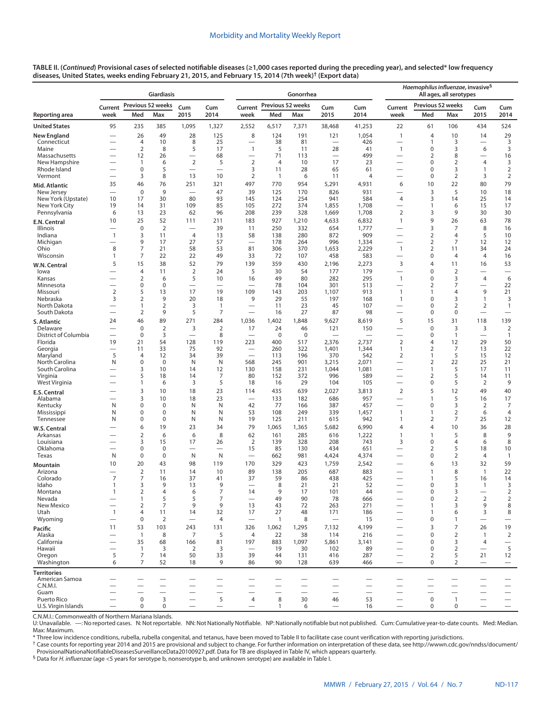|                                  |                                            |                                  | <b>Giardiasis</b>                    |                                |                          |                                                      |                      | Gonorrhea                |                                                      | Haemophilus influenzae, invasive <sup>§</sup><br>All ages, all serotypes |                                                      |                                                      |                                                      |                               |                                             |
|----------------------------------|--------------------------------------------|----------------------------------|--------------------------------------|--------------------------------|--------------------------|------------------------------------------------------|----------------------|--------------------------|------------------------------------------------------|--------------------------------------------------------------------------|------------------------------------------------------|------------------------------------------------------|------------------------------------------------------|-------------------------------|---------------------------------------------|
|                                  | Previous 52 weeks<br>Cum<br>Cum<br>Current |                                  |                                      |                                |                          | Current                                              | Previous 52 weeks    |                          | Cum                                                  | Cum                                                                      | Current                                              | Previous 52 weeks                                    |                                                      | Cum                           | Cum                                         |
| Reporting area                   | week                                       | Med                              | Max                                  | 2015                           | 2014                     | week                                                 | Med                  | Max                      | 2015                                                 | 2014                                                                     | week                                                 | Med                                                  | Max                                                  | 2015                          | 2014                                        |
| <b>United States</b>             | 95                                         | 235                              | 385                                  | 1,095                          | 1,327                    | 2,552                                                | 6,517                | 7,371                    | 38,468                                               | 41,253                                                                   | 22                                                   | 61                                                   | 106                                                  | 434                           | 524                                         |
| <b>New England</b>               |                                            | 26                               | 49                                   | 28                             | 125                      | 8                                                    | 124                  | 191                      | 121                                                  | 1,054                                                                    | $\mathbf{1}$                                         | $\overline{4}$                                       | 10                                                   | 14                            | 29                                          |
| Connecticut<br>Maine             | $\overline{\phantom{0}}$                   | 4<br>$\overline{2}$              | 10<br>8                              | 8<br>5                         | 25<br>17                 | $\overline{\phantom{0}}$<br>$\mathbf{1}$             | 38<br>5              | 81<br>11                 | $\overline{\phantom{0}}$<br>28                       | 426<br>41                                                                | $\overline{\phantom{0}}$<br>$\mathbf{1}$             | $\mathbf{1}$<br>$\mathbf 0$                          | 3<br>3                                               | $\overline{\phantom{0}}$<br>6 | 3<br>3                                      |
| Massachusetts                    |                                            | 12                               | 26                                   |                                | 68                       |                                                      | 71                   | 113                      | $\overline{\phantom{0}}$                             | 499                                                                      |                                                      | 2                                                    | 8                                                    | $\overline{\phantom{0}}$      | 16                                          |
| New Hampshire                    |                                            | $\mathbf{1}$                     | 6                                    | $\overline{2}$                 | 5                        | $\overline{2}$                                       | $\overline{4}$       | 10                       | 17                                                   | 23                                                                       | —                                                    | $\mathbf 0$                                          | 2                                                    | 4                             | 3                                           |
| Rhode Island<br>Vermont          |                                            | $\mathbf 0$<br>3                 | 5<br>8                               | $\overline{\phantom{0}}$<br>13 | 10                       | 3<br>$\overline{2}$                                  | 11<br>$\overline{1}$ | 28<br>6                  | 65<br>11                                             | 61<br>$\overline{4}$                                                     | $\overline{\phantom{0}}$<br>$\overline{\phantom{0}}$ | $\mathbf 0$<br>$\mathbf 0$                           | 3<br>$\overline{2}$                                  | 1<br>3                        | $\overline{2}$<br>$\overline{2}$            |
|                                  | 35                                         | 46                               | 76                                   | 251                            | 321                      | 497                                                  | 770                  | 954                      | 5,291                                                | 4,931                                                                    | 6                                                    | 10                                                   | 22                                                   | 80                            | 79                                          |
| Mid. Atlantic<br>New Jersey      | $\overline{\phantom{0}}$                   | $\mathbf 0$                      | 9                                    | $\overline{\phantom{0}}$       | 47                       | 39                                                   | 125                  | 170                      | 826                                                  | 931                                                                      | $\overline{\phantom{0}}$                             | 3                                                    | 5                                                    | 10                            | 18                                          |
| New York (Upstate)               | 10                                         | 17                               | 30                                   | 80                             | 93                       | 145                                                  | 124                  | 254                      | 941                                                  | 584                                                                      | 4                                                    | 3                                                    | 14                                                   | 25                            | 14                                          |
| New York City                    | 19                                         | 14                               | 31                                   | 109                            | 85                       | 105                                                  | 272                  | 374                      | 1,855                                                | 1,708                                                                    | -                                                    | $\mathbf{1}$                                         | 6                                                    | 15                            | 17                                          |
| Pennsylvania                     | 6<br>10                                    | 13<br>25                         | 23<br>52                             | 62<br>111                      | 96<br>211                | 208<br>183                                           | 239<br>927           | 328<br>1,210             | 1,669<br>4,633                                       | 1,708<br>6,832                                                           | $\overline{2}$<br>$\mathbf{1}$                       | 3<br>9                                               | 9<br>26                                              | 30<br>63                      | 30<br>78                                    |
| E.N. Central<br>Illinois         |                                            | $\mathbf 0$                      | $\mathbf 2$                          |                                | 39                       | 11                                                   | 250                  | 332                      | 654                                                  | 1,777                                                                    |                                                      | 3                                                    | 7                                                    | 8                             | 16                                          |
| Indiana                          | $\mathbf{1}$                               | 3                                | 11                                   | $\overline{4}$                 | 13                       | 58                                                   | 138                  | 280                      | 872                                                  | 909                                                                      | —                                                    | $\overline{2}$                                       | 4                                                    | 5                             | 10                                          |
| Michigan                         |                                            | 9                                | 17                                   | 27                             | 57                       | $\overline{\phantom{0}}$                             | 178                  | 264                      | 996                                                  | 1,334                                                                    | —                                                    | $\overline{2}$                                       | 7                                                    | 12                            | 12                                          |
| Ohio<br>Wisconsin                | 8<br>$\mathbf{1}$                          | $\overline{7}$<br>7              | 21<br>22                             | 58<br>22                       | 53<br>49                 | 81<br>33                                             | 306<br>72            | 370<br>107               | 1,653<br>458                                         | 2,229<br>583                                                             | $\mathbf{1}$<br>$\overline{\phantom{0}}$             | $\overline{2}$<br>0                                  | 11<br>4                                              | 34<br>4                       | 24<br>16                                    |
| W.N. Central                     | 5                                          | 15                               | 38                                   | 52                             | 79                       | 139                                                  | 359                  | 430                      | 2,196                                                | 2,273                                                                    | 3                                                    | $\overline{4}$                                       | 11                                                   | 16                            | 53                                          |
| lowa                             |                                            | $\overline{4}$                   | 11                                   | $\overline{2}$                 | 24                       | 5                                                    | 30                   | 54                       | 177                                                  | 179                                                                      |                                                      | $\mathbf 0$                                          | $\overline{2}$                                       | $\overline{\phantom{0}}$      |                                             |
| Kansas                           |                                            | 2                                | 6                                    | 5                              | 10                       | 16                                                   | 49                   | 80                       | 282                                                  | 295                                                                      | $\mathbf{1}$                                         | 0                                                    | 3                                                    | $\overline{4}$                | 6                                           |
| Minnesota<br>Missouri            |                                            | $\pmb{0}$                        | $\pmb{0}$                            |                                |                          |                                                      | 78                   | 104                      | 301                                                  | 513                                                                      |                                                      | $\overline{2}$                                       | 7                                                    | $\overline{\phantom{0}}$      | 22                                          |
| Nebraska                         | $\overline{2}$<br>3                        | 5<br>$\overline{2}$              | 13<br>9                              | 17<br>20                       | 19<br>18                 | 109<br>9                                             | 143<br>29            | 203<br>55                | 1,107<br>197                                         | 913<br>168                                                               | $\mathbf{1}$<br>$\mathbf{1}$                         | $\overline{1}$<br>0                                  | 4<br>3                                               | 9<br>1                        | 21<br>3                                     |
| North Dakota                     |                                            | 1                                | 2                                    | 3                              | $\mathbf{1}$             | $\overline{\phantom{0}}$                             | 11                   | 23                       | 45                                                   | 107                                                                      |                                                      | $\mathbf 0$                                          | 2                                                    | 2                             | $\mathbf{1}$                                |
| South Dakota                     |                                            | $\overline{2}$                   | 9                                    | 5                              | 7                        | $\overline{\phantom{0}}$                             | 16                   | 27                       | 87                                                   | 98                                                                       | $\overline{\phantom{0}}$                             | 0                                                    | 0                                                    |                               | $\overline{\phantom{0}}$                    |
| S. Atlantic                      | 24                                         | 46                               | 89                                   | 271                            | 284                      | 1,036                                                | 1,402                | 1,848                    | 9,627                                                | 8,619                                                                    | 5                                                    | 15                                                   | 31                                                   | 118                           | 139                                         |
| Delaware<br>District of Columbia | $\overline{\phantom{0}}$                   | $\mathbf 0$<br>$\mathbf 0$       | $\overline{2}$<br>3                  | 3<br>$\overline{\phantom{0}}$  | $\overline{2}$<br>8      | 17                                                   | 24<br>$\mathbf 0$    | 46<br>$\boldsymbol{0}$   | 121                                                  | 150                                                                      | —                                                    | $\mathbf 0$<br>0                                     | 3<br>$\mathbf{1}$                                    | 3<br>$\overline{\phantom{0}}$ | $\overline{2}$<br>$\mathbf{1}$              |
| Florida                          | 19                                         | 21                               | 54                                   | 128                            | 119                      | 223                                                  | 400                  | 517                      | 2,376                                                | 2,737                                                                    | $\overline{2}$                                       | 4                                                    | 12                                                   | 29                            | 50                                          |
| Georgia                          |                                            | 11                               | 33                                   | 75                             | 92                       |                                                      | 260                  | 322                      | 1,401                                                | 1,344                                                                    | $\mathbf{1}$                                         | $\overline{2}$                                       | 7                                                    | 13                            | 22                                          |
| Maryland<br>North Carolina       | 5<br>N                                     | 4<br>$\mathbf 0$                 | 12<br>$\mathbf 0$                    | 34<br>N                        | 39<br>N                  | $\overline{\phantom{0}}$<br>568                      | 113<br>245           | 196<br>901               | 370<br>3,215                                         | 542<br>2,071                                                             | $\overline{2}$<br>$\overline{\phantom{0}}$           | $\mathbf{1}$<br>$\overline{2}$                       | 5<br>22                                              | 15<br>25                      | 12<br>21                                    |
| South Carolina                   |                                            | 3                                | 10                                   | 14                             | 12                       | 130                                                  | 158                  | 231                      | 1,044                                                | 1,081                                                                    | $\overline{\phantom{0}}$                             | $\mathbf{1}$                                         | 5                                                    | 17                            | 11                                          |
| Virginia                         |                                            | 5                                | 18                                   | 14                             | 7                        | 80                                                   | 152                  | 372                      | 996                                                  | 589                                                                      |                                                      | $\overline{2}$                                       | 5                                                    | 14                            | 11                                          |
| West Virginia                    |                                            | $\mathbf{1}$                     | 6                                    | 3                              | 5                        | 18                                                   | 16                   | 29                       | 104                                                  | 105                                                                      |                                                      | $\pmb{0}$                                            | 5                                                    | $\overline{2}$                | 9                                           |
| E.S. Central                     |                                            | 3                                | 10                                   | 18                             | 23                       | 114<br>$\overline{\phantom{0}}$                      | 435                  | 639                      | 2,027                                                | 3,813                                                                    | $\overline{2}$                                       | 5<br>$\overline{1}$                                  | 12                                                   | 49                            | 40                                          |
| Alabama<br>Kentucky              | N                                          | 3<br>$\mathbf 0$                 | 10<br>0                              | 18<br>N                        | 23<br>N                  | 42                                                   | 133<br>77            | 182<br>166               | 686<br>387                                           | 957<br>457                                                               | $\overline{\phantom{0}}$                             | $\pmb{0}$                                            | 5<br>3                                               | 16<br>2                       | 17<br>7                                     |
| Mississippi                      | N                                          | $\mathbf 0$                      | $\mathbf 0$                          | N                              | N                        | 53                                                   | 108                  | 249                      | 339                                                  | 1,457                                                                    | $\mathbf{1}$                                         | 1                                                    | $\overline{2}$                                       | 6                             | $\overline{4}$                              |
| Tennessee                        | N                                          | $\mathbf 0$                      | $\mathbf 0$                          | N                              | N                        | 19                                                   | 125                  | 211                      | 615                                                  | 942                                                                      | $\mathbf{1}$                                         | $\overline{2}$                                       | 7                                                    | 25                            | 12                                          |
| W.S. Central                     |                                            | 6                                | 19                                   | 23                             | 34                       | 79                                                   | 1,065                | 1,365                    | 5,682                                                | 6,990                                                                    | $\overline{4}$                                       | $\overline{4}$                                       | 10                                                   | 36                            | 28                                          |
| Arkansas<br>Louisiana            |                                            | $\overline{2}$<br>3              | 6<br>15                              | 6<br>17                        | 8<br>26                  | 62<br>$\overline{2}$                                 | 161<br>139           | 285<br>328               | 616<br>208                                           | 1,222<br>743                                                             | 1<br>3                                               | $\mathbf{1}$<br>$\mathbf 0$                          | 5<br>4                                               | 8<br>6                        | 9<br>8                                      |
| Oklahoma                         |                                            | $\mathbf 0$                      | $\mathbf 0$                          | —                              | $\overline{\phantom{0}}$ | 15                                                   | 85                   | 130                      | 434                                                  | 651                                                                      | $\overline{\phantom{0}}$                             | $\overline{2}$                                       | 5                                                    | 18                            | 10                                          |
| Texas                            | N                                          | $\pmb{0}$                        | $\pmb{0}$                            | N                              | N                        |                                                      | 662                  | 981                      | 4,424                                                | 4,374                                                                    |                                                      | 0                                                    | $\overline{2}$                                       | 4                             | $\mathbf{1}$                                |
| Mountain                         | 10                                         | 20                               | 43                                   | 98                             | 119                      | 170                                                  | 329                  | 423                      | 1,759                                                | 2,542                                                                    |                                                      | 6                                                    | 13                                                   | 32                            | 59                                          |
| Arizona<br>Colorado              | 7                                          | $\overline{2}$<br>$\overline{7}$ | 11<br>16                             | 14<br>37                       | 10<br>41                 | 89<br>37                                             | 138<br>59            | 205<br>86                | 687<br>438                                           | 883<br>425                                                               | $\overline{\phantom{0}}$                             | $\mathbf{1}$<br>$\overline{1}$                       | 8<br>5                                               | $\mathbf{1}$<br>16            | 22<br>14                                    |
| Idaho                            | 1                                          | 3                                | 9                                    | 13                             | 9                        |                                                      | 8                    | 21                       | 21                                                   | 52                                                                       |                                                      | $\pmb{0}$                                            | 3                                                    | 1                             | 3                                           |
| Montana                          | $\mathbf{1}$                               | $\overline{2}$                   | $\overline{4}$                       | 6                              | $\overline{7}$           | 14                                                   | 9                    | 17                       | 101                                                  | 44                                                                       |                                                      | $\mathbf 0$                                          | 3                                                    | $\overline{\phantom{0}}$      | $\overline{2}$                              |
| Nevada<br>New Mexico             | $\overline{\phantom{0}}$                   | $\mathbf{1}$<br>$\overline{2}$   | 5<br>7                               | 5<br>9                         | $\overline{7}$<br>9      | 13                                                   | 49<br>43             | 90<br>72                 | 78<br>263                                            | 666<br>271                                                               | $\overline{\phantom{0}}$                             | $\mathbf 0$<br>$\mathbf{1}$                          | $\overline{2}$<br>3                                  | 2<br>9                        | $\overline{2}$<br>8                         |
| Utah                             | $\overline{1}$                             | $\overline{4}$                   | 11                                   | 14                             | 32                       | 17                                                   | 27                   | 48                       | 171                                                  | 186                                                                      |                                                      | $\overline{1}$                                       | 6                                                    | 3                             | 8                                           |
| Wyoming                          |                                            | $\mathbf 0$                      | $\overline{2}$                       | $\overline{\phantom{m}}$       | 4                        | $\overbrace{\phantom{123221111}}$                    | $\mathbf{1}$         | 8                        | $\overbrace{\phantom{123221111}}$                    | 15                                                                       |                                                      | $\mathbf 0$                                          | 1                                                    | $\overline{\phantom{m}}$      | $\qquad \qquad -$                           |
| Pacific                          | 11                                         | 53                               | 103                                  | 243                            | 131                      | 326                                                  | 1,062                | 1,295                    | 7,132                                                | 4,199                                                                    |                                                      | 3                                                    | $\overline{7}$                                       | 26                            | 19                                          |
| Alaska                           |                                            | $\overline{1}$                   | 8                                    | 7                              | 5                        | $\overline{4}$                                       | 22                   | 38                       | 114                                                  | 216                                                                      | —                                                    | $\mathbf 0$                                          | $\overline{2}$                                       | $\overline{1}$                | $\overline{2}$                              |
| California<br>Hawaii             |                                            | 35<br>$\mathbf{1}$               | 68<br>3                              | 166<br>2                       | 81<br>3                  | 197                                                  | 883<br>19            | 1,097<br>30              | 5,861<br>102                                         | 3,141<br>89                                                              |                                                      | $\mathbf 0$<br>$\mathbf 0$                           | 3<br>2                                               | 4                             | $\hspace{0.1mm}-\hspace{0.1mm}$<br>5        |
| Oregon                           | 5                                          | 7                                | 14                                   | 50                             | 33                       | 39                                                   | 44                   | 131                      | 416                                                  | 287                                                                      |                                                      | $\overline{2}$                                       | 5                                                    | 21                            | 12                                          |
| Washington                       | 6                                          | $\overline{7}$                   | 52                                   | 18                             | 9                        | 86                                                   | 90                   | 128                      | 639                                                  | 466                                                                      | $\overline{\phantom{0}}$                             | $\mathbf 0$                                          | $\overline{2}$                                       |                               | $\qquad \qquad -$                           |
| <b>Territories</b>               |                                            |                                  |                                      |                                |                          |                                                      |                      |                          |                                                      |                                                                          |                                                      |                                                      |                                                      |                               |                                             |
| American Samoa                   |                                            |                                  |                                      |                                |                          |                                                      |                      |                          |                                                      |                                                                          |                                                      |                                                      |                                                      |                               |                                             |
| C.N.M.I.<br>Guam                 |                                            |                                  | $\overline{\phantom{0}}$<br>$\equiv$ |                                | $\equiv$                 | $\overline{\phantom{0}}$<br>$\overline{\phantom{0}}$ | $\equiv$             | $\overline{\phantom{0}}$ | $\overline{\phantom{0}}$<br>$\overline{\phantom{0}}$ | —<br>$\overline{\phantom{0}}$                                            | —                                                    | $\overline{\phantom{0}}$<br>$\overline{\phantom{0}}$ | $\overline{\phantom{0}}$<br>$\overline{\phantom{0}}$ | $\overline{\phantom{0}}$      | $\overline{\phantom{m}}$<br>$\qquad \qquad$ |
| Puerto Rico                      |                                            | $\pmb{0}$                        | $\mathbf{3}$                         |                                | 5                        | 4                                                    | 8                    | 30                       | 46                                                   | 53                                                                       |                                                      | $\mathbf 0$                                          | $\mathbf{1}$                                         | $\overline{\phantom{0}}$      | $\qquad \qquad -$                           |
| U.S. Virgin Islands              |                                            | 0                                | $\mathbf 0$                          |                                |                          |                                                      | $\mathbf{1}$         | 6                        | $\overline{\phantom{0}}$                             | 16                                                                       |                                                      | $\mathbf 0$                                          | $\mathbf 0$                                          |                               |                                             |

C.N.M.I.: Commonwealth of Northern Mariana Islands.

U: Unavailable. —: No reported cases. N: Not reportable. NN: Not Nationally Notifiable. NP: Nationally notifiable but not published. Cum: Cumulative year-to-date counts. Med: Median. Max: Maximum.

\* Three low incidence conditions, rubella, rubella congenital, and tetanus, have been moved to Table II to facilitate case count verification with reporting jurisdictions.

† Case counts for reporting year 2014 and 2015 are provisional and subject to change. For further information on interpretation of these data, see [http://wwwn.cdc.gov/nndss/document/](http://wwwn.cdc.gov/nndss/document/ProvisionalNationaNotifiableDiseasesSurveillanceData20100927.pdf) [ProvisionalNationaNotifiableDiseasesSurveillanceData20100927.pdf](http://wwwn.cdc.gov/nndss/document/ProvisionalNationaNotifiableDiseasesSurveillanceData20100927.pdf). Data for TB are displayed in Table IV, which appears quarterly.<br><sup>§</sup> Data for *H. influenzae* (age <5 years for serotype b, nonserotype b, and unknown seroty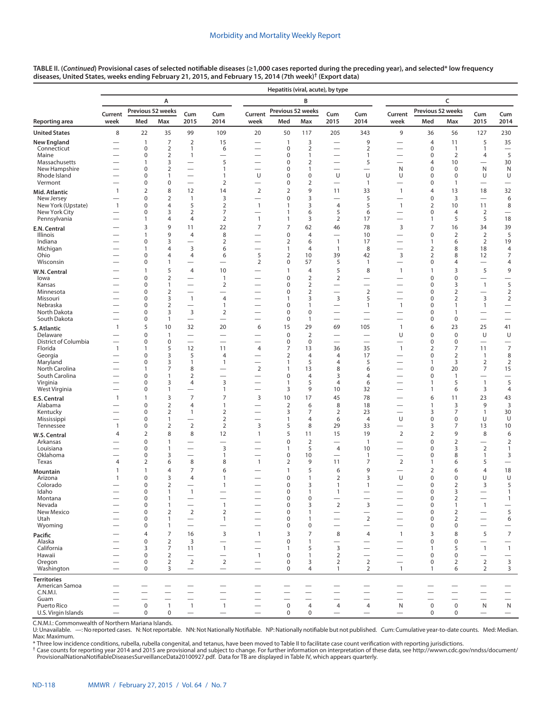|                                      |                          |                            |                                  |                                            |                                                 |                                            | Hepatitis (viral, acute), by type |                                |                                |                                                      |                                          |                                |                                  |                                          |                                          |
|--------------------------------------|--------------------------|----------------------------|----------------------------------|--------------------------------------------|-------------------------------------------------|--------------------------------------------|-----------------------------------|--------------------------------|--------------------------------|------------------------------------------------------|------------------------------------------|--------------------------------|----------------------------------|------------------------------------------|------------------------------------------|
|                                      |                          |                            | А                                |                                            |                                                 |                                            |                                   | B                              |                                | C                                                    |                                          |                                |                                  |                                          |                                          |
|                                      | Current                  |                            | Previous 52 weeks                | Cum                                        | Cum                                             | Current                                    | Previous 52 weeks                 |                                | Cum                            | Cum                                                  | Current                                  | Previous 52 weeks              |                                  | Cum                                      | Cum                                      |
| Reporting area                       | week                     | Med                        | Max                              | 2015                                       | 2014                                            | week                                       | Med                               | Max                            | 2015                           | 2014                                                 | week                                     | Med                            | Max                              | 2015                                     | 2014                                     |
| <b>United States</b>                 | 8                        | 22                         | 35                               | 99                                         | 109                                             | 20                                         | 50                                | 117                            | 205                            | 343                                                  | 9                                        | 36                             | 56                               | 127                                      | 230                                      |
| New England                          |                          | $\mathbf{1}$               | $\overline{7}$                   | $\overline{2}$                             | 15                                              |                                            | $\mathbf{1}$                      | 3                              | $\overline{\phantom{0}}$       | 9                                                    |                                          | $\overline{4}$                 | 11                               | 5                                        | 35                                       |
| Connecticut<br>Maine                 |                          | 0<br>0                     | $\overline{2}$<br>$\overline{2}$ | $\mathbf{1}$<br>$\mathbf{1}$               | 6<br>$\overline{\phantom{0}}$                   |                                            | 0<br>0                            | $\overline{2}$<br>$\mathbf{1}$ |                                | 2<br>1                                               | $\overline{\phantom{0}}$<br>-            | $\mathbf 0$<br>$\mathbf 0$     | $\mathbf{1}$<br>2                | $\mathbf{1}$<br>4                        | $\qquad \qquad -$<br>5                   |
| Massachusetts                        |                          | $\mathbf{1}$               | 3                                | $\overline{\phantom{0}}$                   | 5                                               | $\overline{\phantom{0}}$                   | $\mathbf 0$                       | $\overline{2}$                 |                                | 5                                                    | $\overline{\phantom{0}}$                 | $\overline{4}$                 | 10                               |                                          | 30                                       |
| New Hampshire<br>Rhode Island        |                          | 0<br>0                     | $\overline{2}$<br>1              | $\overline{\phantom{0}}$                   | $\mathbf{1}$<br>$\mathbf{1}$                    | U                                          | $\mathbf 0$<br>$\mathbf 0$        | $\mathbf{1}$<br>$\mathbf 0$    | U                              | $\overline{\phantom{0}}$<br>U                        | N<br>U                                   | $\mathbf 0$<br>$\mathbf 0$     | $\mathbf 0$<br>0                 | N<br>U                                   | N<br>U                                   |
| Vermont                              |                          | 0                          | 0                                |                                            | $\overline{2}$                                  | -                                          | 0                                 | $\overline{2}$                 |                                | $\overline{1}$                                       | -                                        | $\mathbf 0$                    | $\mathbf{1}$                     |                                          | $\qquad \qquad$                          |
| Mid. Atlantic                        | $\mathbf{1}$             | $\overline{2}$             | 8                                | 12                                         | 14                                              | $\overline{2}$                             | $\overline{2}$                    | 9                              | 11                             | 33                                                   | $\mathbf{1}$                             | $\overline{4}$                 | 13                               | 18                                       | 32                                       |
| New Jersey<br>New York (Upstate)     | $\mathbf{1}$             | 0<br>0                     | $\overline{2}$<br>$\overline{4}$ | $\mathbf{1}$<br>5                          | 3<br>2                                          | $\overline{\phantom{0}}$<br>$\mathbf{1}$   | $\mathbf 0$<br>1                  | 3<br>3                         | $\overline{4}$                 | 5<br>5                                               | $\overline{\phantom{0}}$<br>$\mathbf{1}$ | $\mathbf 0$<br>$\overline{2}$  | 3<br>10                          | 11                                       | 6<br>8                                   |
| New York City                        | $\overline{\phantom{0}}$ | 0                          | 3                                | $\overline{2}$                             | 7                                               |                                            | 1                                 | 6                              | 5                              | 6                                                    | $\overline{\phantom{0}}$                 | $\mathbf 0$                    | $\overline{4}$                   | $\overline{2}$                           | $\overline{\phantom{0}}$                 |
| Pennsylvania                         |                          | $\mathbf{1}$               | $\overline{4}$                   | 4                                          | $\overline{2}$                                  | $\mathbf{1}$                               | $\mathbf{1}$                      | 3                              | $\overline{2}$                 | 17                                                   | $\overline{\phantom{0}}$                 | $\mathbf{1}$                   | 5                                | 5                                        | 18                                       |
| E.N. Central                         |                          | 3<br>1                     | 9<br>9                           | 11                                         | 22                                              | 7                                          | 7                                 | 62                             | 46                             | 78                                                   | 3                                        | 7<br>$\mathbf 0$               | 16                               | 34                                       | 39<br>5                                  |
| Illinois<br>Indiana                  |                          | 0                          | 3                                | $\overline{4}$                             | 8<br>$\overline{2}$                             |                                            | $\pmb{0}$<br>$\overline{2}$       | $\overline{4}$<br>6            | $\mathbf{1}$                   | 10<br>17                                             | $\overline{\phantom{0}}$                 | $\mathbf{1}$                   | $\overline{2}$<br>6              | $\overline{2}$<br>2                      | 19                                       |
| Michigan                             |                          | $\mathbf{1}$               | $\overline{4}$                   | 3                                          | 6                                               |                                            | 1                                 | $\overline{4}$                 | $\mathbf{1}$                   | 8                                                    | -                                        | $\overline{2}$                 | 8                                | 18                                       | $\overline{4}$                           |
| Ohio<br>Wisconsin                    |                          | 0<br>0                     | $\overline{4}$<br>$\mathbf{1}$   | $\overline{4}$                             | 6                                               | 5<br>$\overline{2}$                        | $\overline{2}$<br>0               | 10<br>57                       | 39<br>5                        | 42<br>$\mathbf{1}$                                   | 3<br>$\overline{\phantom{0}}$            | $\overline{2}$<br>$\mathbf 0$  | 8<br>4                           | 12<br>$\overline{\phantom{0}}$           | 7<br>4                                   |
| W.N. Central                         |                          | $\mathbf{1}$               | 5                                | $\overline{4}$                             | 10                                              |                                            | 1                                 | $\overline{4}$                 | 5                              | 8                                                    | 1                                        | $\mathbf{1}$                   | 3                                | 5                                        | 9                                        |
| lowa                                 |                          | 0                          | $\overline{2}$                   |                                            | $\mathbf{1}$                                    |                                            | $\mathbf 0$                       | $\overline{2}$                 | $\overline{2}$                 |                                                      |                                          | $\mathbf 0$                    | 0                                |                                          | —                                        |
| Kansas                               |                          | 0                          | $\mathbf{1}$                     | $\overline{\phantom{0}}$                   | $\overline{2}$                                  |                                            | 0                                 | $\overline{2}$                 | $\overline{\phantom{0}}$       |                                                      | $\overline{\phantom{0}}$                 | $\mathbf 0$                    | 3                                | $\mathbf{1}$                             | 5                                        |
| Minnesota<br>Missouri                |                          | 0<br>0                     | $\overline{2}$<br>3              | $\overline{1}$                             | $\overline{4}$                                  |                                            | $\mathbf 0$<br>1                  | $\overline{2}$<br>3            | 3                              | $\overline{2}$<br>5                                  |                                          | $\mathbf 0$<br>$\mathbf 0$     | 2<br>$\overline{2}$              | 3                                        | $\overline{2}$<br>$\overline{2}$         |
| Nebraska                             |                          | 0                          | $\overline{2}$                   | $\overline{\phantom{0}}$                   | $\mathbf{1}$                                    |                                            | $\mathbf 0$                       | 1                              |                                | 1                                                    | $\mathbf{1}$                             | $\mathbf 0$                    | $\mathbf{1}$                     | $\mathbf{1}$                             | $\qquad \qquad$                          |
| North Dakota<br>South Dakota         |                          | 0<br>0                     | 3<br>$\mathbf{1}$                | 3                                          | $\overline{2}$                                  | $\overline{\phantom{0}}$<br>-              | 0<br>$\pmb{0}$                    | $\mathbf 0$<br>$\overline{1}$  | $\overline{\phantom{0}}$       | $\overline{\phantom{0}}$                             | -<br>$\overline{\phantom{0}}$            | $\mathbf 0$<br>$\mathbf 0$     | $\mathbf{1}$<br>$\boldsymbol{0}$ | $\overline{\phantom{0}}$<br>—            | $\overbrace{\phantom{12322111}}$         |
| S. Atlantic                          | 1                        | 5                          | 10                               | 32                                         | 20                                              | 6                                          | 15                                | 29                             | 69                             | 105                                                  | 1                                        | 6                              | 23                               | 25                                       | 41                                       |
| Delaware                             |                          | 0                          | $\mathbf{1}$                     |                                            | $\overline{\phantom{0}}$                        | $\overline{\phantom{0}}$                   | $\pmb{0}$                         | 2                              |                                |                                                      | U                                        | $\mathbf 0$                    | $\boldsymbol{0}$                 | U                                        | U                                        |
| District of Columbia                 |                          | 0                          | $\pmb{0}$                        |                                            | $\overline{\phantom{0}}$                        |                                            | $\pmb{0}$                         | $\mathbf 0$                    | $\overline{\phantom{0}}$       |                                                      | —                                        | $\mathbf 0$                    | $\boldsymbol{0}$                 |                                          | $\qquad \qquad$                          |
| Florida<br>Georgia                   | $\mathbf{1}$             | $\mathbf{1}$<br>0          | 5<br>3                           | 12<br>5                                    | 11<br>$\overline{4}$                            | $\overline{4}$<br>$\overline{\phantom{0}}$ | 7<br>$\overline{2}$               | 13<br>$\overline{4}$           | 36<br>$\overline{4}$           | 35<br>17                                             | $\mathbf{1}$<br>$\overline{\phantom{0}}$ | $\overline{2}$<br>$\mathbf 0$  | 7<br>$\overline{2}$              | 11<br>$\mathbf{1}$                       | $\overline{7}$<br>8                      |
| Maryland                             |                          | 0                          | 3                                | $\mathbf{1}$                               | $\mathbf{1}$                                    |                                            | 1                                 | 5                              | $\overline{4}$                 | 5                                                    | -                                        | $\mathbf{1}$                   | 3                                | $\overline{2}$                           | $\overline{2}$                           |
| North Carolina<br>South Carolina     |                          | 1<br>0                     | $\overline{7}$<br>$\mathbf{1}$   | 8<br>2                                     | $\overline{\phantom{0}}$                        | $\overline{2}$<br>-                        | 1<br>$\mathbf 0$                  | 13<br>$\overline{4}$           | 8<br>3                         | 6<br>4                                               | -<br>$\overline{\phantom{0}}$            | $\mathbf 0$<br>$\mathbf 0$     | 20<br>1                          | $\overline{7}$<br>—                      | 15                                       |
| Virginia                             |                          | 0                          | 3                                | 4                                          | 3                                               | $\overline{\phantom{0}}$                   | 1                                 | 5                              | $\overline{4}$                 | 6                                                    | $\overline{\phantom{0}}$                 | $\mathbf{1}$                   | 5                                | $\overline{1}$                           | 5                                        |
| West Virginia                        | -                        | 0                          | 1                                | -                                          | $\mathbf{1}$                                    |                                            | 3                                 | 9                              | 10                             | 32                                                   |                                          | $\mathbf{1}$                   | 6                                | 3                                        | 4                                        |
| E.S. Central                         | 1                        | $\mathbf{1}$               | 3                                | $\overline{7}$                             | 7                                               | 3                                          | 10                                | 17                             | 45                             | 78                                                   |                                          | 6                              | 11                               | 23                                       | 43                                       |
| Alabama<br>Kentucky                  |                          | $\mathbf 0$<br>0           | $\overline{2}$<br>$\overline{2}$ | $\overline{4}$<br>$\mathbf{1}$             | $\mathbf{1}$<br>$\overline{2}$                  | -                                          | $\overline{2}$<br>3               | 6<br>7                         | 8<br>$\overline{2}$            | 18<br>23                                             | -<br>$\overline{\phantom{0}}$            | $\mathbf{1}$<br>3              | 3<br>7                           | 9<br>$\mathbf{1}$                        | $\mathbf{3}$<br>30                       |
| Mississippi                          | -                        | 0                          | $\mathbf{1}$                     | —                                          | $\overline{2}$                                  | <u>—</u>                                   | 1                                 | $\overline{4}$                 | 6                              | $\overline{4}$                                       | U                                        | $\mathbf 0$                    | $\mathbf 0$                      | U                                        | U                                        |
| Tennessee                            | $\mathbf{1}$             | 0                          | $\mathbf 2$                      | $\sqrt{2}$                                 | $\overline{2}$                                  | 3                                          | 5                                 | 8                              | 29                             | 33                                                   | $\overline{\phantom{0}}$                 | 3                              | 7                                | 13                                       | 10                                       |
| W.S. Central<br>Arkansas             | $\overline{4}$           | $\overline{2}$<br>0        | 8<br>$\mathbf{1}$                | 8<br>—                                     | 12<br>$\overline{\phantom{0}}$                  | $\mathbf{1}$                               | 5<br>$\mathbf 0$                  | 11<br>$\overline{2}$           | 15<br>$\overline{\phantom{0}}$ | 19<br>$\overline{1}$                                 | $\mathbf 2$<br>$\overline{\phantom{0}}$  | $\overline{2}$<br>$\mathbf 0$  | 9<br>$\overline{2}$              | 8<br>-                                   | 6<br>$\mathbf 2$                         |
| Louisiana                            |                          | 0                          | $\mathbf{1}$                     | $\overline{\phantom{0}}$                   | 3                                               |                                            | 1                                 | 5                              | $\overline{4}$                 | 10                                                   | $\overline{\phantom{0}}$                 | $\mathbf 0$                    | 3                                | $\overline{2}$                           | $\mathbf{1}$                             |
| Oklahoma                             |                          | 0                          | 3                                |                                            | $\mathbf{1}$                                    |                                            | $\mathbf 0$                       | 10                             | $\overline{\phantom{0}}$       | $\overline{1}$                                       | $\overline{\phantom{0}}$                 | $\mathbf 0$                    | 8                                | $\mathbf{1}$                             | 3                                        |
| Texas                                | $\overline{4}$<br>1      | 2<br>$\mathbf{1}$          | 6<br>$\overline{4}$              | 8<br>$\overline{7}$                        | 8<br>6                                          | $\mathbf{1}$                               | 2<br>$\mathbf{1}$                 | 9<br>5                         | 11<br>6                        | $\overline{7}$<br>9                                  | $\overline{2}$<br>-                      | $\mathbf{1}$<br>$\overline{2}$ | 6<br>6                           | 5<br>4                                   | $\overline{\phantom{0}}$<br>18           |
| Mountain<br>Arizona                  | 1                        | 0                          | 3                                | 4                                          | 1                                               |                                            | $\mathbf 0$                       | $\mathbf{1}$                   | $\overline{2}$                 | 3                                                    | U                                        | $\mathbf 0$                    | $\mathbf 0$                      | U                                        | U                                        |
| Colorado                             |                          | 0                          | $\overline{2}$                   |                                            | 1                                               |                                            | $\mathbf 0$                       | 3                              | 1                              | 1                                                    | $\overline{\phantom{0}}$                 | $\mathbf 0$                    | $\overline{2}$                   | 3                                        | 5                                        |
| Idaho<br>Montana                     |                          | 0<br>0                     | 1<br>$\mathbf{1}$                | $\mathbf{1}$                               | $\overline{\phantom{0}}$                        |                                            | 0<br>$\pmb{0}$                    | 1<br>$\pmb{0}$                 | $\mathbf{1}$                   | $\overline{\phantom{0}}$<br>$\overline{\phantom{0}}$ | —                                        | $\pmb{0}$<br>$\pmb{0}$         | 3<br>$\overline{2}$              | $\qquad \qquad$                          | 1<br>$\mathbf{1}$                        |
| Nevada                               |                          | 0                          | $\mathbf{1}$                     |                                            | $\mathbf{1}$                                    |                                            | $\mathbf 0$                       | $\overline{3}$                 | $\overline{2}$                 | $\overline{3}$                                       | -                                        | $\mathbf 0$                    | $\mathbf{1}$                     | $\mathbf{1}$                             | $\hspace{0.1mm}-\hspace{0.1mm}$          |
| New Mexico<br>Utah                   | —                        | 0<br>0                     | $\overline{2}$<br>$\mathbf{1}$   | $\overline{2}$                             | 2<br>$\mathbf{1}$                               |                                            | 0<br>$\mathbf 0$                  | $\overline{1}$<br>1            | $\qquad \qquad$                | $\sqrt{2}$                                           | $\overline{\phantom{0}}$                 | $\mathbf 0$<br>$\mathbf 0$     | $\overline{2}$<br>$\overline{2}$ |                                          | $\sqrt{5}$<br>6                          |
| Wyoming                              |                          | 0                          | $\mathbf{1}$                     | $\overline{\phantom{0}}$                   | $\overbrace{\phantom{1232211}}$                 | $\overline{\phantom{0}}$                   | 0                                 | $\boldsymbol{0}$               | $\overline{\phantom{0}}$       | $\overline{\phantom{0}}$                             |                                          | $\mathbf 0$                    | $\mathbf 0$                      | $\overline{\phantom{0}}$                 | $\overline{\phantom{0}}$                 |
| Pacific                              |                          | 4                          | $\overline{7}$                   | 16                                         | 3                                               | $\mathbf{1}$                               | 3                                 | $\overline{7}$                 | $\,8\,$                        | 4                                                    | $\mathbf{1}$                             | 3                              | 8                                | 5                                        | $\boldsymbol{7}$                         |
| Alaska                               |                          | 0                          | $\overline{2}$                   | 3                                          |                                                 | $\overline{\phantom{0}}$                   | $\mathbf 0$                       | $\overline{1}$                 |                                | —                                                    |                                          | $\pmb{0}$                      | $\mathsf 0$                      | $\overline{\phantom{0}}$                 | $\overline{\phantom{0}}$                 |
| California<br>Hawaii                 |                          | 3<br>0                     | $\overline{7}$<br>$\overline{2}$ | 11                                         | $\overline{1}$<br>$\overbrace{\phantom{13333}}$ | $\overline{\phantom{0}}$<br>$\overline{1}$ | 1<br>$\pmb{0}$                    | 5<br>$\overline{1}$            | $\mathsf{3}$<br>$\overline{2}$ | $\overline{\phantom{0}}$                             |                                          | $\mathbf{1}$<br>$\pmb{0}$      | 5<br>$\mathsf 0$                 | $\mathbf{1}$<br>$\overline{\phantom{0}}$ | $\mathbf{1}$<br>$\overline{\phantom{0}}$ |
| Oregon                               | $\overline{\phantom{0}}$ | $\mathbf 0$                | $\overline{2}$                   | $\overline{2}$                             | $\overline{2}$                                  | $\qquad \qquad -$                          | $\mathbf 0$                       | 3                              | 2                              | $\overline{2}$                                       | $\qquad \qquad -$                        | $\mathbf 0$                    | $\overline{2}$                   | $\overline{2}$                           | $\mathbf{3}$                             |
| Washington                           | $\overline{\phantom{0}}$ | $\pmb{0}$                  | 3                                | $\equiv$                                   | $=$                                             | $\overline{\phantom{0}}$                   | 0                                 | 4                              | $\mathbf{1}$                   | $\overline{2}$                                       | $\mathbf{1}$                             | $\mathbf{1}$                   | 6                                | $\overline{2}$                           | 3                                        |
| <b>Territories</b><br>American Samoa |                          |                            |                                  |                                            |                                                 |                                            |                                   |                                |                                |                                                      |                                          |                                |                                  |                                          |                                          |
| C.N.M.I.                             |                          |                            |                                  | $\overline{\phantom{0}}$                   | $\overbrace{\phantom{1232211}}$                 |                                            |                                   | $\overline{\phantom{0}}$       | $\overline{\phantom{0}}$       | $\overline{\phantom{0}}$                             | —                                        | $\overline{\phantom{0}}$       | $\overline{\phantom{0}}$         | $\overline{\phantom{0}}$                 | $\overline{\phantom{0}}$                 |
| Guam                                 |                          |                            |                                  | $\overline{\phantom{m}}$                   | $\overline{\phantom{0}}$                        | $\overline{\phantom{0}}$                   |                                   | $\overline{\phantom{0}}$       |                                | $\qquad \qquad$                                      |                                          | $\overline{\phantom{0}}$       |                                  |                                          | $\hspace{0.1mm}-\hspace{0.1mm}$          |
| Puerto Rico<br>U.S. Virgin Islands   |                          | $\mathbf 0$<br>$\mathbf 0$ | $\mathbf{1}$<br>0                | $\overline{1}$<br>$\overline{\phantom{m}}$ | $\overline{1}$<br>$\qquad \qquad$               |                                            | $\mathsf 0$<br>0                  | $\overline{4}$<br>$\mathbf 0$  | $\overline{4}$                 | $\overline{4}$                                       | N<br>$\overline{\phantom{m}}$            | $\mathsf 0$<br>$\mathbf 0$     | $\mathbf 0$<br>0                 | N                                        | N<br>$\overline{\phantom{m}}$            |

**TABLE II. (***Continued***) Provisional cases of selected notifiable diseases (≥1,000 cases reported during the preceding year), and selected\* low frequency diseases, United States, weeks ending February 21, 2015, and February 15, 2014 (7th week)† ([Export data\)](https://data.cdc.gov/NNDSS/NNDSS-Table-II-Hepatitis-viral-acute-/65xe-6neq)**

C.N.M.I.: Commonwealth of Northern Mariana Islands.<br>U: Unavailable. —: No reported cases. N: Not reportable. NN: Not Nationally Notifiable. NP: Nationally notifiable but not published. Cum: Cumulative year-to-dat Max: Maximum.<br>\* Three low incidence conditions, rubella, rubella congenital, and tetanus, have been moved to Table II to facilitate case count verification with reporting jurisdictions.

\* Three low incidence conditions, rubella, rubella congenital, and tetanus, have been moved to Table II to facilitate case count verification with reporting jurisdictions.<br><sup>†</sup> Case counts for reporting year 2014 and 2015 a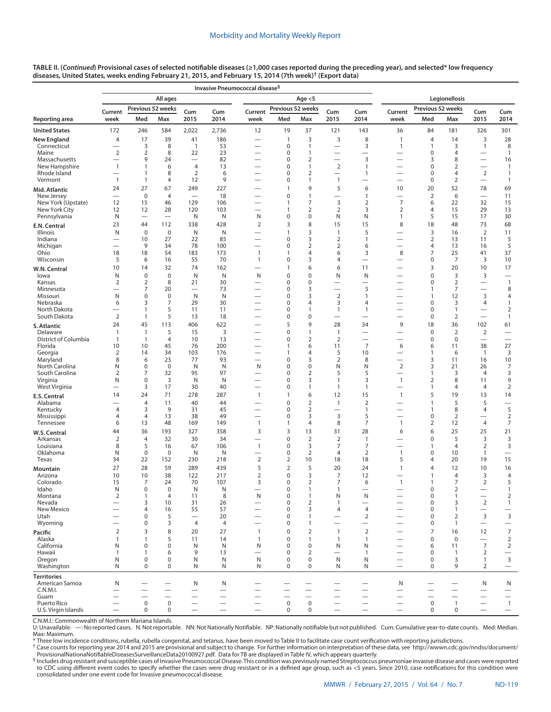|                                     | All ages                                 |                              |                          |                          |            |                                                      |                            | Age $<$ 5                      |                                                      | Legionellosis                  |                                                      |                                  |                      |                                            |                                                   |
|-------------------------------------|------------------------------------------|------------------------------|--------------------------|--------------------------|------------|------------------------------------------------------|----------------------------|--------------------------------|------------------------------------------------------|--------------------------------|------------------------------------------------------|----------------------------------|----------------------|--------------------------------------------|---------------------------------------------------|
|                                     | Current                                  |                              | Previous 52 weeks        | Cum                      | Cum        | Current                                              | Previous 52 weeks          |                                | Cum                                                  | Cum                            | Current                                              | Previous 52 weeks                |                      | Cum                                        | Cum                                               |
| Reporting area                      | week                                     | Med                          | Max                      | 2015                     | 2014       | week                                                 | Med                        | Max                            | 2015                                                 | 2014                           | week                                                 | Med                              | Max                  | 2015                                       | 2014                                              |
| <b>United States</b>                | 172                                      | 246                          | 584                      | 2,022                    | 2,736      | 12                                                   | 19                         | 37                             | 121                                                  | 143                            | 36                                                   | 84                               | 181                  | 326                                        | 301                                               |
| <b>New England</b>                  | 4                                        | 17                           | 39                       | 41                       | 186        |                                                      | 1                          | 3                              | 3                                                    | 8                              | 1                                                    | $\overline{4}$                   | 14                   | 3                                          | 28                                                |
| Connecticut<br>Maine                | 2                                        | 3<br>2                       | 8<br>8                   | $\mathbf{1}$<br>22       | 53<br>23   | $\overline{\phantom{0}}$                             | 0<br>0                     | 1<br>1                         | $\overline{\phantom{m}}$<br>$\overline{\phantom{0}}$ | 3<br>$\overline{\phantom{0}}$  | 1                                                    | $\mathbf{1}$<br>0                | 3<br>$\overline{4}$  | 1                                          | 8<br>$\mathbf{1}$                                 |
| Massachusetts                       | $\overline{\phantom{0}}$                 | 9                            | 24                       | $\overline{\phantom{0}}$ | 82         | $\overline{\phantom{0}}$                             | 0                          | 2                              | $\overline{\phantom{0}}$                             | 3                              |                                                      | 3                                | 8                    |                                            | 16                                                |
| New Hampshire<br>Rhode Island       | $\mathbf{1}$<br>$\overline{\phantom{0}}$ | $\mathbf{1}$<br>$\mathbf{1}$ | 6<br>8                   | $\overline{4}$<br>2      | 13<br>6    |                                                      | 0<br>0                     | 1<br>2                         | $\overline{2}$                                       | $\mathbf{1}$<br>$\mathbf{1}$   | $\overline{\phantom{0}}$<br>$\overline{\phantom{0}}$ | 0<br>0                           | $\overline{2}$<br>4  | $\overline{2}$                             | $\mathbf{1}$<br>$\mathbf{1}$                      |
| Vermont                             | $\overline{1}$                           | $\mathbf{1}$                 | $\overline{4}$           | 12                       | 9          |                                                      | $\pmb{0}$                  | $\mathbf{1}$                   | 1                                                    | —                              |                                                      | $\mathbf 0$                      | $\overline{2}$       | $\overline{\phantom{0}}$                   | $\mathbf{1}$                                      |
| Mid. Atlantic                       | 24                                       | 27                           | 67                       | 249                      | 227        |                                                      | 1                          | 9                              | 5                                                    | 6                              | 10                                                   | 20                               | 52                   | 78                                         | 69                                                |
| New Jersey                          | $\overline{\phantom{0}}$                 | $\mathbf 0$                  | 4                        | $\overline{\phantom{m}}$ | 18         | $\overline{\phantom{0}}$                             | 0                          | 1                              |                                                      | $\mathbf{1}$                   |                                                      | 2                                | 6                    |                                            | 11                                                |
| New York (Upstate)<br>New York City | 12<br>12                                 | 15<br>12                     | 46<br>28                 | 129<br>120               | 106<br>103 |                                                      | 1<br>1                     | 7<br>$\overline{2}$            | 3<br>$\overline{2}$                                  | $\overline{2}$<br>3            | $\overline{7}$<br>$\overline{2}$                     | 6<br>$\overline{4}$              | 22<br>15             | 32<br>29                                   | 15<br>13                                          |
| Pennsylvania                        | N                                        | $\overline{\phantom{0}}$     | $\overline{\phantom{0}}$ | N                        | N          | N                                                    | 0                          | 0                              | N                                                    | N                              | 1                                                    | 5                                | 15                   | 17                                         | 30                                                |
| E.N. Central                        | 23                                       | 44                           | 112                      | 338                      | 428        | $\overline{2}$                                       | 3                          | 8                              | 15                                                   | 15                             | 8                                                    | 18                               | 48                   | 73                                         | 68                                                |
| Illinois<br>Indiana                 | N<br>$\overline{\phantom{0}}$            | $\bf 0$<br>10                | 0<br>27                  | N<br>22                  | N<br>85    | $\overline{\phantom{0}}$                             | 1<br>0                     | 3<br>3                         | 1<br>$\overline{2}$                                  | 5<br>$\mathbf{1}$              | $\overline{\phantom{0}}$                             | 3<br>2                           | 16<br>13             | $\overline{2}$<br>11                       | 11<br>5                                           |
| Michigan                            |                                          | 9                            | 34                       | 78                       | 100        | $\overline{\phantom{0}}$                             | 0                          | $\overline{2}$                 | 2                                                    | 6                              | $\overline{\phantom{0}}$                             | 4                                | 13                   | 16                                         | 5                                                 |
| Ohio                                | 18                                       | 18                           | 54                       | 183                      | 173        | $\overline{1}$                                       | 1                          | $\overline{4}$                 | 6                                                    | 3                              | 8                                                    | 7                                | 25                   | 41                                         | 37                                                |
| Wisconsin                           | 5<br>10                                  | 6                            | 16<br>32                 | 55<br>74                 | 70<br>162  | $\mathbf{1}$<br>$\overline{\phantom{0}}$             | $\mathbf 0$<br>1           | 3<br>6                         | 4                                                    | $\overline{\phantom{0}}$       |                                                      | $\pmb{0}$<br>3                   | 7<br>20              | 3<br>10                                    | 10<br>17                                          |
| W.N. Central<br>lowa                | N                                        | 14<br>$\bf 0$                | 0                        | N                        | N          | N                                                    | 0                          | $\mathbf 0$                    | 6<br>N                                               | 11<br>N                        |                                                      | $\mathbf 0$                      | 3                    | 3                                          | $\overbrace{\phantom{123221111}}$                 |
| Kansas                              | 2                                        | 2                            | 8                        | 21                       | 30         |                                                      | 0                          | $\mathbf 0$                    |                                                      |                                |                                                      | $\mathbf 0$                      | $\overline{2}$       | $\overline{\phantom{0}}$                   | $\mathbf{1}$                                      |
| Minnesota                           | $\overline{\phantom{0}}$                 | 7                            | 20                       | $\overline{\phantom{0}}$ | 73         | $\overline{\phantom{0}}$                             | 0                          | 3                              | $\overbrace{\phantom{12322111}}$                     | 5                              |                                                      | $\mathbf{1}$                     | 7                    | $\overline{\phantom{0}}$                   | 8                                                 |
| Missouri<br>Nebraska                | N<br>6                                   | 0<br>3                       | $\pmb{0}$<br>7           | N<br>29                  | N<br>30    |                                                      | 0<br>0                     | 3<br>$\overline{4}$            | $\overline{2}$<br>3                                  | $\mathbf{1}$<br>$\overline{4}$ |                                                      | $\mathbf{1}$<br>$\mathbf 0$      | 12<br>3              | 3<br>4                                     | $\overline{4}$<br>$\mathbf{1}$                    |
| North Dakota                        | $\overline{\phantom{0}}$                 | $\mathbf{1}$                 | 5                        | 11                       | 11         | $\overline{\phantom{0}}$                             | 0                          | 1                              | $\mathbf{1}$                                         | $\mathbf{1}$                   |                                                      | $\mathbf 0$                      | $\mathbf{1}$         | $\overline{\phantom{0}}$                   | $\overline{2}$                                    |
| South Dakota                        | $\overline{2}$                           | $\mathbf{1}$                 | 5                        | 13                       | 18         |                                                      | 0                          | $\mathbf 0$                    | $\overline{\phantom{0}}$                             | $\overline{\phantom{0}}$       | $\overline{\phantom{0}}$                             | $\pmb{0}$                        | $\overline{2}$       | $\overline{\phantom{0}}$                   | $\mathbf{1}$                                      |
| S. Atlantic<br>Delaware             | 24<br>$\mathbf{1}$                       | 45<br>$\mathbf{1}$           | 113<br>5                 | 406<br>15                | 622<br>3   |                                                      | 5<br>0                     | 9<br>$\mathbf{1}$              | 28<br>$\mathbf{1}$                                   | 34                             | 9                                                    | 18<br>$\mathbf 0$                | 36<br>$\overline{2}$ | 102<br>$\overline{2}$                      | 61<br>$\overline{\phantom{0}}$                    |
| District of Columbia                | 1                                        | $\mathbf{1}$                 | 4                        | 10                       | 13         | —                                                    | 0                          | $\overline{2}$                 | $\overline{2}$                                       | $\overline{\phantom{0}}$       | $\overline{\phantom{0}}$                             | $\mathbf 0$                      | $\mathbf 0$          | $\overline{\phantom{0}}$                   | $\overline{\phantom{0}}$                          |
| Florida                             | 10                                       | 10                           | 45                       | 76                       | 200        |                                                      | 1                          | 6                              | 11                                                   | $\overline{7}$                 | 6                                                    | 6                                | 11                   | 38                                         | 27                                                |
| Georgia<br>Maryland                 | $\overline{2}$<br>8                      | 14<br>6                      | 34<br>23                 | 103<br>77                | 176<br>93  |                                                      | 1<br>0                     | $\overline{4}$<br>3            | 5<br>$\overline{2}$                                  | 10<br>8                        | $\overline{\phantom{0}}$                             | $\mathbf{1}$<br>3                | 6<br>11              | $\overline{1}$<br>16                       | 3<br>10                                           |
| North Carolina                      | N                                        | $\mathbf 0$                  | $\mathbf 0$              | N                        | N          | N                                                    | 0                          | $\mathbf 0$                    | N                                                    | N                              | $\overline{2}$                                       | 3                                | 21                   | 26                                         | 7                                                 |
| South Carolina<br>Virginia          | $\overline{2}$<br>N                      | 7<br>0                       | 32<br>3                  | 95<br>N                  | 97<br>N    |                                                      | $\mathbf 0$<br>0           | $\overline{2}$<br>3            | 5<br>1                                               | 5<br>3                         | $\mathbf{1}$                                         | 1<br>$\overline{2}$              | 3<br>8               | 4<br>11                                    | 3<br>9                                            |
| West Virginia                       |                                          | 3                            | 17                       | 30                       | 40         |                                                      | 0                          | $\mathbf{1}$                   | $\mathbf{1}$                                         | $\mathbf{1}$                   |                                                      | $\mathbf{1}$                     | $\overline{4}$       | $\overline{4}$                             | $\overline{2}$                                    |
| E.S. Central                        | 14                                       | 24                           | 71                       | 278                      | 287        | $\mathbf{1}$                                         | 1                          | 6                              | 12                                                   | 15                             | $\mathbf{1}$                                         | 5                                | 19                   | 13                                         | 14                                                |
| Alabama                             |                                          | $\overline{4}$               | 11                       | 40                       | 44         |                                                      | 0                          | $\overline{2}$                 | $\mathbf{1}$                                         | $\overline{2}$                 |                                                      | $\mathbf{1}$                     | 5                    | 5                                          |                                                   |
| Kentucky<br>Mississippi             | $\overline{4}$<br>4                      | 3<br>$\overline{4}$          | 9<br>13                  | 31<br>38                 | 45<br>49   | $\overline{\phantom{0}}$<br>$\overline{\phantom{0}}$ | 0<br>0                     | $\overline{2}$<br>3            | 3                                                    | $\mathbf{1}$<br>5              |                                                      | $\mathbf{1}$<br>$\boldsymbol{0}$ | 8<br>$\overline{2}$  | $\overline{4}$<br>$\overline{\phantom{0}}$ | 5<br>$\overline{2}$                               |
| Tennessee                           | 6                                        | 13                           | 48                       | 169                      | 149        | $\mathbf{1}$                                         | 1                          | $\overline{4}$                 | 8                                                    | 7                              | $\mathbf{1}$                                         | $\overline{2}$                   | 12                   | 4                                          | $\overline{7}$                                    |
| W.S. Central                        | 44                                       | 36                           | 193                      | 327                      | 358        | 3                                                    | 3                          | 13                             | 31                                                   | 28                             | 6                                                    | 6                                | 25                   | 25                                         | 21                                                |
| Arkansas<br>Louisiana               | $\overline{2}$<br>8                      | $\overline{4}$<br>5          | 32<br>16                 | 30<br>67                 | 34<br>106  | $\overline{\phantom{0}}$<br>$\overline{1}$           | 0<br>0                     | $\overline{2}$<br>3            | $\overline{2}$<br>7                                  | $\mathbf{1}$<br>7              | $\overline{\phantom{0}}$                             | $\mathbf 0$<br>$\mathbf{1}$      | 5<br>$\overline{4}$  | 3<br>$\overline{2}$                        | 3<br>3                                            |
| Oklahoma                            | N                                        | $\mathbf 0$                  | 0                        | N                        | N          | —                                                    | 0                          | $\overline{2}$                 | 4                                                    | 2                              | 1                                                    | $\mathbf 0$                      | 10                   | $\mathbf{1}$                               |                                                   |
| Texas                               | 34                                       | 22                           | 152                      | 230                      | 218        | $\overline{2}$                                       | 2                          | 10                             | 18                                                   | 18                             | 5                                                    | $\overline{4}$                   | 20                   | 19                                         | 15                                                |
| Mountain                            | 27                                       | 28                           | 59                       | 289                      | 439        | 5                                                    | $\overline{2}$             | 5                              | 20                                                   | 24                             | $\mathbf{1}$                                         | $\overline{4}$                   | 12                   | 10                                         | 16                                                |
| Arizona<br>Colorado                 | 10<br>15                                 | 10<br>7                      | 38<br>24                 | 122<br>70                | 217<br>107 | $\overline{2}$<br>3                                  | 0<br>0                     | 3<br>$\overline{2}$            | 7<br>7                                               | 12<br>6                        | 1                                                    | $\mathbf{1}$<br>$\mathbf{1}$     | $\overline{4}$<br>7  | 3<br>$\overline{2}$                        | $\overline{4}$<br>5                               |
| Idaho                               | N                                        | $\mathbf 0$                  | 0                        | N                        | N          | $\overline{\phantom{0}}$                             | 0                          | 1                              | 1                                                    | $\overline{\phantom{0}}$       |                                                      | $\mathbf 0$                      | $\overline{2}$       | $\overline{\phantom{0}}$                   | $\mathbf{1}$                                      |
| Montana                             | $\overline{2}$                           | $\mathbf{1}$                 | 4                        | 11                       | 8          | N                                                    | 0                          | $\mathbf{1}$                   | N                                                    | N                              |                                                      | $\Omega$                         | 1                    | $\overline{\phantom{0}}$                   | $\overline{2}$                                    |
| Nevada<br>New Mexico                |                                          | $\mathsf 3$<br>4             | 10<br>16                 | 31<br>55                 | 26<br>57   | $\overline{\phantom{0}}$                             | $\pmb{0}$<br>0             | $\overline{2}$<br>3            | 1<br>4                                               | -<br>$\overline{4}$            | $\overline{\phantom{0}}$                             | 0<br>$\boldsymbol{0}$            | 3<br>$\mathbf{1}$    | $\overline{2}$<br>$\overline{\phantom{0}}$ | $\mathbf{1}$<br>$\overbrace{\phantom{123221111}}$ |
| Utah                                |                                          | 0                            | 5                        |                          | 20         |                                                      | 0                          | $\mathbf{1}$                   |                                                      | $\overline{2}$                 |                                                      | $\mathbf 0$                      | $\overline{2}$       | 3                                          | 3                                                 |
| Wyoming                             |                                          | 0                            | 3                        | $\overline{4}$           | 4          |                                                      | 0                          | $\mathbf{1}$                   | $\overbrace{\phantom{123221111}}$                    | $\overline{\phantom{0}}$       | $\overline{\phantom{0}}$                             | $\mathbf 0$                      | $\mathbf{1}$         | $\overline{\phantom{m}}$                   | $\qquad \qquad -$                                 |
| Pacific<br>Alaska                   | $\mathbf 2$<br>$\mathbf{1}$              | 3<br>$\mathbf{1}$            | 8<br>5                   | 20<br>11                 | 27<br>14   | $\mathbf{1}$<br>$\mathbf{1}$                         | $\mathbf 0$<br>$\mathbf 0$ | $\overline{2}$<br>$\mathbf{1}$ | $\mathbf{1}$<br>$\mathbf{1}$                         | $\overline{2}$<br>$\mathbf{1}$ | $\overline{\phantom{0}}$<br>$\overline{\phantom{0}}$ | $\overline{7}$<br>$\mathbf 0$    | 16<br>$\mathbf 0$    | 12<br>$\equiv$                             | $\boldsymbol{7}$<br>$\overline{2}$                |
| California                          | N                                        | $\mathbf 0$                  | 0                        | N                        | N          | N                                                    | 0                          | $\mathbf 0$                    | N                                                    | N                              | $\overline{\phantom{0}}$                             | 6                                | 11                   | $\overline{7}$                             | $\overline{2}$                                    |
| Hawaii                              | $\mathbf{1}$                             | $\mathbf{1}$                 | 6                        | 9                        | 13         | $\overline{\phantom{0}}$                             | 0                          | $\overline{2}$                 | $\overline{\phantom{0}}$                             | $\mathbf{1}$                   | $\overline{\phantom{0}}$                             | $\mathbf 0$                      | $\overline{1}$       | $\overline{2}$                             | $\overline{\phantom{0}}$                          |
| Oregon<br>Washington                | N<br>N                                   | $\mathbf 0$<br>$\mathbf 0$   | 0<br>$\mathbf 0$         | N<br>N                   | N<br>N     | N<br>N                                               | 0<br>0                     | $\mathbf 0$<br>$\mathbf 0$     | N<br>N                                               | N<br>N                         | $\overline{\phantom{0}}$                             | $\mathbf 0$<br>$\mathbf 0$       | 3<br>9               | 1<br>$\overline{2}$                        | 3<br>$\overline{\phantom{m}}$                     |
| <b>Territories</b>                  |                                          |                              |                          |                          |            |                                                      |                            |                                |                                                      |                                |                                                      |                                  |                      |                                            |                                                   |
| American Samoa                      | N                                        |                              |                          | N                        | N          |                                                      |                            |                                |                                                      |                                | N                                                    |                                  |                      | $\mathsf{N}$                               | N                                                 |
| C.N.M.I.                            |                                          |                              |                          |                          |            |                                                      |                            |                                |                                                      |                                |                                                      |                                  |                      |                                            | $\qquad \qquad -$                                 |

**TABLE II. (***Continued***) Provisional cases of selected notifiable diseases (≥1,000 cases reported during the preceding year), and selected\* low frequency diseases, United States, weeks ending February 21, 2015, and February 15, 2014 (7th week)† [\(Export data](https://data.cdc.gov/NNDSS/NNDSS-Table-II-Invasive-Pneumococcal-to-Legionello/ydsy-yh5w))**

**Invasive Pneumococcal disease§**

C.N.M.I.: Commonwealth of Northern Mariana Islands.

U: Unavailable. —: No reported cases. N: Not reportable. NN: Not Nationally Notifiable. NP: Nationally notifiable but not published. Cum: Cumulative year-to-date counts. Med: Median. Max: Maximum.<br>\* Three low incidence conditions, rubella, rubella congenital, and tetanus, have been moved to Table II to facilitate case count verification with reporting jurisdictions.

Guam — — — — — — — — — — — — — — — Puerto Rico — 0 0 — — — 0 0 — — — 0 1 — 1 U.S. Virgin Islands — 0 0 — — — 0 0 — — — 0 0 — —

t Case counts for reporting year 2014 and 2015 are provisional and subject to change. For further information on interpretation of these data, see [http://wwwn.cdc.gov/nndss/document/](http://wwwn.cdc.gov/nndss/document/ProvisionalNationaNotifiableDiseasesSurveillanceData20100927.pdf)<br>ProvisionalNationaNotifiableDiseasesSur

§ Includes drug resistant and susceptible cases of Invasive Pneumococcal Disease. This condition was previously named Streptococcus pneumoniae invasive disease and cases were reported to CDC using different event codes to specify whether the cases were drug resistant or in a defined age group, such as <5 years. Since 2010, case notifications for this condition were<br>consolidated under one event code for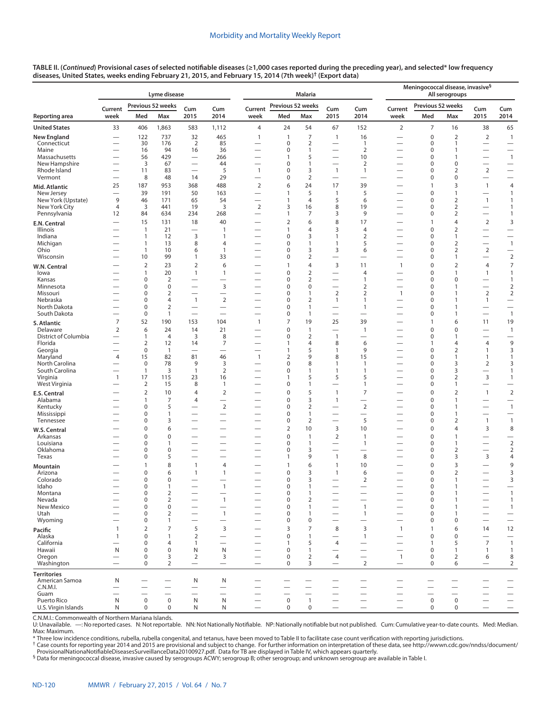|                                      |                                       |                               | Lyme disease                   |                                                      |                                                      | <b>Malaria</b>                                       |                   |                                  |                                                      |                                            |                                                      | Meningococcal disease, invasive <sup>§</sup><br>All serogroups |                                         |                                                      |                                                      |  |
|--------------------------------------|---------------------------------------|-------------------------------|--------------------------------|------------------------------------------------------|------------------------------------------------------|------------------------------------------------------|-------------------|----------------------------------|------------------------------------------------------|--------------------------------------------|------------------------------------------------------|----------------------------------------------------------------|-----------------------------------------|------------------------------------------------------|------------------------------------------------------|--|
|                                      | Current                               |                               | Previous 52 weeks              | Cum                                                  | Cum                                                  | Current                                              | Previous 52 weeks |                                  | Cum                                                  | Cum                                        | Current                                              | Previous 52 weeks                                              |                                         | Cum                                                  | Cum                                                  |  |
| Reporting area                       | week                                  | Med                           | Max                            | 2015                                                 | 2014                                                 | week                                                 | Med               | Max                              | 2015                                                 | 2014                                       | week                                                 | Med                                                            | Max                                     | 2015                                                 | 2014                                                 |  |
| <b>United States</b>                 | 33                                    | 406                           | 1,863                          | 583                                                  | 1,112                                                | 4                                                    | 24                | 54                               | 67                                                   | 152                                        | $\overline{2}$                                       | 7                                                              | 16                                      | 38                                                   | 65                                                   |  |
| <b>New England</b>                   | $\overline{\phantom{0}}$              | 122                           | 737                            | 32                                                   | 465                                                  | $\mathbf{1}$                                         | $\mathbf{1}$      | $\overline{7}$                   | $\mathbf{1}$                                         | 16                                         |                                                      | $\mathbf 0$                                                    | $\overline{2}$                          | $\overline{2}$                                       | $\mathbf{1}$                                         |  |
| Connecticut<br>Maine                 | $\overline{\phantom{0}}$              | 30<br>16                      | 176<br>94                      | 2<br>16                                              | 85<br>36                                             | —<br>$\overline{\phantom{0}}$                        | $\mathbf 0$<br>0  | $\overline{2}$<br>$\mathbf{1}$   | $\overline{\phantom{0}}$                             | $\mathbf{1}$<br>$\overline{2}$             | $\overline{\phantom{0}}$<br>$\overline{\phantom{0}}$ | $\mathbf 0$<br>$\mathbf 0$                                     | 1<br>$\mathbf{1}$                       | $\qquad \qquad -$                                    | $\hspace{0.05cm}$                                    |  |
| Massachusetts                        |                                       | 56                            | 429                            | $\overline{\phantom{0}}$                             | 266                                                  | -                                                    | 1                 | 5                                | $\overline{\phantom{0}}$                             | 10                                         |                                                      | $\mathbf 0$                                                    | 1                                       |                                                      | $\mathbf{1}$                                         |  |
| New Hampshire<br>Rhode Island        |                                       | 3<br>11                       | 67<br>83                       | $\overline{\phantom{0}}$<br>$\overline{\phantom{0}}$ | 44<br>5                                              | $\overline{\phantom{0}}$<br>$\mathbf{1}$             | 0<br>0            | $\mathbf{1}$<br>3                | $\mathbf{1}$                                         | $\overline{2}$<br>$\mathbf{1}$             | $\overline{\phantom{0}}$<br>$\overline{\phantom{0}}$ | $\mathbf 0$<br>$\mathbf 0$                                     | $\mathbf 0$<br>$\overline{2}$           | $\overline{2}$                                       | $\overline{\phantom{m}}$<br>$\overline{\phantom{0}}$ |  |
| Vermont                              | $\overline{\phantom{0}}$              | 8                             | 48                             | 14                                                   | 29                                                   | $\overline{\phantom{0}}$                             | 0                 | $\overline{2}$                   | $\overline{\phantom{0}}$                             | $\overline{\phantom{0}}$                   |                                                      | $\mathbf 0$                                                    | $\mathbf 0$                             |                                                      |                                                      |  |
| Mid. Atlantic                        | 25                                    | 187                           | 953                            | 368                                                  | 488                                                  | $\overline{2}$                                       | 6                 | 24                               | 17                                                   | 39                                         | $\overline{\phantom{0}}$                             | $\mathbf{1}$                                                   | 3                                       | $\mathbf{1}$                                         | 4                                                    |  |
| New Jersey<br>New York (Upstate)     | $\overbrace{\phantom{12322111}}$<br>9 | 39                            | 191<br>171                     | 50                                                   | 163<br>54                                            | $\overline{\phantom{0}}$                             | 1<br>1            | 5<br>$\overline{4}$              | $\mathbf{1}$<br>5                                    | 5<br>6                                     |                                                      | $\mathbf 0$<br>$\mathbf 0$                                     | $\mathbf{1}$<br>$\overline{2}$          | $\overbrace{\phantom{12322111}}$<br>$\mathbf{1}$     | $\mathbf{1}$                                         |  |
| New York City                        | $\overline{4}$                        | 46<br>3                       | 441                            | 65<br>19                                             | 3                                                    | $\overline{2}$                                       | 3                 | 16                               | 8                                                    | 19                                         | $\overline{\phantom{0}}$<br>$\overline{\phantom{0}}$ | $\mathbf 0$                                                    | $\overline{2}$                          |                                                      | $\mathbf{1}$<br>$\mathbf{1}$                         |  |
| Pennsylvania                         | 12                                    | 84                            | 634                            | 234                                                  | 268                                                  | $\overbrace{\phantom{13333}}$                        | 1                 | $\overline{7}$                   | 3                                                    | 9                                          |                                                      | 0                                                              | $\overline{2}$                          |                                                      | $\mathbf{1}$                                         |  |
| E.N. Central                         | $\overline{\phantom{0}}$              | 15                            | 131                            | 18                                                   | 40                                                   |                                                      | $\overline{2}$    | 6                                | 8                                                    | 17                                         |                                                      | $\mathbf{1}$                                                   | 4                                       | $\overline{2}$                                       | $\mathsf 3$                                          |  |
| Illinois<br>Indiana                  | $\overline{\phantom{0}}$              | $\mathbf{1}$<br>$\mathbf{1}$  | 21<br>12                       | 3                                                    | 1<br>1                                               | —<br>-                                               | 1<br>0            | $\overline{4}$<br>3              | 3<br>$\mathbf{1}$                                    | 4<br>$\overline{2}$                        | $\overline{\phantom{0}}$<br>$\overline{\phantom{0}}$ | $\mathbf 0$<br>$\mathbf 0$                                     | $\overline{2}$<br>1                     |                                                      | $\qquad \qquad$                                      |  |
| Michigan                             |                                       | $\mathbf{1}$                  | 13                             | 8                                                    | $\overline{4}$                                       | -                                                    | 0                 | $\mathbf{1}$                     | $\mathbf{1}$                                         | 5                                          | $\overline{\phantom{0}}$                             | $\mathbf 0$                                                    | $\overline{2}$                          |                                                      | $\mathbf{1}$                                         |  |
| Ohio                                 | $\overline{\phantom{0}}$              | $\mathbf{1}$<br>10            | 10<br>99                       | 6<br>$\mathbf{1}$                                    | $\mathbf{1}$                                         |                                                      | 0<br>0            | 3                                | 3                                                    | 6                                          | $\overline{\phantom{0}}$                             | $\mathbf 0$<br>0                                               | $\overline{2}$<br>1                     | $\overline{2}$                                       | $\overline{\phantom{m}}$<br>$\mathbf 2$              |  |
| Wisconsin<br>W.N. Central            |                                       | $\overline{2}$                | 23                             | $\overline{2}$                                       | 33<br>6                                              | $\overline{\phantom{0}}$                             | 1                 | $\overline{2}$<br>$\overline{4}$ | $\overline{\phantom{0}}$<br>3                        | $\overline{\phantom{0}}$<br>11             | $\mathbf{1}$                                         | $\mathbf 0$                                                    | $\overline{2}$                          | 4                                                    | $\boldsymbol{7}$                                     |  |
| lowa                                 |                                       | 1                             | 20                             | $\mathbf{1}$                                         | $\mathbf{1}$                                         | $\overline{\phantom{0}}$                             | 0                 | $\overline{2}$                   | $\overline{\phantom{0}}$                             | 4                                          |                                                      | $\mathbf 0$                                                    | 1                                       | $\mathbf{1}$                                         | $\mathbf{1}$                                         |  |
| Kansas                               |                                       | $\mathbf 0$                   | $\mathbf 2$                    | $\overline{\phantom{0}}$                             | $\overline{\phantom{0}}$                             | $\overline{\phantom{0}}$                             | 0                 | $\mathbf 2$                      | $\overline{\phantom{0}}$                             | $\mathbf{1}$                               | $\overline{\phantom{0}}$                             | $\mathbf 0$                                                    | $\mathbf 0$                             |                                                      | $\mathbf{1}$                                         |  |
| Minnesota<br>Missouri                | $\overline{\phantom{0}}$              | $\mathbf 0$<br>0              | 0<br>$\overline{2}$            | —<br>$\overline{\phantom{0}}$                        | 3<br>$\overline{\phantom{0}}$                        | -<br>-                                               | 0<br>0            | $\mathbf 0$<br>$\mathbf{1}$      | $\overline{\phantom{0}}$<br>$\overline{2}$           | 2<br>$\overline{2}$                        | $\overline{\phantom{0}}$<br>$\overline{1}$           | $\mathbf 0$<br>$\mathbf 0$                                     | 1<br>1                                  | $\overline{2}$                                       | $\overline{2}$<br>$\overline{2}$                     |  |
| Nebraska                             |                                       | 0                             | 4                              | $\mathbf{1}$                                         | $\overline{2}$                                       |                                                      | 0                 | $\overline{2}$                   | $\mathbf{1}$                                         | $\mathbf{1}$                               | $\overline{\phantom{0}}$                             | 0                                                              | 1                                       | $\mathbf{1}$                                         | $\overline{\phantom{m}}$                             |  |
| North Dakota<br>South Dakota         | $\overline{\phantom{0}}$              | $\mathbf 0$<br>$\mathbf 0$    | $\overline{2}$<br>$\mathbf{1}$ | $\overline{\phantom{0}}$<br>$\overline{\phantom{0}}$ | $\overline{\phantom{0}}$<br>$\overline{\phantom{0}}$ | $\overline{\phantom{0}}$<br>$\overline{\phantom{0}}$ | 0<br>0            | $\overline{1}$<br>$\overline{1}$ | $\overline{\phantom{0}}$<br>$\overline{\phantom{0}}$ | $\mathbf{1}$<br>$\overline{\phantom{0}}$   | -                                                    | 0<br>0                                                         | 1<br>1                                  | $\overline{\phantom{0}}$                             | $\overline{\phantom{0}}$<br>$\mathbf{1}$             |  |
| S. Atlantic                          | $\overline{7}$                        | 52                            | 190                            | 153                                                  | 104                                                  | $\mathbf{1}$                                         | 7                 | 19                               | 25                                                   | 39                                         |                                                      | $\mathbf{1}$                                                   | 6                                       | 11                                                   | 19                                                   |  |
| Delaware                             | $\overline{2}$                        | 6                             | 24                             | 14                                                   | 21                                                   |                                                      | 0                 | $\overline{1}$                   | $\overline{\phantom{0}}$                             | $\mathbf{1}$                               |                                                      | $\mathbf 0$                                                    | $\mathbf 0$                             |                                                      | $\mathbf{1}$                                         |  |
| District of Columbia                 | $\overline{\phantom{0}}$              | 1                             | 4                              | 3                                                    | 8                                                    | $\overline{\phantom{0}}$                             | 0                 | $\overline{2}$                   | $\mathbf{1}$                                         | $\overline{\phantom{0}}$                   | -                                                    | $\mathbf 0$                                                    | 1                                       |                                                      | $\overline{\phantom{0}}$                             |  |
| Florida<br>Georgia                   |                                       | $\overline{2}$<br>$\mathbf 0$ | 12<br>$\mathbf{1}$             | 14                                                   | 7<br>$\overline{\phantom{0}}$                        | $\overline{\phantom{0}}$<br>$\overline{\phantom{0}}$ | 1<br>1            | $\overline{4}$<br>5              | 8<br>$\mathbf{1}$                                    | 6<br>9                                     | <u>—</u>                                             | 1<br>$\mathbf 0$                                               | 4<br>2                                  | $\overline{4}$<br>$\mathbf{1}$                       | 9<br>3                                               |  |
| Maryland                             | $\overline{4}$                        | 15                            | 82                             | 81                                                   | 46                                                   | $\mathbf{1}$                                         | $\overline{2}$    | 9                                | 8                                                    | 15                                         | -                                                    | $\mathbf 0$                                                    | 1                                       | $\mathbf{1}$                                         | $\mathbf{1}$                                         |  |
| North Carolina<br>South Carolina     | $\overline{\phantom{0}}$              | 0<br>$\mathbf{1}$             | 78<br>3                        | 9<br>$\mathbf{1}$                                    | 3<br>$\overline{2}$                                  | $\overline{\phantom{0}}$                             | 0<br>$\Omega$     | 8<br>$\mathbf{1}$                | $\mathbf{1}$<br>1                                    | $\mathbf{1}$<br>$\mathbf{1}$               | $\overline{\phantom{0}}$                             | 0<br>0                                                         | 3<br>3                                  | $\overline{2}$                                       | 3<br>$\mathbf{1}$                                    |  |
| Virginia                             | $\mathbf{1}$                          | 17                            | 115                            | 23                                                   | 16                                                   |                                                      | 1                 | 5                                | 5                                                    | 5                                          | -                                                    | 0                                                              | 2                                       | 3                                                    | $\mathbf{1}$                                         |  |
| West Virginia                        |                                       | $\overline{2}$                | 15                             | 8                                                    | $\mathbf{1}$                                         | $\overline{\phantom{0}}$                             | 0                 | $\overline{1}$                   | $\overline{\phantom{0}}$                             | $\mathbf{1}$                               | $\overline{\phantom{0}}$                             | 0                                                              | 1                                       | $\overline{\phantom{0}}$                             |                                                      |  |
| E.S. Central<br>Alabama              |                                       | 2<br>1                        | 10<br>$\overline{7}$           | $\overline{4}$<br>$\overline{4}$                     | $\overline{2}$<br>$\overline{\phantom{0}}$           | $\overline{\phantom{0}}$                             | 0<br>0            | 5<br>3                           | $\mathbf{1}$<br>$\mathbf{1}$                         | $\overline{7}$<br>$\overline{\phantom{0}}$ | -                                                    | $\mathbf 0$<br>$\mathbf 0$                                     | $\overline{2}$<br>$\mathbf{1}$          | $\mathbf{1}$<br>$\overline{\phantom{0}}$             | $\overline{2}$<br>$\overline{\phantom{0}}$           |  |
| Kentucky                             |                                       | 0                             | 5                              | $\overline{\phantom{0}}$                             | $\overline{2}$                                       | $\overline{\phantom{0}}$                             | 0                 | $\overline{2}$                   |                                                      | $\sqrt{2}$                                 | $\overline{\phantom{0}}$                             | 0                                                              | 1                                       | $\overline{\phantom{0}}$                             | $\mathbf{1}$                                         |  |
| Mississippi                          |                                       | 0                             | $\mathbf{1}$                   | $\overline{\phantom{0}}$                             | $\overline{\phantom{0}}$                             | $\overline{\phantom{0}}$                             | 0                 | $\mathbf{1}$                     | $\overline{\phantom{0}}$                             |                                            |                                                      | 0                                                              | 1                                       | $\overline{\phantom{0}}$                             |                                                      |  |
| Tennessee                            |                                       | 0<br>0                        | 3<br>6                         | $\overline{\phantom{0}}$<br>$\overline{\phantom{0}}$ |                                                      | $\overline{\phantom{0}}$                             | 0<br>2            | $\overline{2}$<br>10             | 3                                                    | 5<br>10                                    | $\overline{\phantom{0}}$                             | 0<br>$\mathbf 0$                                               | $\overline{2}$<br>4                     | $\mathbf{1}$<br>3                                    | $\mathbf{1}$<br>$\,8\,$                              |  |
| W.S. Central<br>Arkansas             |                                       | $\mathbf 0$                   | $\mathbf 0$                    |                                                      |                                                      |                                                      | 0                 | $\overline{1}$                   | $\overline{2}$                                       | $\overline{1}$                             |                                                      | $\mathbf 0$                                                    | 1                                       | $\overline{\phantom{0}}$                             | $\overline{\phantom{0}}$                             |  |
| Louisiana                            |                                       | 0                             | 1                              | $\overline{\phantom{0}}$                             |                                                      |                                                      | 0                 | $\overline{1}$                   | $\overline{\phantom{0}}$                             | $\mathbf{1}$                               |                                                      | $\mathbf 0$                                                    | 1                                       | $\overline{\phantom{0}}$                             | $\mathbf 2$                                          |  |
| Oklahoma<br>Texas                    |                                       | 0<br>$\mathbf 0$              | 0<br>5                         | $\overline{\phantom{0}}$                             | $\overline{\phantom{0}}$                             | $\overline{\phantom{0}}$<br>$\overline{\phantom{0}}$ | 0<br>$\mathbf{1}$ | 3<br>9                           | $\overline{\phantom{0}}$<br>$\mathbf{1}$             | $\overline{\phantom{0}}$<br>8              | $\overline{\phantom{0}}$                             | 0<br>$\mathbf 0$                                               | 2<br>3                                  | $\overline{\phantom{0}}$<br>3                        | $\overline{2}$<br>4                                  |  |
| Mountain                             |                                       | 1                             | 8                              | $\mathbf{1}$                                         | 4                                                    |                                                      | $\mathbf{1}$      | 6                                | $\mathbf{1}$                                         | 10                                         |                                                      | $\mathbf 0$                                                    | 3                                       | $\overline{\phantom{0}}$                             | 9                                                    |  |
| Arizona                              |                                       | $\mathbf 0$                   | 6                              | $\mathbf{1}$                                         | 1                                                    | $\overline{\phantom{0}}$                             | 0                 | 3                                | $\mathbf{1}$                                         | 6                                          |                                                      | $\mathbf 0$                                                    | $\overline{2}$                          | $\overline{\phantom{0}}$                             | 3                                                    |  |
| Colorado<br>ldaho                    |                                       | $\mathbf 0$<br>0              | 0                              |                                                      | 1                                                    | $\overline{\phantom{0}}$                             | 0<br>0            | 3                                |                                                      | 2                                          |                                                      | 0<br>0                                                         | 1                                       | --                                                   | 3                                                    |  |
| Montana                              |                                       | 0                             | $\mathbf 2$                    | $\overline{\phantom{0}}$                             | $\overline{\phantom{0}}$                             | $\overline{\phantom{0}}$                             | 0                 | $\mathbf{1}$                     |                                                      |                                            |                                                      | $\pmb{0}$                                                      | $\mathbf{1}$                            |                                                      | $\mathbf{1}$                                         |  |
| Nevada                               |                                       | 0                             | $\overline{2}$                 | -                                                    | $\overline{1}$                                       |                                                      | $\mathbf 0$       | $\overline{2}$                   |                                                      |                                            | $\overline{\phantom{0}}$                             | $\mathbf 0$                                                    | $\mathbf{1}$                            |                                                      | $\mathbf{1}$                                         |  |
| New Mexico<br>Utah                   |                                       | 0<br>0                        | 0<br>$\overline{2}$            | $\overline{\phantom{0}}$                             | $\overline{\phantom{0}}$<br>$\mathbf{1}$             | $\overline{\phantom{0}}$                             | 0<br>0            | $\overline{1}$<br>$\mathbf{1}$   |                                                      | $\mathbf{1}$<br>$\mathbf{1}$               | $\overline{\phantom{0}}$<br>$\overline{\phantom{0}}$ | $\pmb{0}$<br>$\mathbf 0$                                       | $\mathbf{1}$<br>$\mathbf{1}$            | $\overline{\phantom{0}}$<br>$\overline{\phantom{0}}$ | $\mathbf{1}$                                         |  |
| Wyoming                              | $\overline{\phantom{0}}$              | 0                             | 1                              |                                                      |                                                      | $\overline{\phantom{0}}$                             | 0                 | $\bf 0$                          | -                                                    |                                            |                                                      | 0                                                              | 0                                       |                                                      | $\qquad \qquad -$                                    |  |
| Pacific                              | 1                                     | $\overline{2}$                | 7                              | 5                                                    | 3                                                    |                                                      | 3                 | $\overline{7}$                   | 8                                                    | $\overline{3}$                             | $\mathbf{1}$                                         | $\mathbf{1}$                                                   | 6                                       | 14                                                   | 12                                                   |  |
| Alaska<br>California                 | $\mathbf{1}$                          | 0<br>0                        | $\mathbf{1}$<br>4              | $\overline{2}$<br>$\mathbf{1}$                       | $\overline{\phantom{0}}$                             | —<br>$\overline{\phantom{0}}$                        | 0<br>1            | $\mathbf{1}$<br>5                | -<br>$\overline{4}$                                  | $\mathbf{1}$<br>$\overline{\phantom{0}}$   | $\overline{\phantom{0}}$<br>$\overline{\phantom{0}}$ | $\mathbf 0$<br>1                                               | $\pmb{0}$<br>5                          | $\overline{7}$                                       | $\qquad \qquad$<br>$\mathbf{1}$                      |  |
| Hawaii                               | N                                     | 0                             | 0                              | N                                                    | N                                                    | $\overline{\phantom{0}}$                             | 0                 | $\overline{1}$                   | $\overline{\phantom{0}}$                             | $\overline{\phantom{0}}$                   | $\overbrace{\phantom{12322111}}$                     | 0                                                              | $\mathbf{1}$                            | $\mathbf{1}$                                         | $\mathbf{1}$                                         |  |
| Oregon<br>Washington                 |                                       | 0<br>0                        | 3<br>$\overline{2}$            | 2<br>$\overbrace{\phantom{1232211}}$                 | 3<br>$\overline{\phantom{0}}$                        | $\overline{\phantom{0}}$                             | $\mathbf 0$<br>0  | 2<br>3                           | 4<br>$\overline{\phantom{0}}$                        | $\overline{2}$                             | $\mathbf{1}$                                         | $\pmb{0}$<br>0                                                 | $\overline{2}$<br>6                     | 6<br>$\overbrace{\phantom{12322111}}$                | 8                                                    |  |
|                                      |                                       |                               |                                |                                                      |                                                      | $\overline{\phantom{m}}$                             |                   |                                  |                                                      |                                            | $\overline{\phantom{m}}$                             |                                                                |                                         |                                                      | $\overline{2}$                                       |  |
| <b>Territories</b><br>American Samoa | N                                     |                               |                                | N                                                    | N                                                    |                                                      |                   |                                  |                                                      | —                                          |                                                      |                                                                |                                         |                                                      |                                                      |  |
| C.N.M.I.                             | $\overline{\phantom{0}}$              |                               |                                |                                                      |                                                      |                                                      |                   |                                  |                                                      |                                            |                                                      |                                                                |                                         |                                                      | $\overline{\phantom{0}}$                             |  |
| Guam<br>Puerto Rico                  | $\overline{\phantom{0}}$<br>${\sf N}$ | $\mathbf 0$                   | $\mathsf 0$                    | —<br>${\sf N}$                                       | $\overline{\phantom{0}}$<br>N                        | $\overbrace{\phantom{13333}}$                        | $\mathbf 0$       | $\mathbf{1}$                     |                                                      | $\overline{\phantom{0}}$                   | $\qquad \qquad$                                      | $\overline{\phantom{0}}$<br>$\pmb{0}$                          | $\overline{\phantom{0}}$<br>$\mathbf 0$ |                                                      |                                                      |  |
| U.S. Virgin Islands                  | N                                     | $\mathbf 0$                   | 0                              | N                                                    | N                                                    | $\overbrace{\phantom{12333}}$                        | $\mathbf 0$       | $\mathsf 0$                      |                                                      | $\overline{\phantom{0}}$                   |                                                      | $\mathbf 0$                                                    | 0                                       |                                                      |                                                      |  |

C.N.M.I.: Commonwealth of Northern Mariana Islands.<br>U: Unavailable. —: No reported cases. N: Not reportable. NN: Not Nationally Notifiable. NP: Nationally notifiable but not published. Cum: Cumulative year-to-dat Max: Maximum.<br>\* Three low incidence conditions, rubella, rubella congenital, and tetanus, have been moved to Table II to facilitate case count verification with reporting jurisdictions.

t Case counts for reporting year 2014 and 2015 are provisional and subject to change. For further information on interpretation of these data, see [http://wwwn.cdc.gov/nndss/document/](http://wwwn.cdc.gov/nndss/document/ProvisionalNationaNotifiableDiseasesSurveillanceData20100927.pdf)<br>ProvisionalNationaNotifiableDiseasesSur

<sup>§</sup> Data for meningococcal disease, invasive caused by serogroups ACWY; serogroup B; other serogroup; and unknown serogroup are available in Table I.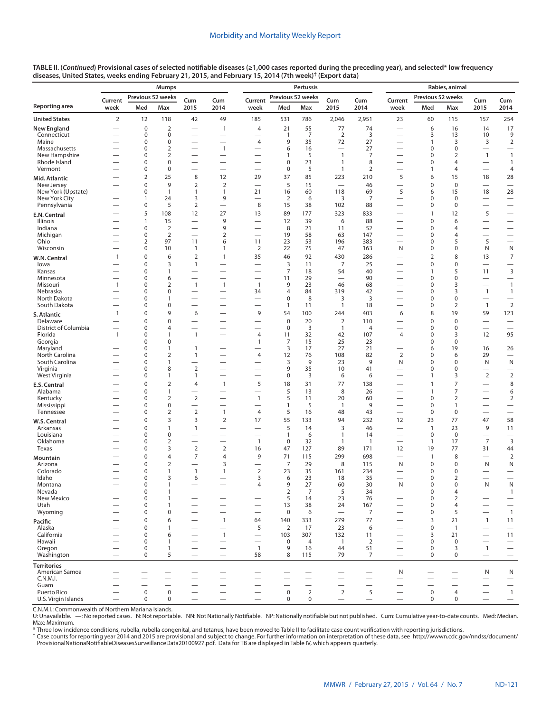|                                  |                                          |                            | Mumps                          |                                                      |                          |                                            |                                   | Pertussis            |                                               | Rabies, animal       |                               |                             |                                   |                                                      |                                                      |
|----------------------------------|------------------------------------------|----------------------------|--------------------------------|------------------------------------------------------|--------------------------|--------------------------------------------|-----------------------------------|----------------------|-----------------------------------------------|----------------------|-------------------------------|-----------------------------|-----------------------------------|------------------------------------------------------|------------------------------------------------------|
|                                  | Current                                  | Previous 52 weeks          |                                | Cum                                                  | Cum                      | Current                                    | Previous 52 weeks                 |                      | Cum                                           | Cum                  | Current                       | Previous 52 weeks           |                                   | Cum                                                  | Cum                                                  |
| Reporting area                   | week                                     | Med                        | Max                            | 2015                                                 | 2014                     | week                                       | Med                               | Max                  | 2015                                          | 2014                 | week                          | Med                         | Max                               | 2015                                                 | 2014                                                 |
| <b>United States</b>             | $\overline{2}$                           | 12                         | 118                            | 42                                                   | 49                       | 185                                        | 531                               | 786                  | 2,046                                         | 2,951                | 23                            | 60                          | 115                               | 157                                                  | 254                                                  |
| New England<br>Connecticut       |                                          | $\mathbf 0$<br>0           | $\overline{2}$<br>$\mathbf 0$  | $\overline{\phantom{0}}$                             | $\mathbf{1}$             | 4                                          | 21<br>$\mathbf{1}$                | 55<br>$\overline{7}$ | 77<br>$\overline{2}$                          | 74<br>3              | $\overline{\phantom{0}}$      | 6<br>3                      | 16<br>13                          | 14<br>10                                             | 17<br>9                                              |
| Maine                            | —                                        | 0                          | $\mathbf 0$                    |                                                      | —                        | $\overline{\phantom{0}}$<br>4              | 9                                 | 35                   | 72                                            | 27                   | —                             | $\mathbf{1}$                | 3                                 | 3                                                    | $\mathbf 2$                                          |
| Massachusetts                    |                                          | 0                          | $\overline{2}$                 | $\overline{\phantom{0}}$                             | $\mathbf{1}$             | <u>—</u>                                   | 6                                 | 16                   | $\overline{\phantom{0}}$                      | 27                   | -                             | $\mathbf 0$                 | $\mathbf 0$                       |                                                      |                                                      |
| New Hampshire<br>Rhode Island    |                                          | 0<br>0                     | $\overline{2}$<br>$\mathbf 0$  | $\overline{\phantom{0}}$                             | $\overline{\phantom{0}}$ |                                            | 1<br>$\mathbf 0$                  | 5<br>23              | $\mathbf{1}$<br>$\mathbf{1}$                  | $\overline{7}$<br>8  |                               | $\mathbf 0$<br>$\mathbf 0$  | $\overline{2}$<br>4               | $\mathbf{1}$                                         | $\overline{1}$<br>$\mathbf{1}$                       |
| Vermont                          |                                          | $\mathbf 0$                | $\pmb{0}$                      | $\overline{\phantom{0}}$                             |                          | $\overline{\phantom{0}}$                   | $\mathbf 0$                       | 5                    | $\overline{1}$                                | $\overline{2}$       |                               | 1                           | 4                                 |                                                      | 4                                                    |
| Mid. Atlantic                    |                                          | $\overline{2}$             | 25                             | 8                                                    | 12                       | 29                                         | 37                                | 85                   | 223                                           | 210                  | 5                             | 6                           | 15                                | 18                                                   | 28                                                   |
| New Jersey<br>New York (Upstate) |                                          | 0<br>0                     | 9<br>$\mathbf{1}$              | $\overline{2}$<br>1                                  | $\overline{2}$<br>1      | $\overline{\phantom{0}}$<br>21             | 5<br>16                           | 15<br>60             | $\overline{\phantom{0}}$<br>118               | 46<br>69             | $\qquad \qquad$<br>5          | $\mathbf 0$<br>6            | $\mathbf 0$<br>15                 | $\overline{\phantom{0}}$<br>18                       | $\overline{\phantom{0}}$<br>28                       |
| New York City                    |                                          | 1                          | 24                             | 3                                                    | 9                        |                                            | $\overline{2}$                    | 6                    | 3                                             | 7                    |                               | $\mathbf 0$                 | $\mathbf 0$                       |                                                      | $\overline{\phantom{m}}$                             |
| Pennsylvania                     |                                          | 0                          | 5                              | $\overline{2}$                                       | $\overline{\phantom{0}}$ | 8                                          | 15                                | 38                   | 102                                           | 88                   | $\overline{\phantom{0}}$      | $\mathbf 0$                 | $\mathbf 0$                       | $\overline{\phantom{0}}$                             |                                                      |
| E.N. Central<br><b>Illinois</b>  |                                          | 5<br>$\mathbf{1}$          | 108<br>15                      | 12                                                   | 27<br>9                  | 13                                         | 89<br>12                          | 177<br>39            | 323<br>6                                      | 833<br>88            | -                             | $\mathbf{1}$<br>$\mathbf 0$ | 12<br>6                           | 5                                                    | $\overline{\phantom{0}}$                             |
| Indiana                          |                                          | $\mathbf 0$                | $\overline{2}$                 | $\overline{\phantom{0}}$                             | 9                        | $\overline{\phantom{0}}$                   | 8                                 | 21                   | 11                                            | 52                   |                               | $\mathbf 0$                 | 4                                 | $\overline{\phantom{0}}$                             |                                                      |
| Michigan                         |                                          | $\mathbf 0$                | $\overline{2}$                 |                                                      | $\overline{2}$           | -                                          | 19                                | 58                   | 63                                            | 147                  | —                             | $\mathbf 0$                 | 4                                 |                                                      |                                                      |
| Ohio<br>Wisconsin                | -                                        | $\overline{2}$<br>0        | 97<br>10                       | 11<br>1                                              | 6<br>1                   | 11<br>$\overline{2}$                       | 23<br>22                          | 53<br>75             | 196<br>47                                     | 383<br>163           | N                             | $\mathbf 0$<br>$\mathbf 0$  | 5<br>0                            | 5<br>N                                               | $\overline{\phantom{0}}$<br>${\sf N}$                |
| W.N. Central                     | $\mathbf{1}$                             | 0                          | 6                              | $\overline{2}$                                       | $\mathbf{1}$             | 35                                         | 46                                | 92                   | 430                                           | 286                  |                               | $\mathbf 2$                 | 8                                 | 13                                                   | $\overline{7}$                                       |
| lowa                             |                                          | 0                          | 3                              | $\mathbf{1}$                                         |                          |                                            | 3                                 | 11                   | $\overline{7}$                                | 25                   |                               | $\mathbf 0$                 | $\mathbf 0$                       |                                                      |                                                      |
| Kansas<br>Minnesota              | —<br>—                                   | $\mathbf 0$<br>$\mathbf 0$ | $\mathbf{1}$<br>6              | $\overline{\phantom{0}}$<br>$\overline{\phantom{0}}$ | $\overline{\phantom{0}}$ | -                                          | $\overline{7}$<br>11              | 18<br>29             | 54                                            | 40<br>90             | $\overline{\phantom{0}}$<br>— | 1<br>$\mathbf 0$            | 5<br>0                            | 11<br>—                                              | 3                                                    |
| Missouri                         | $\mathbf{1}$                             | 0                          | $\overline{2}$                 | $\mathbf{1}$                                         | $\mathbf{1}$             | $\overline{1}$                             | 9                                 | 23                   | 46                                            | 68                   |                               | $\mathbf 0$                 | 3                                 |                                                      | $\overline{1}$                                       |
| Nebraska                         |                                          | $\Omega$                   | $\mathbf 0$                    |                                                      |                          | 34                                         | 4                                 | 84                   | 319                                           | 42                   |                               | $\mathbf 0$                 | 3                                 | $\mathbf{1}$                                         | $\mathbf{1}$                                         |
| North Dakota<br>South Dakota     |                                          | 0<br>0                     | $\mathbf{1}$<br>$\mathbf 0$    |                                                      | $\overline{\phantom{0}}$ | $\overline{\phantom{0}}$<br>-              | 0<br>1                            | 8<br>11              | 3<br>$\mathbf{1}$                             | 3<br>18              | —                             | $\mathbf 0$<br>$\mathbf 0$  | $\mathbf 0$<br>2                  | $\overline{\phantom{0}}$<br>$\mathbf{1}$             | $\overline{\phantom{0}}$<br>$\overline{2}$           |
| S. Atlantic                      | $\mathbf{1}$                             | 0                          | 9                              | 6                                                    |                          | 9                                          | 54                                | 100                  | 244                                           | 403                  | 6                             | 8                           | 19                                | 59                                                   | 123                                                  |
| Delaware                         |                                          | 0                          | $\mathbf 0$                    |                                                      |                          | -                                          | $\mathbf 0$                       | 20                   | $\overline{2}$                                | 110                  | —                             | $\mathbf 0$                 | $\mathbf 0$                       | —                                                    | $\overline{\phantom{0}}$                             |
| District of Columbia<br>Florida  | $\overline{\phantom{0}}$<br>$\mathbf{1}$ | 0<br>$\Omega$              | 4<br>$\mathbf{1}$              | $\overline{\phantom{0}}$<br>$\mathbf{1}$             | $\overline{\phantom{0}}$ | -<br>4                                     | $\pmb{0}$<br>11                   | 3<br>32              | $\mathbf{1}$<br>42                            | 4<br>107             | 4                             | $\mathbf 0$<br>$\mathbf 0$  | $\mathbf 0$<br>3                  | 12                                                   | $\overline{\phantom{0}}$<br>95                       |
| Georgia                          |                                          | 0                          | $\mathbf 0$                    | $\overline{\phantom{0}}$                             | $\overline{\phantom{0}}$ | $\mathbf{1}$                               | 7                                 | 15                   | 25                                            | 23                   | $\overline{\phantom{0}}$      | 0                           | $\mathbf 0$                       | $\overline{\phantom{0}}$                             | $\overline{\phantom{0}}$                             |
| Maryland<br>North Carolina       |                                          | 0<br>$\Omega$              | $\mathbf{1}$                   | $\mathbf{1}$<br>$\mathbf{1}$                         | $\overline{\phantom{0}}$ | -                                          | 3<br>12                           | 17<br>76             | 27<br>108                                     | 21<br>82             | —<br>$\overline{2}$           | 6<br>0                      | 19<br>6                           | 16                                                   | 26<br>$\overbrace{\phantom{12322111}}$               |
| South Carolina                   |                                          | $\Omega$                   | 2<br>$\mathbf{1}$              |                                                      | $\overline{\phantom{0}}$ | 4                                          | 3                                 | 9                    | 23                                            | 9                    | N                             | $\mathbf 0$                 | 0                                 | 29<br>N                                              | ${\sf N}$                                            |
| Virginia                         |                                          | 0                          | 8                              | $\overline{2}$                                       | $\overline{\phantom{0}}$ | -                                          | 9                                 | 35                   | 10                                            | 41                   | $\overline{\phantom{0}}$      | 0                           | 0                                 | $\overline{\phantom{0}}$                             | $\overline{\phantom{0}}$                             |
| West Virginia                    |                                          | 0<br>0                     | $\mathbf{1}$<br>$\overline{2}$ | 1<br>4                                               | $\mathbf{1}$             | -<br>5                                     | 0<br>18                           | 3<br>31              | 6<br>77                                       | 6<br>138             | -<br>$\overline{\phantom{0}}$ | 1<br>$\mathbf{1}$           | 3<br>$\overline{7}$               | $\overline{2}$<br>$\overline{\phantom{0}}$           | $\mathbf 2$<br>8                                     |
| E.S. Central<br>Alabama          |                                          | 0                          | $\mathbf{1}$                   |                                                      |                          |                                            | 5                                 | 13                   | 8                                             | 26                   | -                             | $\mathbf{1}$                | $\overline{7}$                    | —                                                    | 6                                                    |
| Kentucky                         |                                          | 0                          | $\overline{2}$                 | $\mathbf 2$                                          | $\overline{\phantom{0}}$ | $\mathbf{1}$                               | 5                                 | 11                   | 20                                            | 60                   | $\overline{\phantom{0}}$      | 0                           | $\overline{2}$                    | $\overline{\phantom{0}}$                             | $\overline{2}$                                       |
| Mississippi<br>Tennessee         |                                          | $\Omega$<br>0              | $\mathbf 0$<br>$\overline{2}$  | $\overline{\phantom{0}}$<br>$\mathbf 2$              | $\overline{1}$           | 4                                          | 1<br>5                            | 5<br>16              | $\mathbf{1}$<br>48                            | 9<br>43              | $\overline{\phantom{0}}$      | $\mathbf 0$<br>0            | 1<br>0                            | $\overline{\phantom{0}}$<br>$\overline{\phantom{0}}$ | $\overline{\phantom{0}}$<br>$\overline{\phantom{0}}$ |
| W.S. Central                     |                                          | 0                          | 3                              | 3                                                    | $\overline{2}$           | 17                                         | 55                                | 133                  | 94                                            | 232                  | 12                            | 23                          | 77                                | 47                                                   | 58                                                   |
| Arkansas                         |                                          | 0                          | $\mathbf{1}$                   | $\mathbf{1}$                                         | $\overline{\phantom{0}}$ |                                            | 5                                 | 14                   | 3                                             | 46                   |                               | $\mathbf{1}$                | 23                                | 9                                                    | 11                                                   |
| Louisiana<br>Oklahoma            | -                                        | $\Omega$<br>0              | $\mathbf 0$<br>$\overline{2}$  | $\overline{\phantom{0}}$                             | $\overline{\phantom{0}}$ | $\overline{1}$                             | 1<br>$\mathbf 0$                  | 6<br>32              | $\mathbf{1}$<br>$\mathbf{1}$                  | 14<br>$\overline{1}$ | $\overline{\phantom{0}}$      | $\mathbf 0$<br>$\mathbf{1}$ | $\mathbf 0$<br>17                 | $\overline{\phantom{0}}$<br>$\overline{7}$           | $\overline{3}$                                       |
| Texas                            |                                          | $\Omega$                   | 3                              | $\overline{2}$                                       | $\mathbf 2$              | 16                                         | 47                                | 127                  | 89                                            | 171                  | 12                            | 19                          | 77                                | 31                                                   | 44                                                   |
| Mountain                         |                                          | 0                          | $\overline{4}$                 | $\overline{7}$                                       | 4                        | 9                                          | 71                                | 115                  | 299                                           | 698                  | $\overline{\phantom{0}}$      | $\mathbf{1}$                | 8                                 |                                                      | $\overline{2}$                                       |
| Arizona<br>Colorado              |                                          | 0<br>0                     | $\overline{2}$<br>$\mathbf{1}$ | $\overline{\phantom{0}}$<br>$\mathbf{1}$             | 3<br>$\mathbf{1}$        | 2                                          | $\overline{7}$<br>23              | 29<br>35             | 8<br>161                                      | 115<br>234           | N                             | $\mathbf 0$<br>0            | $\mathbf 0$<br>0                  | Ν                                                    | N<br>$\overline{\phantom{0}}$                        |
| Idaho                            |                                          | 0                          | 3                              | 6                                                    | $\overline{\phantom{0}}$ | 3                                          | 6                                 | 23                   | 18                                            | 35                   | -                             | $\mathbf 0$                 | 2                                 | —                                                    |                                                      |
| Montana                          |                                          | $\Omega$                   | $\mathbf{1}$                   |                                                      | $\overline{\phantom{0}}$ | 4                                          | 9                                 | 27                   | 60                                            | 30                   | N                             | $\Omega$                    | $\Omega$                          | N                                                    | N                                                    |
| Nevada<br>New Mexico             | $\overline{\phantom{0}}$                 | 0<br>0                     | 1<br>$\mathbf{1}$              |                                                      | $\overline{\phantom{0}}$ | $\overline{\phantom{0}}$                   | 2<br>5                            | 7<br>14              | 5<br>23                                       | 34<br>76             | $\overline{\phantom{0}}$      | 0<br>$\pmb{0}$              | 4<br>$\overline{2}$               | —<br>$\overline{\phantom{0}}$                        | $\mathbf{1}$<br>$\qquad \qquad -$                    |
| Utah                             |                                          | 0                          | $\mathbf{1}$                   |                                                      | $\overline{\phantom{0}}$ |                                            | 13                                | 38                   | 24                                            | 167                  |                               | 0                           | 4                                 |                                                      | $\overbrace{\phantom{1232211}}$                      |
| Wyoming                          | $\overline{\phantom{0}}$                 | 0<br>$\mathbf 0$           | 0                              |                                                      | $\overline{\phantom{0}}$ | $\overline{\phantom{0}}$                   | 0                                 | 6                    | $\overbrace{\phantom{12322111}}$              | 7                    | $\overline{\phantom{0}}$      | 0                           | 5                                 | $\overline{\phantom{0}}$                             | $\overline{1}$                                       |
| Pacific<br>Alaska                |                                          | 0                          | 6<br>$\mathbf{1}$              |                                                      | $\mathbf{1}$<br>—        | 64<br>5                                    | 140<br>$\overline{2}$             | 333<br>17            | 279<br>23                                     | 77<br>6              |                               | 3<br>$\pmb{0}$              | 21<br>$\overline{1}$              | $\mathbf{1}$<br>$\overline{\phantom{0}}$             | 11<br>$\overline{\phantom{0}}$                       |
| California                       |                                          | 0                          | 6                              |                                                      | $\mathbf{1}$             | $\overline{\phantom{m}}$                   | 103                               | 307                  | 132                                           | 11                   | $\overline{\phantom{0}}$      | 3                           | 21                                | $\overline{\phantom{0}}$                             | 11                                                   |
| Hawaii<br>Oregon                 | –                                        | 0<br>0                     | $\mathbf{1}$<br>$\mathbf{1}$   |                                                      |                          | $\overline{\phantom{0}}$<br>$\overline{1}$ | 0<br>9                            | 4<br>16              | $\overline{1}$<br>44                          | 2<br>51              |                               | $\pmb{0}$<br>$\pmb{0}$      | 0<br>3                            | $\mathbf{1}$                                         | $\overline{\phantom{m}}$                             |
| Washington                       | $\overline{\phantom{0}}$                 | 0                          | 5                              | $\overline{\phantom{0}}$                             | $\overline{\phantom{0}}$ | 58                                         | 8                                 | 115                  | 79                                            | 7                    | $\qquad \qquad -$             | $\pmb{0}$                   | 0                                 | $\qquad \qquad -$                                    | $\overline{\phantom{m}}$<br>$\qquad \qquad -$        |
| Territories                      |                                          |                            |                                |                                                      |                          |                                            |                                   |                      |                                               |                      |                               |                             |                                   |                                                      |                                                      |
| American Samoa                   |                                          |                            |                                |                                                      | —                        |                                            |                                   |                      | —                                             |                      | N                             |                             |                                   | N                                                    | N                                                    |
| C.N.M.I.<br>Guam                 |                                          |                            | $\overline{\phantom{0}}$       | $\overline{\phantom{0}}$                             |                          | -                                          | $\overbrace{\phantom{123221111}}$ |                      | $\overline{\phantom{0}}$<br>$\qquad \qquad -$ |                      |                               | $\qquad \qquad$             | $\overbrace{\phantom{123221111}}$ |                                                      | $\overline{\phantom{m}}$                             |
| Puerto Rico                      |                                          | $\mathbf 0$                | $\mathbf 0$                    |                                                      |                          | $\overbrace{\phantom{123221111}}$          | $\mathbf 0$                       | $\overline{2}$       | $\overline{2}$                                | 5                    | $\qquad \qquad -$             | $\mathbf 0$                 | 4                                 | $\qquad \qquad -$                                    | $\overline{1}$                                       |
| U.S. Virgin Islands              |                                          | $\mathbf 0$                | 0                              | $\overline{\phantom{0}}$                             | $\overline{\phantom{0}}$ | $\qquad \qquad -$                          | $\mathbf 0$                       | $\mathbf 0$          |                                               | $\qquad \qquad -$    | $\overline{\phantom{m}}$      | 0                           | 0                                 | $\qquad \qquad -$                                    | $\qquad \qquad -$                                    |

C.N.M.I.: Commonwealth of Northern Mariana Islands.

U: Unavailable. —: No reported cases. N: Not reportable. NN: Not Nationally Notifiable. NP: Nationally notifiable but not published. Cum: Cumulative year-to-date counts. Med: Median.

Max: Maximum.<br>\* Three low incidence conditions, rubella, rubella congenital, and tetanus, have been moved to Table II to facilitate case count verification with reporting jurisdictions.<br>† Case counts for reporting year 201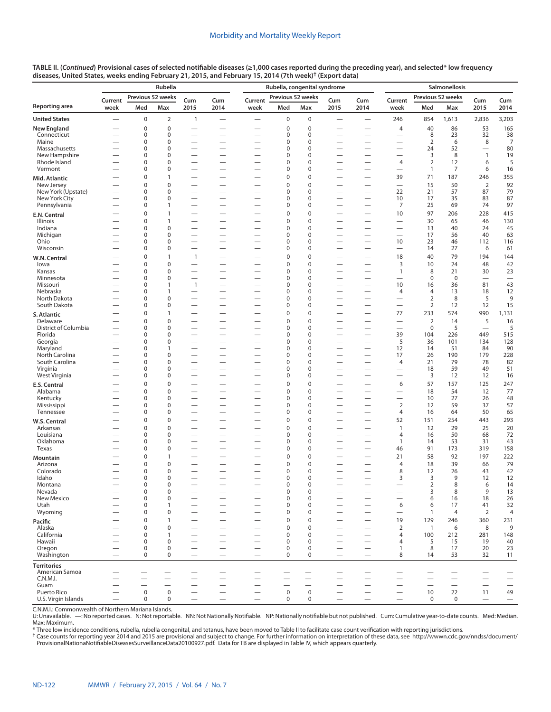|                                      |                               |                          | Rubella                     |                          |                          | Rubella, congenital syndrome  |                                 |                            |                                                      |                                                      | Salmonellosis                                        |                               |                          |                                       |                                |  |
|--------------------------------------|-------------------------------|--------------------------|-----------------------------|--------------------------|--------------------------|-------------------------------|---------------------------------|----------------------------|------------------------------------------------------|------------------------------------------------------|------------------------------------------------------|-------------------------------|--------------------------|---------------------------------------|--------------------------------|--|
| Reporting area                       | Current<br>week               | Med                      | Previous 52 weeks<br>Max    | Cum<br>2015              | Cum<br>2014              | Current<br>week               | Previous 52 weeks<br>Med        | Max                        | Cum<br>2015                                          | Cum<br>2014                                          | Current<br>week                                      | Previous 52 weeks<br>Med      | Max                      | Cum<br>2015                           | Cum<br>2014                    |  |
| <b>United States</b>                 | $\overline{\phantom{0}}$      | 0                        | $\overline{2}$              | 1                        |                          |                               | $\boldsymbol{0}$                | $\pmb{0}$                  |                                                      |                                                      | 246                                                  | 854                           | 1,613                    | 2,836                                 | 3,203                          |  |
| New England                          |                               | 0                        | $\mathbf 0$                 |                          |                          |                               | $\boldsymbol{0}$                | $\pmb{0}$                  | $\overline{\phantom{0}}$                             |                                                      | 4                                                    | 40                            | 86                       | 53                                    | 165                            |  |
| Connecticut                          |                               | 0                        | $\mathbf 0$                 |                          | $\overline{\phantom{0}}$ | -                             | 0                               | $\mathbf 0$                | $\overline{\phantom{0}}$                             | $\overline{\phantom{0}}$                             |                                                      | 8                             | 23                       | 32                                    | 38                             |  |
| Maine                                |                               | 0                        | $\pmb{0}$                   | $\overline{\phantom{0}}$ | $\overline{\phantom{0}}$ | -                             | 0                               | $\pmb{0}$                  | $\overline{\phantom{0}}$                             | $\overline{\phantom{0}}$                             | -                                                    | $\overline{2}$                | 6                        | 8                                     | $\overline{7}$                 |  |
| Massachusetts                        |                               | 0                        | $\mathbf 0$                 |                          |                          |                               | 0                               | $\mathbf 0$                | $\overline{\phantom{0}}$                             | $\overline{\phantom{0}}$                             | -                                                    | 24                            | 52                       | $\overline{\phantom{0}}$              | 80                             |  |
| New Hampshire<br>Rhode Island        |                               | 0<br>$\Omega$            | $\mathbf 0$<br>0            |                          | $\overline{\phantom{0}}$ |                               | 0<br>0                          | 0<br>$\mathbf 0$           | $\overline{\phantom{0}}$<br>$\overline{\phantom{0}}$ | $\overline{\phantom{0}}$<br>$\overline{\phantom{0}}$ | 4                                                    | 3<br>2                        | 8<br>12                  | $\mathbf{1}$<br>6                     | 19<br>5                        |  |
| Vermont                              |                               | 0                        | $\pmb{0}$                   |                          |                          |                               | 0                               | 0                          | $\overline{\phantom{0}}$                             | -                                                    | $\overline{\phantom{0}}$                             | $\mathbf{1}$                  | 7                        | 6                                     | 16                             |  |
| Mid. Atlantic                        |                               | 0                        | $\mathbf{1}$                |                          | $\overline{\phantom{0}}$ |                               | $\mathbf 0$                     | $\pmb{0}$                  | $\overline{\phantom{0}}$                             | $\overline{\phantom{0}}$                             | 39                                                   | 71                            | 187                      | 246                                   | 355                            |  |
| New Jersey                           |                               | 0                        | $\mathsf{O}\xspace$         |                          | $\overline{\phantom{0}}$ |                               | $\mathbf 0$                     | 0                          | $\overline{\phantom{0}}$                             | -                                                    | $\overline{\phantom{0}}$                             | 15                            | 50                       | $\overline{2}$                        | 92                             |  |
| New York (Upstate)<br>New York City  | —                             | 0<br>0                   | 0<br>$\mathbf 0$            | $\overline{\phantom{0}}$ | $\overline{\phantom{0}}$ | -<br>—                        | 0<br>0                          | $\mathbf 0$<br>0           | $\overline{\phantom{0}}$<br>$\overline{\phantom{0}}$ | $\overline{\phantom{0}}$                             | 22<br>10                                             | 21<br>17                      | 57<br>35                 | 87<br>83                              | 79<br>87                       |  |
| Pennsylvania                         |                               | $\Omega$                 | 1                           |                          | $\overline{\phantom{0}}$ |                               | $\Omega$                        | $\mathbf 0$                |                                                      | $\overline{\phantom{0}}$                             | 7                                                    | 25                            | 69                       | 74                                    | 97                             |  |
| E.N. Central                         |                               | 0                        | $\mathbf{1}$                |                          |                          |                               | $\mathbf 0$                     | 0                          | $\overline{\phantom{0}}$                             |                                                      | 10                                                   | 97                            | 206                      | 228                                   | 415                            |  |
| Illinois                             |                               | 0                        | $\mathbf{1}$                |                          | $\overline{\phantom{0}}$ |                               | $\mathbf 0$                     | $\mathbf 0$                | $\overline{\phantom{0}}$                             |                                                      | $\overline{\phantom{0}}$                             | 30                            | 65                       | 46                                    | 130                            |  |
| Indiana                              |                               | 0                        | $\pmb{0}$                   |                          |                          |                               | 0                               | 0                          |                                                      |                                                      |                                                      | 13                            | 40                       | 24                                    | 45                             |  |
| Michigan<br>Ohio                     | —                             | 0<br>0                   | $\mathbf 0$<br>$\mathbf 0$  | $\overline{\phantom{0}}$ | $\overline{\phantom{0}}$ | -<br>—                        | 0<br>0                          | $\mathbf 0$<br>0           | $\overline{\phantom{0}}$<br>$\overline{\phantom{0}}$ | —<br>$\overline{\phantom{0}}$                        | $\overline{\phantom{0}}$<br>10                       | 17<br>23                      | 56<br>46                 | 40<br>112                             | 63<br>116                      |  |
| Wisconsin                            |                               | 0                        | 0                           |                          |                          |                               | $\Omega$                        | $\mathbf 0$                |                                                      |                                                      | $\overline{\phantom{0}}$                             | 14                            | 27                       | 6                                     | 61                             |  |
| W.N. Central                         |                               | 0                        | $\mathbf{1}$                | 1                        |                          |                               | $\mathbf 0$                     | 0                          |                                                      |                                                      | 18                                                   | 40                            | 79                       | 194                                   | 144                            |  |
| lowa                                 |                               | 0                        | $\mathbf 0$                 |                          |                          |                               | $\mathbf 0$                     | $\mathbf 0$                | $\overline{\phantom{0}}$                             |                                                      | 3                                                    | 10                            | 24                       | 48                                    | 42                             |  |
| Kansas                               |                               | 0                        | $\pmb{0}$                   |                          |                          |                               | 0                               | 0                          |                                                      | $\overline{\phantom{0}}$                             | $\mathbf{1}$                                         | 8                             | 21                       | 30                                    | 23                             |  |
| Minnesota<br>Missouri                | $\overline{\phantom{0}}$      | $\Omega$<br>0            | 0<br>$\mathbf{1}$           | $\mathbf{1}$             |                          | -                             | 0<br>0                          | $\mathbf 0$<br>0           | $\overline{\phantom{0}}$<br>$\overline{\phantom{0}}$ | $\overline{\phantom{0}}$                             | $\overline{\phantom{0}}$<br>10                       | $\mathbf 0$<br>16             | $\mathbf 0$<br>36        | $\overline{\phantom{0}}$<br>81        | $\overline{\phantom{0}}$<br>43 |  |
| Nebraska                             |                               | 0                        | $\mathbf{1}$                |                          |                          | -                             | 0                               | $\mathbf 0$                | $\overline{\phantom{0}}$                             |                                                      | 4                                                    | $\overline{4}$                | 13                       | 18                                    | 12                             |  |
| North Dakota                         | -                             | 0                        | 0                           |                          | $\overline{\phantom{0}}$ |                               | 0                               | $\pmb{0}$                  |                                                      |                                                      |                                                      | $\overline{2}$                | 8                        | 5                                     | 9                              |  |
| South Dakota                         | $\overline{\phantom{0}}$      | 0                        | 0                           | $\overline{\phantom{0}}$ |                          | -                             | 0                               | 0                          | $\overline{\phantom{0}}$                             | $\overline{\phantom{0}}$                             |                                                      | $\overline{2}$                | 12                       | 12                                    | 15                             |  |
| S. Atlantic                          |                               | 0<br>0                   | $\mathbf{1}$<br>$\mathbf 0$ |                          |                          | $\overline{\phantom{0}}$      | $\mathbf 0$<br>$\mathbf 0$      | $\pmb{0}$<br>$\mathbf 0$   | $\overline{\phantom{0}}$                             | $\overline{\phantom{0}}$                             | 77                                                   | 233                           | 574<br>14                | 990                                   | 1,131                          |  |
| Delaware<br>District of Columbia     |                               | 0                        | $\mathbf 0$                 | $\overline{\phantom{0}}$ | $\overline{\phantom{0}}$ | —                             | 0                               | $\pmb{0}$                  | $\overline{\phantom{0}}$<br>$\overline{\phantom{0}}$ | $\overline{\phantom{0}}$                             | $\overline{\phantom{0}}$<br>$\overline{\phantom{0}}$ | $\overline{2}$<br>$\mathbf 0$ | 5                        | 5<br>$\overbrace{\phantom{12322111}}$ | 16<br>5                        |  |
| Florida                              |                               | 0                        | 0                           | $\overline{\phantom{0}}$ | $\overline{\phantom{0}}$ | -                             | 0                               | $\mathbf 0$                | $\overline{\phantom{0}}$                             | $\overline{\phantom{0}}$                             | 39                                                   | 104                           | 226                      | 449                                   | 515                            |  |
| Georgia                              |                               | 0                        | 0                           |                          |                          |                               | 0                               | $\pmb{0}$                  |                                                      |                                                      | 5                                                    | 36                            | 101                      | 134                                   | 128                            |  |
| Maryland<br>North Carolina           | $\overline{\phantom{0}}$<br>— | 0<br>0                   | $\mathbf{1}$<br>$\pmb{0}$   | $\overline{\phantom{0}}$ | $\overline{\phantom{0}}$ | $\overline{\phantom{0}}$<br>- | 0<br>0                          | $\mathbf 0$<br>$\pmb{0}$   | $\overline{\phantom{0}}$<br>$\overline{\phantom{0}}$ |                                                      | 12<br>17                                             | 14<br>26                      | 51<br>190                | 84<br>179                             | 90<br>228                      |  |
| South Carolina                       |                               | 0                        | $\mathbf 0$                 | $\overline{\phantom{0}}$ | $\overline{\phantom{0}}$ | -                             | 0                               | 0                          | $\overline{\phantom{0}}$                             | $\overline{\phantom{0}}$                             | 4                                                    | 21                            | 79                       | 78                                    | 82                             |  |
| Virginia                             |                               | 0                        | 0                           |                          | $\overline{\phantom{0}}$ |                               | 0                               | 0                          |                                                      |                                                      |                                                      | 18                            | 59                       | 49                                    | 51                             |  |
| West Virginia                        | $\overline{\phantom{0}}$      | 0                        | 0                           |                          | $\overline{\phantom{0}}$ | $\overline{\phantom{0}}$      | 0                               | 0                          | $\overline{\phantom{0}}$                             |                                                      | $\overline{\phantom{0}}$                             | 3                             | 12                       | 12                                    | 16                             |  |
| E.S. Central                         |                               | 0                        | $\mathbf 0$                 |                          | $\overline{\phantom{0}}$ |                               | $\mathbf 0$                     | 0                          | $\overline{\phantom{0}}$                             | $\overline{\phantom{0}}$                             | 6                                                    | 57                            | 157                      | 125                                   | 247                            |  |
| Alabama<br>Kentucky                  | $\overline{\phantom{0}}$      | 0<br>0                   | $\mathbf 0$<br>0            | $\overline{\phantom{0}}$ |                          | $\overline{\phantom{0}}$      | $\boldsymbol{0}$<br>0           | $\pmb{0}$<br>$\pmb{0}$     | $\overline{\phantom{0}}$                             |                                                      | $\overline{\phantom{0}}$                             | 18<br>10                      | 54<br>27                 | 12<br>26                              | 77<br>48                       |  |
| Mississippi                          |                               | 0                        | $\mathbf 0$                 | $\overline{\phantom{0}}$ | $\overline{\phantom{0}}$ | —                             | 0                               | $\mathbf 0$                | $\overline{\phantom{0}}$                             | $\overline{\phantom{0}}$                             | $\overline{2}$                                       | 12                            | 59                       | 37                                    | 57                             |  |
| Tennessee                            |                               | 0                        | 0                           |                          |                          |                               | 0                               | 0                          |                                                      |                                                      | 4                                                    | 16                            | 64                       | 50                                    | 65                             |  |
| W.S. Central                         |                               | 0                        | 0                           |                          |                          |                               | 0                               | $\mathbf 0$                |                                                      |                                                      | 52                                                   | 151                           | 254                      | 443                                   | 293                            |  |
| Arkansas                             |                               | 0                        | $\overline{0}$              |                          |                          |                               | $\pmb{0}$                       | 0                          | $\overline{\phantom{0}}$                             |                                                      | $\mathbf{1}$                                         | 12                            | 29                       | 25                                    | 20                             |  |
| Louisiana<br>Oklahoma                | $\overline{\phantom{0}}$      | 0<br>0                   | 0<br>0                      |                          | $\overline{\phantom{0}}$ | $\overline{\phantom{0}}$      | 0<br>0                          | $\pmb{0}$<br>$\pmb{0}$     | $\overline{\phantom{0}}$<br>$\overline{\phantom{0}}$ | $\overline{\phantom{0}}$                             | $\overline{4}$<br>$\mathbf{1}$                       | 16<br>14                      | 50<br>53                 | 68<br>31                              | 72<br>43                       |  |
| Texas                                |                               | 0                        | 0                           |                          | $\overline{\phantom{0}}$ |                               | $\mathbf 0$                     | $\mathbf 0$                | $\overline{\phantom{0}}$                             |                                                      | 46                                                   | 91                            | 173                      | 319                                   | 158                            |  |
| Mountain                             |                               | 0                        | $\mathbf{1}$                |                          | $\overline{\phantom{0}}$ |                               | $\boldsymbol{0}$                | 0                          | $\overline{\phantom{0}}$                             | $\overline{\phantom{0}}$                             | 21                                                   | 58                            | 92                       | 197                                   | 222                            |  |
| Arizona                              |                               | 0                        | $\mathbf 0$                 |                          |                          |                               | $\mathbf 0$                     | 0                          |                                                      |                                                      | $\overline{4}$                                       | 18                            | 39                       | 66                                    | 79                             |  |
| Colorado                             |                               | 0                        | 0<br>0                      |                          |                          |                               | 0                               | 0<br>0                     |                                                      |                                                      | 8<br>3                                               | 12<br>3                       | 26<br>9                  | 43                                    | 42<br>12                       |  |
| Idaho<br>Montana                     |                               | 0<br>$\Omega$            | $\Omega$                    | $\overline{\phantom{0}}$ | $\overline{\phantom{0}}$ |                               | 0<br>0                          | 0                          | $\overline{\phantom{0}}$                             | $\overline{\phantom{0}}$                             |                                                      | 2                             | 8                        | 12<br>6                               | 14                             |  |
| Nevada                               |                               | 0                        | $\boldsymbol{0}$            |                          |                          |                               | 0                               | $\mathbf 0$                |                                                      | $\overline{\phantom{0}}$                             | $\overline{\phantom{0}}$                             | 3                             | 8                        | 9                                     | 13                             |  |
| New Mexico                           |                               | 0                        | $\boldsymbol{0}$            |                          |                          |                               | $\boldsymbol{0}$                | $\pmb{0}$                  |                                                      |                                                      |                                                      | 6                             | 16                       | 18                                    | 26                             |  |
| Utah<br>Wyoming                      |                               | 0<br>0                   | $\mathbf{1}$<br>$\mathbf 0$ |                          | $\overline{\phantom{0}}$ |                               | 0<br>0                          | $\mathbf 0$<br>$\mathbf 0$ | $\overline{\phantom{0}}$                             | $\overline{\phantom{0}}$                             | 6<br>$\overbrace{\phantom{123221111}}$               | 6<br>$\overline{1}$           | 17<br>4                  | 41<br>2                               | 32<br>$\overline{4}$           |  |
| Pacific                              |                               | 0                        | $\mathbf{1}$                |                          |                          |                               | $\boldsymbol{0}$                | $\mathbf 0$                |                                                      |                                                      | 19                                                   | 129                           | 246                      | 360                                   | 231                            |  |
| Alaska                               |                               | 0                        | $\pmb{0}$                   |                          |                          |                               | 0                               | $\pmb{0}$                  | $\overline{\phantom{0}}$                             | $\overline{\phantom{0}}$                             | $\overline{2}$                                       | $\overline{1}$                | 6                        | 8                                     | 9                              |  |
| California                           |                               | 0                        | $\mathbf{1}$                |                          | $\overline{\phantom{0}}$ |                               | $\mathbf 0$                     | $\mathbf 0$                |                                                      | $\overline{\phantom{0}}$                             | $\overline{4}$                                       | 100                           | 212                      | 281                                   | 148                            |  |
| Hawaii                               |                               | 0                        | $\mathbf 0$                 |                          | $\overline{\phantom{0}}$ |                               | 0                               | $\mathbf 0$                | $\overline{\phantom{0}}$                             | $\overline{\phantom{0}}$                             | $\overline{4}$                                       | 5                             | 15                       | 19                                    | 40                             |  |
| Oregon<br>Washington                 |                               | 0<br>$\mathbf 0$         | 0<br>$\boldsymbol{0}$       |                          |                          |                               | 0<br>$\mathbf 0$                | $\mathbf 0$<br>$\mathbf 0$ |                                                      |                                                      | 1<br>8                                               | 8<br>14                       | 17<br>53                 | 20<br>32                              | 23<br>11                       |  |
|                                      |                               |                          |                             |                          |                          |                               |                                 |                            |                                                      |                                                      |                                                      |                               |                          |                                       |                                |  |
| <b>Territories</b><br>American Samoa |                               |                          |                             |                          |                          |                               |                                 |                            |                                                      | $\overline{\phantom{0}}$                             |                                                      |                               |                          | —                                     |                                |  |
| C.N.M.I.                             |                               |                          |                             |                          | $\overline{\phantom{0}}$ |                               |                                 | $\overline{\phantom{0}}$   |                                                      | $\overline{\phantom{0}}$                             |                                                      |                               | $\overline{\phantom{0}}$ |                                       |                                |  |
| Guam                                 |                               | $\overline{\phantom{0}}$ | -                           |                          |                          | $\overline{\phantom{0}}$      |                                 | $\overline{\phantom{0}}$   | $\overline{\phantom{0}}$                             |                                                      | -                                                    | —                             | $\overline{\phantom{0}}$ | $\overline{\phantom{0}}$              | $\overline{\phantom{0}}$       |  |
| Puerto Rico<br>U.S. Virgin Islands   | $\overline{\phantom{0}}$      | $\boldsymbol{0}$<br>0    | $\pmb{0}$<br>0              | $\overline{\phantom{0}}$ |                          |                               | $\boldsymbol{0}$<br>$\mathbf 0$ | $\mathbf 0$<br>0           | $\overline{\phantom{0}}$                             |                                                      | $\overbrace{\phantom{1232211}}$                      | 10<br>0                       | 22<br>0                  | 11<br>$\overline{\phantom{m}}$        | 49<br>$\overline{\phantom{0}}$ |  |

C.N.M.I.: Commonwealth of Northern Mariana Islands.

U: Unavailable. —: No reported cases. N: Not reportable. NN: Not Nationally Notifiable. NP: Nationally notifiable but not published. Cum: Cumulative year-to-date counts. Med: Median.

Max: Maximum.<br>\* Three low incidence conditions, rubella, rubella congenital, and tetanus, have been moved to Table II to facilitate case count verification with reporting jurisdictions.<br>† Case counts for reporting year 201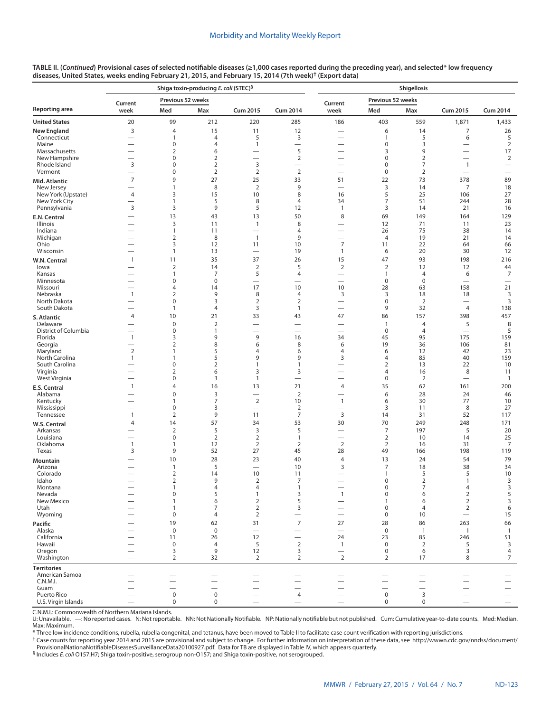|                                     |                                                      |                                  | Shiga toxin-producing E. coli (STEC) <sup>§</sup> |                                            |                                            | Shigellosis                                          |                                |                          |                                            |                                                      |  |  |
|-------------------------------------|------------------------------------------------------|----------------------------------|---------------------------------------------------|--------------------------------------------|--------------------------------------------|------------------------------------------------------|--------------------------------|--------------------------|--------------------------------------------|------------------------------------------------------|--|--|
|                                     | Current                                              | Previous 52 weeks                |                                                   |                                            |                                            | Current                                              | Previous 52 weeks              |                          |                                            |                                                      |  |  |
| Reporting area                      | week                                                 | Med                              | Max                                               | <b>Cum 2015</b>                            | <b>Cum 2014</b>                            | week                                                 | Med                            | Max                      | <b>Cum 2015</b>                            | <b>Cum 2014</b>                                      |  |  |
| <b>United States</b>                | 20                                                   | 99                               | 212                                               | 220                                        | 285                                        | 186                                                  | 403                            | 559                      | 1,871                                      | 1,433                                                |  |  |
| New England                         | $\overline{3}$                                       | $\overline{4}$                   | 15                                                | 11                                         | 12                                         |                                                      | 6                              | 14                       | 7                                          | 26                                                   |  |  |
| Connecticut<br>Maine                | $\overline{\phantom{0}}$<br>$\overline{\phantom{0}}$ | $\mathbf{1}$<br>$\mathbf 0$      | 4<br>$\overline{4}$                               | 5<br>$\mathbf{1}$                          | 3                                          | $\overline{\phantom{0}}$<br>$\overline{\phantom{0}}$ | 1<br>0                         | 5<br>3                   | 6<br>$\overline{\phantom{0}}$              | 5<br>$\sqrt{2}$                                      |  |  |
| Massachusetts                       | $\overline{\phantom{0}}$                             | $\overline{2}$                   | 6                                                 | $\overline{\phantom{0}}$                   | 5                                          | $\overline{\phantom{0}}$                             | 3                              | 9                        | $\overbrace{\phantom{12322111}}$           | 17                                                   |  |  |
| New Hampshire                       | -                                                    | $\mathbf 0$                      | $\overline{2}$                                    |                                            | $\overline{2}$                             | $\overline{\phantom{0}}$                             | 0                              | $\overline{2}$           | $\overline{\phantom{0}}$                   | $\overline{2}$                                       |  |  |
| Rhode Island<br>Vermont             | $\overline{3}$<br>-                                  | $\pmb{0}$<br>$\mathbf 0$         | $\overline{2}$<br>$\overline{2}$                  | 3<br>$\overline{2}$                        | $\overline{\phantom{0}}$<br>$\overline{2}$ | $\overline{\phantom{0}}$<br>$\overline{\phantom{0}}$ | 0<br>0                         | 7<br>$\overline{2}$      | $\overline{1}$<br>$\overline{\phantom{0}}$ | $\overline{\phantom{0}}$<br>$\overline{\phantom{0}}$ |  |  |
| Mid. Atlantic                       | $\overline{7}$                                       | 9                                | 27                                                | 25                                         | 33                                         | 51                                                   | 22                             | 73                       | 378                                        | 89                                                   |  |  |
| New Jersey                          |                                                      | $\mathbf{1}$                     | 8                                                 | $\overline{2}$                             | 9                                          |                                                      | 3                              | 14                       | $\overline{7}$                             | 18                                                   |  |  |
| New York (Upstate)<br>New York City | $\overline{4}$<br>-                                  | 3<br>$\mathbf{1}$                | 15<br>5                                           | 10<br>8                                    | 8<br>$\overline{4}$                        | 16<br>34                                             | 5<br>$\overline{7}$            | 25<br>51                 | 106<br>244                                 | 27<br>28                                             |  |  |
| Pennsylvania                        | $\overline{3}$                                       | 3                                | 9                                                 | 5                                          | 12                                         | $\overline{1}$                                       | 3                              | 14                       | 21                                         | 16                                                   |  |  |
| E.N. Central                        | $\overline{\phantom{0}}$                             | 13                               | 43                                                | 13                                         | 50                                         | 8                                                    | 69                             | 149                      | 164                                        | 129                                                  |  |  |
| Illinois                            |                                                      | $\overline{3}$                   | 11                                                | $\mathbf{1}$                               | 8                                          | $\overline{\phantom{0}}$                             | 12                             | 71                       | 11                                         | 23                                                   |  |  |
| Indiana<br>Michigan                 | -<br>-                                               | $\mathbf{1}$<br>$\overline{2}$   | 11<br>8                                           | $\overline{\phantom{0}}$<br>$\overline{1}$ | 4<br>9                                     | $\overline{\phantom{0}}$<br>$\overline{\phantom{0}}$ | 26<br>$\overline{4}$           | 75<br>19                 | 38<br>21                                   | 14<br>14                                             |  |  |
| Ohio                                | -                                                    | 3                                | 12                                                | 11                                         | 10                                         | $\overline{7}$                                       | 11                             | 22                       | 64                                         | 66                                                   |  |  |
| Wisconsin                           | $\overline{\phantom{0}}$                             | $\mathbf{1}$                     | 13                                                | $\overline{\phantom{0}}$                   | 19                                         | $\mathbf{1}$                                         | 6                              | 20                       | 30                                         | 12                                                   |  |  |
| W.N. Central                        | $\mathbf{1}$                                         | 11                               | 35                                                | 37                                         | 26                                         | 15                                                   | 47                             | 93                       | 198                                        | 216                                                  |  |  |
| lowa<br>Kansas                      | -                                                    | $\mathbf 2$<br>$\mathbf{1}$      | 14<br>7                                           | $\mathbf 2$<br>5                           | 5<br>4                                     | $\sqrt{2}$                                           | $\overline{2}$<br>$\mathbf{1}$ | 12<br>$\overline{4}$     | 12<br>6                                    | 44<br>$\overline{7}$                                 |  |  |
| Minnesota                           | $\overline{\phantom{0}}$                             | $\pmb{0}$                        | $\mathbf 0$                                       | $\overline{\phantom{0}}$                   |                                            | $\overline{\phantom{0}}$                             | 0                              | $\boldsymbol{0}$         | $\overline{\phantom{0}}$                   | $\overline{\phantom{0}}$                             |  |  |
| Missouri<br>Nebraska                | $\overline{\phantom{0}}$<br>$\mathbf{1}$             | $\overline{4}$<br>$\overline{2}$ | 14<br>9                                           | 17<br>8                                    | 10<br>4                                    | 10<br>3                                              | 28<br>3                        | 63<br>18                 | 158                                        | 21<br>3                                              |  |  |
| North Dakota                        | -                                                    | $\mathbf 0$                      | 3                                                 | $\overline{2}$                             | $\overline{2}$                             | $\qquad \qquad$                                      | 0                              | $\overline{2}$           | 18                                         | 3                                                    |  |  |
| South Dakota                        | $\overline{\phantom{0}}$                             | $\mathbf{1}$                     | $\overline{4}$                                    | 3                                          | $\mathbf{1}$                               | $\overline{\phantom{0}}$                             | 9                              | 32                       | $\overline{4}$                             | 138                                                  |  |  |
| S. Atlantic                         | $\overline{4}$                                       | 10                               | 21                                                | 33                                         | 43                                         | 47                                                   | 86                             | 157                      | 398                                        | 457                                                  |  |  |
| Delaware<br>District of Columbia    | $\overline{\phantom{0}}$<br>$\overline{\phantom{0}}$ | $\pmb{0}$<br>$\mathbf 0$         | $\mathbf 2$<br>$\mathbf{1}$                       | $\overline{\phantom{0}}$                   | $\overline{\phantom{0}}$                   | $\overline{\phantom{0}}$<br>$\overline{\phantom{0}}$ | $\mathbf{1}$<br>$\mathbf 0$    | 4<br>$\overline{4}$      | 5<br>$\overline{\phantom{0}}$              | 8<br>5                                               |  |  |
| Florida                             | $\mathbf{1}$                                         | 3                                | 9                                                 | 9                                          | 16                                         | 34                                                   | 45                             | 95                       | 175                                        | 159                                                  |  |  |
| Georgia                             | —                                                    | $\overline{2}$                   | 8                                                 | 6                                          | 8                                          | 6                                                    | 19                             | 36                       | 106                                        | 81                                                   |  |  |
| Maryland<br>North Carolina          | $\overline{2}$<br>$\mathbf{1}$                       | $\mathbf{1}$<br>$\mathbf{1}$     | 5<br>5                                            | 4<br>9                                     | 6<br>9                                     | 4<br>3                                               | 6<br>4                         | 12<br>85                 | 42<br>40                                   | 23<br>159                                            |  |  |
| South Carolina                      | $\overline{\phantom{0}}$                             | $\mathbf 0$                      | $\overline{2}$                                    | 1                                          | $\mathbf{1}$                               | $\overline{\phantom{0}}$                             | 2                              | 13                       | 22                                         | 10                                                   |  |  |
| Virginia                            |                                                      | $\overline{2}$                   | 6                                                 | 3                                          | 3                                          | $\overline{\phantom{0}}$                             | 4                              | 16                       | 8                                          | 11                                                   |  |  |
| West Virginia                       | $\overline{\phantom{0}}$<br>$\mathbf{1}$             | $\pmb{0}$<br>$\overline{4}$      | 3<br>16                                           | $\mathbf{1}$<br>13                         | 21                                         | $\overline{4}$                                       | $\pmb{0}$<br>35                | $\overline{2}$<br>62     | 161                                        | $\mathbf{1}$<br>200                                  |  |  |
| E.S. Central<br>Alabama             | $\overline{\phantom{0}}$                             | $\pmb{0}$                        | 3                                                 |                                            | $\overline{2}$                             | $\overline{\phantom{0}}$                             | 6                              | 28                       | 24                                         | 46                                                   |  |  |
| Kentucky                            | -                                                    | $\mathbf{1}$                     | $\overline{7}$                                    | $\overline{2}$                             | 10                                         | $\mathbf{1}$                                         | 6                              | 30                       | 77                                         | 10                                                   |  |  |
| Mississippi<br>Tennessee            | $\mathbf{1}$                                         | $\mathbf 0$<br>$\overline{2}$    | 3<br>9                                            | $\overline{\phantom{0}}$<br>11             | $\overline{2}$<br>$\overline{7}$           | 3                                                    | 3<br>14                        | 11<br>31                 | 8<br>52                                    | 27<br>117                                            |  |  |
| W.S. Central                        | $\overline{4}$                                       | 14                               | 57                                                | 34                                         | 53                                         | 30                                                   | 70                             | 249                      | 248                                        | 171                                                  |  |  |
| Arkansas                            | $\overline{\phantom{0}}$                             | $\overline{2}$                   | 5                                                 | 3                                          | 5                                          | $\overline{\phantom{0}}$                             | 7                              | 197                      | 5                                          | 20                                                   |  |  |
| Louisiana                           | $\overline{\phantom{0}}$                             | $\boldsymbol{0}$                 | $\overline{2}$                                    | $\overline{2}$                             | $\mathbf{1}$                               | $\overline{\phantom{0}}$                             | $\overline{2}$                 | 10                       | 14                                         | 25                                                   |  |  |
| Oklahoma<br>Texas                   | $\mathbf{1}$<br>3                                    | $\mathbf{1}$<br>9                | 12<br>52                                          | $\overline{2}$<br>27                       | $\overline{2}$<br>45                       | $\overline{2}$<br>28                                 | $\overline{2}$<br>49           | 16<br>166                | 31<br>198                                  | 7<br>119                                             |  |  |
| Mountain                            |                                                      | 10                               | 28                                                | 23                                         | 40                                         | $\overline{4}$                                       | 13                             | 24                       | 54                                         | 79                                                   |  |  |
| Arizona                             | $\overline{\phantom{0}}$                             | $\mathbf{1}$                     | 5                                                 | $\overline{\phantom{0}}$                   | 10                                         | 3                                                    | 7                              | 18                       | 38                                         | 34                                                   |  |  |
| Colorado                            | $\overline{\phantom{0}}$                             | $\overline{2}$<br>2              | 14<br>9                                           | 10<br>$\overline{2}$                       | 11<br>7                                    | $\overline{\phantom{0}}$<br>$\overline{\phantom{0}}$ | 1<br>0                         | 5<br>$\overline{2}$      | 5<br>$\mathbf{1}$                          | 10<br>3                                              |  |  |
| Idaho<br>Montana                    |                                                      |                                  | 4                                                 | 4                                          | 1                                          |                                                      | 0                              |                          | 4                                          | 3                                                    |  |  |
| Nevada                              |                                                      | $\mathbf 0$                      | 5                                                 | $\mathbf{1}$                               | 3                                          | $\mathbf{1}$                                         | 0                              | 6                        | $\mathbf 2$                                | 5                                                    |  |  |
| New Mexico<br>Utah                  |                                                      | 1<br>1                           | 6<br>7                                            | $\overline{2}$<br>$\mathbf 2$              | 5<br>3                                     |                                                      | $\mathbf{1}$<br>0              | 6<br>4                   | $\overline{2}$<br>$\overline{2}$           | 3<br>6                                               |  |  |
| Wyoming                             |                                                      | $\mathbf 0$                      | $\overline{4}$                                    | $\overline{2}$                             |                                            |                                                      | $\mathbf 0$                    | 10                       |                                            | 15                                                   |  |  |
| Pacific                             |                                                      | 19                               | 62                                                | 31                                         | $\overline{7}$                             | 27                                                   | 28                             | 86                       | 263                                        | 66                                                   |  |  |
| Alaska                              |                                                      | $\mathsf 0$                      | $\mathbf 0$                                       | $\overline{\phantom{0}}$                   |                                            | $\overbrace{\phantom{12322111}}$                     | $\mathsf 0$                    | $\mathbf{1}$             | $\mathbf{1}$                               | $\overline{1}$                                       |  |  |
| California<br>Hawaii                |                                                      | 11<br>$\pmb{0}$                  | 26<br>$\overline{4}$                              | 12<br>5                                    | $\overline{2}$                             | 24<br>$\overline{1}$                                 | 23<br>$\mathbf 0$              | 85<br>2                  | 246<br>5                                   | 51<br>3                                              |  |  |
| Oregon                              |                                                      | 3                                | 9                                                 | 12                                         | 3                                          |                                                      | $\mathbf 0$                    | 6                        | 3                                          | 4                                                    |  |  |
| Washington                          |                                                      | $\overline{2}$                   | 32                                                | 2                                          | $\overline{2}$                             | $\overline{2}$                                       | 2                              | 17                       | 8                                          | 7                                                    |  |  |
| <b>Territories</b>                  |                                                      |                                  |                                                   |                                            |                                            |                                                      |                                |                          |                                            |                                                      |  |  |
| American Samoa<br>C.N.M.I.          |                                                      |                                  |                                                   |                                            |                                            |                                                      |                                | $\overline{\phantom{0}}$ |                                            |                                                      |  |  |
| Guam                                |                                                      |                                  |                                                   |                                            |                                            |                                                      |                                | $\overline{\phantom{0}}$ |                                            | $\equiv$                                             |  |  |
| Puerto Rico                         | $\overline{\phantom{0}}$                             | $\mathsf 0$<br>$\pmb{0}$         | $\mathbf 0$<br>$\pmb{0}$                          | $\overline{\phantom{0}}$                   | 4                                          | $\overline{\phantom{0}}$                             | $\mathbf 0$<br>$\mathbf 0$     | 3<br>$\pmb{0}$           | $\overline{\phantom{0}}$                   | $\overline{\phantom{0}}$<br>$\overline{\phantom{0}}$ |  |  |
| U.S. Virgin Islands                 |                                                      |                                  |                                                   |                                            |                                            |                                                      |                                |                          |                                            |                                                      |  |  |

C.N.M.I.: Commonwealth of Northern Mariana Islands.

U: Unavailable. —: No reported cases. N: Not reportable. NN: Not Nationally Notifiable. NP: Nationally notifiable but not published. Cum: Cumulative year-to-date counts. Med: Median. Max: Maximum.

\* Three low incidence conditions, rubella, rubella congenital, and tetanus, have been moved to Table II to facilitate case count verification with reporting jurisdictions.

† Case counts for reporting year 2014 and 2015 are provisional and subject to change. For further information on interpretation of these data, see [http://wwwn.cdc.gov/nndss/document/](http://wwwn.cdc.gov/nndss/document/ProvisionalNationaNotifiableDiseasesSurveillanceData20100927.pdf) [ProvisionalNationaNotifiableDiseasesSurveillanceData20100927.pdf](http://wwwn.cdc.gov/nndss/document/ProvisionalNationaNotifiableDiseasesSurveillanceData20100927.pdf). Data for TB are displayed in Table IV, which appears quarterly.

§ Includes *E. coli* O157:H7; Shiga toxin-positive, serogroup non-O157; and Shiga toxin-positive, not serogrouped.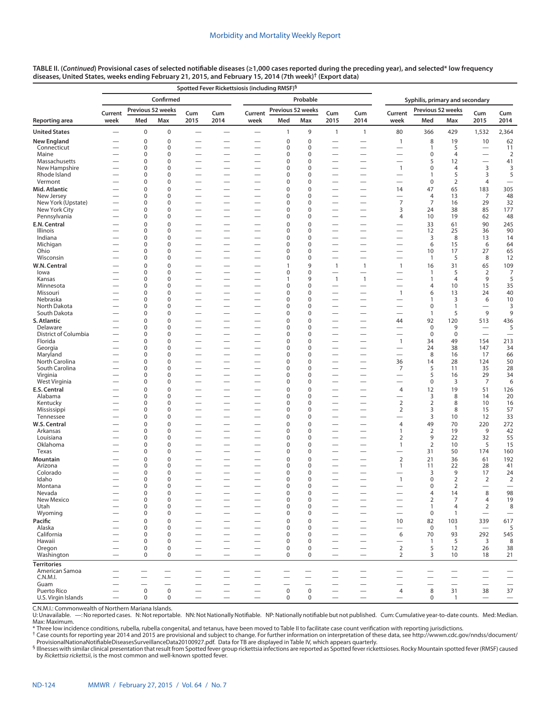|                              | Spotted Fever Rickettsiosis (including RMSF) <sup>§</sup> |                            |                            |                                                      |                          |                               |                            |                            |                               |                                                      |                                               |                        |                      |                                                      |                          |  |
|------------------------------|-----------------------------------------------------------|----------------------------|----------------------------|------------------------------------------------------|--------------------------|-------------------------------|----------------------------|----------------------------|-------------------------------|------------------------------------------------------|-----------------------------------------------|------------------------|----------------------|------------------------------------------------------|--------------------------|--|
|                              |                                                           |                            | Confirmed                  |                                                      |                          |                               |                            | Probable                   |                               |                                                      | Syphilis, primary and secondary               |                        |                      |                                                      |                          |  |
|                              | Current                                                   |                            | Previous 52 weeks          | Cum                                                  | Cum                      | Current                       | Previous 52 weeks          |                            | Cum                           | Cum                                                  | Current                                       | Previous 52 weeks      |                      | Cum                                                  | Cum                      |  |
| Reporting area               | week                                                      | Med                        | Max                        | 2015                                                 | 2014                     | week                          | Med                        | Max                        | 2015                          | 2014                                                 | week                                          | Med                    | Max                  | 2015                                                 | 2014                     |  |
| <b>United States</b>         |                                                           | $\bf 0$                    | $\mathbf 0$                | $\overline{\phantom{0}}$                             | $\overline{\phantom{0}}$ | $\overline{\phantom{0}}$      | $\mathbf{1}$               | 9                          | $\mathbf{1}$                  | $\mathbf{1}$                                         | 80                                            | 366                    | 429                  | 1,532                                                | 2,364                    |  |
| New England                  |                                                           | $\mathbf 0$                | $\mathbf 0$                |                                                      |                          |                               | $\mathbf 0$                | $\mathbf 0$                |                               |                                                      | $\mathbf{1}$                                  | 8                      | 19                   | 10                                                   | 62                       |  |
| Connecticut                  |                                                           | $\mathbf 0$                | $\mathbf 0$                |                                                      |                          | —                             | 0                          | $\mathbf 0$                | —                             | $\overline{\phantom{0}}$                             | $\overline{\phantom{0}}$                      | 1                      | 5                    |                                                      | 11                       |  |
| Maine<br>Massachusetts       |                                                           | 0<br>0                     | $\Omega$<br>$\mathbf 0$    | $\overline{\phantom{0}}$<br>$\overline{\phantom{0}}$ |                          | —<br>—                        | $\Omega$<br>$\mathbf 0$    | $\mathbf 0$<br>$\mathbf 0$ | -<br>—                        | $\overline{\phantom{0}}$<br>$\overline{\phantom{0}}$ | —<br>$\overline{\phantom{0}}$                 | $\mathbf 0$<br>5       | $\overline{4}$<br>12 | $\overline{\phantom{0}}$<br>$\overline{\phantom{0}}$ | $\overline{2}$<br>41     |  |
| New Hampshire                |                                                           | $\mathbf 0$                | $\Omega$                   | $\overline{\phantom{0}}$                             |                          | -                             | $\mathbf 0$                | $\mathbf 0$                |                               | $\overline{\phantom{0}}$                             | $\mathbf{1}$                                  | $\mathbf 0$            | $\overline{4}$       | 3                                                    | 3                        |  |
| Rhode Island                 |                                                           | 0                          | $\mathbf 0$                |                                                      | $\overline{\phantom{0}}$ |                               | $\Omega$                   | $\mathbf 0$                |                               | $\equiv$                                             |                                               | $\mathbf{1}$           | 5                    | 3                                                    | 5                        |  |
| Vermont                      |                                                           | 0<br>$\mathbf 0$           | 0<br>$\Omega$              | —                                                    |                          | —                             | $\Omega$                   | $\mathbf 0$<br>$\mathbf 0$ | —                             | $\overline{\phantom{0}}$                             | -                                             | $\mathbf 0$            | $\overline{2}$<br>65 | 4                                                    |                          |  |
| Mid. Atlantic<br>New Jersey  | -                                                         | $\mathbf 0$                | $\mathbf 0$                | -<br>$\overline{\phantom{0}}$                        |                          | -<br>—                        | $\mathbf 0$<br>0           | $\mathbf 0$                | —                             | $\overline{\phantom{0}}$<br>$\overline{\phantom{0}}$ | 14                                            | 47<br>4                | 13                   | 183<br>7                                             | 305<br>48                |  |
| New York (Upstate)           |                                                           | $\mathbf 0$                | $\mathbf 0$                | $\overline{\phantom{0}}$                             |                          | —                             | $\Omega$                   | $\mathbf 0$                | $\overline{\phantom{0}}$      | $\overline{\phantom{0}}$                             | $\overline{7}$                                | $\overline{7}$         | 16                   | 29                                                   | 32                       |  |
| New York City                |                                                           | $\mathbf 0$                | $\mathbf 0$                |                                                      | —                        |                               | $\Omega$                   | $\mathbf 0$                |                               | $\overline{\phantom{0}}$                             | 3                                             | 24                     | 38                   | 85                                                   | 177                      |  |
| Pennsylvania<br>E.N. Central | -                                                         | $\mathbf 0$<br>$\mathbf 0$ | $\mathbf 0$<br>$\mathbf 0$ | $\overline{\phantom{0}}$                             |                          | $\overline{\phantom{0}}$      | 0<br>$\mathbf 0$           | $\mathbf 0$<br>$\mathbf 0$ | $\overline{\phantom{0}}$      | $\overline{\phantom{0}}$                             | 4                                             | 10<br>33               | 19<br>61             | 62<br>90                                             | 48<br>245                |  |
| Illinois                     | -                                                         | $\mathbf 0$                | $\mathbf 0$                | —                                                    |                          | $\overline{\phantom{0}}$      | $\mathbf 0$                | $\mathbf 0$                | —                             |                                                      |                                               | 12                     | 25                   | 36                                                   | 90                       |  |
| Indiana                      |                                                           | $\mathbf 0$                | $\mathbf 0$                |                                                      |                          |                               | 0                          | $\mathbf 0$                |                               | $\overline{\phantom{0}}$                             |                                               | 3                      | 8                    | 13                                                   | 14                       |  |
| Michigan                     |                                                           | $\mathbf 0$                | $\mathbf 0$                |                                                      | $\overline{\phantom{0}}$ | $\overline{\phantom{0}}$      | $\mathbf 0$                | $\mathbf 0$                | $\overline{\phantom{0}}$      | $\overline{\phantom{0}}$                             | $\overline{\phantom{0}}$                      | 6                      | 15                   | 6                                                    | 64                       |  |
| Ohio<br>Wisconsin            |                                                           | $\mathbf 0$<br>$\mathbf 0$ | $\mathbf 0$<br>$\mathbf 0$ | $\overline{\phantom{0}}$                             |                          |                               | $\mathbf 0$<br>$\Omega$    | $\mathbf 0$<br>$\mathbf 0$ | $\overline{\phantom{0}}$      | $\overline{\phantom{0}}$<br>$\overline{\phantom{0}}$ | $\overline{\phantom{0}}$                      | 10<br>$\mathbf{1}$     | 17<br>5              | 27<br>8                                              | 65<br>12                 |  |
| W.N. Central                 |                                                           | $\mathbf 0$                | $\mathbf 0$                | -                                                    |                          |                               | 1                          | 9                          | $\mathbf{1}$                  | $\mathbf{1}$                                         | $\mathbf{1}$                                  | 16                     | 31                   | 65                                                   | 109                      |  |
| lowa                         |                                                           | 0                          | 0                          | $\overline{\phantom{0}}$                             | $\overline{\phantom{0}}$ | $\overline{\phantom{0}}$      | 0                          | $\mathbf 0$                | $\overline{\phantom{0}}$      |                                                      | $\overline{\phantom{0}}$                      | $\mathbf{1}$           | 5                    | 2                                                    | 7                        |  |
| Kansas                       |                                                           | 0                          | $\mathbf 0$                |                                                      |                          | $\overline{\phantom{0}}$      | 1                          | 9                          | $\overline{1}$                | $\mathbf{1}$                                         |                                               | $\mathbf{1}$           | $\overline{4}$       | 9                                                    | 5                        |  |
| Minnesota<br>Missouri        |                                                           | $\mathbf 0$<br>0           | $\mathbf 0$<br>$\mathbf 0$ | $\overline{\phantom{0}}$                             | —                        | $\overline{\phantom{0}}$      | $\mathbf 0$<br>$\mathbf 0$ | $\mathbf 0$<br>$\mathbf 0$ |                               | $\overline{\phantom{0}}$                             | $\mathbf{1}$                                  | 4<br>6                 | 10<br>13             | 15<br>24                                             | 35<br>40                 |  |
| Nebraska                     |                                                           | $\mathbf 0$                | $\mathbf 0$                | $\overline{\phantom{0}}$                             | $\overline{\phantom{0}}$ | $\overline{\phantom{0}}$      | $\mathbf 0$                | $\mathbf 0$                | $\overline{\phantom{0}}$      | $\overline{\phantom{0}}$                             | $\overline{\phantom{0}}$                      | 1                      | 3                    | 6                                                    | 10                       |  |
| North Dakota                 |                                                           | $\mathbf 0$                | $\mathbf 0$                |                                                      |                          |                               | $\Omega$                   | $\mathbf 0$                |                               |                                                      |                                               | $\mathbf 0$            | $\mathbf{1}$         |                                                      | 3                        |  |
| South Dakota                 |                                                           | $\mathbf 0$                | $\mathbf 0$                |                                                      |                          |                               | $\mathbf 0$                | $\mathbf 0$                |                               | $\overline{\phantom{0}}$                             |                                               | $\mathbf{1}$           | 5                    | 9                                                    | 9                        |  |
| S. Atlantic<br>Delaware      |                                                           | 0<br>0                     | $\mathbf 0$<br>$\mathbf 0$ |                                                      |                          | $\overline{\phantom{0}}$      | $\Omega$<br>$\Omega$       | $\mathbf 0$<br>$\mathbf 0$ |                               | $\overline{\phantom{0}}$                             | 44                                            | 92<br>$\boldsymbol{0}$ | 120<br>9             | 513                                                  | 436                      |  |
| District of Columbia         |                                                           | 0                          | 0                          |                                                      |                          | $\overline{\phantom{0}}$      | 0                          | $\mathbf 0$                | $\overline{\phantom{0}}$      | $\overline{\phantom{0}}$                             |                                               | $\mathbf 0$            | $\mathbf 0$          |                                                      | 5                        |  |
| Florida                      |                                                           | 0                          | $\mathbf 0$                | —                                                    | $\overline{\phantom{0}}$ | —                             | 0                          | $\mathbf 0$                | -                             |                                                      | $\mathbf{1}$                                  | 34                     | 49                   | 154                                                  | 213                      |  |
| Georgia                      | $\overline{\phantom{0}}$                                  | 0                          | 0                          | $\overline{\phantom{0}}$                             | $\overline{\phantom{0}}$ | $\overline{\phantom{0}}$      | $\mathbf 0$                | $\mathbf 0$                |                               | $\overbrace{\phantom{12322111}}$                     | $\overline{\phantom{0}}$                      | 24                     | 38                   | 147                                                  | 34                       |  |
| Maryland<br>North Carolina   |                                                           | 0<br>$\mathbf 0$           | $\mathbf 0$<br>$\mathbf 0$ |                                                      |                          | $\overline{\phantom{0}}$      | $\Omega$<br>$\mathbf 0$    | $\mathbf 0$<br>$\mathbf 0$ |                               | $\overline{\phantom{0}}$                             | 36                                            | 8<br>14                | 16<br>28             | 17<br>124                                            | 66<br>50                 |  |
| South Carolina               |                                                           | $\mathbf 0$                | $\mathbf 0$                | $\overline{\phantom{0}}$                             |                          | $\overline{\phantom{0}}$      | $\mathbf 0$                | $\mathbf 0$                |                               |                                                      | 7                                             | 5                      | 11                   | 35                                                   | 28                       |  |
| Virginia                     |                                                           | $\mathbf 0$                | $\mathbf 0$                | $\overline{\phantom{0}}$                             | $\overline{\phantom{0}}$ |                               | $\mathbf 0$                | $\mathbf 0$                | $\overline{\phantom{0}}$      | $\overbrace{\phantom{12322111}}$                     | $\overline{\phantom{0}}$                      | 5                      | 16                   | 29                                                   | 34                       |  |
| West Virginia                |                                                           | $\mathbf 0$                | $\mathbf 0$                | $\overline{\phantom{0}}$                             |                          | $\overline{\phantom{0}}$      | $\mathbf 0$                | $\mathbf 0$                |                               | $\overline{\phantom{0}}$                             | -                                             | 0                      | 3                    | 7                                                    | 6                        |  |
| E.S. Central<br>Alabama      |                                                           | $\mathbf 0$<br>0           | $\mathbf 0$<br>0           | -<br>$\overline{\phantom{0}}$                        |                          | —<br>—                        | $\mathbf 0$<br>0           | $\mathbf 0$<br>$\mathbf 0$ | $\overline{\phantom{0}}$      | $\overline{\phantom{0}}$                             | 4                                             | 12<br>3                | 19<br>8              | 51<br>14                                             | 126<br>20                |  |
| Kentucky                     |                                                           | 0                          | $\mathbf 0$                |                                                      |                          | $\overline{\phantom{0}}$      | $\Omega$                   | $\mathbf 0$                | $\overline{\phantom{0}}$      | $\overline{\phantom{0}}$                             | $\mathbf 2$                                   | $\overline{2}$         | 8                    | 10                                                   | 16                       |  |
| Mississippi                  |                                                           | 0                          | 0                          |                                                      |                          | $\overline{\phantom{0}}$      | 0                          | $\mathbf 0$                | $\overline{\phantom{0}}$      |                                                      | $\overline{2}$                                | 3                      | 8                    | 15                                                   | 57                       |  |
| Tennessee                    |                                                           | 0                          | $\mathbf 0$                | $\overline{\phantom{0}}$                             | $\overline{\phantom{0}}$ | —                             | 0                          | $\mathbf 0$                | —                             |                                                      |                                               | 3                      | 10                   | 12                                                   | 33                       |  |
| W.S. Central                 |                                                           | $\mathbf 0$<br>0           | $\mathbf 0$<br>$\mathbf 0$ | $\overline{\phantom{0}}$<br>-                        |                          | $\overline{\phantom{0}}$      | $\mathbf 0$<br>$\mathbf 0$ | $\mathbf 0$<br>$\mathbf 0$ | $\overline{\phantom{0}}$<br>— | $\overline{\phantom{0}}$                             | $\overline{4}$<br>$\mathbf{1}$                | 49<br>$\overline{2}$   | 70<br>19             | 220<br>9                                             | 272                      |  |
| Arkansas<br>Louisiana        |                                                           | 0                          | $\Omega$                   | —                                                    |                          | —<br>-                        | $\mathbf 0$                | $\mathbf 0$                |                               | $\overline{\phantom{0}}$                             | $\overline{2}$                                | 9                      | 22                   | 32                                                   | 42<br>55                 |  |
| Oklahoma                     |                                                           | 0                          | $\mathbf 0$                | $\overline{\phantom{0}}$                             | $\overline{\phantom{0}}$ | $\overline{\phantom{0}}$      | $\Omega$                   | $\mathbf 0$                |                               | $\equiv$                                             | $\mathbf{1}$                                  | $\overline{2}$         | 10                   | 5                                                    | 15                       |  |
| Texas                        |                                                           | 0                          | 0                          | —                                                    |                          | —                             | O                          | $\mathbf 0$                | —                             | $\overline{\phantom{0}}$                             | —                                             | 31                     | 50                   | 174                                                  | 160                      |  |
| Mountain                     |                                                           | $\mathbf 0$<br>0           | $\Omega$<br>$\mathbf 0$    | -                                                    |                          | -                             | $\mathbf 0$<br>0           | $\mathbf 0$<br>$\mathbf 0$ |                               | $\overline{\phantom{0}}$                             | $\overline{2}$                                | 21<br>11               | 36<br>22             | 61<br>28                                             | 192                      |  |
| Arizona<br>Colorado          |                                                           | 0                          | $\mathbf 0$                | —<br>$\overline{\phantom{0}}$                        |                          | $\overline{\phantom{0}}$<br>— | $\mathbf 0$                | $\mathbf 0$                | —<br>—                        |                                                      | 1<br>-                                        | 3                      | 9                    | 17                                                   | 41<br>24                 |  |
| Idaho                        |                                                           | $\mathbf 0$                | $\mathbf 0$                | $\overline{\phantom{0}}$                             |                          | $\overline{\phantom{0}}$      | $\mathbf 0$                | $\mathbf 0$                |                               | $\overline{\phantom{0}}$                             | $\overline{1}$                                | $\mathbf 0$            | $\overline{2}$       | $\overline{2}$                                       | $\overline{2}$           |  |
| Montana                      |                                                           | 0                          | 0                          |                                                      |                          |                               | 0                          | 0                          |                               |                                                      |                                               | 0                      | 2                    |                                                      |                          |  |
| Nevada<br>New Mexico         |                                                           | $\bf 0$<br>$\mathbf 0$     | $\pmb{0}$<br>$\mathbf 0$   | $\overline{\phantom{0}}$                             | $\overline{\phantom{0}}$ | $\overline{\phantom{0}}$      | 0<br>0                     | $\pmb{0}$<br>$\mathbf 0$   | $\overline{\phantom{0}}$      | $\overline{\phantom{0}}$                             | $\qquad \qquad -$<br>$\overline{\phantom{0}}$ | 4<br>$\overline{2}$    | 14<br>7              | 8<br>4                                               | 98<br>19                 |  |
| Utah                         |                                                           | 0                          | $\mathbf 0$                | $\overline{\phantom{0}}$                             | $\overline{\phantom{0}}$ | —                             | 0                          | $\mathbf 0$                |                               | $\overline{\phantom{0}}$                             | $\overline{\phantom{0}}$                      | $\mathbf{1}$           | 4                    | $\overline{2}$                                       | 8                        |  |
| Wyoming                      |                                                           | $\mathbf 0$                | 0                          | —                                                    | $\overline{\phantom{0}}$ |                               | 0                          | 0                          |                               |                                                      |                                               | $\boldsymbol{0}$       | $\mathbf{1}$         | $\overbrace{\phantom{12322111}}$                     | $\overline{\phantom{m}}$ |  |
| Pacific                      |                                                           | $\mathbf 0$                | $\Omega$                   | —                                                    |                          |                               | $\Omega$                   | $\mathbf 0$                |                               | $\overline{\phantom{0}}$                             | 10                                            | 82                     | 103                  | 339                                                  | 617                      |  |
| Alaska<br>California         |                                                           | $\mathbf 0$<br>$\mathbf 0$ | $\mathbf 0$<br>$\mathbf 0$ | $\overline{\phantom{0}}$                             | $\overline{\phantom{0}}$ |                               | 0<br>0                     | 0<br>0                     |                               | $\overline{\phantom{0}}$                             | $\overline{\phantom{0}}$<br>6                 | $\mathbf 0$<br>70      | $\overline{1}$<br>93 | $\overline{\phantom{0}}$<br>292                      | 5                        |  |
| Hawaii                       | $\overline{\phantom{0}}$                                  | $\mathbf 0$                | $\mathbf 0$                | $\overline{\phantom{0}}$                             | $\overline{\phantom{0}}$ | $\overline{\phantom{0}}$      | 0                          | 0                          | —                             | $\overline{\phantom{0}}$                             |                                               | $\mathbf{1}$           | 5                    | 3                                                    | 545<br>8                 |  |
| Oregon                       | $\overline{\phantom{0}}$                                  | $\mathbf 0$                | $\mathbf 0$                |                                                      |                          | $\overline{\phantom{0}}$      | 0                          | 0                          | —                             | $\overline{\phantom{0}}$                             | $\overline{2}$                                | 5                      | 12                   | 26                                                   | 38                       |  |
| Washington                   | $\overline{\phantom{0}}$                                  | $\mathbf 0$                | 0                          | $\overline{\phantom{0}}$                             | $\overline{\phantom{0}}$ | $\overline{\phantom{0}}$      | $\mathbf 0$                | 0                          | $\overline{\phantom{0}}$      | $\overline{\phantom{0}}$                             | 2                                             | 3                      | 10                   | 18                                                   | 21                       |  |
| <b>Territories</b>           |                                                           |                            |                            |                                                      |                          |                               |                            |                            |                               |                                                      |                                               |                        |                      |                                                      |                          |  |
| American Samoa<br>C.N.M.I.   |                                                           |                            |                            | $\overline{\phantom{0}}$                             |                          |                               |                            |                            |                               |                                                      |                                               |                        | $\equiv$             |                                                      |                          |  |
| Guam                         |                                                           |                            |                            |                                                      |                          |                               |                            |                            |                               |                                                      |                                               |                        |                      |                                                      | $\overline{\phantom{0}}$ |  |
| Puerto Rico                  |                                                           | $\mathsf 0$                | $\mathbf 0$                |                                                      |                          |                               | $\mathsf 0$                | $\pmb{0}$                  |                               | $\overline{\phantom{0}}$                             | $\overline{4}$                                | 8                      | 31                   | 38                                                   | 37                       |  |
| U.S. Virgin Islands          |                                                           | $\mathbf 0$                | 0                          | $\overline{\phantom{0}}$                             | $\overline{\phantom{0}}$ | $\overline{\phantom{0}}$      | $\mathbf 0$                | $\mathbf 0$                | $\overline{\phantom{0}}$      | $\overline{\phantom{0}}$                             | $\qquad \qquad$                               | $\mathbf 0$            | $\overline{1}$       | $\overline{\phantom{m}}$                             | $\qquad \qquad -$        |  |

C.N.M.I.: Commonwealth of Northern Mariana Islands.

U: Unavailable. —: No reported cases. N: Not reportable. NN: Not Nationally Notifiable. NP: Nationally notifiable but not published. Cum: Cumulative year-to-date counts. Med: Median. Max: Maximum.<br>\* Three low incidence conditions, rubella, rubella congenital, and tetanus, have been moved to Table II to facilitate case count verification with reporting jurisdictions.

\* Three low incidence conditions, rubella, rubella congenital, and tetanus, have been moved to Table II to facilitate case count verification with reporting jurisdictions.<br><sup>†</sup> Case counts for reporting year 2014 and 2015 a

[ProvisionalNationaNotifiableDiseasesSurveillanceData20100927.pdf](http://wwwn.cdc.gov/nndss/document/ProvisionalNationaNotifiableDiseasesSurveillanceData20100927.pdf). Data for TB are displayed in Table IV, which appears quarterly.<br><sup>§</sup> Illnesses with similar clinical presentation that result from Spotted fever group ricket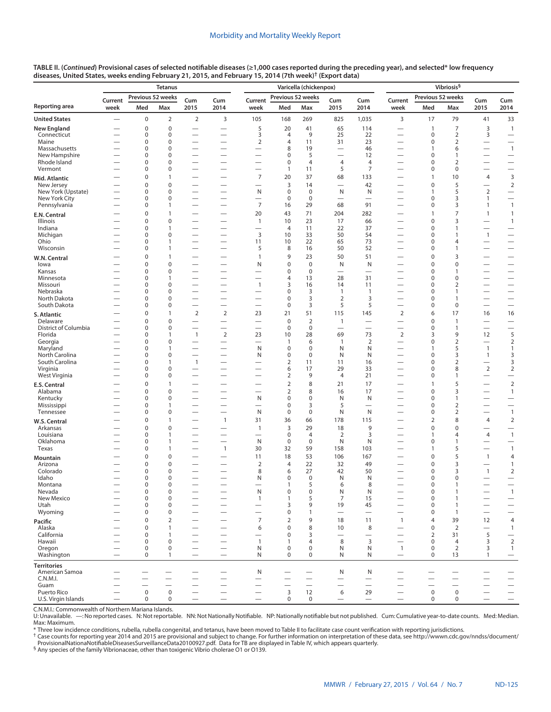|                                  | Tetanus                       |                               |                          |                                                      |                                                                        | Varicella (chickenpox)                               |                               |                           |                                         |                                |                                                      | Vibriosis <sup>§</sup>                               |                              |                          |                                                              |  |
|----------------------------------|-------------------------------|-------------------------------|--------------------------|------------------------------------------------------|------------------------------------------------------------------------|------------------------------------------------------|-------------------------------|---------------------------|-----------------------------------------|--------------------------------|------------------------------------------------------|------------------------------------------------------|------------------------------|--------------------------|--------------------------------------------------------------|--|
| Reporting area                   | Current<br>week               | Previous 52 weeks<br>Med      | Max                      | Cum<br>2015                                          | Cum<br>2014                                                            | Current<br>week                                      | Previous 52 weeks<br>Med      | Max                       | Cum<br>2015                             | Cum<br>2014                    | Current<br>week                                      | Previous 52 weeks<br>Med                             | Max                          | Cum<br>2015              | Cum<br>2014                                                  |  |
| <b>United States</b>             | $\overline{\phantom{0}}$      | $\mathbf 0$                   | $\overline{2}$           | $\overline{2}$                                       | 3                                                                      | 105                                                  | 168                           | 269                       | 825                                     | 1,035                          | 3                                                    | 17                                                   | 79                           | 41                       | 33                                                           |  |
| New England                      |                               | $\mathbf 0$                   | $\mathbf 0$              | $\overline{\phantom{0}}$                             | $\hspace{0.1mm}-\hspace{0.1mm}$                                        | 5                                                    | 20                            | 41                        | 65                                      | 114                            | $\overline{\phantom{0}}$                             | $\overline{1}$                                       | $\overline{7}$               | 3                        | $\mathbf{1}$                                                 |  |
| Connecticut                      |                               | 0                             | 0                        | $\overline{\phantom{0}}$                             | $\overline{\phantom{0}}$                                               | 3                                                    | $\overline{4}$                | 9                         | 25                                      | 22                             | $\overline{\phantom{0}}$                             | $\mathbf 0$                                          | $\mathbf 2$                  | 3                        | $\overbrace{\phantom{123221111}}$                            |  |
| Maine<br>Massachusetts           | $\overline{\phantom{0}}$      | 0<br>0                        | 0<br>0                   |                                                      | $\overbrace{\phantom{123221111}}$                                      | $\overline{2}$<br>$\overline{\phantom{0}}$           | 4<br>8                        | 11<br>19                  | 31                                      | 23<br>46                       |                                                      | $\mathbf 0$<br>$\mathbf{1}$                          | $\overline{2}$<br>6          |                          | $\overline{1}$                                               |  |
| New Hampshire                    | —                             | 0                             | 0                        |                                                      |                                                                        | —                                                    | $\mathbf 0$                   | 5                         |                                         | 12                             | $\overline{\phantom{0}}$                             | $\mathbf 0$                                          | 1                            |                          | $\qquad \qquad -$                                            |  |
| Rhode Island                     |                               | $\mathbf 0$                   | 0                        | $\overline{\phantom{0}}$                             |                                                                        |                                                      | $\mathbf 0$                   | $\overline{4}$            | $\overline{4}$                          | $\overline{4}$                 | $\overline{\phantom{0}}$                             | $\mathbf 0$                                          | $\overline{2}$               |                          |                                                              |  |
| Vermont                          |                               | 0<br>$\mathbf 0$              | 0<br>1                   | $\overline{\phantom{0}}$                             |                                                                        | —<br>$\overline{7}$                                  | 1<br>20                       | 11<br>37                  | 5<br>68                                 | $\overline{7}$<br>133          | $\overline{\phantom{0}}$                             | $\mathbf 0$<br>$\overline{1}$                        | 0<br>10                      | 4                        | 3                                                            |  |
| Mid. Atlantic<br>New Jersey      |                               | $\mathbf 0$                   | 0                        |                                                      | $\overline{\phantom{0}}$                                               | $\overline{\phantom{0}}$                             | $\overline{3}$                | 14                        | $\overline{\phantom{0}}$                | 42                             |                                                      | $\mathbf 0$                                          | 5                            |                          | $\mathbf 2$                                                  |  |
| New York (Upstate)               |                               | 0                             | 0                        | $\overline{\phantom{0}}$                             | $\overbrace{\phantom{123221111}}$                                      | N                                                    | $\mathbf 0$                   | $\mathbf 0$               | N                                       | N                              | $\overline{\phantom{0}}$                             | 1                                                    | 5                            | $\overline{2}$           |                                                              |  |
| New York City<br>Pennsylvania    | —<br>-                        | 0<br>0                        | 0<br>1                   | $\overline{\phantom{0}}$<br>$\overline{\phantom{0}}$ | $\overbrace{\phantom{123221111}}$<br>$\overbrace{\phantom{123221111}}$ | $\overline{\phantom{0}}$<br>$\overline{7}$           | $\mathbf 0$<br>16             | $\mathbf 0$<br>29         | 68                                      | $\overline{\phantom{0}}$<br>91 | $\overline{\phantom{0}}$<br>$\overline{\phantom{0}}$ | $\mathbf 0$<br>$\mathbf 0$                           | 3<br>3                       | 1<br>$\mathbf{1}$        | $\mathbf{1}$                                                 |  |
| E.N. Central                     |                               | 0                             | $\mathbf{1}$             | $\overline{\phantom{0}}$                             |                                                                        | 20                                                   | 43                            | 71                        | 204                                     | 282                            | $\overline{\phantom{0}}$                             | $\mathbf{1}$                                         | $\overline{7}$               | $\mathbf{1}$             | $\mathbf{1}$                                                 |  |
| <b>Illinois</b>                  |                               | $\mathbf 0$                   | 0                        | $\overline{\phantom{0}}$                             | $\qquad \qquad$                                                        | $\mathbf{1}$                                         | 10                            | 23                        | 17                                      | 66                             | $\overline{\phantom{0}}$                             | $\mathbf 0$                                          | 3                            |                          | $\mathbf{1}$                                                 |  |
| Indiana                          |                               | 0                             | 1                        |                                                      |                                                                        | $\overline{\phantom{0}}$                             | $\overline{4}$                | 11                        | 22                                      | 37                             | $\overline{\phantom{0}}$                             | $\mathbf 0$                                          | $\mathbf{1}$                 |                          |                                                              |  |
| Michigan<br>Ohio                 |                               | 0<br>0                        | 0<br>1                   |                                                      | $\qquad \qquad$<br>$\overline{\phantom{0}}$                            | 3<br>11                                              | 10<br>10                      | 33<br>22                  | 50<br>65                                | 54<br>73                       | $\overline{\phantom{0}}$                             | $\mathbf 0$<br>$\mathbf 0$                           | $\mathbf{1}$<br>4            | $\mathbf{1}$             |                                                              |  |
| Wisconsin                        |                               | 0                             | 1                        | $\overline{\phantom{0}}$                             | $\qquad \qquad$                                                        | 5                                                    | 8                             | 16                        | 50                                      | 52                             | $\overline{\phantom{0}}$                             | $\mathbf 0$                                          | $\mathbf{1}$                 |                          |                                                              |  |
| W.N. Central                     |                               | 0                             | $\mathbf{1}$             | $\overline{\phantom{0}}$                             |                                                                        | $\mathbf{1}$                                         | 9                             | 23                        | 50                                      | 51                             | $\overline{\phantom{0}}$                             | 0                                                    | 3                            |                          | $\overline{\phantom{0}}$                                     |  |
| lowa                             |                               | $\mathbf 0$                   | $\mathbf 0$              |                                                      | $\overline{\phantom{0}}$                                               | N                                                    | $\mathbf 0$                   | $\mathbf 0$               | N                                       | N                              |                                                      | $\mathbf 0$                                          | $\mathbf 0$                  |                          |                                                              |  |
| Kansas<br>Minnesota              | -                             | 0<br>0                        | 0<br>1                   |                                                      | $\qquad \qquad$                                                        | —<br>-                                               | $\mathbf 0$<br>4              | $\mathbf 0$<br>13         | 28                                      | $\overline{\phantom{0}}$<br>31 | -                                                    | $\mathbf 0$<br>$\mathbf 0$                           | 1<br>0                       |                          |                                                              |  |
| Missouri                         |                               | 0                             | 0                        |                                                      | $\overline{\phantom{0}}$                                               | $\mathbf{1}$                                         | 3                             | 16                        | 14                                      | 11                             |                                                      | $\mathbf 0$                                          | 2                            |                          |                                                              |  |
| Nebraska                         |                               | 0                             | 0<br>0                   |                                                      | $\overline{\phantom{0}}$                                               |                                                      | $\mathbf 0$<br>$\mathbf 0$    | 3<br>3                    | $\mathbf{1}$<br>$\overline{2}$          | $\overline{1}$                 | $\overline{\phantom{0}}$                             | $\mathbf 0$                                          | $\mathbf{1}$                 |                          |                                                              |  |
| North Dakota<br>South Dakota     |                               | 0<br>0                        | 0                        | $\overline{\phantom{0}}$<br>$\overline{\phantom{0}}$ | $\overline{\phantom{0}}$<br>$\overbrace{\phantom{1232211}}$            | $\overline{\phantom{0}}$<br>$\overline{\phantom{0}}$ | $\mathbf 0$                   | 3                         | 5                                       | 3<br>5                         | —<br>$\overline{\phantom{0}}$                        | $\mathbf 0$<br>0                                     | $\mathbf{1}$<br>0            | $\overline{\phantom{0}}$ | $\overline{\phantom{0}}$<br>$\overbrace{\phantom{12322111}}$ |  |
| S. Atlantic                      |                               | 0                             | $\mathbf{1}$             | $\mathbf 2$                                          | $\overline{2}$                                                         | 23                                                   | 21                            | 51                        | 115                                     | 145                            | $\mathbf 2$                                          | 6                                                    | 17                           | 16                       | 16                                                           |  |
| Delaware                         |                               | $\mathbf 0$                   | $\mathbf 0$              |                                                      | $\qquad \qquad$                                                        |                                                      | $\mathbf 0$                   | $\overline{2}$            | $\mathbf{1}$                            |                                |                                                      | $\mathbf 0$                                          | $\mathbf{1}$                 |                          |                                                              |  |
| District of Columbia<br>Florida  |                               | 0<br>0                        | 0<br>1                   | $\overline{\phantom{0}}$<br>$\mathbf{1}$             | $\qquad \qquad$<br>$\overline{2}$                                      | $\overline{\phantom{0}}$<br>23                       | $\mathbf 0$<br>10             | $\mathbf 0$<br>28         | $\overbrace{\phantom{123221111}}$<br>69 | $\overline{\phantom{m}}$<br>73 | $\overline{2}$                                       | $\mathbf 0$<br>3                                     | $\mathbf{1}$<br>9            | 12                       | $\overbrace{\phantom{123221111}}$<br>5                       |  |
| Georgia                          |                               | $\Omega$                      | 0                        | $\overline{\phantom{0}}$                             |                                                                        | $\overline{\phantom{0}}$                             | 1                             | 6                         | $\mathbf{1}$                            | $\overline{2}$                 | $\overline{\phantom{0}}$                             | $\mathbf 0$                                          | $\overline{2}$               | $\overline{\phantom{0}}$ | $\overline{2}$                                               |  |
| Maryland                         | -                             | 0                             | 1                        | $\overline{\phantom{0}}$                             |                                                                        | N                                                    | $\pmb{0}$                     | $\mathbf 0$               | N                                       | N                              | —                                                    | 1                                                    | 5                            | $\overline{1}$           | 1                                                            |  |
| North Carolina<br>South Carolina |                               | $\Omega$<br>0                 | 0<br>1                   | $\mathbf{1}$                                         | $\overline{\phantom{0}}$                                               | N                                                    | $\mathbf 0$<br>2              | $\Omega$<br>11            | N<br>11                                 | N<br>16                        |                                                      | $\mathbf 0$<br>$\mathbf 0$                           | 3<br>2                       | $\mathbf{1}$             | 3<br>3                                                       |  |
| Virginia                         |                               | 0                             | 0                        | $\overline{\phantom{0}}$                             | $\overline{\phantom{0}}$                                               |                                                      | 6                             | 17                        | 29                                      | 33                             | —                                                    | $\mathbf 0$                                          | 8                            | $\overline{2}$           | $\overline{2}$                                               |  |
| West Virginia                    | $\overline{\phantom{0}}$      | 0                             | 0                        | $\overline{\phantom{0}}$                             |                                                                        | $\overline{\phantom{0}}$                             | $\overline{2}$                | 9                         | $\overline{4}$                          | 21                             | —                                                    | 0                                                    | 1                            | $\overline{\phantom{0}}$ | $\overbrace{\phantom{123221111}}$                            |  |
| E.S. Central                     |                               | $\pmb{0}$                     | $\mathbf{1}$             |                                                      |                                                                        |                                                      | $\overline{2}$                | 8                         | 21                                      | 17                             |                                                      | $\mathbf{1}$<br>$\mathbf 0$                          | 5                            |                          | $\overline{2}$                                               |  |
| Alabama<br>Kentucky              |                               | 0<br>$\Omega$                 | 0<br>0                   | $\overline{\phantom{0}}$<br>$\overline{\phantom{0}}$ | $\overline{\phantom{0}}$                                               | $\overline{\phantom{0}}$<br>N                        | $\overline{2}$<br>$\mathbf 0$ | 8<br>$\mathbf 0$          | 16<br>N                                 | 17<br>N                        | —<br>—                                               | $\mathbf 0$                                          | 3<br>$\mathbf{1}$            |                          | $\mathbf{1}$                                                 |  |
| Mississippi                      |                               | 0                             | 1                        |                                                      | $\overbrace{\phantom{1232211}}$                                        | $\overline{\phantom{0}}$                             | $\pmb{0}$                     | 3                         | 5                                       |                                |                                                      | $\mathbf 0$                                          | 2                            | $\overline{\phantom{0}}$ | $\equiv$                                                     |  |
| Tennessee                        |                               | 0                             | 0                        | $\overline{\phantom{0}}$                             | $\overline{\phantom{0}}$                                               | N                                                    | $\mathbf 0$                   | $\mathbf 0$               | N                                       | N                              |                                                      | $\mathbf 0$                                          | 2                            | $\overline{\phantom{0}}$ | $\mathbf{1}$                                                 |  |
| W.S. Central<br>Arkansas         |                               | 0<br>$\mathbf 0$              | $\mathbf{1}$<br>0        |                                                      | $\overline{1}$                                                         | 31<br>$\mathbf{1}$                                   | 36<br>3                       | 66<br>29                  | 178<br>18                               | 115<br>9                       | $\overline{\phantom{0}}$                             | $\overline{2}$<br>$\mathbf 0$                        | 8<br>$\mathbf 0$             | 4                        | $\overline{2}$<br>$\overline{\phantom{0}}$                   |  |
| Louisiana                        |                               | 0                             | 1                        | $\overline{\phantom{0}}$                             | $\overline{\phantom{0}}$                                               | $\overline{\phantom{0}}$                             | 0                             | $\overline{4}$            | 2                                       | 3                              | $\overline{\phantom{0}}$                             | 1                                                    | 4                            | 4                        | $\overline{1}$                                               |  |
| Oklahoma                         |                               | $\Omega$                      | 1                        | $\overline{\phantom{0}}$                             | $\overline{\phantom{0}}$                                               | N                                                    | $\mathbf 0$                   | $\mathbf 0$               | N                                       | N                              | —                                                    | $\mathbf 0$                                          | $\mathbf{1}$                 |                          | $\overbrace{\phantom{123221111}}$                            |  |
| Texas                            |                               | 0                             | 1<br>0                   |                                                      | $\mathbf{1}$                                                           | 30                                                   | 32                            | 59                        | 158<br>106                              | 103                            | $\overline{\phantom{0}}$                             | $\mathbf{1}$<br>$\pmb{0}$                            | 5<br>5                       | $\overline{\phantom{0}}$ | $\overline{1}$                                               |  |
| Mountain<br>Arizona              |                               | 0<br>0                        | 0                        |                                                      |                                                                        | 11<br>$\overline{2}$                                 | 18<br>4                       | 53<br>22                  | 32                                      | 167<br>49                      |                                                      | $\mathbf 0$                                          | 3                            | $\mathbf{1}$             | $\overline{4}$<br>$\mathbf{1}$                               |  |
| Colorado                         |                               | 0                             | 0                        |                                                      |                                                                        | 8                                                    | 6                             | 27                        | 42                                      | 50                             |                                                      | $\mathbf 0$                                          | 3                            | $\mathbf{1}$             | $\overline{2}$                                               |  |
| Idaho                            | $\overline{\phantom{0}}$      | 0<br>$\Omega$                 | 0<br>$\Omega$            | $\overline{\phantom{0}}$                             | $\overbrace{\phantom{1232211}}$                                        | N                                                    | $\pmb{0}$                     | $\mathbf 0$<br>5          | N                                       | N<br>8                         | $\overline{\phantom{0}}$                             | $\mathbf 0$<br>0                                     | 0                            |                          | $\overline{\phantom{0}}$                                     |  |
| Montana<br>Nevada                |                               | 0                             | $\pmb{0}$                |                                                      | $\overline{\phantom{0}}$                                               | N                                                    | 1<br>0                        | $\bf 0$                   | 6<br>${\sf N}$                          | N                              |                                                      | $\mathbf 0$                                          | $\mathbf{1}$                 |                          | $\mathbf{1}$                                                 |  |
| New Mexico                       |                               | 0                             | 0                        |                                                      |                                                                        | $\mathbf{1}$                                         | $\mathbf{1}$                  | 5                         | $\overline{7}$                          | 15                             | $\overline{\phantom{0}}$                             | $\mathbf 0$                                          | $\mathbf{1}$                 | $\overline{\phantom{0}}$ |                                                              |  |
| Utah<br>Wyoming                  | $\overline{\phantom{0}}$      | 0<br>0                        | 0<br>0                   | $\overline{\phantom{0}}$                             | $\overline{\phantom{0}}$                                               | $\overline{\phantom{0}}$                             | 3<br>$\pmb{0}$                | 9<br>1                    | 19<br>$\overbrace{\phantom{123221111}}$ | 45<br>$\overline{\phantom{m}}$ | $\overline{\phantom{0}}$                             | 0<br>$\pmb{0}$                                       | $\mathbf{1}$<br>$\mathbf{1}$ |                          | $\qquad \qquad -$<br>$\qquad \qquad -$                       |  |
| Pacific                          |                               | 0                             | 2                        | $\overline{\phantom{0}}$                             |                                                                        | 7                                                    | 2                             | 9                         | 18                                      | 11                             | $\overline{1}$                                       | $\overline{4}$                                       | 39                           | 12                       | $\overline{4}$                                               |  |
| Alaska                           |                               | $\mathbf 0$                   | $\mathbf{1}$             | $\overline{\phantom{0}}$                             | $\overline{\phantom{0}}$                                               | 6                                                    | $\mathbf 0$                   | 8                         | 10                                      | 8                              | $\overline{\phantom{0}}$                             | $\mathbf 0$                                          | $\overline{2}$               |                          | $\mathbf{1}$                                                 |  |
| California                       | $\overline{\phantom{0}}$      | 0                             | 1                        | $\overline{\phantom{0}}$                             |                                                                        |                                                      | $\pmb{0}$                     | 3                         | $\overline{\phantom{0}}$                | $\overline{\phantom{0}}$       | $\overline{\phantom{0}}$                             | $\overline{2}$                                       | 31                           | 5                        |                                                              |  |
| Hawaii<br>Oregon                 | —<br>$\overline{\phantom{0}}$ | 0<br>0                        | 0<br>$\pmb{0}$           | $\overline{\phantom{0}}$<br>$\overline{\phantom{0}}$ | $\overline{\phantom{0}}$                                               | $\mathbf{1}$<br>N                                    | 1<br>$\pmb{0}$                | $\overline{4}$<br>$\bf 0$ | 8<br>N                                  | 3<br>N                         | $\overline{\phantom{0}}$<br>$\mathbf{1}$             | $\mathbf 0$<br>$\pmb{0}$                             | 4<br>$\overline{2}$          | 3<br>3                   | $\overline{2}$<br>$\mathbf{1}$                               |  |
| Washington                       |                               | 0                             | $\mathbf{1}$             | $\overline{\phantom{m}}$                             |                                                                        | N                                                    | $\mathbf 0$                   | $\mathbf 0$               | N                                       | N                              | $\hspace{0.1mm}-\hspace{0.1mm}$                      | $\mathbf 0$                                          | 13                           | $\mathbf{1}$             |                                                              |  |
| <b>Territories</b>               |                               |                               |                          |                                                      |                                                                        |                                                      |                               |                           |                                         |                                |                                                      |                                                      |                              |                          |                                                              |  |
| American Samoa                   |                               |                               |                          |                                                      |                                                                        | N                                                    |                               |                           | N                                       | N                              | —                                                    |                                                      |                              |                          |                                                              |  |
| C.N.M.I.<br>Guam                 | -                             | -<br>$\overline{\phantom{0}}$ | $\overline{\phantom{0}}$ | $\overline{\phantom{0}}$                             | $\hspace{0.1mm}-\hspace{0.1mm}$<br>$\qquad \qquad$                     |                                                      | $\overline{\phantom{0}}$      | $\overline{\phantom{0}}$  | $\qquad \qquad$                         | $\overline{\phantom{0}}$       | —                                                    | $\overline{\phantom{0}}$<br>$\overline{\phantom{0}}$ | $\overline{\phantom{0}}$     |                          |                                                              |  |
| Puerto Rico                      |                               | $\mathsf 0$                   | $\mathsf 0$              | $\overline{\phantom{0}}$                             | $\qquad \qquad$                                                        | $\overline{\phantom{0}}$                             | $\mathsf 3$                   | 12                        | 6                                       | 29                             | $\overline{\phantom{0}}$                             | $\mathsf 0$                                          | $\mathsf 0$                  |                          | $\qquad \qquad -$                                            |  |
| U.S. Virgin Islands              | $\overline{\phantom{0}}$      | $\boldsymbol{0}$              | 0                        | $\overline{\phantom{0}}$                             | $\overline{\phantom{0}}$                                               | $\overline{\phantom{0}}$                             | $\mathsf 0$                   | $\mathbf 0$               | $\overline{\phantom{0}}$                | $\qquad \qquad$                | $\overline{\phantom{0}}$                             | $\pmb{0}$                                            | $\mathbf 0$                  | $\overline{\phantom{0}}$ |                                                              |  |

C.N.M.I.: Commonwealth of Northern Mariana Islands.

U: Unavailable. —: No reported cases. N: Not reportable. NN: Not Nationally Notifiable. NP: Nationally notifiable but not published. Cum: Cumulative year-to-date counts. Med: Median. Max: Maximum.<br>\* Three low incidence conditions, rubella, rubella congenital, and tetanus, have been moved to Table II to facilitate case count verification with reporting jurisdictions.<br><sup>†</sup> Case counts for reporting year 2

[ProvisionalNationaNotifiableDiseasesSurveillanceData20100927.pdf](http://wwwn.cdc.gov/nndss/document/ProvisionalNationaNotifiableDiseasesSurveillanceData20100927.pdf). Data for TB are displayed in Table IV, which appears quarterly.<br><sup>§</sup> Any species of the family Vibrionaceae, other than toxigenic Vibrio cholerae O1 or O139.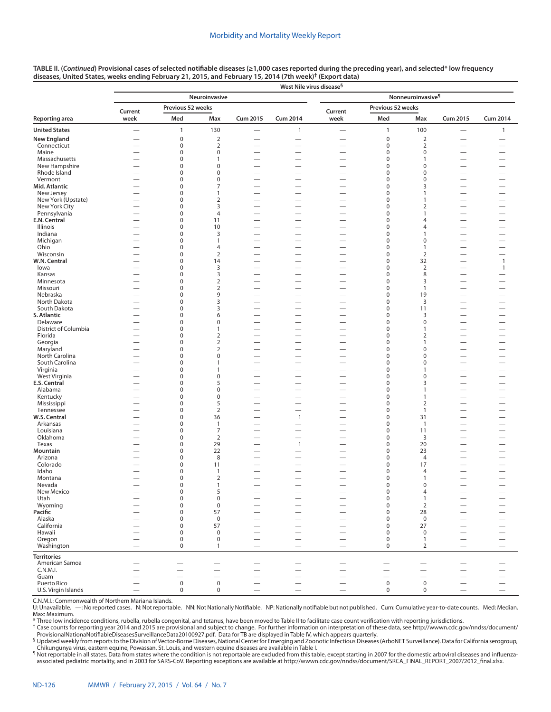|                             | West Nile virus disease <sup>§</sup>                 |                            |                                                      |                               |                                                      |                                                      |                            |                               |                          |                          |  |  |  |
|-----------------------------|------------------------------------------------------|----------------------------|------------------------------------------------------|-------------------------------|------------------------------------------------------|------------------------------------------------------|----------------------------|-------------------------------|--------------------------|--------------------------|--|--|--|
|                             |                                                      |                            | Neuroinvasive                                        |                               |                                                      |                                                      |                            | Nonneuroinvasive <sup>¶</sup> |                          |                          |  |  |  |
|                             | Current                                              | Previous 52 weeks          |                                                      |                               |                                                      | Current                                              | Previous 52 weeks          |                               |                          |                          |  |  |  |
| Reporting area              | week                                                 | Med                        | Max                                                  | Cum 2015                      | <b>Cum 2014</b>                                      | week                                                 | Med                        | Max                           | <b>Cum 2015</b>          | <b>Cum 2014</b>          |  |  |  |
| <b>United States</b>        | $\overline{\phantom{0}}$                             | $\mathbf{1}$               | 130                                                  |                               | $\mathbf{1}$                                         | $\overline{\phantom{0}}$                             | $\mathbf{1}$               | 100                           | $\qquad \qquad -$        | $\mathbf{1}$             |  |  |  |
| <b>New England</b>          |                                                      | $\mathbf 0$                | $\overline{2}$                                       |                               |                                                      | $\overline{\phantom{0}}$                             | $\mathbf 0$                | $\overline{2}$                |                          |                          |  |  |  |
| Connecticut                 |                                                      | $\boldsymbol{0}$           | $\overline{2}$                                       |                               |                                                      | $\overline{\phantom{0}}$                             | $\pmb{0}$                  | $\overline{2}$                |                          |                          |  |  |  |
| Maine<br>Massachusetts      | $\overline{\phantom{0}}$<br>$\overline{\phantom{0}}$ | $\mathbf 0$<br>0           | 0<br>1                                               |                               | $\overline{\phantom{0}}$                             | $\overline{\phantom{0}}$                             | $\mathbf 0$<br>$\mathbf 0$ | 0<br>1                        | $\overline{\phantom{0}}$ |                          |  |  |  |
| New Hampshire               |                                                      | $\mathbf 0$                | $\pmb{0}$                                            |                               |                                                      |                                                      | $\mathbf 0$                | 0                             |                          |                          |  |  |  |
| Rhode Island                |                                                      | 0                          | $\pmb{0}$                                            | -                             |                                                      | $\overline{\phantom{0}}$                             | $\mathbf 0$                | 0                             |                          |                          |  |  |  |
| Vermont                     |                                                      | $\mathbf 0$                | $\pmb{0}$                                            | -                             |                                                      |                                                      | $\mathbf 0$                | 0                             |                          |                          |  |  |  |
| Mid. Atlantic<br>New Jersey |                                                      | $\mathbf 0$<br>$\mathbf 0$ | 7<br>$\mathbf{1}$                                    |                               |                                                      | $\overline{\phantom{0}}$                             | $\mathbf 0$<br>$\mathbf 0$ | 3<br>1                        |                          |                          |  |  |  |
| New York (Upstate)          |                                                      | $\mathbf 0$                | $\overline{2}$                                       | $\overline{\phantom{0}}$      | $\overline{\phantom{0}}$                             |                                                      | $\mathbf 0$                | 1                             |                          |                          |  |  |  |
| New York City               |                                                      | $\mathbf 0$                | 3                                                    |                               |                                                      |                                                      | $\mathbf 0$                | $\overline{2}$                |                          |                          |  |  |  |
| Pennsylvania                |                                                      | $\mathbf 0$                | $\overline{4}$                                       |                               |                                                      |                                                      | $\mathbf 0$                | $\mathbf{1}$                  | -                        | -                        |  |  |  |
| E.N. Central                | —                                                    | $\mathbf 0$                | 11                                                   | $\overline{\phantom{0}}$      |                                                      |                                                      | $\mathbf 0$                | 4                             | $\overline{\phantom{0}}$ |                          |  |  |  |
| Illinois<br>Indiana         | —<br>$\overline{\phantom{0}}$                        | $\mathbf 0$<br>$\mathbf 0$ | 10<br>3                                              | -<br>$\overline{\phantom{0}}$ | $\overline{\phantom{0}}$                             | —<br>—                                               | $\mathbf 0$<br>$\mathbf 0$ | 4<br>$\mathbf{1}$             | $\overline{\phantom{0}}$ |                          |  |  |  |
| Michigan                    |                                                      | $\mathbf 0$                | 1                                                    | -                             | $\qquad \qquad$                                      |                                                      | $\mathbf 0$                | $\mathbf 0$                   |                          |                          |  |  |  |
| Ohio                        | —                                                    | $\mathbf 0$                | 4                                                    | -                             |                                                      | $\overline{\phantom{0}}$                             | $\mathbf 0$                | $\overline{1}$                | $\overline{\phantom{0}}$ |                          |  |  |  |
| Wisconsin                   | $\overline{\phantom{0}}$                             | $\mathbf 0$                | $\overline{2}$                                       |                               | $\overline{\phantom{0}}$                             |                                                      | $\mathbf 0$                | $\overline{2}$                | $\overline{\phantom{0}}$ |                          |  |  |  |
| W.N. Central                |                                                      | $\mathbf 0$                | 14                                                   | $\overline{\phantom{0}}$      |                                                      |                                                      | $\pmb{0}$                  | 32                            |                          | $\overline{1}$           |  |  |  |
| lowa                        |                                                      | $\mathbf 0$<br>$\mathbf 0$ | 3<br>3                                               | —                             |                                                      | $\overline{\phantom{0}}$                             | $\mathbf 0$<br>$\mathbf 0$ | $\overline{2}$<br>8           | $\overline{\phantom{0}}$ | $\mathbf{1}$             |  |  |  |
| Kansas<br>Minnesota         | —                                                    | $\mathbf 0$                | $\overline{2}$                                       | $\overline{\phantom{0}}$      | $\overline{\phantom{0}}$                             | -                                                    | $\mathbf 0$                | 3                             |                          |                          |  |  |  |
| Missouri                    | $\overline{\phantom{0}}$                             | 0                          | $\overline{2}$                                       | $\overline{\phantom{0}}$      |                                                      |                                                      | $\mathbf 0$                | 1                             | $\overline{\phantom{0}}$ |                          |  |  |  |
| Nebraska                    |                                                      | 0                          | 9                                                    |                               |                                                      | $\overline{\phantom{0}}$                             | $\mathbf 0$                | 19                            |                          |                          |  |  |  |
| North Dakota                |                                                      | 0                          | 3                                                    |                               |                                                      | $\overline{\phantom{0}}$                             | $\mathbf 0$                | 3                             |                          | $\overline{\phantom{0}}$ |  |  |  |
| South Dakota                | —                                                    | $\mathbf 0$                | 3                                                    | -                             |                                                      |                                                      | $\mathbf 0$                | 11                            | $\overline{\phantom{0}}$ |                          |  |  |  |
| S. Atlantic<br>Delaware     | $\overline{\phantom{0}}$                             | $\pmb{0}$<br>$\mathbf 0$   | 6<br>$\pmb{0}$                                       |                               | $\overline{\phantom{0}}$                             | $\overline{\phantom{0}}$<br>$\overline{\phantom{0}}$ | $\mathbf 0$<br>$\mathbf 0$ | 3<br>$\pmb{0}$                |                          | $\overline{\phantom{0}}$ |  |  |  |
| District of Columbia        | —                                                    | $\pmb{0}$                  | 1                                                    |                               | $\overline{\phantom{0}}$                             |                                                      | $\mathbf 0$                | 1                             |                          |                          |  |  |  |
| Florida                     | $\overline{\phantom{0}}$                             | $\pmb{0}$                  | 2                                                    |                               |                                                      | $\overline{\phantom{0}}$                             | $\mathbf 0$                | $\overline{2}$                |                          |                          |  |  |  |
| Georgia                     |                                                      | $\pmb{0}$                  | 2                                                    |                               |                                                      | $\overline{\phantom{0}}$                             | $\mathbf 0$                | 1                             |                          | $\overline{\phantom{0}}$ |  |  |  |
| Maryland<br>North Carolina  | —<br>$\overline{\phantom{0}}$                        | $\mathbf 0$<br>$\pmb{0}$   | 2<br>$\pmb{0}$                                       |                               | $\overline{\phantom{0}}$<br>$\overline{\phantom{0}}$ | $\overline{\phantom{0}}$                             | $\mathbf 0$<br>$\mathbf 0$ | $\pmb{0}$<br>0                | $\overline{\phantom{0}}$ | $\overline{\phantom{0}}$ |  |  |  |
| South Carolina              |                                                      | $\mathbf 0$                | 1                                                    |                               |                                                      | $\overline{\phantom{0}}$                             | $\mathbf 0$                | $\pmb{0}$                     |                          |                          |  |  |  |
| Virginia                    |                                                      | $\mathbf 0$                | 1                                                    | $\overline{\phantom{0}}$      |                                                      |                                                      | $\mathbf 0$                | 1                             |                          |                          |  |  |  |
| West Virginia               |                                                      | $\mathbf 0$                | $\pmb{0}$                                            |                               |                                                      |                                                      | $\mathbf 0$                | $\pmb{0}$                     |                          |                          |  |  |  |
| <b>E.S. Central</b>         |                                                      | $\mathbf 0$                | 5                                                    |                               |                                                      | $\overline{\phantom{0}}$                             | $\mathbf 0$                | 3                             |                          |                          |  |  |  |
| Alabama<br>Kentucky         |                                                      | $\mathbf 0$<br>$\mathbf 0$ | $\pmb{0}$<br>0                                       | -                             |                                                      |                                                      | $\mathbf 0$<br>$\mathbf 0$ | 1<br>$\mathbf{1}$             |                          |                          |  |  |  |
| Mississippi                 |                                                      | $\mathbf 0$                | 5                                                    |                               | $\overline{\phantom{0}}$                             | $\overline{\phantom{0}}$                             | $\mathbf 0$                | $\overline{2}$                |                          |                          |  |  |  |
| Tennessee                   |                                                      | $\pmb{0}$                  | $\overline{2}$                                       |                               | $\overline{\phantom{0}}$                             |                                                      | $\mathbf 0$                | $\mathbf{1}$                  |                          |                          |  |  |  |
| W.S. Central                | —                                                    | $\mathbf 0$                | 36                                                   | $\overline{\phantom{0}}$      | $\mathbf{1}$                                         |                                                      | $\mathbf 0$                | 31                            |                          |                          |  |  |  |
| Arkansas                    |                                                      | $\mathbf 0$                | $\mathbf{1}$                                         |                               |                                                      |                                                      | $\mathbf 0$                | $\overline{1}$                | $\overline{\phantom{0}}$ |                          |  |  |  |
| Louisiana<br>Oklahoma       | —                                                    | $\mathbf 0$<br>$\mathbf 0$ | $\overline{7}$<br>$\overline{2}$                     | $\overline{\phantom{0}}$<br>- |                                                      | —                                                    | $\pmb{0}$<br>$\mathbf 0$   | 11<br>3                       | $\overline{\phantom{0}}$ |                          |  |  |  |
| Texas                       |                                                      | $\mathbf 0$                | 29                                                   | $\overline{\phantom{0}}$      | $\mathbf{1}$                                         |                                                      | $\mathbf 0$                | 20                            | $\overline{\phantom{0}}$ | —                        |  |  |  |
| Mountain                    |                                                      | $\mathbf 0$                | 22                                                   | -                             |                                                      |                                                      | $\mathbf 0$                | 23                            |                          |                          |  |  |  |
| Arizona                     |                                                      | $\mathbf 0$                | 8                                                    | -                             |                                                      | -                                                    | $\mathbf 0$                | $\overline{4}$                | -                        | -                        |  |  |  |
| Colorado<br>Idaho           |                                                      | $\mathbf 0$<br>0           | 11<br>$\mathbf{1}$                                   |                               | $\overline{\phantom{0}}$                             | -                                                    | $\mathbf 0$<br>$\mathbf 0$ | 17<br>4                       | -                        | $\overline{\phantom{0}}$ |  |  |  |
| Montana                     | —<br>$\overline{\phantom{0}}$                        | 0                          | $\overline{2}$                                       | $\overline{\phantom{0}}$      |                                                      |                                                      | $\mathbf 0$                | $\mathbf{1}$                  | $\overline{\phantom{0}}$ | $\overline{\phantom{0}}$ |  |  |  |
| Nevada                      |                                                      | 0                          | $\mathbf{1}$                                         |                               |                                                      |                                                      | 0                          | 0                             |                          |                          |  |  |  |
| New Mexico                  |                                                      | $\pmb{0}$                  | 5                                                    |                               |                                                      |                                                      | $\pmb{0}$                  | 4                             |                          |                          |  |  |  |
| Utah                        |                                                      | $\pmb{0}$                  | $\pmb{0}$                                            |                               |                                                      |                                                      | $\pmb{0}$                  | 1                             |                          |                          |  |  |  |
| Wyoming<br>Pacific          |                                                      | $\mathbf 0$<br>$\mathbf 0$ | $\bf 0$<br>57                                        |                               |                                                      |                                                      | $\pmb{0}$<br>$\pmb{0}$     | $\overline{2}$<br>28          |                          |                          |  |  |  |
| Alaska                      |                                                      | $\boldsymbol{0}$           | $\mathbf 0$                                          |                               |                                                      |                                                      | $\pmb{0}$                  | $\mathbf 0$                   |                          |                          |  |  |  |
| California                  |                                                      | 0                          | 57                                                   |                               |                                                      |                                                      | $\pmb{0}$                  | 27                            |                          |                          |  |  |  |
| Hawaii                      |                                                      | $\boldsymbol{0}$           | $\bf 0$                                              |                               |                                                      |                                                      | $\pmb{0}$                  | $\mathbf 0$                   |                          |                          |  |  |  |
| Oregon                      |                                                      | $\mathbf 0$                | $\mathbf 0$                                          | $\overline{\phantom{0}}$      |                                                      | —                                                    | $\pmb{0}$                  | $\mathbf{1}$                  |                          | $\overline{\phantom{0}}$ |  |  |  |
| Washington                  |                                                      | $\boldsymbol{0}$           | $\mathbf{1}$                                         |                               | $\overline{\phantom{0}}$                             | $\overline{\phantom{0}}$                             | $\pmb{0}$                  | $\overline{2}$                | $\qquad \qquad -$        | $\qquad \qquad$          |  |  |  |
| <b>Territories</b>          |                                                      |                            |                                                      |                               |                                                      |                                                      |                            |                               |                          |                          |  |  |  |
| American Samoa              |                                                      |                            |                                                      |                               |                                                      |                                                      |                            |                               |                          |                          |  |  |  |
| C.N.M.I.<br>Guam            |                                                      | -                          | $\overline{\phantom{0}}$<br>$\overline{\phantom{0}}$ |                               |                                                      |                                                      | $\overline{\phantom{0}}$   |                               |                          |                          |  |  |  |
| Puerto Rico                 |                                                      | $\mathbf 0$                | $\mathbf 0$                                          | $\overline{\phantom{0}}$      |                                                      |                                                      | $\pmb{0}$                  | $\pmb{0}$                     | $\overline{\phantom{0}}$ | $\overline{\phantom{0}}$ |  |  |  |
| U.S. Virgin Islands         |                                                      | $\boldsymbol{0}$           | $\mathbf 0$                                          |                               |                                                      |                                                      | $\pmb{0}$                  | $\mathbf 0$                   |                          |                          |  |  |  |

C.N.M.I.: Commonwealth of Northern Mariana Islands. -: No reported cases. N: Not reportable. NN: Not Nationally Notifiable. NP: Nationally notifiable but not published. Cum: Cumulative year-to-date counts. Med: Median.

Max: Maximum.<br>Max: Maximum.<br>Three low incidence conditions, rubella, rubella congenital, and tetanus, have been moved to Table II to facilitate case count verification with reporting jurisdictions. \* Three low incidence conditions, rubella, rubella congenital, and tetanus, have been moved to Table II to facilitate case count verification with reporting jurisdictions.<br><sup>†</sup> Case counts for reporting year 2014 and 2015 a

[ProvisionalNationaNotifiableDiseasesSurveillanceData20100927.pdf](http://wwwn.cdc.gov/nndss/document/ProvisionalNationaNotifiableDiseasesSurveillanceData20100927.pdf). Data for TB are displayed in Table IV, which appears quarterly.<br><sup>§</sup> Updated weekly from reports to the Division of Vector-Borne Diseases, National Center fo Chikungunya virus, eastern equine, Powassan, St. Louis, and western equine diseases are available in Table I.

¶ Not reportable in all states. Data from states where the condition is not reportable are excluded from this table, except starting in 2007 for the domestic arboviral diseases and influenzaassociated pediatric mortality, and in 2003 for SARS-CoV. Reporting exceptions are available at [http://wwwn.cdc.gov/nndss/document/SRCA\\_FINAL\\_REPORT\\_2007/2012\\_final.xlsx.](http://wwwn.cdc.gov/nndss/document/SRCA_FINAL_REPORT_2007/2012_final.xlsx)